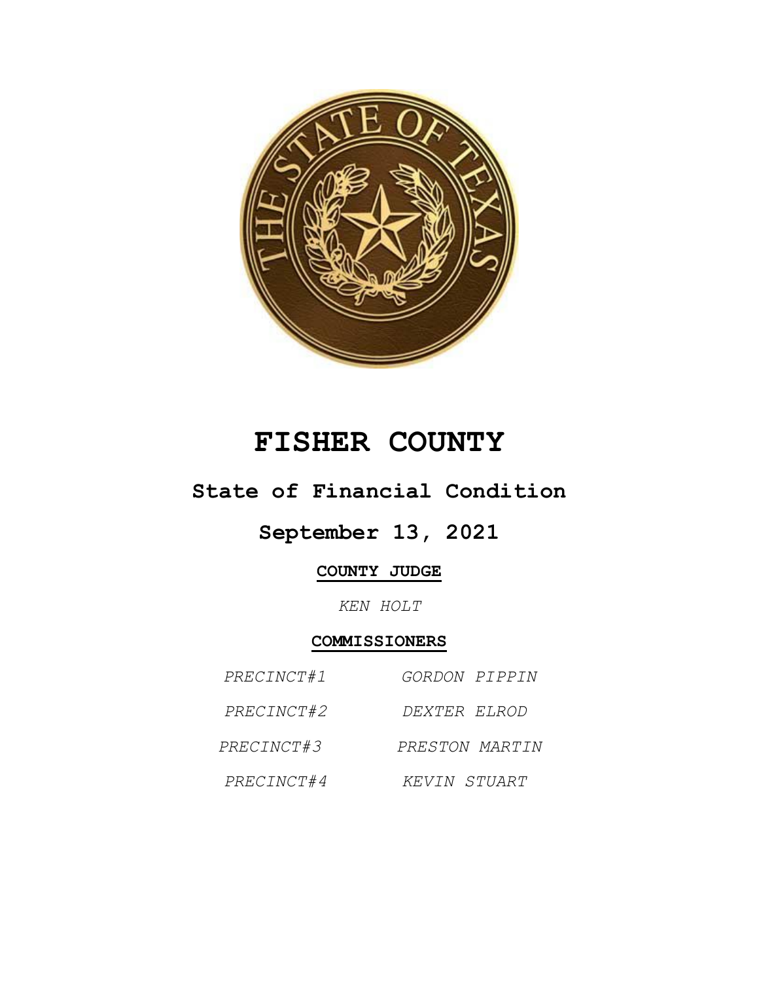

# **FISHER COUNTY**

## **State of Financial Condition**

## **September 13, 2021**

### **COUNTY JUDGE**

*KEN HOLT*

#### **COMMISSIONERS**

| PRECINCT#1 | <i>GORDON PIPPIN</i> |
|------------|----------------------|
| PRECINCT#2 | DEXTER ELROD         |
| PRECINCT#3 | PRESTON MARTIN       |
| PRECINCT#4 | KEVIN STUART         |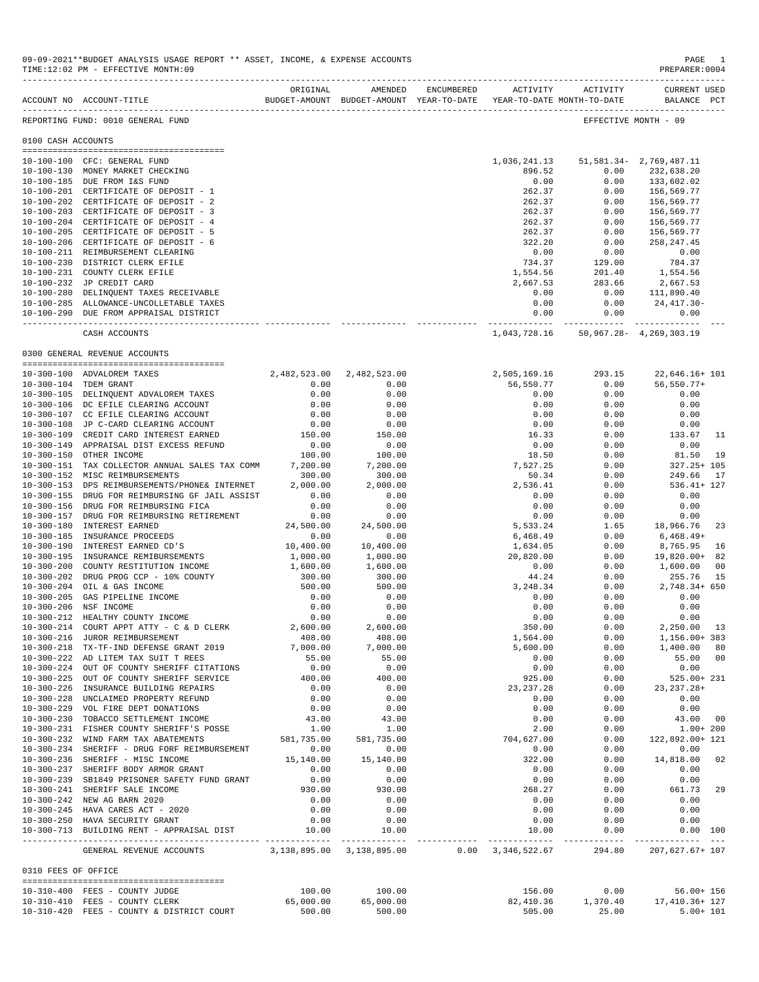|                     | ACCOUNT NO ACCOUNT-TITLE                                              | ORIGINAL<br>BUDGET-AMOUNT BUDGET-AMOUNT YEAR-TO-DATE | AMENDED             | ENCUMBERED | ACTIVITY<br>YEAR-TO-DATE MONTH-TO-DATE | ACTIVITY     | <b>CURRENT USED</b><br>BALANCE PCT          |                |
|---------------------|-----------------------------------------------------------------------|------------------------------------------------------|---------------------|------------|----------------------------------------|--------------|---------------------------------------------|----------------|
|                     | REPORTING FUND: 0010 GENERAL FUND                                     |                                                      |                     |            |                                        |              | EFFECTIVE MONTH - 09                        |                |
| 0100 CASH ACCOUNTS  |                                                                       |                                                      |                     |            |                                        |              |                                             |                |
|                     |                                                                       |                                                      |                     |            |                                        |              |                                             |                |
|                     | 10-100-100 CFC: GENERAL FUND                                          |                                                      |                     |            | 1,036,241.13<br>896.52                 |              | 51, 581. 34 - 2, 769, 487. 11               |                |
|                     | 10-100-130 MONEY MARKET CHECKING                                      |                                                      |                     |            |                                        | 0.00         | 232,638.20                                  |                |
|                     | 10-100-185 DUE FROM I&S FUND<br>10-100-201 CERTIFICATE OF DEPOSIT - 1 |                                                      |                     |            | 0.00<br>262.37                         | 0.00<br>0.00 | 133,602.02                                  |                |
|                     | 10-100-202 CERTIFICATE OF DEPOSIT - 2                                 |                                                      |                     |            | 262.37                                 | 0.00         | 156,569.77<br>156,569.77                    |                |
|                     | 10-100-203 CERTIFICATE OF DEPOSIT - 3                                 |                                                      |                     |            | 262.37                                 | 0.00         | 156,569.77                                  |                |
|                     | 10-100-204 CERTIFICATE OF DEPOSIT - 4                                 |                                                      |                     |            | 262.37                                 | 0.00         | 156,569.77                                  |                |
|                     | 10-100-205 CERTIFICATE OF DEPOSIT - 5                                 |                                                      |                     |            | 262.37                                 | 0.00         | 156,569.77                                  |                |
|                     | 10-100-206 CERTIFICATE OF DEPOSIT - 6                                 |                                                      |                     |            | 322.20                                 | 0.00         | 258, 247.45                                 |                |
|                     | 10-100-211 REIMBURSEMENT CLEARING                                     |                                                      |                     |            | 0.00                                   | 0.00         | 0.00                                        |                |
|                     | 10-100-230 DISTRICT CLERK EFILE                                       |                                                      |                     |            | 734.37                                 | 129.00       | 784.37                                      |                |
|                     | 10-100-231 COUNTY CLERK EFILE                                         |                                                      |                     |            | 1,554.56                               | 201.40       | 1,554.56                                    |                |
|                     | 10-100-232 JP CREDIT CARD                                             |                                                      |                     |            | 2,667.53                               | 283.66       | 2,667.53                                    |                |
|                     | 10-100-280 DELINQUENT TAXES RECEIVABLE                                |                                                      |                     |            | 0.00                                   |              | $0.00$ $111,890.40$                         |                |
|                     | 10-100-285 ALLOWANCE-UNCOLLETABLE TAXES                               |                                                      |                     |            | 0.00                                   | 0.00         | 24,417.30-                                  |                |
|                     | 10-100-290 DUE FROM APPRAISAL DISTRICT                                |                                                      |                     |            | 0.00                                   | 0.00         | 0.00                                        |                |
|                     |                                                                       |                                                      |                     |            | -------------                          |              | ------------------------------              |                |
|                     | CASH ACCOUNTS                                                         |                                                      |                     |            | 1,043,728.16                           |              | 50, 967. 28 - 4, 269, 303. 19               |                |
|                     | 0300 GENERAL REVENUE ACCOUNTS                                         |                                                      |                     |            |                                        |              |                                             |                |
|                     | 10-300-100 ADVALOREM TAXES                                            | 2,482,523.00 2,482,523.00                            |                     |            | 2,505,169.16                           | 293.15       | 22,646.16+ 101                              |                |
|                     | 10-300-104 TDEM GRANT                                                 | 0.00                                                 | 0.00                |            | 56,550.77                              | 0.00         | $56, 550.77+$                               |                |
|                     | 10-300-105 DELINQUENT ADVALOREM TAXES                                 | 0.00                                                 | 0.00                |            | 0.00                                   | 0.00         | 0.00                                        |                |
|                     | 10-300-106 DC EFILE CLEARING ACCOUNT                                  | 0.00                                                 | 0.00                |            | 0.00                                   | 0.00         | 0.00                                        |                |
|                     | 10-300-107 CC EFILE CLEARING ACCOUNT                                  | 0.00                                                 | 0.00                |            | 0.00                                   | 0.00         | 0.00                                        |                |
|                     | 10-300-108 JP C-CARD CLEARING ACCOUNT                                 | 0.00                                                 | 0.00                |            | 0.00                                   | 0.00         | 0.00                                        |                |
|                     | 10-300-109 CREDIT CARD INTEREST EARNED                                | 150.00                                               | 150.00              |            | 16.33                                  | 0.00         | 133.67                                      | 11             |
|                     | 10-300-149 APPRAISAL DIST EXCESS REFUND                               | 0.00                                                 | 0.00                |            | 0.00                                   | 0.00         | 0.00                                        |                |
|                     | 10-300-150 OTHER INCOME                                               | 100.00                                               | 100.00              |            | 18.50                                  | 0.00         | 81.50                                       | 19             |
|                     | 10-300-151 TAX COLLECTOR ANNUAL SALES TAX COMM                        | 7,200.00                                             | 7,200.00            |            | 7,527.25                               | 0.00         | 327.25+ 105                                 |                |
|                     | 10-300-152 MISC REIMBURSEMENTS                                        | 300.00                                               | 300.00              |            | 50.34                                  | 0.00         | 249.66                                      | 17             |
|                     | 10-300-153 DPS REIMBURSEMENTS/PHONE& INTERNET                         | 2,000.00                                             | 2,000.00            |            | 2,536.41                               | 0.00         | $536.41 + 127$                              |                |
|                     | 10-300-155 DRUG FOR REIMBURSING GF JAIL ASSIST                        | 0.00                                                 | 0.00                |            | 0.00                                   | 0.00         | 0.00                                        |                |
|                     | 10-300-156 DRUG FOR REIMBURSING FICA                                  | 0.00                                                 | 0.00                |            | 0.00                                   | 0.00         | 0.00                                        |                |
|                     | 10-300-157 DRUG FOR REIMBURSING RETIREMENT                            | 0.00                                                 | 0.00                |            | 0.00                                   | 0.00         | 0.00                                        |                |
|                     | 10-300-180 INTEREST EARNED                                            | 24,500.00                                            | 24,500.00           |            | 5,533.24                               | 1.65         | 18,966.76                                   | 23             |
|                     | 10-300-185 INSURANCE PROCEEDS                                         | 0.00                                                 | 0.00                |            | 6,468.49                               | 0.00         | $6,468.49+$                                 |                |
|                     | 10-300-190 INTEREST EARNED CD'S                                       | 10,400.00                                            | 10,400.00           |            | 1,634.05                               | 0.00         | 8,765.95                                    | 16             |
|                     | 10-300-195 INSURANCE REMIBURSEMENTS                                   | 1,000.00                                             | 1,000.00            |            | 20,820.00                              | 0.00         | 19,820.00+                                  | 82             |
|                     | 10-300-200 COUNTY RESTITUTION INCOME                                  | 1,600.00                                             | 1,600.00            |            | 0.00                                   | 0.00         | 1,600.00                                    | 0 <sub>0</sub> |
|                     | 10-300-202 DRUG PROG CCP - 10% COUNTY                                 | 300.00                                               | 300.00              |            | 44.24                                  | 0.00         | 255.76                                      | 15             |
|                     | 10-300-204 OIL & GAS INCOME                                           | 500.00                                               | 500.00              |            | 3,248.34                               | 0.00         | 2,748.34+ 650                               |                |
|                     | 10-300-205 GAS PIPELINE INCOME                                        | 0.00                                                 | 0.00                |            | 0.00                                   | 0.00         | 0.00                                        |                |
|                     | 10-300-206 NSF INCOME                                                 | 0.00                                                 | 0.00                |            | 0.00                                   | 0.00         | 0.00                                        |                |
|                     | 10-300-212 HEALTHY COUNTY INCOME                                      | 0.00                                                 | 0.00                |            | 0.00                                   | 0.00         | 0.00                                        |                |
|                     | 10-300-214 COURT APPT ATTY - C & D CLERK                              | 2,600.00                                             | 2,600.00            |            | 350.00                                 | 0.00         | 2,250.00                                    | 13             |
|                     | 10-300-216 JUROR REIMBURSEMENT                                        | 408.00                                               | 408.00              |            | 1,564.00                               | 0.00         | 1,156.00+ 383                               |                |
|                     | 10-300-218 TX-TF-IND DEFENSE GRANT 2019                               | 7,000.00                                             | 7,000.00            |            | 5,600.00                               | 0.00         | 1,400.00                                    | - 80           |
|                     | 10-300-222 AD LITEM TAX SUIT T REES                                   | 55.00                                                | 55.00               |            | 0.00                                   | 0.00         | 55.00 00                                    |                |
|                     | 10-300-224 OUT OF COUNTY SHERIFF CITATIONS                            | 0.00                                                 | 0.00                |            | 0.00                                   | 0.00         | 0.00                                        |                |
|                     | 10-300-225 OUT OF COUNTY SHERIFF SERVICE                              | 400.00                                               | 400.00              |            | 925.00                                 | 0.00         | 525.00+ 231                                 |                |
|                     | 10-300-226 INSURANCE BUILDING REPAIRS                                 | 0.00                                                 | 0.00                |            | 23, 237. 28                            | 0.00         | $23, 237.28+$                               |                |
|                     | 10-300-228 UNCLAIMED PROPERTY REFUND                                  | 0.00                                                 | 0.00                |            | 0.00                                   | 0.00         | 0.00                                        |                |
|                     | 10-300-229 VOL FIRE DEPT DONATIONS                                    | 0.00                                                 | 0.00                |            | 0.00                                   | 0.00         | 0.00                                        |                |
|                     | 10-300-230 TOBACCO SETTLEMENT INCOME                                  | 43.00                                                | 43.00               |            | 0.00                                   | 0.00         | 43.00 00                                    |                |
|                     | 10-300-231 FISHER COUNTY SHERIFF'S POSSE                              | 1.00                                                 | 1.00                |            | 2.00                                   | 0.00         | $1.00 + 200$                                |                |
|                     | 10-300-232 WIND FARM TAX ABATEMENTS                                   | 581,735.00                                           | 581,735.00          |            | 704,627.00                             | 0.00         | 122,892.00+ 121                             |                |
|                     | 10-300-234 SHERIFF - DRUG FORF REIMBURSEMENT                          | 0.00                                                 | 0.00                |            | 0.00                                   | 0.00         | 0.00                                        |                |
|                     | 10-300-236 SHERIFF - MISC INCOME                                      | 15,140.00                                            | 15,140.00           |            | 322.00                                 | 0.00         | 14,818.00 02                                |                |
|                     | 10-300-237 SHERIFF BODY ARMOR GRANT                                   | 0.00                                                 | 0.00                |            | 0.00                                   | 0.00         | 0.00                                        |                |
|                     | 10-300-239 SB1849 PRISONER SAFETY FUND GRANT                          | 0.00                                                 | 0.00                |            | 0.00                                   | 0.00         | 0.00                                        |                |
|                     | 10-300-241 SHERIFF SALE INCOME                                        | 930.00                                               | 930.00              |            | 268.27                                 | 0.00         | 661.73                                      | 29             |
|                     | 10-300-242 NEW AG BARN 2020                                           | 0.00                                                 | 0.00                |            | 0.00                                   | 0.00         | 0.00                                        |                |
|                     | 10-300-245 HAVA CARES ACT - 2020                                      | 0.00                                                 | 0.00                |            | 0.00                                   | 0.00         | 0.00                                        |                |
|                     | 10-300-250 HAVA SECURITY GRANT                                        | 0.00                                                 | 0.00                |            | 0.00                                   | 0.00         | 0.00                                        |                |
|                     | 10-300-713 BUILDING RENT - APPRAISAL DIST                             | 10.00                                                | 10.00               |            | 10.00                                  | 0.00         | $0.00$ 100                                  |                |
|                     | GENERAL REVENUE ACCOUNTS                                              | 3,138,895.00 3,138,895.00                            |                     |            | $0.00 \quad 3,346,522.67$              |              | 294.80 207,627.67+ 107                      |                |
| 0310 FEES OF OFFICE |                                                                       |                                                      |                     |            |                                        |              |                                             |                |
|                     |                                                                       |                                                      |                     |            |                                        |              |                                             |                |
|                     | 10-310-400 FEES - COUNTY JUDGE<br>10-310-410 FEES - COUNTY CLERK      | 100.00<br>65,000.00                                  | 100.00<br>65,000.00 |            | 156.00<br>82,410.36                    | 0.00         | $56.00 + 156$<br>1,370.40    17,410.36+ 127 |                |
|                     | 10-310-420 FEES - COUNTY & DISTRICT COURT                             | 500.00                                               | 500.00              |            | 505.00                                 | 25.00        | $5.00 + 101$                                |                |
|                     |                                                                       |                                                      |                     |            |                                        |              |                                             |                |

09-09-2021\*\*BUDGET ANALYSIS USAGE REPORT \*\* ASSET, INCOME, & EXPENSE ACCOUNTS PAGE 1<br>TIME:12:02 PM - EFFECTIVE MONTH:09 TIME:12:02 PM - EFFECTIVE MONTH:09

-------------------------------------------------------------------------------------------------------------------------------------------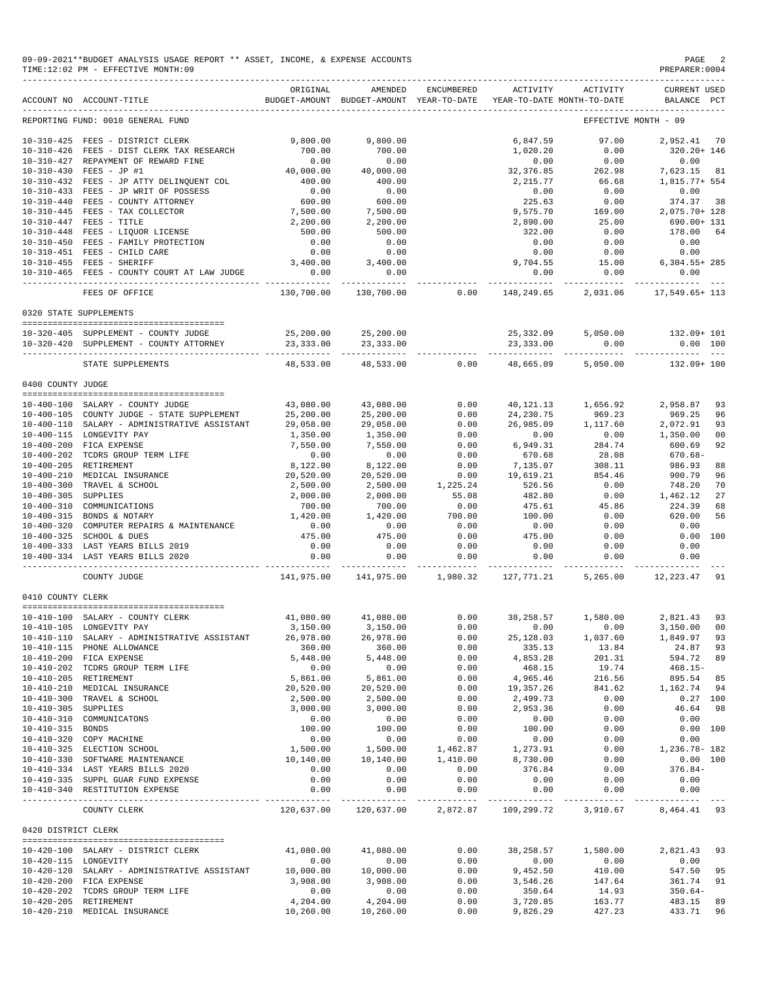|                       | 09-09-2021**BUDGET ANALYSIS USAGE REPORT ** ASSET, INCOME, & EXPENSE ACCOUNTS<br>TIME:12:02 PM - EFFECTIVE MONTH:09                                                                                                                                                                                                                |                                      |                                                                                |                                             |                              |                                                         | PAGE<br>PREPARER: 0004                                       |
|-----------------------|------------------------------------------------------------------------------------------------------------------------------------------------------------------------------------------------------------------------------------------------------------------------------------------------------------------------------------|--------------------------------------|--------------------------------------------------------------------------------|---------------------------------------------|------------------------------|---------------------------------------------------------|--------------------------------------------------------------|
|                       | ACCOUNT NO ACCOUNT-TITLE                                                                                                                                                                                                                                                                                                           | ORIGINAL                             | AMENDED<br>BUDGET-AMOUNT BUDGET-AMOUNT YEAR-TO-DATE YEAR-TO-DATE MONTH-TO-DATE | ENCUMBERED                                  |                              | ACTIVITY ACTIVITY                                       | <b>CURRENT USED</b><br>BALANCE PCT                           |
|                       | REPORTING FUND: 0010 GENERAL FUND                                                                                                                                                                                                                                                                                                  |                                      |                                                                                |                                             |                              |                                                         | EFFECTIVE MONTH - 09                                         |
|                       | 10-310-425 FEES - DISTRICT CLERK                                                                                                                                                                                                                                                                                                   | 9,800.00                             | 9,800.00                                                                       |                                             | 6,847.59                     | 97.00                                                   | 2.952.41 70                                                  |
|                       | 10-310-426 FEES - DIST CLERK TAX RESEARCH                                                                                                                                                                                                                                                                                          | 700.00                               | 700.00                                                                         |                                             | 1,020.20                     | 0.00                                                    | 320.20+ 146                                                  |
|                       | 10-310-427 REPAYMENT OF REWARD FINE                                                                                                                                                                                                                                                                                                | 0.00                                 | 0.00                                                                           |                                             | 0.00                         | 0.00                                                    | 0.00                                                         |
|                       | $10-310-430 \quad \text{FEES} \; - \; \text{JP} \; \; \text{\#1} \qquad \qquad \qquad 40\, ,000\, .00 \\ 10-310-432 \quad \text{FEES} \; - \; \text{JP} \; \; \text{ATTY} \; \; \text{DELINQUENT} \; \; \text{COL} \qquad \qquad \qquad 400\, .00$                                                                                 | 40,000.00                            | 40,000.00                                                                      |                                             |                              | 32, 376.85 262.98<br>2, 215.77 66.68                    | 7,623.15 81                                                  |
|                       |                                                                                                                                                                                                                                                                                                                                    |                                      | 400.00                                                                         |                                             | 2,215.77                     | 66.68                                                   | 1,815.77+ 554                                                |
|                       | 10-310-433 FEES - JP WRIT OF POSSESS<br>10-310-440 FEES - COUNTY ATTORNEY                                                                                                                                                                                                                                                          | 0.00<br>$0.00$<br>600.00<br>7,500.00 | 0.00<br>600.00                                                                 |                                             | 0.00                         | 0.00                                                    | 0.00                                                         |
|                       |                                                                                                                                                                                                                                                                                                                                    |                                      | 7,500.00                                                                       |                                             | 225.63<br>9,575.70           | $0.00$<br>169.00                                        | 374.37 38<br>ەد 14.37°،<br>2,075.70+ 128                     |
|                       | $10-310-440 \quad \text{FEES} - \text{COUNTY ATTORNEY} \nonumber \\ 10-310-445 \quad \text{FEES} - \text{TIX COLEECTOR} \nonumber \\ 10-310-447 \quad \text{FEES} - \text{TITLE} \nonumber \\ 10-310-448 \quad \text{FEES} - \text{LIQUOR LICENSE} \nonumber \\ 10-310-450 \quad \text{FEES} - \text{FAMILY PROTECTION} \nonumber$ | 2,200.00                             | 2,200.00                                                                       |                                             | 2,890.00                     | 25.00                                                   | 690.00+ 131                                                  |
|                       |                                                                                                                                                                                                                                                                                                                                    | 500.00                               | 500.00                                                                         |                                             | 322.00                       | 0.00                                                    | 178.00 64                                                    |
|                       |                                                                                                                                                                                                                                                                                                                                    | 0.00                                 | 0.00                                                                           |                                             | 0.00                         | 0.00                                                    | 0.00                                                         |
|                       | 10-310-451 FEES - CHILD CARE                                                                                                                                                                                                                                                                                                       | 0.00                                 | 0.00                                                                           |                                             | 0.00                         | 0.00                                                    | 0.00                                                         |
|                       | 10-310-455 FEES - SHERIFF                                                                                                                                                                                                                                                                                                          | 3,400.00                             | 3,400.00                                                                       |                                             |                              |                                                         | $9,704.55$ $15.00$ $6,304.55+285$<br>0.00 0.00 0.00          |
|                       | 10-310-465 FEES - COUNTY COURT AT LAW JUDGE                                                                                                                                                                                                                                                                                        | 0.00                                 | 0.00<br>. _ _ _ _ _ _ _ _ _ _ _                                                |                                             |                              |                                                         |                                                              |
|                       | FEES OF OFFICE                                                                                                                                                                                                                                                                                                                     | 130,700.00                           |                                                                                |                                             |                              |                                                         | 130,700.00   0.00   148,249.65   2,031.06   17,549.65+   113 |
|                       | 0320 STATE SUPPLEMENTS                                                                                                                                                                                                                                                                                                             |                                      |                                                                                |                                             |                              |                                                         |                                                              |
|                       | 10-320-405 SUPPLEMENT - COUNTY JUDGE                                                                                                                                                                                                                                                                                               |                                      | 25,200.00 25,200.00                                                            |                                             |                              | 25, 332, 09 5, 050, 00                                  | 132.09+ 101                                                  |
|                       | 10-320-420 SUPPLEMENT - COUNTY ATTORNEY                                                                                                                                                                                                                                                                                            |                                      | 23, 333.00 23, 333.00                                                          |                                             |                              | 23, 333.00 0.00                                         | $0.00$ 100                                                   |
|                       | ---------------------------------<br>STATE SUPPLEMENTS                                                                                                                                                                                                                                                                             | 48,533.00                            | 48,533.00                                                                      | 0.00                                        |                              | 48,665.09 5,050.00                                      | 132.09+ 100                                                  |
| 0400 COUNTY JUDGE     |                                                                                                                                                                                                                                                                                                                                    |                                      |                                                                                |                                             |                              |                                                         |                                                              |
|                       |                                                                                                                                                                                                                                                                                                                                    |                                      |                                                                                |                                             |                              |                                                         |                                                              |
|                       | 10-400-100 SALARY - COUNTY JUDGE                                                                                                                                                                                                                                                                                                   | 43,080.00                            | 43,080.00                                                                      | 0.00                                        |                              |                                                         | 40, 121. 13    1, 656. 92    2, 958. 87<br>93                |
|                       | 10-400-105 COUNTY JUDGE - STATE SUPPLEMENT                                                                                                                                                                                                                                                                                         | 25,200.00                            | 25,200.00                                                                      | 0.00<br>0.00                                |                              | 24, 230. 75 969. 23<br>26, 985. 09 1, 117. 60<br>969.23 | 969.25<br>96<br>93                                           |
|                       | 10-400-110 SALARY - ADMINISTRATIVE ASSISTANT<br>10-400-115 LONGEVITY PAY                                                                                                                                                                                                                                                           | 29,058.00<br>1,350.00                | 29,058.00<br>1,350.00                                                          | 0.00                                        | 0.00                         | 0.00                                                    | 2,072.91<br>1,350.00<br>00                                   |
|                       | 10-400-200 FICA EXPENSE                                                                                                                                                                                                                                                                                                            | 7,550.00                             | 7,550.00                                                                       | 0.00                                        | 6,949.31                     | 284.74                                                  | 600.69<br>92                                                 |
|                       | 10-400-202 TCDRS GROUP TERM LIFE                                                                                                                                                                                                                                                                                                   | 0.00                                 | 0.00                                                                           |                                             | 670.68                       | 28.08                                                   | 670.68-                                                      |
|                       | 10-400-205 RETIREMENT                                                                                                                                                                                                                                                                                                              | 8,122.00                             | 8,122.00                                                                       | $\begin{array}{c} 0.00 \\ 0.00 \end{array}$ | 7,135.07                     | 308.11                                                  | 986.93<br>88                                                 |
|                       | 10-400-210 MEDICAL INSURANCE                                                                                                                                                                                                                                                                                                       | 20,520.00                            | 20,520.00                                                                      | 0.00                                        | 19,619.21                    | 854.46                                                  | 900.79<br>96                                                 |
|                       | 10-400-300 TRAVEL & SCHOOL                                                                                                                                                                                                                                                                                                         | 2,500.00                             | 2,500.00                                                                       | 1,225.24                                    | 526.56                       | 0.00                                                    | 70<br>$1,462.12$<br>$1,462.12$                               |
| 10-400-305 SUPPLIES   |                                                                                                                                                                                                                                                                                                                                    | 2,000.00                             | 2,000.00                                                                       | 55.08                                       | 482.80                       | 0.00                                                    | 27                                                           |
|                       | 10-400-310 COMMUNICATIONS                                                                                                                                                                                                                                                                                                          | 700.00<br>1,420.00                   | 700.00                                                                         | 0.00<br>700.00                              | 475.61                       | 45.86                                                   | 224.39<br>68<br>56                                           |
|                       | 10-400-315 BONDS & NOTARY<br>10-400-320 COMPUTER REPAIRS & MAINTENANCE                                                                                                                                                                                                                                                             | 0.00                                 | 1,420.00<br>0.00                                                               | 0.00                                        | 100.00<br>0.00               | 0.00<br>0.00                                            | 620.00<br>0.00                                               |
|                       | 10-400-325 SCHOOL & DUES                                                                                                                                                                                                                                                                                                           | 475.00                               | 475.00                                                                         | 0.00                                        | 475.00                       | 0.00                                                    | 0.00<br>100                                                  |
|                       | 10-400-333 LAST YEARS BILLS 2019                                                                                                                                                                                                                                                                                                   | 0.00                                 | 0.00                                                                           | 0.00                                        | 0.00                         | 0.00                                                    | 0.00                                                         |
|                       | 10-400-334 LAST YEARS BILLS 2020                                                                                                                                                                                                                                                                                                   | 0.00<br>.                            | 0.00<br>.                                                                      | 0.00<br>------------                        | 0.00<br>.                    | 0.00<br>-----------                                     | 0.00                                                         |
|                       | COUNTY JUDGE                                                                                                                                                                                                                                                                                                                       | 141,975.00                           | 141,975.00 1,980.32                                                            |                                             |                              | 127,771.21 5,265.00                                     | 12,223.47 91                                                 |
| 0410 COUNTY CLERK     |                                                                                                                                                                                                                                                                                                                                    |                                      |                                                                                |                                             |                              |                                                         |                                                              |
| ===============       | :========================                                                                                                                                                                                                                                                                                                          |                                      |                                                                                |                                             |                              |                                                         |                                                              |
|                       | 10-410-100 SALARY - COUNTY CLERK<br>10-410-105 LONGEVITY PAY                                                                                                                                                                                                                                                                       | 41,080.00<br>3,150.00                | 41,080.00<br>3,150.00                                                          | 0.00<br>0.00                                | 38, 258.57<br>0.00           | 1,580.00<br>0.00                                        | 2,821.43<br>93<br>3,150.00<br>00                             |
|                       | 10-410-110 SALARY - ADMINISTRATIVE ASSISTANT                                                                                                                                                                                                                                                                                       | 26,978.00                            | 26,978.00                                                                      | 0.00                                        | 25, 128.03                   | 1,037.60                                                | 1,849.97<br>93                                               |
|                       | 10-410-115 PHONE ALLOWANCE                                                                                                                                                                                                                                                                                                         | 360.00                               | 360.00                                                                         | 0.00                                        | 335.13                       | 13.84                                                   | 24.87<br>93                                                  |
|                       | 10-410-200 FICA EXPENSE                                                                                                                                                                                                                                                                                                            | 5,448.00                             | 5,448.00                                                                       | 0.00                                        | 4,853.28                     | 201.31                                                  | 594.72<br>89                                                 |
|                       | 10-410-202 TCDRS GROUP TERM LIFE                                                                                                                                                                                                                                                                                                   | 0.00                                 | 0.00                                                                           | 0.00                                        | 468.15                       | 19.74                                                   | $468.15-$                                                    |
|                       | 10-410-205 RETIREMENT                                                                                                                                                                                                                                                                                                              | 5,861.00                             | 5,861.00                                                                       | 0.00                                        | 4,965.46                     | 216.56                                                  | 895.54<br>85                                                 |
|                       | 10-410-210 MEDICAL INSURANCE<br>10-410-300 TRAVEL & SCHOOL                                                                                                                                                                                                                                                                         | 20,520.00<br>2,500.00                | 20,520.00<br>2,500.00                                                          | 0.00<br>0.00                                | 19,357.26<br>2,499.73        | 841.62<br>0.00                                          | 1,162.74<br>94<br>$0.27$ 100                                 |
| 10-410-305 SUPPLIES   |                                                                                                                                                                                                                                                                                                                                    | 3,000.00                             | 3,000.00                                                                       | 0.00                                        | 2,953.36                     | 0.00                                                    | 46.64<br>98                                                  |
|                       | 10-410-310 COMMUNICATONS                                                                                                                                                                                                                                                                                                           | 0.00                                 | 0.00                                                                           | 0.00                                        | 0.00                         | 0.00                                                    | 0.00                                                         |
| 10-410-315 BONDS      |                                                                                                                                                                                                                                                                                                                                    | 100.00                               | 100.00                                                                         | 0.00                                        | 100.00                       | 0.00                                                    | 0.00 100                                                     |
|                       | 10-410-320 COPY MACHINE                                                                                                                                                                                                                                                                                                            | 0.00                                 | 0.00                                                                           | 0.00                                        | 0.00                         | 0.00                                                    | 0.00                                                         |
|                       | 10-410-325 ELECTION SCHOOL                                                                                                                                                                                                                                                                                                         | 1,500.00                             | 1,500.00                                                                       | 1,462.87                                    | 1,273.91                     | 0.00                                                    | 1,236.78-182                                                 |
|                       | 10-410-330 SOFTWARE MAINTENANCE                                                                                                                                                                                                                                                                                                    | 10,140.00                            | 10,140.00                                                                      | 1,410.00                                    | 8,730.00                     | 0.00                                                    | 0.00 100                                                     |
|                       | 10-410-334 LAST YEARS BILLS 2020<br>10-410-335 SUPPL GUAR FUND EXPENSE                                                                                                                                                                                                                                                             | 0.00<br>0.00                         | 0.00<br>0.00                                                                   | 0.00<br>0.00                                | 376.84<br>0.00               | 0.00<br>0.00                                            | $376.84-$<br>0.00                                            |
|                       | 10-410-340 RESTITUTION EXPENSE                                                                                                                                                                                                                                                                                                     | 0.00                                 | 0.00                                                                           | 0.00                                        | 0.00                         | 0.00                                                    | 0.00                                                         |
|                       | COUNTY CLERK                                                                                                                                                                                                                                                                                                                       |                                      | ______________<br>120,637.00 120,637.00                                        | _____________<br>2,872.87                   | --------------<br>109,299.72 | 3,910.67                                                | 8,464.41 93                                                  |
| 0420 DISTRICT CLERK   |                                                                                                                                                                                                                                                                                                                                    |                                      |                                                                                |                                             |                              |                                                         |                                                              |
|                       | 10-420-100 SALARY - DISTRICT CLERK                                                                                                                                                                                                                                                                                                 | 41,080.00                            | 41,080.00                                                                      | 0.00                                        | 38, 258.57                   | 1,580.00                                                | 2,821.43<br>93                                               |
| 10-420-115 LONGEVITY  |                                                                                                                                                                                                                                                                                                                                    | 0.00                                 | 0.00                                                                           | 0.00                                        | 0.00                         | 0.00                                                    | 0.00                                                         |
|                       | 10-420-120 SALARY - ADMINISTRATIVE ASSISTANT                                                                                                                                                                                                                                                                                       | 10,000.00                            | 10,000.00                                                                      | 0.00                                        | 9,452.50                     | 410.00                                                  | 547.50<br>95                                                 |
|                       | 10-420-200 FICA EXPENSE                                                                                                                                                                                                                                                                                                            | 3,908.00                             | 3,908.00                                                                       | 0.00                                        | 3,546.26                     | 147.64                                                  | 361.74<br>91                                                 |
| 10-420-205 RETIREMENT | 10-420-202 TCDRS GROUP TERM LIFE                                                                                                                                                                                                                                                                                                   | 0.00<br>4,204.00                     | 0.00<br>4,204.00                                                               | 0.00<br>0.00                                | 350.64<br>3,720.85           | 14.93<br>163.77                                         | $350.64-$<br>483.15<br>89                                    |
|                       | 10-420-210 MEDICAL INSURANCE                                                                                                                                                                                                                                                                                                       | 10,260.00                            | 10,260.00                                                                      | 0.00                                        | 9,826.29                     | 427.23                                                  | 433.71<br>96                                                 |
|                       |                                                                                                                                                                                                                                                                                                                                    |                                      |                                                                                |                                             |                              |                                                         |                                                              |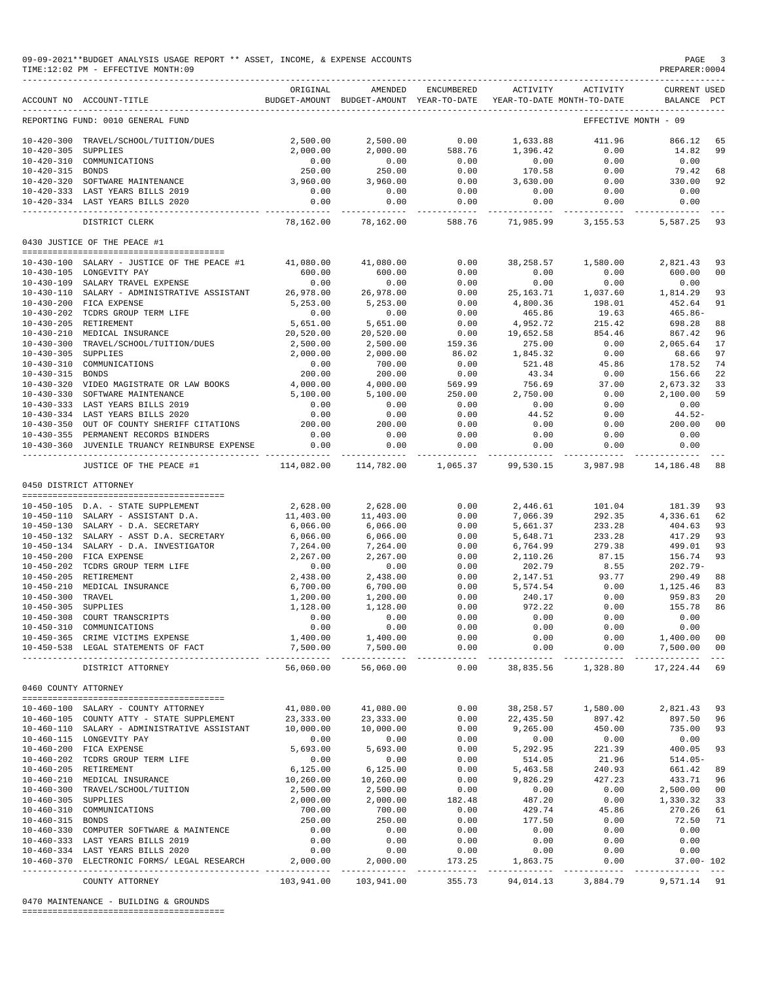|                     | ACCOUNT NO ACCOUNT-TITLE                                                         | ORIGINAL             | BUDGET-AMOUNT BUDGET-AMOUNT YEAR-TO-DATE    |                            |                              | AMENDED ENCUMBERED ACTIVITY ACTIVITY<br>YEAR-TO-DATE MONTH-TO-DATE | CURRENT USED<br>BALANCE PCT  |                |
|---------------------|----------------------------------------------------------------------------------|----------------------|---------------------------------------------|----------------------------|------------------------------|--------------------------------------------------------------------|------------------------------|----------------|
|                     | REPORTING FUND: 0010 GENERAL FUND                                                |                      |                                             |                            |                              | ----------------------<br>EFFECTIVE MONTH - 09                     |                              |                |
|                     | 10-420-300 TRAVEL/SCHOOL/TUITION/DUES                                            | 2,500.00             | 2,500.00                                    | 0.00                       | 1,633.88                     | 411.96                                                             | 866.12                       | 65             |
| 10-420-305 SUPPLIES |                                                                                  | 2,000.00             | 2,000.00                                    | 588.76                     | 1,396.42                     | 0.00                                                               | 14.82 99                     |                |
|                     | 10-420-310 COMMUNICATIONS                                                        | 0.00                 | 0.00                                        | 0.00                       | 0.00                         | 0.00                                                               | 0.00                         |                |
| 10-420-315 BONDS    |                                                                                  | 250.00               | 250.00                                      | 0.00                       | 170.58                       | 0.00                                                               | 79.42                        | 68             |
|                     | 10-420-320 SOFTWARE MAINTENANCE                                                  | 3,960.00             | 3,960.00                                    | 0.00                       | 3,630.00                     | 0.00                                                               | 330.00 92                    |                |
|                     | 10-420-333 LAST YEARS BILLS 2019                                                 | 0.00                 | 0.00                                        | 0.00                       | 0.00                         | 0.00                                                               | 0.00                         |                |
|                     | 10-420-334 LAST YEARS BILLS 2020                                                 | .                    | $0.00$ 0.00 0.00 0.00<br>----------         | --------                   | ----------                   | ----------                                                         | $0.00$ $0.00$<br>----------- |                |
|                     | DISTRICT CLERK                                                                   |                      | 78,162.00 78,162.00 588.76                  |                            |                              | 71,985.99 3,155.53                                                 | 5,587.25                     | 93             |
|                     | 0430 JUSTICE OF THE PEACE #1                                                     |                      |                                             |                            |                              |                                                                    |                              |                |
|                     | 10-430-100 SALARY - JUSTICE OF THE PEACE #1                                      | 41,080.00            | 41,080.00                                   | 0.00                       | 38,258.57                    | 1,580.00                                                           | 2,821.43                     | 93             |
|                     | 10-430-105 LONGEVITY PAY                                                         | 600.00               | 600.00                                      | 0.00                       | 0.00                         | 0.00                                                               | 600.00                       | 0 <sup>0</sup> |
|                     | 10-430-109 SALARY TRAVEL EXPENSE                                                 | 0.00                 | 0.00                                        | 0.00                       | 0.00                         | 0.00                                                               | 0.00                         |                |
|                     | 10-430-110 SALARY - ADMINISTRATIVE ASSISTANT                                     | 26,978.00            | 26,978.00                                   | 0.00                       | 25,163.71<br>4,800.36        | 1,037.60<br>198.01                                                 | 1,814.29                     | 93             |
|                     | 10-430-200 FICA EXPENSE                                                          | 5,253.00             | 5,253.00                                    | 0.00                       |                              |                                                                    | 452.64                       | 91             |
|                     | 10-430-202 TCDRS GROUP TERM LIFE                                                 | 0.00                 | 0.00                                        | 0.00                       | 465.86                       | 19.63                                                              | 465.86-                      |                |
|                     | 10-430-205 RETIREMENT<br>10-430-210 MEDICAL INSURANCE                            | 5,651.00             | 5,651.00                                    | 0.00<br>0.00               | 4,952.72<br>19,652.58        | 215.42                                                             | 698.28                       | 88             |
|                     |                                                                                  | 20,520.00            | 20,520.00                                   |                            | 275.00                       | 854.46<br>0.00                                                     | 867.42<br>2,065.64 17        | 96             |
| 10-430-305 SUPPLIES | 10-430-300 TRAVEL/SCHOOL/TUITION/DUES                                            | 2,500.00<br>2,000.00 | 2,500.00                                    | 159.36                     | 1,845.32                     | 0.00                                                               | 68.66                        | 97             |
|                     | 10-430-310 COMMUNICATIONS                                                        | 0.00                 | 2,000.00<br>700.00                          | 86.02<br>0.00              | 521.48                       | $0.00$<br>45.86                                                    | 178.52                       | 74             |
| 10-430-315 BONDS    |                                                                                  | 200.00               | 200.00                                      | 0.00                       | 43.34                        | 0.00                                                               | 156.66                       | 22             |
|                     | 10-430-320 VIDEO MAGISTRATE OR LAW BOOKS                                         | 4,000.00             |                                             | $569.5.$<br>250.00<br>0.00 | 756.69                       | 37.00                                                              |                              | 33             |
|                     | 10-430-330 SOFTWARE MAINTENANCE                                                  | 5,100.00             | $4,000.00$<br>5,100.00                      |                            | 756.69<br>2,750.00           | 0.00                                                               | 2,673.32<br>2,100.00         | 59             |
|                     | 10-430-333 LAST YEARS BILLS 2019                                                 | 0.00                 | 0.00                                        |                            | 0.00                         | 0.00                                                               | 0.00                         |                |
|                     | 10-430-334 LAST YEARS BILLS 2020                                                 | 0.00                 | 0.00                                        | 0.00                       | 44.52                        | 0.00                                                               | 44.52-                       |                |
|                     | 10-430-350 OUT OF COUNTY SHERIFF CITATIONS                                       | 200.00               | 200.00                                      | 0.00                       | 0.00                         | 0.00                                                               | 200.00 00                    |                |
|                     | 10-430-355 PERMANENT RECORDS BINDERS                                             | 0.00                 | 0.00                                        | 0.00                       | 0.00                         | 0.00                                                               | 0.00                         |                |
|                     | 10-430-360 JUVENILE TRUANCY REINBURSE EXPENSE                                    |                      | 0.00                                        | $0.00$ $0.00$              | 0.00                         | 0.00<br>-----------                                                | 0.00                         |                |
|                     | JUSTICE OF THE PEACE #1                                                          |                      | 114,082.00 114,782.00 1,065.37              |                            | 99,530.15                    | 3,987.98                                                           | 14,186.48 88                 |                |
|                     | 0450 DISTRICT ATTORNEY                                                           |                      |                                             |                            |                              |                                                                    |                              |                |
|                     | 10-450-105 D.A. - STATE SUPPLEMENT                                               |                      | 2,628.00 2,628.00                           | 0.00                       |                              | 2,446.61 101.04                                                    | 181.39                       | 93             |
|                     | 10-450-110 SALARY - ASSISTANT D.A.                                               | 11,403.00            | 11,403.00                                   | 0.00                       | 7,066.39                     | 292.35                                                             | 4,336.61                     | 62             |
|                     | $10-450-130$ SALARY - D.A. SECRETARY                                             | 6,066.00             | 6,066.00                                    | 0.00                       | 5,661.37                     | 233.28                                                             | 404.63                       | 93             |
|                     | 10-450-132 SALARY - ASST D.A. SECRETARY                                          | 6,066.00             | 6,066.00                                    | 0.00                       | 5,648.71                     | 233.28                                                             | 417.29                       | 93             |
|                     | 10-450-134 SALARY - D.A. INVESTIGATOR                                            | 7,264.00             | 7,264.00                                    | 0.00                       | 6,764.99                     | 279.38                                                             | 499.01                       | 93             |
|                     | 10-450-200 FICA EXPENSE                                                          | 2,267.00             | 2,267.00                                    | 0.00                       | 2,110.26                     | 87.15                                                              | 156.74                       | 93             |
|                     | 10-450-202 TCDRS GROUP TERM LIFE<br>10-450-205 RETIREMENT                        | 0.00                 | 0.00                                        | 0.00<br>0.00               | 202.79                       | 8.55<br>93.77                                                      | $202.79-$<br>290.49          |                |
|                     | 10-450-210 MEDICAL INSURANCE                                                     | 2,438.00<br>6,700.00 | 2,438.00<br>6,700.00                        | 0.00                       | 2,147.51<br>5,574.54         | 0.00                                                               | $290.49$<br>1,125.46         | 88<br>83       |
| 10-450-300 TRAVEL   |                                                                                  | 1,200.00             | 1,200.00                                    | 0.00                       | 240.17                       | 0.00                                                               | 959.83                       | 20             |
| 10-450-305 SUPPLIES |                                                                                  | 1,128.00             | 1,128.00                                    | 0.00                       | 972.22                       | 0.00                                                               | 155.78                       | 86             |
|                     | 10-450-305 SUPPLIES<br>10-450-308 COURT TRANSCRIPTS<br>10-450-310 COMMUNICATIONS | 0.00                 |                                             | 0.00                       | 0.00                         | 0.00                                                               | 0.00                         |                |
|                     |                                                                                  | 0.00                 | $\begin{array}{c} 0.00 \\ 0.00 \end{array}$ | 0.00                       | 0.00                         | 0.00                                                               | 0.00                         |                |
|                     | 10-450-365 CRIME VICTIMS EXPENSE                                                 |                      |                                             | 0.00                       | 0.00                         | 0.00                                                               | 1,400.00                     | 00             |
|                     | 10-450-538 LEGAL STATEMENTS OF FACT                                              | ------------         | .                                           | $- - - -$                  | $0.00$ $0.00$<br>----------- | ------------                                                       | $0.00$ $7,500.00$ 00<br>.    |                |
|                     | DISTRICT ATTORNEY                                                                |                      | 56,060.00 56,060.00 0.00                    |                            | 38,835.56                    | 1,328.80    17,224.44                                              |                              | 69             |

|                  | COUNTY ATTORNEY                   |           | 103,941.00    103,941.00 | 355.73 | 94,014.13 | 3,884.79 | 9,571.14 91   |                |
|------------------|-----------------------------------|-----------|--------------------------|--------|-----------|----------|---------------|----------------|
| $10 - 460 - 370$ | ELECTRONIC FORMS/ LEGAL RESEARCH  | 2,000.00  | 2,000.00                 | 173.25 | 1,863.75  | 0.00     | $37.00 - 102$ |                |
| $10 - 460 - 334$ | LAST YEARS BILLS 2020             | 0.00      | 0.00                     | 0.00   | 0.00      | 0.00     | 0.00          |                |
| $10 - 460 - 333$ | LAST YEARS BILLS 2019             | 0.00      | 0.00                     | 0.00   | 0.00      | 0.00     | 0.00          |                |
| $10 - 460 - 330$ | COMPUTER SOFTWARE & MAINTENCE     | 0.00      | 0.00                     | 0.00   | 0.00      | 0.00     | 0.00          |                |
| $10 - 460 - 315$ | BONDS                             | 250.00    | 250.00                   | 0.00   | 177.50    | 0.00     | 72.50         | 71             |
| $10 - 460 - 310$ | COMMUNICATIONS                    | 700.00    | 700.00                   | 0.00   | 429.74    | 45.86    | 270.26        | 61             |
| 10-460-305       | SUPPLIES                          | 2,000.00  | 2,000.00                 | 182.48 | 487.20    | 0.00     | 1,330.32      | 33             |
| $10 - 460 - 300$ | TRAVEL/SCHOOL/TUITION             | 2,500.00  | 2,500.00                 | 0.00   | 0.00      | 0.00     | 2,500.00      | 0 <sub>0</sub> |
| $10 - 460 - 210$ | MEDICAL INSURANCE                 | 10,260.00 | 10,260.00                | 0.00   | 9,826.29  | 427.23   | 433.71        | 96             |
| $10 - 460 - 205$ | RETIREMENT                        | 6, 125.00 | 6, 125.00                | 0.00   | 5,463.58  | 240.93   | 661.42        | 89             |
| $10 - 460 - 202$ | TCDRS GROUP TERM LIFE             | 0.00      | 0.00                     | 0.00   | 514.05    | 21.96    | $514.05 -$    |                |
| $10 - 460 - 200$ | FICA EXPENSE                      | 5,693.00  | 5,693.00                 | 0.00   | 5,292.95  | 221.39   | 400.05        | 93             |
| $10 - 460 - 115$ | LONGEVITY PAY                     | 0.00      | 0.00                     | 0.00   | 0.00      | 0.00     | 0.00          |                |
| $10 - 460 - 110$ | SALARY - ADMINISTRATIVE ASSISTANT | 10,000.00 | 10,000.00                | 0.00   | 9,265.00  | 450.00   | 735.00        | 93             |
| $10 - 460 - 105$ | COUNTY ATTY - STATE SUPPLEMENT    | 23,333.00 | 23,333.00                | 0.00   | 22,435.50 | 897.42   | 897.50        | 96             |
| 10-460-100       | SALARY - COUNTY ATTORNEY          | 41,080.00 | 41,080.00                | 0.00   | 38,258.57 | 1,580.00 | 2,821.43      | 93             |
|                  |                                   |           |                          |        |           |          |               |                |

0470 MAINTENANCE - BUILDING & GROUNDS

========================================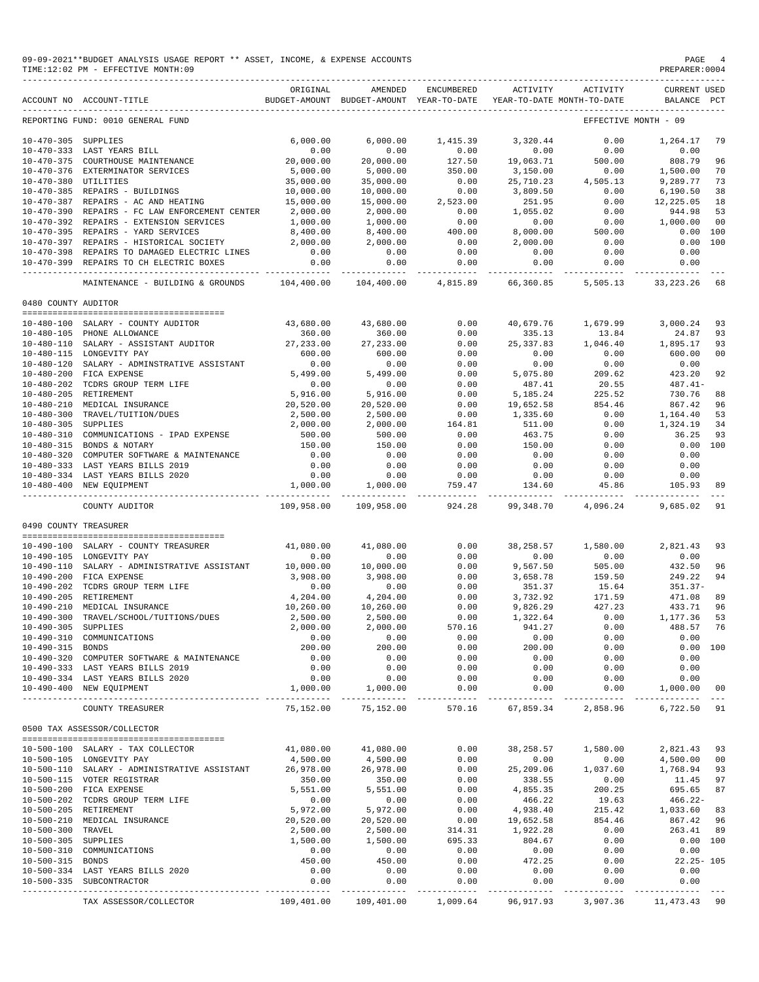|                                          | 09-09-2021**BUDGET ANALYSIS USAGE REPORT ** ASSET, INCOME, & EXPENSE ACCOUNTS<br>TIME:12:02 PM - EFFECTIVE MONTH:09 |                                       |                                                                                |                       |                      |                                      | PAGE<br>PREPARER: 0004             | - 4             |
|------------------------------------------|---------------------------------------------------------------------------------------------------------------------|---------------------------------------|--------------------------------------------------------------------------------|-----------------------|----------------------|--------------------------------------|------------------------------------|-----------------|
|                                          | ACCOUNT NO ACCOUNT-TITLE                                                                                            | ORIGINAL                              | AMENDED<br>BUDGET-AMOUNT BUDGET-AMOUNT YEAR-TO-DATE YEAR-TO-DATE MONTH-TO-DATE | ENCUMBERED            | ACTIVITY             | ACTIVITY                             | <b>CURRENT USED</b><br>BALANCE PCT |                 |
|                                          | REPORTING FUND: 0010 GENERAL FUND                                                                                   |                                       |                                                                                |                       |                      |                                      | EFFECTIVE MONTH - 09               |                 |
| 10-470-305 SUPPLIES                      |                                                                                                                     | 6.000.00                              | 6,000.00                                                                       | 1,415.39              | 3,320.44             | 0.00                                 | 1,264.17                           | 79              |
|                                          | 10-470-333 LAST YEARS BILL                                                                                          | 0.00                                  | 0.00                                                                           | 0.00                  | 0.00                 | 0.00                                 | 0.00                               |                 |
|                                          | 10-470-375 COURTHOUSE MAINTENANCE                                                                                   | 20,000.00                             | 20,000.00                                                                      | 127.50                | 19,063.71            | 500.00                               | 808.79                             | 96              |
|                                          | 10-470-376 EXTERMINATOR SERVICES                                                                                    | 5,000.00                              | 5,000.00                                                                       | 350.00                | 3,150.00             |                                      | 1,500.00                           | 70              |
| 10-470-380 UTILITIES                     |                                                                                                                     | 35,000.00                             | 35,000.00                                                                      | $0.00$<br>$0.00$      | 25,710.23            | $4,505.13$<br>0.00                   | 9,289.77                           | 73              |
|                                          | 10-470-385 REPAIRS - BUILDINGS<br>10-470-387 REPAIRS - AC AND HEATING                                               | 10,000.00                             | 10,000.00                                                                      | 2,523.00              | 3,809.50             |                                      | 6,190.50                           | 38              |
|                                          | 10-470-390 REPAIRS - FC LAW ENFORCEMENT CENTER 2,000.00                                                             | 15,000.00                             | 15,000.00<br>2,000.00                                                          | 0.00                  | 251.95<br>1,055.02   | 0.00<br>0.00                         | 12,225.05<br>944.98                | 18<br>53        |
|                                          | 10-470-392 REPAIRS - EXTENSION SERVICES                                                                             | 1,000.00                              | 1,000.00                                                                       | 0.00                  | 0.00                 | 0.00                                 | 1,000.00                           | 00              |
|                                          | 10-470-395 REPAIRS - YARD SERVICES                                                                                  | 8,400.00                              | 8,400.00                                                                       |                       | 8,000.00             | 500.00                               | 0.00                               | 100             |
|                                          | 10-470-397 REPAIRS - HISTORICAL SOCIETY                                                                             | 2,000.00                              | 2,000.00                                                                       | $400.00$<br>0.00      | 2,000.00             | 0.00                                 | 0.00                               | 100             |
|                                          | 10-470-398 REPAIRS TO DAMAGED ELECTRIC LINES                                                                        | 0.00                                  | 0.00                                                                           | 0.00                  | 0.00                 | 0.00                                 | 0.00                               |                 |
|                                          | 10-470-399 REPAIRS TO CH ELECTRIC BOXES                                                                             | 0.00                                  | 0.00                                                                           | 0.00                  | 0.00                 | 0.00                                 | 0.00                               |                 |
|                                          | MAINTENANCE - BUILDING & GROUNDS 104,400.00                                                                         |                                       | 104,400.00 4,815.89                                                            |                       |                      |                                      | 66,360.85 5,505.13 33,223.26       | 68              |
| 0480 COUNTY AUDITOR                      |                                                                                                                     |                                       |                                                                                |                       |                      |                                      |                                    |                 |
|                                          |                                                                                                                     |                                       |                                                                                |                       |                      |                                      |                                    |                 |
|                                          | 10-480-100 SALARY - COUNTY AUDITOR                                                                                  | 43,680.00                             | 43,680.00                                                                      | 0.00                  | 40,679.76            | 1,679.99                             | 3,000.24                           | 93              |
|                                          | 10-480-105 PHONE ALLOWANCE<br>10-480-110 SALARY - ASSISTANT AUDITOR                                                 | 360.00<br>27, 233.00                  | 360.00<br>27, 233.00                                                           | 0.00<br>0.00          | 335.13<br>25, 337.83 | 13.84<br>1,046.40                    | 24.87<br>1,895.17                  | 93<br>93        |
|                                          | 10-480-115 LONGEVITY PAY                                                                                            | 600.00                                | 600.00                                                                         | 0.00                  | 0.00                 | 0.00                                 | 600.00                             | 00              |
|                                          | 10-480-120 SALARY - ADMINSTRATIVE ASSISTANT                                                                         | 0.00                                  | 0.00                                                                           | 0.00                  | 0.00                 | 0.00                                 | 0.00                               |                 |
|                                          | 10-480-200 FICA EXPENSE                                                                                             | 5,499.00                              | 5,499.00                                                                       | 0.00                  | 5,075.80             | 209.62                               | 423.20                             | 92              |
|                                          | 10-480-202 TCDRS GROUP TERM LIFE                                                                                    | 0.00                                  | 0.00                                                                           | 0.00                  | 487.41               | 20.55                                | $487.41-$                          |                 |
| 10-480-205 RETIREMENT                    |                                                                                                                     | 5,916.00                              | 5,916.00                                                                       | 0.00                  | 5,185.24             | 225.52                               | 730.76                             | 88              |
|                                          | 10-480-210 MEDICAL INSURANCE                                                                                        | 20,520.00                             | 20,520.00                                                                      | 0.00                  | 19,652.58            | 854.46                               | 867.42                             | 96              |
|                                          | 10-480-300 TRAVEL/TUITION/DUES                                                                                      | 2,500.00                              | 2,500.00                                                                       | 0.00                  | 1,335.60             | 0.00                                 | 1,164.40                           | 53              |
| 10-480-305 SUPPLIES                      |                                                                                                                     | 2,000.00                              | 2,000.00                                                                       | 164.81                | 511.00               | 0.00                                 | 1,324.19                           | 34              |
|                                          | 10-480-310 COMMUNICATIONS - IPAD EXPENSE<br>10-480-315 BONDS & NOTARY                                               | 500.00                                | 500.00                                                                         | 0.00                  | 463.75               | 0.00                                 | 36.25<br>0.00 100                  | 93              |
|                                          | 10-480-320 COMPUTER SOFTWARE & MAINTENANCE                                                                          | 150.00<br>0.00                        | 150.00<br>0.00                                                                 | 0.00<br>0.00          | 150.00<br>0.00       | 0.00<br>0.00                         | 0.00                               |                 |
|                                          | 10-480-333 LAST YEARS BILLS 2019                                                                                    | 0.00                                  | 0.00                                                                           | 0.00                  | 0.00                 | 0.00                                 | 0.00                               |                 |
|                                          | 10-480-334 LAST YEARS BILLS 2020                                                                                    | 0.00                                  | 0.00                                                                           | 0.00                  | 0.00                 | 0.00                                 | 0.00                               |                 |
|                                          | 10-480-400 NEW EQUIPMENT                                                                                            | 1,000.00                              | 1,000.00                                                                       | 759.47                | 134.60               | 45.86                                | 105.93                             | 89<br>$- - - -$ |
|                                          | COUNTY AUDITOR                                                                                                      | 109,958.00                            | 109,958.00                                                                     | 924.28                | 99,348.70            | 4,096.24                             | 9,685.02                           | 91              |
| 0490 COUNTY TREASURER                    |                                                                                                                     |                                       |                                                                                |                       |                      |                                      |                                    |                 |
|                                          | 10-490-100 SALARY - COUNTY TREASURER                                                                                | 41,080.00                             | 41,080.00                                                                      | 0.00                  | 38,258.57            | 1,580.00                             | 2,821.43                           | 93              |
|                                          | 10-490-105 LONGEVITY PAY                                                                                            | 0.00                                  | 0.00                                                                           | 0.00                  | 0.00                 | 0.00                                 | 0.00                               |                 |
|                                          | $10-490-110$ SALARY - ADMINISTRATIVE ASSISTANT $10,000.00$                                                          |                                       | 10,000.00                                                                      | 0.00                  | 9,567.50             | 505.00<br>159.50                     | 432.50                             | 96              |
|                                          | 10-490-200 FICA EXPENSE                                                                                             | 3,908.00                              | 3,908.00                                                                       | 0.00                  | 3,658.78             |                                      | 249.22                             | 94              |
|                                          | 10-490-202 TCDRS GROUP TERM LIFE                                                                                    | 0.00                                  | 0.00                                                                           | 0.00                  | 351.37               | 15.64                                | $351.37-$                          |                 |
| 10-490-205 RETIREMENT                    |                                                                                                                     | 4,204.00                              | 4,204.00                                                                       | 0.00                  | 3,732.92             | 171.59                               | 471.08                             | 89              |
|                                          | 10-490-210 MEDICAL INSURANCE<br>10-490-300 TRAVEL/SCHOOL/TUITIONS/DUES                                              | 10,260.00<br>2,500.00                 | 10,260.00<br>2,500.00                                                          | 0.00<br>0.00          | 9,826.29<br>1,322.64 | 427.23<br>0.00                       | 433.71<br>1,177.36 53              | 96              |
| 10-490-305 SUPPLIES                      |                                                                                                                     | 2,000.00                              | 2,000.00                                                                       | 570.16                | 941.27               | 0.00                                 | 488.57 76                          |                 |
|                                          | 10-490-310 COMMUNICATIONS                                                                                           | 0.00                                  | 0.00                                                                           | 0.00                  | 0.00                 | 0.00                                 | 0.00                               |                 |
| 10-490-315 BONDS                         |                                                                                                                     | 200.00                                | 200.00                                                                         | 0.00                  | 200.00               | 0.00                                 | 0.00 100                           |                 |
|                                          | 10-490-320 COMPUTER SOFTWARE & MAINTENANCE                                                                          | 0.00                                  | 0.00                                                                           | 0.00                  | 0.00                 | 0.00                                 | 0.00                               |                 |
|                                          | 10-490-333 LAST YEARS BILLS 2019                                                                                    | 0.00                                  | 0.00                                                                           | 0.00                  | 0.00                 | 0.00                                 | 0.00                               |                 |
|                                          | 10-490-334 LAST YEARS BILLS 2020                                                                                    | 0.00                                  | 0.00                                                                           | 0.00                  | 0.00                 | 0.00                                 | 0.00                               |                 |
|                                          | 10-490-400 NEW EQUIPMENT                                                                                            | 1,000.00                              | 1,000.00<br>______________                                                     | 0.00<br>_____________ | 0.00                 | 0.00<br>-------------- ------------- | 1,000.00                           | 00              |
|                                          | COUNTY TREASURER                                                                                                    | 75,152.00                             | 75,152.00                                                                      | 570.16                | 67,859.34            | 2,858.96                             | 6,722.50                           | 91              |
|                                          | 0500 TAX ASSESSOR/COLLECTOR<br>--------------------------------------                                               |                                       |                                                                                |                       |                      |                                      |                                    |                 |
|                                          | 10-500-100 SALARY - TAX COLLECTOR                                                                                   | 41,080.00                             | 41,080.00                                                                      | 0.00                  | 38,258.57            | 1,580.00                             | 2,821.43 93                        |                 |
|                                          | 10-500-105 LONGEVITY PAY                                                                                            | 4,500.00                              | 4,500.00                                                                       | 0.00                  | 0.00                 | 0.00                                 | 4,500.00 00                        |                 |
|                                          | 10-500-110 SALARY - ADMINISTRATIVE ASSISTANT                                                                        | 26,978.00                             | 26,978.00                                                                      | 0.00                  | 25,209.06            | 1,037.60                             | 1,768.94 93                        |                 |
|                                          | 10-500-115 VOTER REGISTRAR                                                                                          | 350.00                                | 350.00                                                                         | 0.00                  | 338.55               | 0.00                                 | 11.45 97                           |                 |
|                                          | 10-500-200 FICA EXPENSE                                                                                             | 5,551.00                              | 5,551.00                                                                       | 0.00                  | 4,855.35             | 200.25                               | 695.65                             | 87              |
|                                          | 10-500-202 TCDRS GROUP TERM LIFE                                                                                    | 0.00                                  | 0.00                                                                           | 0.00                  | 466.22               | 19.63                                | $466.22-$                          |                 |
| 10-500-205 RETIREMENT                    |                                                                                                                     | 5,972.00                              | 5,972.00                                                                       | 0.00                  | 4,938.40             | 215.42                               | 1,033.60 83                        |                 |
|                                          | 10-500-210 MEDICAL INSURANCE                                                                                        | 20,520.00                             | 20,520.00                                                                      | 0.00                  | 19,652.58            | 854.46                               | 867.42 96                          |                 |
| 10-500-300 TRAVEL<br>10-500-305 SUPPLIES |                                                                                                                     | 2,500.00<br>1,500.00                  | 2,500.00<br>1,500.00                                                           | 314.31<br>695.33      | 1,922.28<br>804.67   | 0.00<br>0.00                         | 263.41 89<br>0.00 100              |                 |
|                                          | 10-500-310 COMMUNICATIONS                                                                                           | 0.00                                  | 0.00                                                                           | 0.00                  | 0.00                 | 0.00                                 | 0.00                               |                 |
| 10-500-315 BONDS                         |                                                                                                                     | 450.00                                | 450.00                                                                         | 0.00                  | 472.25               | 0.00                                 | $22.25 - 105$                      |                 |
|                                          | 10-500-334 LAST YEARS BILLS 2020                                                                                    | 0.00                                  | 0.00                                                                           | 0.00                  | 0.00                 | 0.00                                 | 0.00                               |                 |
|                                          |                                                                                                                     |                                       |                                                                                |                       |                      |                                      |                                    |                 |
|                                          | 10-500-335 SUBCONTRACTOR<br>------------------------------------                                                    | 0.00<br>-------------- -------------- | 0.00<br>.                                                                      | 0.00<br>_____________ | 0.00<br>-----------  | 0.00<br>-----------                  | 0.00                               |                 |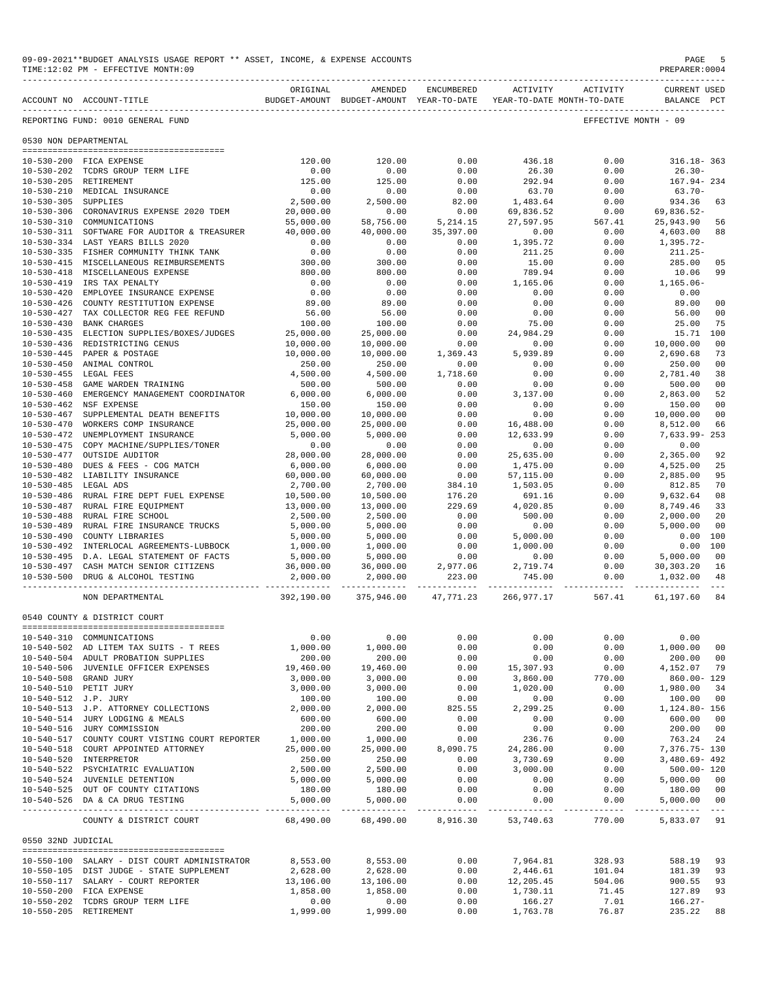|                       | 09-09-2021**BUDGET ANALYSIS USAGE REPORT ** ASSET, INCOME, & EXPENSE ACCOUNTS<br>TIME:12:02 PM - EFFECTIVE MONTH:09 |                       |                                                                                |                            |                                |                             | PAGE<br>PREPARER:0004                                                                                                       | 5                                |
|-----------------------|---------------------------------------------------------------------------------------------------------------------|-----------------------|--------------------------------------------------------------------------------|----------------------------|--------------------------------|-----------------------------|-----------------------------------------------------------------------------------------------------------------------------|----------------------------------|
|                       | ACCOUNT NO ACCOUNT-TITLE                                                                                            | ORIGINAL              | AMENDED<br>BUDGET-AMOUNT BUDGET-AMOUNT YEAR-TO-DATE YEAR-TO-DATE MONTH-TO-DATE | ENCUMBERED                 |                                | ACTIVITY ACTIVITY           | <b>CURRENT USED</b><br>BALANCE PCT                                                                                          |                                  |
|                       | REPORTING FUND: 0010 GENERAL FUND                                                                                   |                       |                                                                                |                            |                                |                             | EFFECTIVE MONTH - 09                                                                                                        |                                  |
| 0530 NON DEPARTMENTAL |                                                                                                                     |                       |                                                                                |                            |                                |                             |                                                                                                                             |                                  |
|                       |                                                                                                                     |                       |                                                                                |                            |                                |                             |                                                                                                                             |                                  |
|                       | 10-530-200 FICA EXPENSE<br>10-530-202 TCDRS GROUP TERM LIFE                                                         | 120.00<br>0.00        | 120.00<br>0.00                                                                 | 0.00<br>0.00               | 436.18<br>26.30                | 0.00<br>0.00                | 316.18-363<br>$26.30-$                                                                                                      |                                  |
|                       | 10-530-205 RETIREMENT                                                                                               | 125.00                | 125.00                                                                         | 0.00                       | 292.94                         | 0.00                        | 167.94-234                                                                                                                  |                                  |
|                       | 10-530-210 MEDICAL INSURANCE                                                                                        | 0.00                  | 0.00                                                                           | 0.00                       | 63.70                          | 0.00                        | $63.70 -$                                                                                                                   |                                  |
| 10-530-305 SUPPLIES   |                                                                                                                     | 2,500.00              | 2,500.00                                                                       | 82.00                      | 1,483.64                       | 0.00                        | 934.36                                                                                                                      | 63                               |
|                       | 10-530-306 CORONAVIRUS EXPENSE 2020 TDEM 20,000.00                                                                  |                       | 0.00                                                                           | 0.00                       | 69,836.52                      | 0.00                        | 69,836.52-                                                                                                                  |                                  |
|                       | 10-530-310 COMMUNICATIONS                                                                                           | 55,000.00             | 58,756.00                                                                      | 5, 214.15                  | 27,597.95                      | $567.41$<br>0.00            | 25,943.90                                                                                                                   | -56                              |
|                       | 10-530-311 SOFTWARE FOR AUDITOR & TREASURER 40,000.00                                                               |                       | 40,000.00                                                                      | 35, 397.00                 | 27,597.95<br>0.00<br>1,395.72  |                             | 4,603.00                                                                                                                    | 88                               |
|                       | 10-530-334 LAST YEARS BILLS 2020                                                                                    | 0.00                  | 0.00                                                                           | 0.00                       |                                | 0.00                        | 1,395.72-                                                                                                                   |                                  |
|                       | 10-530-335 FISHER COMMUNITY THINK TANK                                                                              | 0.00                  | 0.00                                                                           | 0.00                       | 211.25                         | 0.00                        | 211.25-                                                                                                                     |                                  |
|                       | 10-530-415 MISCELLANEOUS REIMBURSEMENTS                                                                             | 300.00                | 300.00                                                                         | 0.00                       | 15.00                          | 0.00                        | 285.00                                                                                                                      | 05                               |
|                       | 10-530-418 MISCELLANEOUS EXPENSE                                                                                    | 800.00                | 800.00                                                                         | 0.00                       | 789.94                         | 0.00                        | 10.06                                                                                                                       | 99                               |
|                       | 10-530-419 IRS TAX PENALTY                                                                                          | 0.00                  | 0.00                                                                           | 0.00                       | 1,165.06                       | 0.00                        | 1,165.06-                                                                                                                   |                                  |
|                       | 10-530-420 EMPLOYEE INSURANCE EXPENSE<br>10-530-426 COUNTY RESTITUTION EXPENSE                                      | 0.00                  | 0.00                                                                           | 0.00                       | 0.00<br>0.00                   | 0.00<br>0.00                | 0.00<br>89.00                                                                                                               |                                  |
|                       | 10-530-427 TAX COLLECTOR REG FEE REFUND                                                                             | 89.00<br>56.00        | 89.00<br>56.00                                                                 | 0.00<br>0.00               | 0.00                           | 0.00                        | 56.00                                                                                                                       | 0 <sub>0</sub><br>0 <sub>0</sub> |
|                       | 10-530-430 BANK CHARGES                                                                                             | 100.00                | 100.00                                                                         | 0.00                       | 75.00                          | 0.00                        | 25.00                                                                                                                       | 75                               |
|                       | 10-530-435 ELECTION SUPPLIES/BOXES/JUDGES                                                                           | 25,000.00             | 25,000.00                                                                      | 0.00                       | 24,984.29                      | 0.00                        | 15.71                                                                                                                       | 100                              |
|                       | 10-530-436 REDISTRICTING CENUS                                                                                      | 10,000.00             | 10,000.00                                                                      |                            | 0.00                           | 0.00                        | 10,000.00                                                                                                                   | 0 <sub>0</sub>                   |
|                       | 10-530-445 PAPER & POSTAGE                                                                                          | 10,000.00             | 10,000.00                                                                      | $0.00$<br>1,369.43         | 5,939.89                       | 0.00                        | 2,690.68                                                                                                                    | 73                               |
|                       | 10-530-450 ANIMAL CONTROL                                                                                           | 250.00                | 250.00                                                                         | 0.00                       | 0.00                           | 0.00                        | 250.00                                                                                                                      | 0 <sub>0</sub>                   |
|                       | 10-530-455 LEGAL FEES                                                                                               | 4,500.00              | 4,500.00                                                                       | 1,718.60                   | 0.00                           | 0.00                        | 2,781.40                                                                                                                    | 38                               |
|                       | 10-530-458 GAME WARDEN TRAINING                                                                                     | 500.00                | 500.00                                                                         | 0.00                       | 0.00                           | 0.00                        | 500.00                                                                                                                      | 0 <sub>0</sub>                   |
|                       | 10-530-460 EMERGENCY MANAGEMENT COORDINATOR                                                                         | 6,000.00              | 6,000.00                                                                       | 0.00                       | 3,137.00                       | 0.00                        | 2,863.00                                                                                                                    | 52                               |
|                       | 10-530-462 NSF EXPENSE                                                                                              | 150.00                | 150.00                                                                         | 0.00                       | 0.00                           | 0.00                        | 150.00                                                                                                                      | 0 <sub>0</sub>                   |
|                       | 10-530-467 SUPPLEMENTAL DEATH BENEFITS                                                                              | 10,000.00             | 10,000.00                                                                      | 0.00                       | 0.00                           | 0.00                        | 10,000.00                                                                                                                   | 0 <sub>0</sub>                   |
|                       | 10-530-470 WORKERS COMP INSURANCE                                                                                   | 25,000.00             | 25,000.00                                                                      | 0.00                       | 0.00<br>16,488.00<br>12,633.99 | 0.00                        | 8,512.00                                                                                                                    | 66                               |
|                       | 10-530-472 UNEMPLOYMENT INSURANCE                                                                                   | 5,000.00              | 5,000.00                                                                       | 0.00                       |                                | 0.00                        | 7,633.99-253                                                                                                                |                                  |
|                       | 10-530-475 COPY MACHINE/SUPPLIES/TONER                                                                              | 0.00                  | 0.00                                                                           | 0.00                       | 0.00                           | 0.00                        | 0.00                                                                                                                        |                                  |
|                       | 10-530-477 OUTSIDE AUDITOR                                                                                          | 28,000.00             | 28,000.00                                                                      | $0.00$<br>$0.00$           | 25,635.00                      | 0.00                        | 2,365.00                                                                                                                    | 92                               |
|                       | 10-530-480 DUES & FEES - COG MATCH                                                                                  | 6,000.00              | 6,000.00                                                                       |                            | 1,475.00                       | 0.00                        | 4,525.00                                                                                                                    | 25                               |
| 10-530-485 LEGAL ADS  | 10-530-482 LIABILITY INSURANCE                                                                                      | 60,000.00<br>2,700.00 | 60,000.00<br>2,700.00                                                          |                            | 57,115.00<br>1,503.05          | 0.00<br>0.00                | 2,885.00<br>812.85                                                                                                          | 95<br>70                         |
|                       | 10-530-486 RURAL FIRE DEPT FUEL EXPENSE                                                                             | 10,500.00             | 10,500.00                                                                      | $0.00$<br>384.10<br>176.20 | 691.16                         | 0.00                        | 9,632.64                                                                                                                    | 08                               |
|                       | 10-530-487 RURAL FIRE EQUIPMENT                                                                                     | 13,000.00             | 13,000.00                                                                      | 229.69                     |                                | 0.00                        | 8,749.46                                                                                                                    | 33                               |
|                       | 10-530-488 RURAL FIRE SCHOOL                                                                                        | 2,500.00              | 2,500.00                                                                       | 0.00                       | 4,020.85<br>500.00<br>500.00   | 0.00                        | 2,000.00                                                                                                                    | 20                               |
|                       | 10-530-489 RURAL FIRE INSURANCE TRUCKS                                                                              | 5,000.00              | 5,000.00                                                                       | 0.00                       | 0.00                           | 0.00                        | 5,000.00                                                                                                                    | 0 <sub>0</sub>                   |
|                       | 10-530-490 COUNTY LIBRARIES                                                                                         | 5,000.00              | 5,000.00                                                                       | 0.00                       | $5,000.00$<br>$1,000.00$       | 0.00                        | $0.00$ 100                                                                                                                  |                                  |
|                       | 10-530-492 INTERLOCAL AGREEMENTS-LUBBOCK                                                                            | 1,000.00              | 1,000.00                                                                       | 0.00                       |                                | 0.00                        | 0.00 100                                                                                                                    |                                  |
|                       | 10-530-495 D.A. LEGAL STATEMENT OF FACTS                                                                            | 5,000.00              |                                                                                |                            | 0.00                           |                             |                                                                                                                             | 00                               |
|                       | $10-530-497 \quad \text{CASH MATCH SENIOR CITIZENS} \qquad \qquad 36,000.00$                                        |                       |                                                                                |                            | 2,719.74<br>745.00             |                             | $\begin{array}{lll} 0.00 & \quad & 5\,,000\,.00 \\ 0.00 & \quad & 30\,,303\,.20 \\ 0.00 & \quad & 1\,,032\,.00 \end{array}$ | 16                               |
|                       | 10-530-500 DRUG & ALCOHOL TESTING                                                                                   | 2,000.00              | $5,000.00$ $0.00$<br>$36,000.00$ $2,977.06$<br>$2,000.00$ $223.00$             |                            |                                |                             |                                                                                                                             | 48<br>$- - -$                    |
|                       | NON DEPARTMENTAL                                                                                                    | 392,190.00            | 375,946.00                                                                     | 47,771.23                  |                                | 266,977.17 567.41 61,197.60 |                                                                                                                             | 84                               |
|                       | 0540 COUNTY & DISTRICT COURT                                                                                        |                       |                                                                                |                            |                                |                             |                                                                                                                             |                                  |
|                       |                                                                                                                     |                       |                                                                                |                            |                                |                             |                                                                                                                             |                                  |
|                       | 10-540-310 COMMUNICATIONS                                                                                           | 0.00                  | 0.00                                                                           | 0.00                       | 0.00                           | 0.00                        | 0.00                                                                                                                        |                                  |
|                       | 10-540-502 AD LITEM TAX SUITS - T REES<br>10-540-504 ADULT PROBATION SUPPLIES                                       | 1,000.00<br>200.00    | 1,000.00<br>200.00                                                             | 0.00<br>0.00               | 0.00<br>0.00                   | 0.00<br>0.00                | 1,000.00<br>200.00                                                                                                          | 0 <sub>0</sub><br>0 <sub>0</sub> |
|                       | 10-540-506 JUVENILE OFFICER EXPENSES                                                                                | 19,460.00             | 19,460.00                                                                      | 0.00                       | 15,307.93                      | 0.00                        | 4,152.07                                                                                                                    | 79                               |
|                       | 10-540-508 GRAND JURY                                                                                               | 3,000.00              | 3,000.00                                                                       | 0.00                       | 3,860.00                       | 770.00                      | 860.00-129                                                                                                                  |                                  |
|                       | 10-540-510 PETIT JURY                                                                                               | 3,000.00              | 3,000.00                                                                       | 0.00                       | 1,020.00                       | 0.00                        | 1,980.00                                                                                                                    | 34                               |
| 10-540-512 J.P. JURY  |                                                                                                                     | 100.00                | 100.00                                                                         | 0.00                       | 0.00                           | 0.00                        | 100.00                                                                                                                      | 0 <sub>0</sub>                   |
|                       | 10-540-513 J.P. ATTORNEY COLLECTIONS                                                                                | 2,000.00              | 2,000.00                                                                       | 825.55                     | 2,299.25                       | 0.00                        | 1,124.80- 156                                                                                                               |                                  |
|                       | 10-540-514 JURY LODGING & MEALS                                                                                     | 600.00                | 600.00                                                                         | 0.00                       | 0.00                           | 0.00                        | 600.00                                                                                                                      | 0 <sub>0</sub>                   |
|                       | 10-540-516 JURY COMMISSION                                                                                          | 200.00                | 200.00                                                                         | 0.00                       | 0.00                           | 0.00                        | 200.00                                                                                                                      | 0 <sub>0</sub>                   |
|                       | 10-540-517 COUNTY COURT VISTING COURT REPORTER                                                                      | 1,000.00              | 1,000.00                                                                       | 0.00                       | 236.76                         | 0.00                        | 763.24                                                                                                                      | 24                               |
|                       | 10-540-518 COURT APPOINTED ATTORNEY                                                                                 | 25,000.00             | 25,000.00                                                                      | 8,090.75                   | 24,286.00                      | 0.00                        | 7,376.75- 130                                                                                                               |                                  |
|                       | 10-540-520 INTERPRETOR                                                                                              | 250.00                | 250.00                                                                         | 0.00                       | 3,730.69                       | 0.00                        | $3,480.69 - 492$                                                                                                            |                                  |
|                       | 10-540-522 PSYCHIATRIC EVALUATION                                                                                   | 2,500.00              | 2,500.00                                                                       | 0.00                       | 3,000.00                       | 0.00                        | $500.00 - 120$                                                                                                              |                                  |
|                       | 10-540-524 JUVENILE DETENTION                                                                                       | 5,000.00              | 5,000.00                                                                       | 0.00                       | 0.00                           | 0.00                        | 5,000.00                                                                                                                    | 0 <sub>0</sub>                   |
|                       | 10-540-525 OUT OF COUNTY CITATIONS<br>10-540-526 DA & CA DRUG TESTING                                               | 180.00<br>5,000.00    | 180.00<br>5,000.00                                                             | 0.00<br>0.00               | 0.00<br>0.00                   | 0.00<br>0.00                | 180.00<br>5,000.00                                                                                                          | 0 <sub>0</sub><br>0 <sub>0</sub> |
|                       | COUNTY & DISTRICT COURT                                                                                             | 68,490.00             |                                                                                | 68,490.00 8,916.30         | 53,740.63                      | 770.00                      | ------------- ------------- ---<br>5,833.07 91                                                                              |                                  |
| 0550 32ND JUDICIAL    |                                                                                                                     |                       |                                                                                |                            |                                |                             |                                                                                                                             |                                  |
|                       |                                                                                                                     |                       |                                                                                |                            |                                |                             |                                                                                                                             |                                  |
|                       | 10-550-100 SALARY - DIST COURT ADMINISTRATOR                                                                        | 8,553.00              | 8,553.00                                                                       | 0.00                       | 7,964.81                       | 328.93                      | 588.19                                                                                                                      | 93                               |
|                       | 10-550-105 DIST JUDGE - STATE SUPPLEMENT                                                                            | 2,628.00              | 2,628.00                                                                       | 0.00                       | 2,446.61                       | 101.04                      | 181.39                                                                                                                      | 93                               |
|                       | 10-550-117 SALARY - COURT REPORTER                                                                                  | 13,106.00             | 13,106.00                                                                      | 0.00                       | 12,205.45                      | 504.06                      | 900.55                                                                                                                      | 93                               |
|                       | 10-550-200 FICA EXPENSE                                                                                             | 1,858.00              | 1,858.00                                                                       | 0.00                       | 1,730.11                       | 71.45                       | 127.89                                                                                                                      | 93                               |
|                       | 10-550-202 TCDRS GROUP TERM LIFE                                                                                    | 0.00                  | 0.00                                                                           | 0.00                       | 166.27                         | 7.01                        | $166.27-$                                                                                                                   |                                  |
|                       | 10-550-205 RETIREMENT                                                                                               | 1,999.00              | 1,999.00                                                                       | 0.00                       | 1,763.78                       | 76.87                       | 235.22                                                                                                                      | 88                               |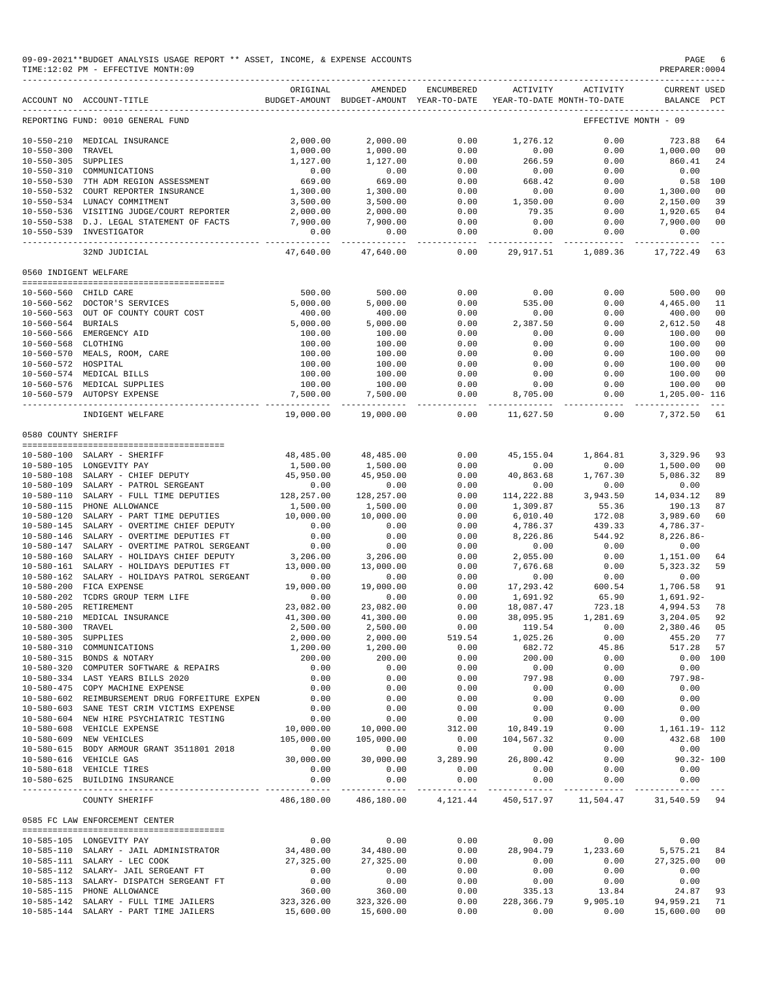|                       | 09-09-2021**BUDGET ANALYSIS USAGE REPORT ** ASSET, INCOME, & EXPENSE ACCOUNTS<br>TIME:12:02 PM - EFFECTIVE MONTH:09 |                             |                                                                                |                       |                   |                                 | PAGE<br>PREPARER: 0004                         | -6         |
|-----------------------|---------------------------------------------------------------------------------------------------------------------|-----------------------------|--------------------------------------------------------------------------------|-----------------------|-------------------|---------------------------------|------------------------------------------------|------------|
|                       | ACCOUNT NO ACCOUNT-TITLE                                                                                            | ORIGINAL                    | AMENDED<br>BUDGET-AMOUNT BUDGET-AMOUNT YEAR-TO-DATE YEAR-TO-DATE MONTH-TO-DATE | ENCUMBERED            | ACTIVITY          | ACTIVITY                        | <b>CURRENT USED</b><br>BALANCE PCT             |            |
|                       | REPORTING FUND: 0010 GENERAL FUND                                                                                   |                             |                                                                                |                       |                   |                                 | EFFECTIVE MONTH - 09                           |            |
|                       | 10-550-210 MEDICAL INSURANCE                                                                                        | 2,000.00                    | 2,000.00                                                                       | 0.00                  | 1,276.12          | 0.00                            | 723.88                                         | 64         |
| 10-550-300 TRAVEL     |                                                                                                                     | 1,000.00                    | 1,000.00                                                                       | 0.00                  | 0.00              | 0.00                            | 1,000.00                                       | 00         |
| 10-550-305 SUPPLIES   |                                                                                                                     | 1,127.00                    | 1,127.00                                                                       | 0.00                  | 266.59            | 0.00                            | 860.41                                         | 24         |
|                       | 10-550-310 COMMUNICATIONS                                                                                           | 0.00                        | 0.00                                                                           | 0.00                  | 0.00              | 0.00                            | 0.00                                           |            |
|                       | 10-550-530 7TH ADM REGION ASSESSMENT                                                                                | 669.00<br>ںں.وہ<br>1,300.00 | 669.00                                                                         | 0.00                  | 668.42            | 0.00                            |                                                | $0.58$ 100 |
|                       | 10-550-532 COURT REPORTER INSURANCE<br>10-550-534 LUNACY COMMITMENT                                                 | 3,500.00                    | 1,300.00                                                                       | 0.00<br>0.00          | 0.00              | 0.00                            | 1,300.00                                       | 00<br>39   |
|                       | 10-550-536 VISITING JUDGE/COURT REPORTER                                                                            | 2,000.00                    | 3,500.00<br>2,000.00                                                           | 0.00                  | 1,350.00<br>79.35 | 0.00<br>0.00                    | 2,150.00<br>1,920.65                           | 04         |
|                       | 10-550-538 D.J. LEGAL STATEMENT OF FACTS                                                                            | 7,900.00                    | 7,900.00                                                                       | 0.00                  | 0.00              | 0.00                            | 7,900.00                                       | 00         |
|                       | 10-550-539 INVESTIGATOR                                                                                             | 0.00<br>----------          | 0.00<br>-------------                                                          | 0.00<br>------------- | 0.00              | 0.00<br>---------- ------------ | 0.00<br>-------------                          |            |
|                       | 32ND JUDICIAL                                                                                                       | 47,640.00                   | 47,640.00                                                                      | 0.00                  |                   | 29,917.51 1,089.36              | 17,722.49                                      | 63         |
| 0560 INDIGENT WELFARE |                                                                                                                     |                             |                                                                                |                       |                   |                                 |                                                |            |
|                       | 10-560-560 CHILD CARE                                                                                               | 500.00                      | 500.00                                                                         | 0.00                  | 0.00              | 0.00                            | 500.00                                         | 00         |
|                       | 10-560-562 DOCTOR'S SERVICES                                                                                        | 5,000.00                    | 5,000.00                                                                       | 0.00                  | 535.00            | 0.00                            | 4,465.00                                       | 11         |
|                       | 10-560-563 OUT OF COUNTY COURT COST                                                                                 | 400.00                      | 400.00                                                                         | 0.00                  | 0.00              | 0.00                            | 400.00                                         | 00         |
| 10-560-564 BURIALS    |                                                                                                                     | 5,000.00                    | 5,000.00                                                                       | 0.00                  | 2,387.50          | 0.00                            | 2,612.50                                       | 48         |
|                       | 10-560-566 EMERGENCY AID                                                                                            | 100.00                      | 100.00                                                                         | 0.00                  | 0.00              | 0.00                            | 100.00                                         | 00         |
| 10-560-568 CLOTHING   |                                                                                                                     | 100.00                      | 100.00<br>100.00                                                               | 0.00                  | 0.00              | 0.00                            | 100.00                                         | 00         |
|                       | 10-560-570 MEALS, ROOM, CARE                                                                                        | 100.00                      |                                                                                | 0.00                  | 0.00              | 0.00                            | 100.00                                         | 00         |
| 10-560-572 HOSPITAL   |                                                                                                                     | 100.00                      | 100.00                                                                         | 0.00                  | 0.00              | 0.00                            | 100.00                                         | 00         |
|                       | 10-560-574 MEDICAL BILLS<br>10-560-576 MEDICAL SUPPLIES                                                             | 100.00<br>100.00            | 100.00<br>100.00                                                               | 0.00<br>0.00          | 0.00<br>0.00      | 0.00<br>0.00                    | 100.00<br>100.00                               | 00<br>00   |
|                       | 10-560-579 AUTOPSY EXPENSE                                                                                          | 7,500.00                    | 7,500.00                                                                       | 0.00                  | 8,705.00          | 0.00                            | 1,205.00- 116                                  |            |
|                       | INDIGENT WELFARE                                                                                                    | .<br>19,000.00              | 19,000.00                                                                      | 0.00                  | 11,627.50         | ----------<br>0.00              | -------------<br>7,372.50                      | 61         |
| 0580 COUNTY SHERIFF   |                                                                                                                     |                             |                                                                                |                       |                   |                                 |                                                |            |
|                       |                                                                                                                     |                             |                                                                                |                       |                   |                                 |                                                |            |
|                       | 10-580-100 SALARY - SHERIFF                                                                                         | 48,485.00                   | 48,485.00                                                                      | 0.00                  | 45,155.04         | 1,864.81                        | 3,329.96                                       | 93         |
|                       | 10-580-105 LONGEVITY PAY<br>10-580-108 SALARY - CHIEF DEPUTY                                                        | 1,500.00<br>45,950.00       | 1,500.00<br>45,950.00                                                          | 0.00<br>0.00          | 0.00<br>40,863.68 | 0.00<br>1,767.30                | 1,500.00<br>5,086.32                           | 00<br>89   |
|                       | 10-580-109 SALARY - PATROL SERGEANT                                                                                 |                             | 0.00                                                                           | 0.00                  | 0.00              | 0.00                            | 0.00                                           |            |
|                       | 10-580-110 SALARY - FULL TIME DEPUTIES                                                                              | $0.00$<br>128,257.00        | 128,257.00                                                                     | 0.00                  | 114,222.88        | 3,943.50                        | 14,034.12                                      | 89         |
|                       | 10-580-115 PHONE ALLOWANCE                                                                                          | 1,500.00                    | 1,500.00                                                                       | 0.00                  | 1,309.87          | 55.36                           | 190.13                                         | 87         |
|                       | 10-580-120 SALARY - PART TIME DEPUTIES                                                                              | 10,000.00                   | 10,000.00                                                                      | 0.00                  | 6,010.40          | 172.08                          | 3,989.60                                       | 60         |
|                       | 10-580-145 SALARY - OVERTIME CHIEF DEPUTY                                                                           | 0.00                        | 0.00                                                                           | 0.00                  | 4,786.37          | 439.33                          | $4,786.37-$                                    |            |
|                       | 10-580-146 SALARY - OVERTIME DEPUTIES FT                                                                            | 0.00                        | 0.00                                                                           | 0.00                  | 8,226.86          | 544.92                          | $8,226.86-$                                    |            |
|                       | 10-580-147 SALARY - OVERTIME PATROL SERGEANT                                                                        | 0.00                        | 0.00                                                                           | 0.00                  | 0.00              | 0.00                            | 0.00                                           |            |
|                       | 10-580-160 SALARY - HOLIDAYS CHIEF DEPUTY                                                                           | 3,206.00                    | 3,206.00                                                                       | 0.00                  | 2,055.00          | 0.00                            | 1,151.00 64                                    |            |
|                       | 10-580-161 SALARY - HOLIDAYS DEPUTIES FT<br>10-580-162 SALARY - HOLIDAYS PATROL SERGEANT                            | 13,000.00<br>0.00           | 13,000.00<br>0.00                                                              | 0.00<br>0.00          | 7,676.68<br>0.00  | 0.00                            | 5,323.32 59<br>0.00                            |            |
| $10 - 580 - 200$      | FICA EXPENSE                                                                                                        | 19,000.00                   | 19,000.00                                                                      | 0.00                  | 17,293.42         | 0.00<br>600.54                  | 1,706.58                                       | 91         |
|                       | 10-580-202 TCDRS GROUP TERM LIFE                                                                                    | 0.00                        | 0.00                                                                           | 0.00                  | 1,691.92          | 65.90                           | 1,691.92-                                      |            |
|                       | 10-580-205 RETIREMENT                                                                                               | 23,082.00                   | 23,082.00                                                                      | 0.00                  | 18,087.47         | 723.18                          | 4,994.53                                       | 78         |
|                       | 10-580-210 MEDICAL INSURANCE                                                                                        | 41,300.00                   | 41,300.00                                                                      | 0.00                  | 38,095.95         | 1,281.69                        | 3,204.05 92                                    |            |
| 10-580-300 TRAVEL     |                                                                                                                     | 2,500.00                    | 2,500.00                                                                       | 0.00                  | 119.54            | 0.00                            | 2,380.46 05                                    |            |
| 10-580-305 SUPPLIES   |                                                                                                                     | 2,000.00                    | 2,000.00                                                                       | 519.54                | 1,025.26          | 0.00                            | 455.20 77                                      |            |
|                       | 10-580-310 COMMUNICATIONS                                                                                           | 1,200.00                    | 1,200.00                                                                       | 0.00                  | 682.72            | 45.86                           | 517.28 57                                      |            |
|                       | 10-580-315 BONDS & NOTARY                                                                                           | 200.00                      | 200.00                                                                         | 0.00                  | 200.00            | 0.00                            | $0.00$ 100                                     |            |
|                       | 10-580-320 COMPUTER SOFTWARE & REPAIRS<br>10-580-334 LAST YEARS BILLS 2020                                          | 0.00<br>0.00                | 0.00<br>0.00                                                                   | 0.00<br>0.00          | 0.00<br>797.98    | 0.00<br>0.00                    | 0.00<br>$797.98 -$                             |            |
|                       | 10-580-475 COPY MACHINE EXPENSE                                                                                     | 0.00                        | 0.00                                                                           | 0.00                  | 0.00              | 0.00                            | 0.00                                           |            |
|                       | 10-580-602 REIMBURSEMENT DRUG FORFEITURE EXPEN                                                                      | 0.00                        | 0.00                                                                           | 0.00                  | 0.00              | 0.00                            | 0.00                                           |            |
|                       | 10-580-603 SANE TEST CRIM VICTIMS EXPENSE                                                                           | 0.00                        | 0.00                                                                           | 0.00                  | 0.00              | 0.00                            | 0.00                                           |            |
|                       | 10-580-604 NEW HIRE PSYCHIATRIC TESTING                                                                             | 0.00                        | 0.00                                                                           | 0.00                  | 0.00              | 0.00                            | 0.00                                           |            |
|                       | 10-580-608 VEHICLE EXPENSE                                                                                          | 10,000.00                   | 10,000.00                                                                      | 312.00                | 10,849.19         | 0.00                            | 1,161.19- 112                                  |            |
|                       | 10-580-609 NEW VEHICLES                                                                                             | 105,000.00                  | 105,000.00                                                                     | 0.00                  | 104,567.32        | 0.00                            | 432.68 100                                     |            |
|                       | 10-580-615 BODY ARMOUR GRANT 3511801 2018                                                                           | 0.00                        | $0.00$<br>30,000.00                                                            | 0.00                  | 0.00              | 0.00                            | 0.00                                           |            |
|                       | 10-580-616 VEHICLE GAS                                                                                              | 30,000.00                   |                                                                                | 3,289.90              | 26,800.42         | 0.00                            | $90.32 - 100$                                  |            |
|                       | 10-580-618 VEHICLE TIRES                                                                                            | 0.00                        | 0.00                                                                           | 0.00                  | 0.00              | 0.00                            | 0.00                                           |            |
|                       | 10-580-625 BUILDING INSURANCE                                                                                       | 0.00                        | 0.00                                                                           | 0.00                  | 0.00              | 0.00                            | 0.00                                           |            |
|                       | COUNTY SHERIFF                                                                                                      | 486,180.00                  | 486,180.00                                                                     |                       |                   |                                 | 4, 121.44 450, 517.97 11, 504.47 31, 540.59 94 |            |
|                       | 0585 FC LAW ENFORCEMENT CENTER                                                                                      |                             |                                                                                |                       |                   |                                 |                                                |            |
|                       | 10-585-105 LONGEVITY PAY                                                                                            | 0.00                        | 0.00                                                                           | 0.00                  | 0.00              | 0.00                            | 0.00                                           |            |
|                       | 10-585-110 SALARY - JAIL ADMINISTRATOR                                                                              | 34,480.00                   | 34,480.00                                                                      | 0.00                  | 28,904.79         | 1,233.60                        | 5, 575. 21 84                                  |            |
|                       | 10-585-111 SALARY - LEC COOK                                                                                        | 27,325.00                   | 27,325.00                                                                      | 0.00                  | 0.00              | 0.00                            | 27,325.00 00                                   |            |
|                       | 10-585-112 SALARY- JAIL SERGEANT FT                                                                                 | 0.00                        | 0.00                                                                           | 0.00                  | 0.00              | 0.00                            | 0.00                                           |            |
|                       | 10-585-113 SALARY- DISPATCH SERGEANT FT<br>10-585-115 PHONE ALLOWANCE                                               | 0.00<br>360.00              | 0.00<br>360.00                                                                 | 0.00<br>0.00          | 0.00<br>335.13    | 0.00<br>13.84                   | 0.00<br>24.87                                  | 93         |
|                       | 10-585-142 SALARY - FULL TIME JAILERS                                                                               | 323,326.00                  | 323,326.00                                                                     | 0.00                  | 228,366.79        | 9,905.10                        | 94,959.21                                      | 71         |
|                       | 10-585-144 SALARY - PART TIME JAILERS                                                                               | 15,600.00                   | 15,600.00                                                                      | 0.00                  | 0.00              | 0.00                            | 15,600.00                                      | 00         |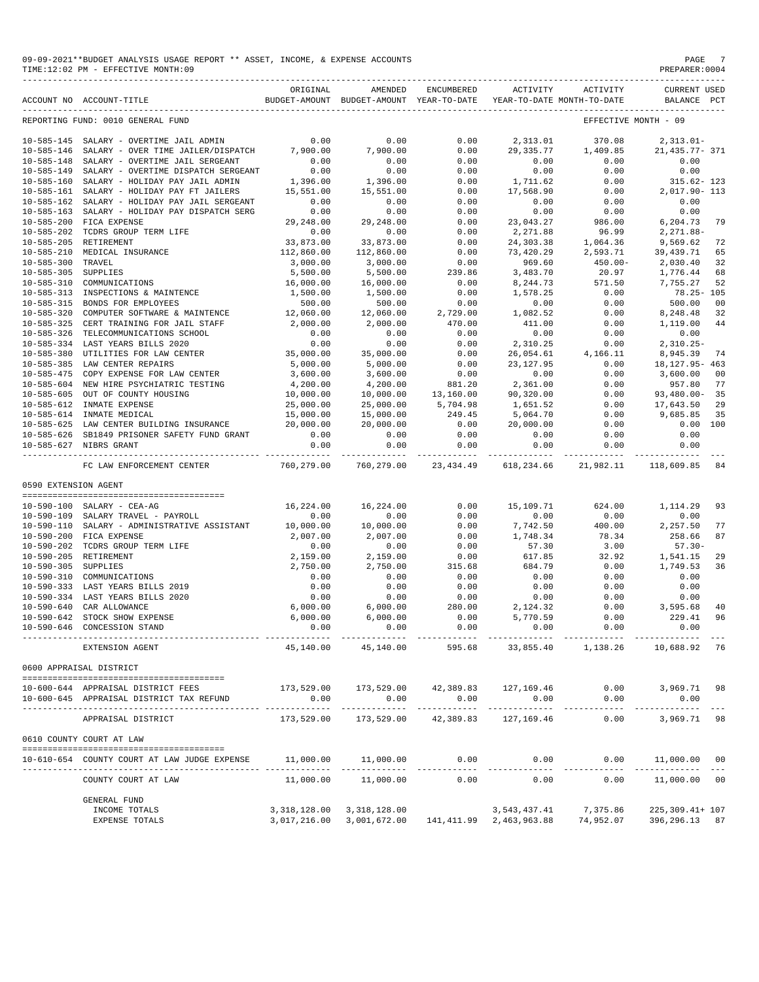| 09-09-2021**BUDGET ANALYSIS USAGE REPORT ** ASSET, INCOME, & EXPENSE ACCOUNTS | PAGE           |
|-------------------------------------------------------------------------------|----------------|
| TIME:12:02 PM - EFFECTIVE MONTH:09                                            | PREPARER: 0004 |

|                                      | ACCOUNT NO ACCOUNT-TITLE                                                       | ORIGINAL                    | AMENDED<br>BUDGET-AMOUNT BUDGET-AMOUNT YEAR-TO-DATE | <b>ENCUMBERED</b>               | ACTIVITY                  | ACTIVITY<br>YEAR-TO-DATE MONTH-TO-DATE | <b>CURRENT USED</b><br>BALANCE PCT                                        |
|--------------------------------------|--------------------------------------------------------------------------------|-----------------------------|-----------------------------------------------------|---------------------------------|---------------------------|----------------------------------------|---------------------------------------------------------------------------|
|                                      | REPORTING FUND: 0010 GENERAL FUND                                              |                             |                                                     |                                 |                           |                                        | EFFECTIVE MONTH - 09                                                      |
| $10 - 585 - 145$                     | SALARY - OVERTIME JAIL ADMIN                                                   | 0.00                        | 0.00                                                | 0.00                            | 2,313.01                  | 370.08                                 | $2,313.01-$                                                               |
| $10 - 585 - 146$                     | SALARY - OVER TIME JAILER/DISPATCH                                             | 7,900.00                    | 7,900.00                                            | 0.00                            | 29, 335.77                | 1,409.85                               | 21, 435. 77- 371                                                          |
| $10 - 585 - 148$                     | SALARY - OVERTIME JAIL SERGEANT                                                | 0.00                        | 0.00                                                | 0.00                            | 0.00                      | 0.00                                   | 0.00                                                                      |
| $10 - 585 - 149$                     | SALARY - OVERTIME DISPATCH SERGEANT                                            | 0.00                        | 0.00                                                | 0.00                            | 0.00                      | 0.00                                   | 0.00                                                                      |
| $10 - 585 - 160$                     | SALARY - HOLIDAY PAY JAIL ADMIN                                                | 1,396.00                    | 1,396.00                                            | 0.00                            | 1,711.62                  | 0.00                                   | 315.62- 123                                                               |
| $10 - 585 - 161$                     | SALARY - HOLIDAY PAY FT JAILERS                                                | 15,551.00                   | 15,551.00                                           | 0.00                            | 17,568.90                 | 0.00                                   | 2,017.90- 113                                                             |
| $10 - 585 - 162$                     | SALARY - HOLIDAY PAY JAIL SERGEANT                                             | 0.00                        | 0.00                                                | 0.00                            | 0.00                      | 0.00                                   | 0.00                                                                      |
| $10 - 585 - 163$                     | SALARY - HOLIDAY PAY DISPATCH SERG                                             | 0.00                        | 0.00                                                | 0.00                            | 0.00                      | 0.00                                   | 0.00                                                                      |
| $10 - 585 - 200$                     | FICA EXPENSE                                                                   | 29,248.00                   | 29,248.00                                           | 0.00                            | 23,043.27                 | 986.00                                 | 6,204.73<br>79                                                            |
| $10 - 585 - 202$                     | TCDRS GROUP TERM LIFE                                                          | 0.00                        | 0.00                                                | 0.00                            | 2,271.88                  | 96.99                                  | $2,271.88-$                                                               |
| $10 - 585 - 205$                     | RETIREMENT                                                                     | 33,873.00                   | 33,873.00                                           | 0.00                            | 24, 303.38                | 1,064.36                               | 9,569.62<br>72                                                            |
| $10 - 585 - 210$                     | MEDICAL INSURANCE                                                              | 112,860.00                  | 112,860.00                                          | 0.00                            | 73,420.29                 | 2,593.71                               | 39, 439. 71<br>65                                                         |
| $10 - 585 - 300$                     | TRAVEL                                                                         | 3,000.00                    | 3,000.00                                            | 0.00                            | 969.60                    | $450.00 -$                             | 2,030.40<br>32                                                            |
| $10 - 585 - 305$                     | SUPPLIES                                                                       | 5,500.00                    | 5,500.00                                            | 239.86                          | 3,483.70                  | 20.97                                  | 1,776.44<br>68                                                            |
| $10 - 585 - 310$                     | COMMUNICATIONS                                                                 | 16,000.00                   | 16,000.00                                           | 0.00                            | 8,244.73                  | 571.50                                 | 7,755.27<br>52                                                            |
| $10 - 585 - 313$                     | INSPECTIONS & MAINTENCE                                                        | 1,500.00                    | 1,500.00                                            | 0.00                            | 1,578.25                  | 0.00                                   | $78.25 - 105$                                                             |
| $10 - 585 - 315$                     | BONDS FOR EMPLOYEES                                                            | 500.00                      | 500.00                                              | 0.00                            | 0.00                      | 0.00                                   | 500.00<br>0 <sub>0</sub>                                                  |
| $10 - 585 - 320$                     | COMPUTER SOFTWARE & MAINTENCE                                                  | 12,060.00                   | 12,060.00                                           | 2,729.00                        | 1,082.52                  | 0.00                                   | 8,248.48<br>32                                                            |
| $10 - 585 - 325$                     | CERT TRAINING FOR JAIL STAFF                                                   | 2,000.00                    | 2,000.00                                            | 470.00                          | 411.00                    | 0.00                                   | 44<br>1,119.00                                                            |
| $10 - 585 - 326$                     | TELECOMMUNICATIONS SCHOOL                                                      | 0.00                        | 0.00                                                | 0.00                            | 0.00                      | 0.00                                   | 0.00                                                                      |
| $10 - 585 - 334$                     | LAST YEARS BILLS 2020                                                          | 0.00                        | 0.00                                                | 0.00                            | 2,310.25                  | 0.00                                   | $2,310.25-$                                                               |
| $10 - 585 - 380$                     | UTILITIES FOR LAW CENTER                                                       | 35,000.00                   | 35,000.00                                           | 0.00                            | 26,054.61                 | 4,166.11                               | 8,945.39<br>74                                                            |
| $10 - 585 - 385$                     | LAW CENTER REPAIRS                                                             | 5,000.00                    | 5,000.00                                            | 0.00                            | 23, 127.95                | 0.00                                   | 18, 127. 95 - 463                                                         |
| $10 - 585 - 475$                     | COPY EXPENSE FOR LAW CENTER                                                    | 3,600.00                    | 3,600.00                                            | 0.00                            | 0.00                      | 0.00                                   | 3,600.00<br>00                                                            |
| $10 - 585 - 604$                     | NEW HIRE PSYCHIATRIC TESTING                                                   | 4,200.00                    | 4,200.00                                            | 881.20                          | 2,361.00                  | 0.00                                   | 957.80<br>77                                                              |
| $10 - 585 - 605$                     | OUT OF COUNTY HOUSING                                                          | 10,000.00                   | 10,000.00                                           | 13,160.00                       | 90,320.00                 | 0.00                                   | $93,480.00 -$<br>35                                                       |
| $10 - 585 - 612$                     | INMATE EXPENSE                                                                 | 25,000.00                   | 25,000.00                                           | 5,704.98                        | 1,651.52                  | 0.00                                   | 17,643.50<br>29                                                           |
| $10 - 585 - 614$                     | INMATE MEDICAL                                                                 | 15,000.00                   | 15,000.00                                           | 249.45                          | 5,064.70                  | 0.00                                   | 9,685.85<br>35                                                            |
| $10 - 585 - 625$                     | LAW CENTER BUILDING INSURANCE                                                  | 20,000.00                   | 20,000.00                                           | 0.00                            | 20,000.00                 | 0.00                                   | 0.00<br>100                                                               |
| $10 - 585 - 626$                     | SB1849 PRISONER SAFETY FUND GRANT                                              | 0.00                        | 0.00                                                | 0.00                            | 0.00                      | 0.00                                   | 0.00                                                                      |
|                                      | 10-585-627 NIBRS GRANT                                                         | 0.00                        | 0.00                                                | 0.00                            | 0.00                      | 0.00                                   | 0.00                                                                      |
|                                      | FC LAW ENFORCEMENT CENTER                                                      | -------------<br>760,279.00 | -----------<br>760,279.00                           | ------------<br>23, 434.49      | -----------<br>618,234.66 | -----------<br>21,982.11               | 118,609.85<br>84                                                          |
| 0590 EXTENSION AGENT                 |                                                                                |                             |                                                     |                                 |                           |                                        |                                                                           |
|                                      |                                                                                |                             |                                                     |                                 |                           |                                        |                                                                           |
| $10 - 590 - 100$                     | SALARY - CEA-AG                                                                | 16,224.00                   | 16,224.00                                           | 0.00                            | 15,109.71                 | 624.00                                 | 1,114.29<br>93                                                            |
| $10 - 590 - 109$                     | SALARY TRAVEL - PAYROLL                                                        | 0.00                        | 0.00                                                | 0.00                            | 0.00                      | 0.00                                   | 0.00                                                                      |
| $10 - 590 - 110$                     | SALARY - ADMINISTRATIVE ASSISTANT                                              | 10,000.00                   | 10,000.00                                           | 0.00                            | 7,742.50                  | 400.00                                 | 2,257.50<br>77                                                            |
| $10 - 590 - 200$                     | FICA EXPENSE                                                                   | 2,007.00                    | 2,007.00                                            | 0.00                            | 1,748.34                  | 78.34                                  | 258.66<br>87                                                              |
| $10 - 590 - 202$                     | TCDRS GROUP TERM LIFE                                                          | 0.00                        | 0.00                                                | 0.00                            | 57.30                     | 3.00                                   | $57.30 -$                                                                 |
| $10 - 590 - 205$                     | RETIREMENT                                                                     | 2,159.00                    | 2,159.00                                            | 0.00                            | 617.85                    | 32.92                                  | 1,541.15<br>29                                                            |
| $10 - 590 - 305$                     | SUPPLIES                                                                       | 2,750.00                    | 2,750.00                                            | 315.68                          | 684.79                    | 0.00                                   | 1,749.53<br>36                                                            |
| $10 - 590 - 310$                     | COMMUNICATIONS                                                                 | 0.00                        | 0.00                                                | 0.00                            | 0.00                      | 0.00                                   | 0.00                                                                      |
| $10 - 590 - 333$                     | LAST YEARS BILLS 2019                                                          | 0.00                        | 0.00                                                | 0.00                            | 0.00                      | 0.00                                   | 0.00                                                                      |
| $10 - 590 - 334$<br>$10 - 590 - 640$ | LAST YEARS BILLS 2020                                                          | 0.00                        | 0.00                                                | 0.00                            | 0.00                      | 0.00                                   | 0.00                                                                      |
|                                      | CAR ALLOWANCE                                                                  | 6,000.00                    | 6,000.00                                            | 280.00                          | 2,124.32                  | 0.00                                   | 3,595.68<br>40                                                            |
| $10 - 590 - 642$<br>$10 - 590 - 646$ | STOCK SHOW EXPENSE<br>CONCESSION STAND                                         | 6,000.00<br>0.00            | 6,000.00<br>0.00                                    | 0.00<br>0.00                    | 5,770.59<br>0.00          | 0.00<br>0.00                           | 229.41<br>96<br>0.00                                                      |
|                                      | EXTENSION AGENT                                                                | 45,140.00                   | 45,140.00                                           | 595.68                          |                           |                                        | 33,855.40 1,138.26 10,688.92 76                                           |
|                                      | 0600 APPRAISAL DISTRICT                                                        |                             |                                                     |                                 |                           |                                        |                                                                           |
|                                      | --------------------------------------                                         |                             |                                                     |                                 |                           |                                        |                                                                           |
|                                      | 10-600-644 APPRAISAL DISTRICT FEES<br>10-600-645 APPRAISAL DISTRICT TAX REFUND | 0.00                        | 173,529.00 173,529.00 42,389.83 127,169.46<br>0.00  | 0.00                            | 0.00                      | 0.00<br>0.00                           | 3,969.71 98<br>0.00                                                       |
|                                      | APPRAISAL DISTRICT                                                             | 173,529.00                  |                                                     | 173,529.00 42,389.83 127,169.46 |                           | 0.00                                   | 3,969.71 98                                                               |
|                                      | 0610 COUNTY COURT AT LAW                                                       |                             |                                                     |                                 |                           |                                        |                                                                           |
|                                      | 10-610-654 COUNTY COURT AT LAW JUDGE EXPENSE                                   |                             | $11,000.00$ $11,000.00$ $0.00$ $0.00$ $0.00$        |                                 |                           |                                        | $0.00$ 11,000.00 00                                                       |
|                                      | COUNTY COURT AT LAW                                                            | 11,000.00                   | 11,000.00                                           | 0.00                            | 0.00                      |                                        | $0.00$ 11,000.00 00                                                       |
|                                      | <b>GENERAL FUND</b>                                                            |                             |                                                     |                                 |                           |                                        |                                                                           |
|                                      | INCOME TOTALS                                                                  |                             | 3, 318, 128.00 3, 318, 128.00                       |                                 | 3,543,437.41              | 7,375.86                               | 225,309.41+ 107                                                           |
|                                      | EXPENSE TOTALS                                                                 |                             |                                                     |                                 |                           |                                        | 3,017,216.00 3,001,672.00 141,411.99 2,463,963.88 74,952.07 396,296.13 87 |
|                                      |                                                                                |                             |                                                     |                                 |                           |                                        |                                                                           |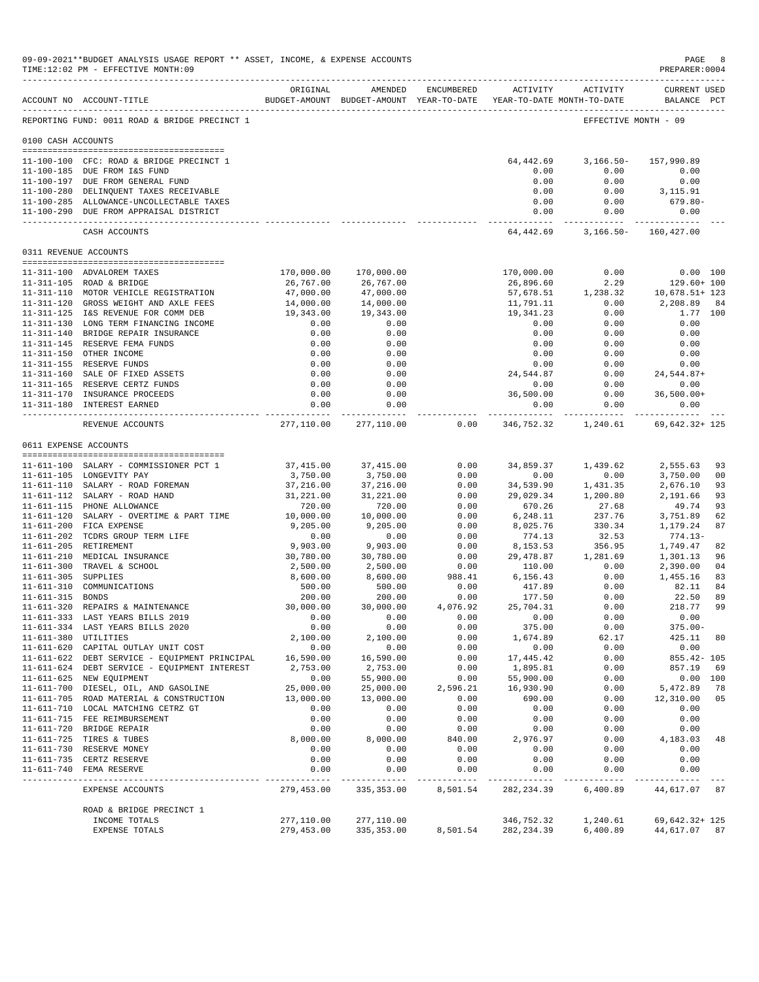|                       | 09-09-2021**BUDGET ANALYSIS USAGE REPORT ** ASSET, INCOME, & EXPENSE ACCOUNTS<br>TIME:12:02 PM - EFFECTIVE MONTH:09 |                          |                                                                                |              |                                   |                                    | $\mathop{\mathtt{PAGE}}$<br>PREPARER:0004                                                                                               | -8       |
|-----------------------|---------------------------------------------------------------------------------------------------------------------|--------------------------|--------------------------------------------------------------------------------|--------------|-----------------------------------|------------------------------------|-----------------------------------------------------------------------------------------------------------------------------------------|----------|
|                       | ACCOUNT NO ACCOUNT-TITLE                                                                                            | ORIGINAL                 | AMENDED<br>BUDGET-AMOUNT BUDGET-AMOUNT YEAR-TO-DATE YEAR-TO-DATE MONTH-TO-DATE | ENCUMBERED   |                                   | ACTIVITY ACTIVITY                  | <b>CURRENT USED</b><br>BALANCE PCT                                                                                                      |          |
|                       | REPORTING FUND: 0011 ROAD & BRIDGE PRECINCT 1                                                                       |                          |                                                                                |              |                                   |                                    | EFFECTIVE MONTH - 09                                                                                                                    |          |
| 0100 CASH ACCOUNTS    |                                                                                                                     |                          |                                                                                |              |                                   |                                    |                                                                                                                                         |          |
|                       | 11-100-100 CFC: ROAD & BRIDGE PRECINCT 1                                                                            |                          |                                                                                |              | 64,442.69                         | $3,166.50-$                        | 157,990.89                                                                                                                              |          |
|                       | 11-100-185 DUE FROM I&S FUND                                                                                        |                          |                                                                                |              | 0.00                              |                                    | 0.00<br>0.00                                                                                                                            |          |
|                       | 11-100-197 DUE FROM GENERAL FUND                                                                                    |                          |                                                                                |              | 0.00                              | 0.00                               | 0.00                                                                                                                                    |          |
|                       | 11-100-280 DELINQUENT TAXES RECEIVABLE                                                                              |                          |                                                                                |              | 0.00                              | 0.00                               | 3, 115.91                                                                                                                               |          |
|                       | 11-100-285 ALLOWANCE-UNCOLLECTABLE TAXES                                                                            |                          |                                                                                |              | 0.00                              | 0.00                               | 679.80-                                                                                                                                 |          |
|                       | 11-100-290 DUE FROM APPRAISAL DISTRICT                                                                              |                          |                                                                                |              | ------------                      | 0.00<br>0.00                       | 0.00<br>______________________________                                                                                                  |          |
|                       | CASH ACCOUNTS                                                                                                       |                          |                                                                                |              |                                   | 64, 442.69 3, 166.50 - 160, 427.00 |                                                                                                                                         |          |
| 0311 REVENUE ACCOUNTS |                                                                                                                     |                          |                                                                                |              |                                   |                                    |                                                                                                                                         |          |
|                       | 11-311-100 ADVALOREM TAXES                                                                                          |                          | 170,000.00 170,000.00                                                          |              |                                   |                                    | $0.00$ 100                                                                                                                              |          |
|                       | $11-311-105$ ROAD & BRIDGE                                                                                          | 26,767.00                | 26,767.00                                                                      |              |                                   |                                    | 129.60+ 100                                                                                                                             |          |
|                       | 11-311-110 MOTOR VEHICLE REGISTRATION                                                                               | 47,000.00                | 47,000.00                                                                      |              |                                   |                                    | $57,678.51$ 1,238.32 10,678.51+123                                                                                                      |          |
|                       | 11-311-120 GROSS WEIGHT AND AXLE FEES                                                                               | 14,000.00                | 14,000.00                                                                      |              | 11,791.11                         | 0.00                               | 2,208.89                                                                                                                                | 84       |
|                       | 11-311-125 I&S REVENUE FOR COMM DEB                                                                                 | 19,343.00                | 19,343.00                                                                      |              | 19,341.23                         | 0.00                               | 1.77 100                                                                                                                                |          |
|                       | 11-311-130 LONG TERM FINANCING INCOME                                                                               | 0.00                     | 0.00                                                                           |              | 0.00                              | 0.00                               | 0.00                                                                                                                                    |          |
|                       | 11-311-140 BRIDGE REPAIR INSURANCE                                                                                  | 0.00                     | 0.00                                                                           |              | 0.00                              | 0.00                               | 0.00                                                                                                                                    |          |
|                       | 11-311-145 RESERVE FEMA FUNDS                                                                                       | 0.00                     | 0.00                                                                           |              | 0.00                              | 0.00                               | 0.00                                                                                                                                    |          |
|                       | 11-311-150 OTHER INCOME                                                                                             | 0.00                     | 0.00                                                                           |              | 0.00                              | 0.00                               | 0.00                                                                                                                                    |          |
|                       | 11-311-155 RESERVE FUNDS                                                                                            | 0.00<br>0.00             | 0.00                                                                           |              | 0.00<br>24,544.87                 |                                    | $\begin{array}{ccc} 0\, . \, 0 \, 0 & 0\, . \, 0 \, 0 \\ 0 \, . \, 0 \, 0 & 2 \, 4 \, , \, 5 \, 4 \, 4 \, . \, 8 \, 7 \, + \end{array}$ |          |
|                       | 11-311-160 SALE OF FIXED ASSETS<br>11-311-165 RESERVE CERTZ FUNDS                                                   | 0.00                     | 0.00<br>0.00                                                                   |              | 0.00                              |                                    | 0.00                                                                                                                                    |          |
|                       | 11-311-170 INSURANCE PROCEEDS                                                                                       | 0.00                     | 0.00                                                                           |              | 36,500.00                         | $0.00$<br>$0.00$                   | $36,500.00+$                                                                                                                            |          |
|                       | 11-311-180 INTEREST EARNED                                                                                          |                          | $0.00$ 0.00                                                                    |              | 0.00                              | 0.00                               | 0.00                                                                                                                                    |          |
|                       | REVENUE ACCOUNTS                                                                                                    | ------------ -           | -------------<br>277,110.00 277,110.00                                         | 0.00         |                                   | 346,752.32 1,240.61                | 69,642.32+ 125                                                                                                                          |          |
| 0611 EXPENSE ACCOUNTS |                                                                                                                     |                          |                                                                                |              |                                   |                                    |                                                                                                                                         |          |
|                       |                                                                                                                     |                          |                                                                                |              |                                   |                                    |                                                                                                                                         |          |
|                       | 11-611-100 SALARY - COMMISSIONER PCT 1                                                                              | 37,415.00                | 37,415.00                                                                      | 0.00         | 34,859.37                         | 1,439.62                           | 2,555.63                                                                                                                                | 93       |
|                       | 11-611-105 LONGEVITY PAY                                                                                            | 3,750.00                 | 3,750.00                                                                       | 0.00         | 0.00                              | 0.00                               | 3,750.00                                                                                                                                | 00       |
|                       | 11-611-110 SALARY - ROAD FOREMAN                                                                                    | 37,216.00                | 37,216.00                                                                      | 0.00         |                                   | 34,539.90 1,431.35                 | 2,676.10                                                                                                                                | 93       |
|                       | 11-611-112 SALARY - ROAD HAND                                                                                       | 31,221.00                | 31,221.00                                                                      | 0.00         | 29,029.34                         | 1,200.80                           | 2,191.66                                                                                                                                | 93       |
|                       | 11-611-115 PHONE ALLOWANCE                                                                                          | 720.00                   | 720.00                                                                         | 0.00<br>0.00 | 670.26                            | 27.68<br>237.76                    | 49.74                                                                                                                                   | 93<br>62 |
|                       | 11-611-120 SALARY - OVERTIME & PART TIME<br>11-611-200 FICA EXPENSE                                                 | 10,000.00<br>9,205.00    | 10,000.00<br>9,205.00                                                          | 0.00         | 6,248.11<br>8,025.76              |                                    | 3,751.89<br>1,179.24                                                                                                                    | 87       |
|                       | 11-611-202 TCDRS GROUP TERM LIFE                                                                                    | 0.00                     | 0.00                                                                           | 0.00         | 774.13                            | 330.34<br>32.53                    | $774.13-$                                                                                                                               |          |
|                       | 11-611-205 RETIREMENT                                                                                               | 9,903.00                 | 9,903.00                                                                       | 0.00         | 8,153.53                          | 356.95                             | 1,749.47                                                                                                                                | 82       |
|                       | 11-611-210 MEDICAL INSURANCE                                                                                        | 30,780.00                | 30,780.00                                                                      | 0.00         |                                   | 29,478.87 1,281.69                 | 1,301.13                                                                                                                                | 96       |
|                       | 11-611-300 TRAVEL & SCHOOL                                                                                          | 2,500.00                 | 2,500.00                                                                       | 0.00         | 110.00                            | 0.00                               | 2,390.00                                                                                                                                | 04       |
| 11-611-305 SUPPLIES   |                                                                                                                     | 8,600.00                 | 8,600.00                                                                       | 988.41       | 6,156.43                          | 0.00                               | 1,455.16                                                                                                                                | 83       |
|                       | 11-611-310 COMMUNICATIONS                                                                                           | 500.00                   | 500.00                                                                         | 0.00         | 417.89                            | 0.00                               | 82.11                                                                                                                                   | 84       |
| 11-611-315 BONDS      |                                                                                                                     | 200.00                   | 200.00                                                                         | 0.00         | 177.50                            | 0.00                               | 22.50                                                                                                                                   | 89       |
|                       | 11-611-320 REPAIRS & MAINTENANCE                                                                                    | 30,000.00                | 30,000.00                                                                      | 4,076.92     | 25,704.31                         | 0.00                               | 218.77                                                                                                                                  | 99       |
|                       | 11-611-333 LAST YEARS BILLS 2019                                                                                    | 0.00                     | 0.00                                                                           | 0.00         | 0.00                              | 0.00                               | 0.00                                                                                                                                    |          |
|                       | 11-611-334 LAST YEARS BILLS 2020                                                                                    | 0.00                     | 0.00                                                                           | 0.00         | 375.00                            | 0.00                               | $375.00 -$                                                                                                                              |          |
| 11-611-380 UTILITIES  | 11-611-620 CAPITAL OUTLAY UNIT COST                                                                                 | 2,100.00<br>0.00         | 2,100.00<br>0.00                                                               | 0.00<br>0.00 | 1,674.89<br>0.00                  | 62.17<br>0.00                      | 425.11<br>0.00                                                                                                                          | 80       |
|                       | 11-611-622 DEBT SERVICE - EQUIPMENT PRINCIPAL                                                                       | 16,590.00                | 16,590.00                                                                      | 0.00         | 17,445.42                         | 0.00                               | 855.42- 105                                                                                                                             |          |
|                       | 11-611-624 DEBT SERVICE - EQUIPMENT INTEREST                                                                        | 2,753.00                 | 2,753.00                                                                       | 0.00         | 1,895.81                          | 0.00                               | 857.19                                                                                                                                  | 69       |
|                       | 11-611-625 NEW EQUIPMENT                                                                                            | 0.00                     | 55,900.00                                                                      | 0.00         | 55,900.00                         | 0.00                               | 0.00 100                                                                                                                                |          |
|                       | 11-611-700 DIESEL, OIL, AND GASOLINE                                                                                | 25,000.00                | 25,000.00                                                                      | 2,596.21     | 16,930.90                         | 0.00                               | 5,472.89                                                                                                                                | 78       |
|                       | 11-611-705 ROAD MATERIAL & CONSTRUCTION                                                                             | 13,000.00                | 13,000.00                                                                      | 0.00         | 690.00                            | 0.00                               | 12,310.00                                                                                                                               | 05       |
|                       | 11-611-710 LOCAL MATCHING CETRZ GT                                                                                  | 0.00                     | 0.00                                                                           | 0.00         | 0.00                              | 0.00                               | 0.00                                                                                                                                    |          |
|                       | 11-611-715 FEE REIMBURSEMENT                                                                                        | 0.00                     | 0.00                                                                           | 0.00         | 0.00                              | 0.00                               | 0.00                                                                                                                                    |          |
|                       | 11-611-720 BRIDGE REPAIR                                                                                            | 0.00                     | 0.00                                                                           | 0.00         | 0.00                              | 0.00                               | 0.00                                                                                                                                    |          |
|                       | 11-611-725 TIRES & TUBES                                                                                            | 8,000.00                 | 8,000.00                                                                       | 840.00       | 2,976.97                          | 0.00                               | 4,183.03                                                                                                                                | 48       |
|                       | 11-611-730 RESERVE MONEY                                                                                            | 0.00                     | 0.00                                                                           | 0.00         | 0.00                              | 0.00                               | 0.00                                                                                                                                    |          |
|                       | 11-611-735 CERTZ RESERVE<br>11-611-740 FEMA RESERVE                                                                 | 0.00<br>0.00             | 0.00<br>0.00                                                                   | 0.00<br>0.00 | 0.00<br>0.00                      | 0.00<br>0.00                       | 0.00<br>0.00                                                                                                                            |          |
|                       |                                                                                                                     | ----------               | ----------                                                                     | ___________  | -----------                       | ---------                          | ---------                                                                                                                               |          |
|                       | EXPENSE ACCOUNTS                                                                                                    | 279,453.00               | 335,353.00                                                                     | 8,501.54     | 282,234.39                        | 6,400.89                           | 44,617.07 87                                                                                                                            |          |
|                       | ROAD & BRIDGE PRECINCT 1                                                                                            |                          |                                                                                |              |                                   |                                    |                                                                                                                                         |          |
|                       | INCOME TOTALS<br>EXPENSE TOTALS                                                                                     | 277,110.00<br>279,453.00 | 277,110.00<br>335, 353.00                                                      |              | 346,752.32<br>8,501.54 282,234.39 | 1,240.61<br>6,400.89               | 69,642.32+ 125<br>44,617.07 87                                                                                                          |          |
|                       |                                                                                                                     |                          |                                                                                |              |                                   |                                    |                                                                                                                                         |          |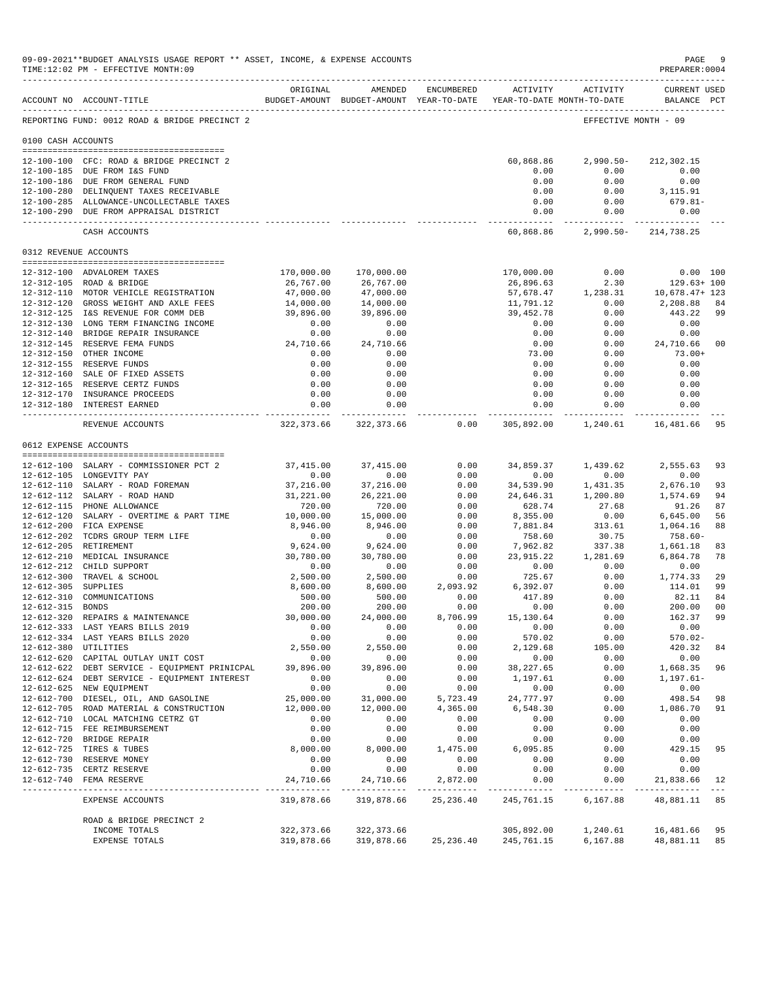|                       | 09-09-2021**BUDGET ANALYSIS USAGE REPORT ** ASSET, INCOME, & EXPENSE ACCOUNTS<br>TIME:12:02 PM - EFFECTIVE MONTH:09 |                          |                                                                                |                  |                                                                                                                                                                                                                                                                                                                                                                                              |                                            | $\mathbf{PAGE}$<br>PREPARER: 0004                | 9                    |
|-----------------------|---------------------------------------------------------------------------------------------------------------------|--------------------------|--------------------------------------------------------------------------------|------------------|----------------------------------------------------------------------------------------------------------------------------------------------------------------------------------------------------------------------------------------------------------------------------------------------------------------------------------------------------------------------------------------------|--------------------------------------------|--------------------------------------------------|----------------------|
|                       | ACCOUNT NO ACCOUNT-TITLE<br>-------------------------------------                                                   | ORIGINAL                 | AMENDED<br>BUDGET-AMOUNT BUDGET-AMOUNT YEAR-TO-DATE YEAR-TO-DATE MONTH-TO-DATE | ENCUMBERED       |                                                                                                                                                                                                                                                                                                                                                                                              | ACTIVITY ACTIVITY                          | <b>CURRENT USED</b><br>BALANCE PCT               |                      |
|                       | REPORTING FUND: 0012 ROAD & BRIDGE PRECINCT 2                                                                       |                          |                                                                                |                  |                                                                                                                                                                                                                                                                                                                                                                                              |                                            | EFFECTIVE MONTH - 09                             |                      |
| 0100 CASH ACCOUNTS    |                                                                                                                     |                          |                                                                                |                  |                                                                                                                                                                                                                                                                                                                                                                                              |                                            |                                                  |                      |
|                       | 12-100-100 CFC: ROAD & BRIDGE PRECINCT 2                                                                            |                          |                                                                                |                  | 60,868.86                                                                                                                                                                                                                                                                                                                                                                                    | $2,990.50 -$                               | 212,302.15                                       |                      |
|                       | 12-100-185 DUE FROM I&S FUND                                                                                        |                          |                                                                                |                  | 0.00                                                                                                                                                                                                                                                                                                                                                                                         | 0.00                                       | 0.00                                             |                      |
|                       | 12-100-186 DUE FROM GENERAL FUND                                                                                    |                          |                                                                                |                  | 0.00                                                                                                                                                                                                                                                                                                                                                                                         | 0.00                                       | 0.00                                             |                      |
|                       | 12-100-280 DELINQUENT TAXES RECEIVABLE                                                                              |                          |                                                                                |                  | 0.00                                                                                                                                                                                                                                                                                                                                                                                         | 0.00                                       | 3,115.91                                         |                      |
|                       | 12-100-285 ALLOWANCE-UNCOLLECTABLE TAXES<br>12-100-290 DUE FROM APPRAISAL DISTRICT                                  |                          |                                                                                |                  | 0.00<br>0.00                                                                                                                                                                                                                                                                                                                                                                                 | 0.00<br>0.00                               | 679.81-<br>0.00                                  |                      |
|                       | CASH ACCOUNTS                                                                                                       |                          |                                                                                |                  | 60,868.86                                                                                                                                                                                                                                                                                                                                                                                    |                                            | ----------- -------------<br>2,990.50-214,738.25 |                      |
| 0312 REVENUE ACCOUNTS |                                                                                                                     |                          |                                                                                |                  |                                                                                                                                                                                                                                                                                                                                                                                              |                                            |                                                  |                      |
|                       |                                                                                                                     |                          |                                                                                |                  |                                                                                                                                                                                                                                                                                                                                                                                              |                                            |                                                  |                      |
|                       | 12-312-100 ADVALOREM TAXES<br>12-312-105 ROAD & BRIDGE                                                              | 170,000.00<br>26,767.00  | 170,000.00<br>26,767.00                                                        |                  | 170,000.00<br>26,896.63                                                                                                                                                                                                                                                                                                                                                                      | 0.00<br>2.30                               | $0.00$ 100<br>129.63+ 100                        |                      |
|                       | 12-312-110 MOTOR VEHICLE REGISTRATION                                                                               | 47,000.00                | 47,000.00                                                                      |                  |                                                                                                                                                                                                                                                                                                                                                                                              | 57,678.47 1,238.31                         | 10,678.47+ 123                                   |                      |
|                       | 12-312-120 GROSS WEIGHT AND AXLE FEES                                                                               | 14,000.00                | 14,000.00                                                                      |                  | 11,791.12                                                                                                                                                                                                                                                                                                                                                                                    | 0.00                                       | 2,208.88 84                                      |                      |
|                       | 12-312-125 I&S REVENUE FOR COMM DEB                                                                                 | 39,896.00                | 39,896.00                                                                      |                  | 39,452.78                                                                                                                                                                                                                                                                                                                                                                                    | 0.00                                       | 443.22 99                                        |                      |
|                       | 12-312-130 LONG TERM FINANCING INCOME                                                                               | 0.00                     | 0.00                                                                           |                  | 0.00                                                                                                                                                                                                                                                                                                                                                                                         | 0.00                                       | 0.00                                             |                      |
|                       | 12-312-140 BRIDGE REPAIR INSURANCE                                                                                  | 0.00                     | 0.00                                                                           |                  | 0.00                                                                                                                                                                                                                                                                                                                                                                                         | 0.00                                       | $0.00$<br>24,710.66                              |                      |
|                       | 12-312-145 RESERVE FEMA FUNDS                                                                                       | 24,710.66                | 24,710.66                                                                      |                  | 0.00                                                                                                                                                                                                                                                                                                                                                                                         | 0.00                                       |                                                  | 00                   |
|                       | 12-312-150 OTHER INCOME<br>12-312-155 RESERVE FUNDS                                                                 | 0.00<br>0.00             | 0.00<br>0.00                                                                   |                  | 73.00<br>0.00                                                                                                                                                                                                                                                                                                                                                                                | 0.00<br>0.00                               | $73.00+$<br>0.00                                 |                      |
|                       | 12-312-160 SALE OF FIXED ASSETS                                                                                     | 0.00                     | 0.00                                                                           |                  | 0.00                                                                                                                                                                                                                                                                                                                                                                                         | 0.00                                       | 0.00                                             |                      |
|                       | 12-312-165 RESERVE CERTZ FUNDS                                                                                      | 0.00                     | 0.00                                                                           |                  | 0.00                                                                                                                                                                                                                                                                                                                                                                                         | 0.00                                       | 0.00                                             |                      |
|                       | 12-312-170 INSURANCE PROCEEDS                                                                                       | 0.00                     | 0.00                                                                           |                  | 0.00                                                                                                                                                                                                                                                                                                                                                                                         | 0.00                                       | 0.00                                             |                      |
|                       | 12-312-180 INTEREST EARNED                                                                                          | 0.00                     | 0.00<br>------------                                                           |                  | 0.00                                                                                                                                                                                                                                                                                                                                                                                         | 0.00<br>------------- ------------ -       | 0.00<br>------------                             |                      |
|                       | REVENUE ACCOUNTS                                                                                                    |                          | 322, 373.66 322, 373.66                                                        |                  |                                                                                                                                                                                                                                                                                                                                                                                              | $0.00$ $305,892.00$ $1,240.61$ $16,481.66$ |                                                  | 95                   |
| 0612 EXPENSE ACCOUNTS |                                                                                                                     |                          |                                                                                |                  |                                                                                                                                                                                                                                                                                                                                                                                              |                                            |                                                  |                      |
|                       | 12-612-100 SALARY - COMMISSIONER PCT 2                                                                              | 37,415.00                | 37,415.00                                                                      | 0.00             |                                                                                                                                                                                                                                                                                                                                                                                              | 34,859.37 1,439.62                         | 2,555.63                                         | 93                   |
|                       | 12-612-105 LONGEVITY PAY                                                                                            | 0.00                     | 0.00                                                                           | 0.00             | 0.00                                                                                                                                                                                                                                                                                                                                                                                         | 0.00                                       | 0.00                                             |                      |
|                       | 12-612-110 SALARY - ROAD FOREMAN                                                                                    | 37,216.00                | 37,216.00                                                                      | 0.00             | 34,539.90                                                                                                                                                                                                                                                                                                                                                                                    | 1,431.35                                   | 2,676.10                                         | 93                   |
|                       | 12-612-112 SALARY - ROAD HAND                                                                                       | 31,221.00                | 26, 221.00                                                                     | 0.00             | 24,646.31                                                                                                                                                                                                                                                                                                                                                                                    | 1,200.80                                   | 1,574.69                                         | 94                   |
|                       | 12-612-115 PHONE ALLOWANCE                                                                                          | 720.00                   | 720.00                                                                         | 0.00             | 628.74                                                                                                                                                                                                                                                                                                                                                                                       | 27.68                                      | 91.26                                            | 87                   |
|                       | 12-612-120 SALARY - OVERTIME & PART TIME                                                                            | 10,000.00                | 15,000.00                                                                      | 0.00             | 8,355.00                                                                                                                                                                                                                                                                                                                                                                                     | 0.00                                       | 6,645.00                                         | 56                   |
|                       | 12-612-200 FICA EXPENSE<br>12-612-202 TCDRS GROUP TERM LIFE                                                         | 8,946.00<br>0.00         | 8,946.00<br>0.00                                                               | 0.00<br>0.00     | 7,881.84<br>758.60                                                                                                                                                                                                                                                                                                                                                                           | $313.61$<br>$30.75$                        | 1,064.16<br>758.60-                              | 88                   |
|                       | 12-612-205 RETIREMENT                                                                                               | 9,624.00                 | 9,624.00                                                                       | 0.00             | 7,962.82                                                                                                                                                                                                                                                                                                                                                                                     | 337.38                                     | 1,661.18                                         | 83                   |
|                       | 12-612-210 MEDICAL INSURANCE                                                                                        | 30,780.00                | 30,780.00                                                                      | 0.00             | 23,915.22                                                                                                                                                                                                                                                                                                                                                                                    | 1,281.69                                   | 6,864.78                                         | 78                   |
|                       | 12-612-212 CHILD SUPPORT                                                                                            | 0.00                     | 0.00                                                                           | 0.00             | 0.00                                                                                                                                                                                                                                                                                                                                                                                         | 0.00                                       | 0.00                                             |                      |
|                       | 12-612-300 TRAVEL & SCHOOL                                                                                          | 2,500.00                 | 2,500.00                                                                       | 0.00             | 725.67                                                                                                                                                                                                                                                                                                                                                                                       | 0.00                                       | 1,774.33                                         | 29                   |
| 12-612-305 SUPPLIES   |                                                                                                                     | 8,600.00                 | 8,600.00                                                                       | 2,093.92         | 6,392.07                                                                                                                                                                                                                                                                                                                                                                                     | 0.00                                       | 114.01                                           | 99                   |
|                       | 12-612-310 COMMUNICATIONS                                                                                           | 500.00                   | 500.00                                                                         | 0.00             | 417.89                                                                                                                                                                                                                                                                                                                                                                                       | 0.00                                       | 82.11                                            | 84                   |
| 12-612-315 BONDS      | 12-612-320 REPAIRS & MAINTENANCE                                                                                    | 200.00<br>30,000.00      | 200.00<br>24,000.00                                                            | 0.00<br>8,706.99 | 0.00<br>15,130.64                                                                                                                                                                                                                                                                                                                                                                            | 0.00<br>0.00                               | 200.00<br>162.37                                 | 0 <sub>0</sub><br>99 |
|                       | 12-612-333 LAST YEARS BILLS 2019                                                                                    | 0.00                     | 0.00                                                                           | 0.00             | 0.00                                                                                                                                                                                                                                                                                                                                                                                         | 0.00                                       | 0.00                                             |                      |
|                       | 12-612-334 LAST YEARS BILLS 2020                                                                                    | 0.00                     | 0.00                                                                           | 0.00             | 570.02                                                                                                                                                                                                                                                                                                                                                                                       | 0.00                                       | $570.02 -$                                       |                      |
| 12-612-380 UTILITIES  |                                                                                                                     | 2,550.00                 | 2,550.00                                                                       | 0.00             | 2,129.68                                                                                                                                                                                                                                                                                                                                                                                     | 105.00                                     | 420.32                                           | 84                   |
|                       | 12-612-620 CAPITAL OUTLAY UNIT COST                                                                                 | 0.00                     | 0.00                                                                           | 0.00             | 0.00                                                                                                                                                                                                                                                                                                                                                                                         | 0.00                                       | 0.00                                             |                      |
|                       | 12-612-622 DEBT SERVICE - EQUIPMENT PRINICPAL                                                                       | 39,896.00                | 39,896.00                                                                      | 0.00             | 38, 227.65                                                                                                                                                                                                                                                                                                                                                                                   | 0.00                                       | 1,668.35                                         | 96                   |
|                       | 12-612-624 DEBT SERVICE - EQUIPMENT INTEREST                                                                        | 0.00                     | 0.00                                                                           | 0.00             | 1,197.61                                                                                                                                                                                                                                                                                                                                                                                     | 0.00                                       | $1, 197.61 -$                                    |                      |
|                       | 12-612-625 NEW EQUIPMENT<br>12-612-700 DIESEL, OIL, AND GASOLINE                                                    | 0.00<br>25,000.00        | 0.00<br>31,000.00                                                              | 0.00<br>5,723.49 | 0.00<br>24,777.97                                                                                                                                                                                                                                                                                                                                                                            | 0.00<br>0.00                               | 0.00<br>498.54                                   | 98                   |
|                       | 12-612-705 ROAD MATERIAL & CONSTRUCTION                                                                             | 12,000.00                | 12,000.00                                                                      | 4,365.00         | 6,548.30                                                                                                                                                                                                                                                                                                                                                                                     | 0.00                                       | 1,086.70                                         | 91                   |
|                       | 12-612-710 LOCAL MATCHING CETRZ GT                                                                                  | 0.00                     | 0.00                                                                           | 0.00             | 0.00                                                                                                                                                                                                                                                                                                                                                                                         | 0.00                                       | 0.00                                             |                      |
|                       | 12-612-715 FEE REIMBURSEMENT                                                                                        | 0.00                     | 0.00                                                                           | 0.00             | 0.00                                                                                                                                                                                                                                                                                                                                                                                         | 0.00                                       | 0.00                                             |                      |
|                       | 12-612-720 BRIDGE REPAIR                                                                                            | 0.00                     | 0.00                                                                           | 0.00             | 0.00                                                                                                                                                                                                                                                                                                                                                                                         | 0.00                                       | 0.00                                             |                      |
|                       | 12-612-725 TIRES & TUBES                                                                                            | 8,000.00                 | 8,000.00                                                                       | 1,475.00         | 6,095.85                                                                                                                                                                                                                                                                                                                                                                                     | 0.00                                       | 429.15                                           | 95                   |
|                       | 12-612-730 RESERVE MONEY                                                                                            | 0.00                     | 0.00                                                                           | 0.00             | 0.00                                                                                                                                                                                                                                                                                                                                                                                         | 0.00                                       | 0.00                                             |                      |
|                       | 12-612-735 CERTZ RESERVE<br>12-612-740 FEMA RESERVE                                                                 | 0.00<br>24,710.66        | 0.00<br>24,710.66                                                              | 0.00<br>2,872.00 | 0.00<br>0.00                                                                                                                                                                                                                                                                                                                                                                                 | 0.00<br>0.00                               | 0.00<br>21,838.66                                | 12                   |
|                       |                                                                                                                     | ------------             | ______________                                                                 | _____________    | $\frac{1}{2} \frac{1}{2} \frac{1}{2} \frac{1}{2} \frac{1}{2} \frac{1}{2} \frac{1}{2} \frac{1}{2} \frac{1}{2} \frac{1}{2} \frac{1}{2} \frac{1}{2} \frac{1}{2} \frac{1}{2} \frac{1}{2} \frac{1}{2} \frac{1}{2} \frac{1}{2} \frac{1}{2} \frac{1}{2} \frac{1}{2} \frac{1}{2} \frac{1}{2} \frac{1}{2} \frac{1}{2} \frac{1}{2} \frac{1}{2} \frac{1}{2} \frac{1}{2} \frac{1}{2} \frac{1}{2} \frac{$ |                                            | -------                                          | $  -$                |
|                       | EXPENSE ACCOUNTS                                                                                                    | 319,878.66               | 319,878.66                                                                     | 25, 236.40       | 245,761.15                                                                                                                                                                                                                                                                                                                                                                                   | 6,167.88                                   | 48,881.11                                        | 85                   |
|                       | ROAD & BRIDGE PRECINCT 2                                                                                            |                          |                                                                                |                  |                                                                                                                                                                                                                                                                                                                                                                                              |                                            |                                                  | 95                   |
|                       | INCOME TOTALS<br>EXPENSE TOTALS                                                                                     | 322,373.66<br>319,878.66 | 322, 373.66<br>319,878.66                                                      | 25, 236.40       | 305,892.00<br>245,761.15                                                                                                                                                                                                                                                                                                                                                                     | 1,240.61<br>6,167.88                       | 16,481.66<br>48,881.11                           | 85                   |
|                       |                                                                                                                     |                          |                                                                                |                  |                                                                                                                                                                                                                                                                                                                                                                                              |                                            |                                                  |                      |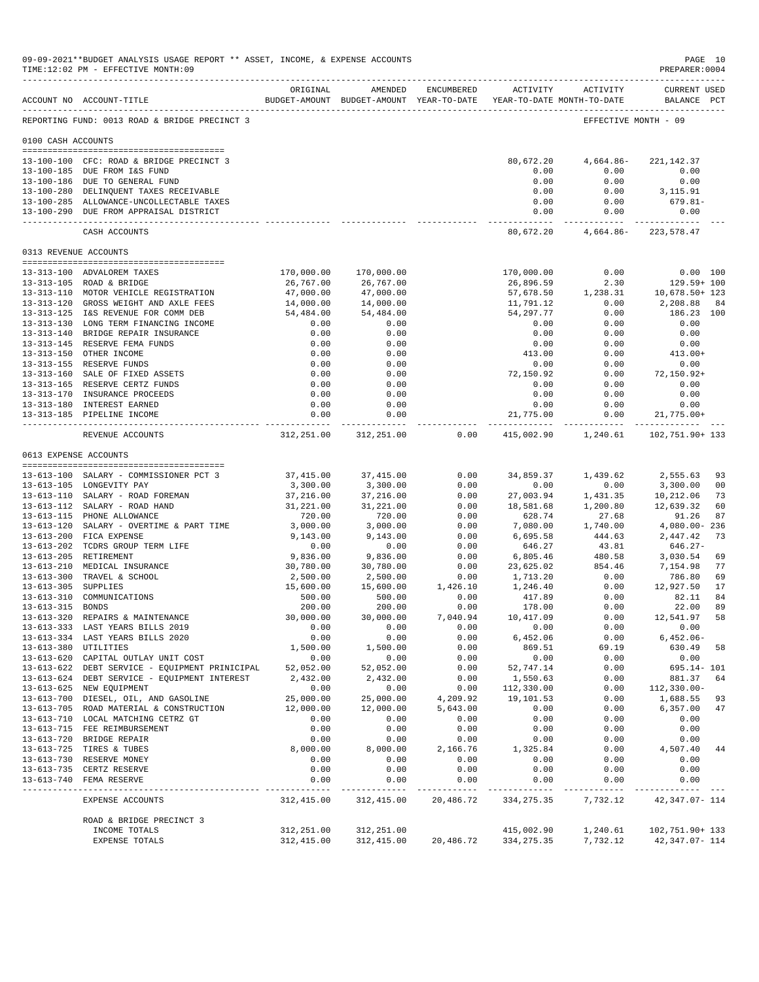|                       | 09-09-2021**BUDGET ANALYSIS USAGE REPORT ** ASSET, INCOME, & EXPENSE ACCOUNTS<br>TIME:12:02 PM - EFFECTIVE MONTH:09 |                           |                                                                                |                  |                              |                      | PAGE 10<br>PREPARER: 0004                 |                |
|-----------------------|---------------------------------------------------------------------------------------------------------------------|---------------------------|--------------------------------------------------------------------------------|------------------|------------------------------|----------------------|-------------------------------------------|----------------|
|                       | ACCOUNT NO ACCOUNT-TITLE                                                                                            | ORIGINAL                  | AMENDED<br>BUDGET-AMOUNT BUDGET-AMOUNT YEAR-TO-DATE YEAR-TO-DATE MONTH-TO-DATE | ENCUMBERED       | ACTIVITY                     | ACTIVITY             | <b>CURRENT USED</b><br>BALANCE PCT        |                |
|                       | REPORTING FUND: 0013 ROAD & BRIDGE PRECINCT 3                                                                       |                           |                                                                                |                  |                              |                      | EFFECTIVE MONTH - 09                      |                |
| 0100 CASH ACCOUNTS    |                                                                                                                     |                           |                                                                                |                  |                              |                      |                                           |                |
|                       | 13-100-100 CFC: ROAD & BRIDGE PRECINCT 3                                                                            |                           |                                                                                |                  | 80,672.20                    | 4,664.86-            | 221, 142.37                               |                |
|                       | 13-100-185 DUE FROM I&S FUND                                                                                        |                           |                                                                                |                  | 0.00                         | 0.00                 | 0.00                                      |                |
|                       | 13-100-186 DUE TO GENERAL FUND<br>13-100-280 DELINQUENT TAXES RECEIVABLE                                            |                           |                                                                                |                  | 0.00<br>0.00                 | 0.00<br>0.00         | 0.00<br>3,115.91                          |                |
|                       | 13-100-285 ALLOWANCE-UNCOLLECTABLE TAXES                                                                            |                           |                                                                                |                  | 0.00                         | 0.00                 | $679.81 -$                                |                |
|                       | 13-100-290 DUE FROM APPRAISAL DISTRICT                                                                              |                           |                                                                                |                  | 0.00<br>-------------        | 0.00<br>___________  | 0.00<br>______________                    |                |
|                       | CASH ACCOUNTS                                                                                                       |                           |                                                                                |                  | 80,672.20                    | 4,664.86-            | 223, 578.47                               |                |
| 0313 REVENUE ACCOUNTS |                                                                                                                     |                           |                                                                                |                  |                              |                      |                                           |                |
|                       | <br>13-313-100 ADVALOREM TAXES                                                                                      | 170,000.00                | 170,000.00                                                                     |                  | 170,000.00                   | 0.00                 |                                           | 0.00 100       |
|                       | 13-313-105 ROAD & BRIDGE                                                                                            | 26,767.00                 | 26,767.00                                                                      |                  | 26,896.59                    | 2.30                 | 129.59+ 100                               |                |
|                       | 13-313-110 MOTOR VEHICLE REGISTRATION                                                                               | 47,000.00                 | 47,000.00                                                                      |                  | 57,678.50                    | 1,238.31             | 10,678.50+ 123                            |                |
|                       | 13-313-120 GROSS WEIGHT AND AXLE FEES                                                                               | 14,000.00                 | 14,000.00                                                                      |                  | 11,791.12                    | 0.00                 | 2,208.88                                  | 84             |
|                       | 13-313-125 I&S REVENUE FOR COMM DEB<br>13-313-130 LONG TERM FINANCING INCOME                                        | 54,484.00<br>0.00         | 54,484.00<br>0.00                                                              |                  | 54, 297. 77<br>0.00          | 0.00<br>0.00         | 186.23 100<br>0.00                        |                |
|                       | 13-313-140 BRIDGE REPAIR INSURANCE                                                                                  | 0.00                      | 0.00                                                                           |                  | 0.00                         | 0.00                 | 0.00                                      |                |
|                       | 13-313-145 RESERVE FEMA FUNDS                                                                                       | 0.00                      | 0.00                                                                           |                  | 0.00                         | 0.00                 | 0.00                                      |                |
|                       | 13-313-150 OTHER INCOME                                                                                             | 0.00                      | 0.00                                                                           |                  | 413.00                       | 0.00                 | $413.00+$                                 |                |
|                       | 13-313-155 RESERVE FUNDS                                                                                            | 0.00                      | 0.00                                                                           |                  | 0.00                         | 0.00                 | 0.00                                      |                |
|                       | 13-313-160 SALE OF FIXED ASSETS<br>13-313-165 RESERVE CERTZ FUNDS                                                   | 0.00<br>0.00              | 0.00<br>0.00                                                                   |                  | 72,150.92<br>0.00            | 0.00<br>0.00         | $72, 150.92+$<br>0.00                     |                |
|                       | 13-313-170 INSURANCE PROCEEDS                                                                                       | 0.00                      | 0.00                                                                           |                  | 0.00                         | 0.00                 | 0.00                                      |                |
|                       | 13-313-180 INTEREST EARNED                                                                                          | 0.00                      | 0.00                                                                           |                  | 0.00                         | 0.00                 | 0.00                                      |                |
|                       | 13-313-185 PIPELINE INCOME                                                                                          | 0.00<br>-------------     | 0.00                                                                           |                  | 21,775.00<br>------------- - | 0.00<br>------------ | $21,775.00+$                              |                |
|                       | REVENUE ACCOUNTS                                                                                                    | 312,251.00                | 312,251.00                                                                     | 0.00             | 415,002.90                   | 1,240.61             | 102,751.90+ 133                           |                |
|                       | 0613 EXPENSE ACCOUNTS                                                                                               |                           |                                                                                |                  |                              |                      |                                           |                |
|                       | 13-613-100 SALARY - COMMISSIONER PCT 3                                                                              | 37,415.00                 | 37, 415.00                                                                     | 0.00             | 34,859.37                    | 1,439.62             | 2,555.63                                  | 93             |
|                       | 13-613-105 LONGEVITY PAY                                                                                            | 3,300.00                  | 3,300.00                                                                       | 0.00             | 0.00                         | 0.00                 | 3,300.00                                  | 0 <sub>0</sub> |
|                       | 13-613-110 SALARY - ROAD FOREMAN                                                                                    | 37,216.00                 | 37,216.00                                                                      | 0.00             | 27,003.94                    | 1,431.35             | 10,212.06                                 | 73             |
|                       | 13-613-112 SALARY - ROAD HAND<br>13-613-115 PHONE ALLOWANCE                                                         | 31,221.00<br>720.00       | 31,221.00<br>720.00                                                            | 0.00<br>0.00     | 18,581.68<br>628.74          | 1,200.80<br>27.68    | 12,639.32<br>91.26                        | 60<br>87       |
|                       | 13-613-120 SALARY - OVERTIME & PART TIME                                                                            | 3,000.00                  | 3,000.00                                                                       | 0.00             | 7,080.00                     | 1,740.00             | 4,080.00-236                              |                |
|                       | 13-613-200 FICA EXPENSE                                                                                             | 9,143.00                  | 9,143.00                                                                       | 0.00             | 6,695.58                     | 444.63               | 2,447.42                                  | 73             |
|                       | 13-613-202 TCDRS GROUP TERM LIFE                                                                                    | 0.00                      | 0.00                                                                           | 0.00             | 646.27                       | 43.81                | 646.27-                                   |                |
|                       | 13-613-205 RETIREMENT                                                                                               | 9,836.00                  | 9,836.00                                                                       | 0.00             | 6,805.46                     | 480.58               | 3,030.54                                  | 69             |
|                       | 13-613-210 MEDICAL INSURANCE<br>13-613-300 TRAVEL & SCHOOL                                                          | 30,780.00<br>2,500.00     | 30,780.00<br>2,500.00                                                          | 0.00<br>0.00     | 23,625.02<br>1,713.20        | 854.46<br>0.00       | 7,154.98<br>786.80                        | 77<br>69       |
| 13-613-305 SUPPLIES   |                                                                                                                     | 15,600.00                 | 15,600.00                                                                      | 1,426.10         | 1,246.40                     | 0.00                 | 12,927.50                                 | 17             |
|                       | 13-613-310 COMMUNICATIONS                                                                                           | 500.00                    | 500.00                                                                         | 0.00             | 417.89                       | 0.00                 | 82.11                                     | 84             |
| $13 - 613 - 315$      | <b>BONDS</b>                                                                                                        | 200.00                    | 200.00                                                                         | 0.00             | 178.00                       | 0.00                 | 22.00                                     | 89             |
|                       | 13-613-320 REPAIRS & MAINTENANCE<br>13-613-333 LAST YEARS BILLS 2019                                                | 30,000.00<br>0.00         | 30,000.00<br>0.00                                                              | 7,040.94<br>0.00 | 10,417.09<br>0.00            | 0.00<br>0.00         | 12,541.97 58<br>0.00                      |                |
|                       | 13-613-334 LAST YEARS BILLS 2020                                                                                    | 0.00                      | 0.00                                                                           | 0.00             | 6,452.06                     | 0.00                 | $6,452.06-$                               |                |
|                       | 13-613-380 UTILITIES                                                                                                | 1,500.00                  | 1,500.00                                                                       | 0.00             | 869.51                       | 69.19                | 630.49                                    | 58             |
|                       | 13-613-620 CAPITAL OUTLAY UNIT COST                                                                                 | 0.00                      | 0.00                                                                           | 0.00             | 0.00                         | 0.00                 | 0.00                                      |                |
|                       | 13-613-622 DEBT SERVICE - EQUIPMENT PRINICIPAL                                                                      | 52,052.00                 | 52,052.00                                                                      | 0.00             | 52,747.14                    | 0.00                 | 695.14- 101                               |                |
|                       | 13-613-624 DEBT SERVICE - EQUIPMENT INTEREST<br>13-613-625 NEW EQUIPMENT                                            | 2,432.00<br>0.00          | 2,432.00<br>0.00                                                               | 0.00<br>0.00     | 1,550.63<br>112,330.00       | 0.00<br>0.00         | 881.37<br>$112, 330.00 -$                 | 64             |
|                       | 13-613-700 DIESEL, OIL, AND GASOLINE                                                                                | 25,000.00                 | 25,000.00                                                                      | 4,209.92         | 19,101.53                    | 0.00                 | 1,688.55                                  | 93             |
|                       | 13-613-705 ROAD MATERIAL & CONSTRUCTION                                                                             | 12,000.00                 | 12,000.00                                                                      | 5,643.00         | 0.00                         | 0.00                 | 6,357.00                                  | 47             |
|                       | 13-613-710 LOCAL MATCHING CETRZ GT                                                                                  | 0.00                      | 0.00                                                                           | 0.00             | 0.00                         | 0.00                 | 0.00                                      |                |
|                       | 13-613-715 FEE REIMBURSEMENT                                                                                        | 0.00                      | 0.00                                                                           | 0.00             | 0.00                         | 0.00                 | 0.00                                      |                |
|                       | 13-613-720 BRIDGE REPAIR<br>13-613-725 TIRES & TUBES                                                                | 0.00<br>8,000.00          | 0.00<br>8,000.00                                                               | 0.00<br>2,166.76 | 0.00<br>1,325.84             | 0.00<br>0.00         | 0.00<br>4,507.40                          | 44             |
|                       | 13-613-730 RESERVE MONEY                                                                                            | 0.00                      | 0.00                                                                           | 0.00             | 0.00                         | 0.00                 | 0.00                                      |                |
|                       | 13-613-735 CERTZ RESERVE                                                                                            | 0.00                      | 0.00                                                                           | 0.00             | 0.00                         | 0.00                 | 0.00                                      |                |
|                       | 13-613-740 FEMA RESERVE                                                                                             | 0.00                      | 0.00<br>-------------                                                          | 0.00<br>.        | 0.00<br>-----------          | 0.00<br>------------ | 0.00                                      |                |
|                       | EXPENSE ACCOUNTS                                                                                                    | 312,415.00                | 312,415.00                                                                     | 20,486.72        | 334, 275.35                  | 7,732.12             | 42, 347.07- 114                           |                |
|                       | ROAD & BRIDGE PRECINCT 3                                                                                            |                           |                                                                                |                  |                              |                      |                                           |                |
|                       | INCOME TOTALS<br>EXPENSE TOTALS                                                                                     | 312,251.00<br>312, 415.00 | 312,251.00<br>312,415.00                                                       | 20,486.72        | 415,002.90<br>334, 275.35    | 1,240.61             | 102,751.90+ 133<br>7,732.12 42,347.07-114 |                |
|                       |                                                                                                                     |                           |                                                                                |                  |                              |                      |                                           |                |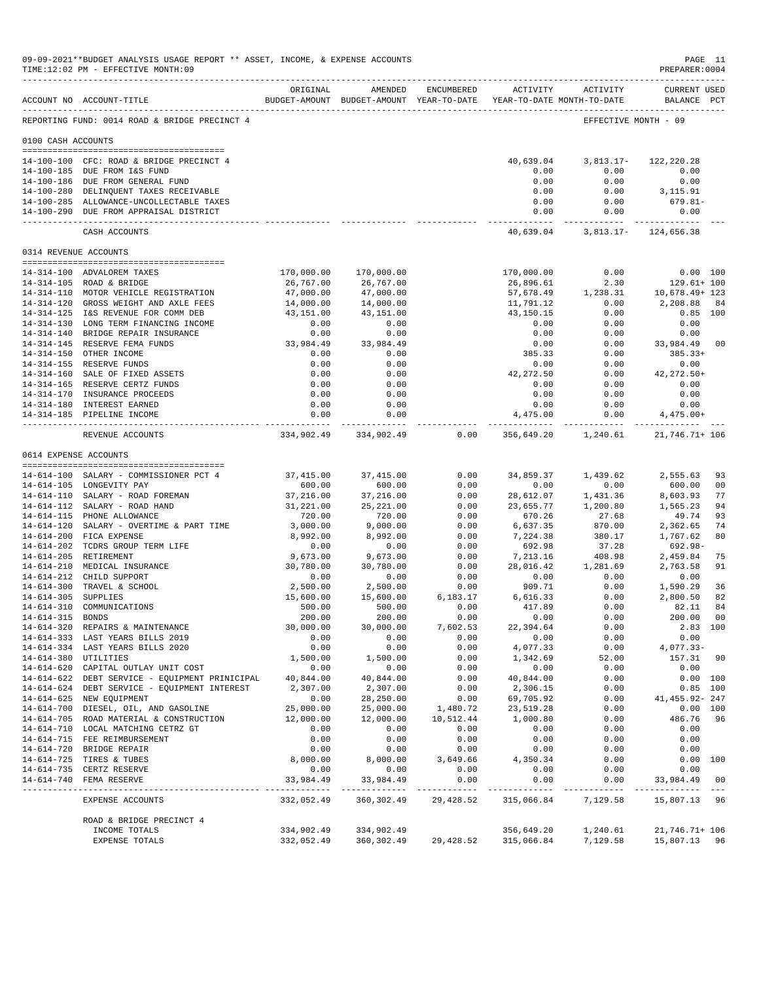|                       | 09-09-2021**BUDGET ANALYSIS USAGE REPORT ** ASSET, INCOME, & EXPENSE ACCOUNTS<br>TIME:12:02 PM - EFFECTIVE MONTH:09<br>-------------------------------------- |                             |                                                                                |                   |                              |                                            | PAGE 11<br>PREPARER: 0004             |                |
|-----------------------|---------------------------------------------------------------------------------------------------------------------------------------------------------------|-----------------------------|--------------------------------------------------------------------------------|-------------------|------------------------------|--------------------------------------------|---------------------------------------|----------------|
|                       | ACCOUNT NO ACCOUNT-TITLE                                                                                                                                      | ORIGINAL                    | AMENDED<br>BUDGET-AMOUNT BUDGET-AMOUNT YEAR-TO-DATE YEAR-TO-DATE MONTH-TO-DATE | <b>ENCUMBERED</b> |                              | ACTIVITY ACTIVITY                          | <b>CURRENT USED</b><br>BALANCE PCT    |                |
|                       | REPORTING FUND: 0014 ROAD & BRIDGE PRECINCT 4                                                                                                                 |                             |                                                                                |                   |                              |                                            | EFFECTIVE MONTH - 09                  |                |
| 0100 CASH ACCOUNTS    |                                                                                                                                                               |                             |                                                                                |                   |                              |                                            |                                       |                |
|                       | 14-100-100 CFC: ROAD & BRIDGE PRECINCT 4                                                                                                                      |                             |                                                                                |                   | 40,639.04                    | 3,813.17-                                  | 122,220.28                            |                |
|                       | 14-100-185 DUE FROM I&S FUND                                                                                                                                  |                             |                                                                                |                   | 0.00                         | 0.00                                       | 0.00                                  |                |
|                       | 14-100-186 DUE FROM GENERAL FUND                                                                                                                              |                             |                                                                                |                   | 0.00                         | 0.00                                       | 0.00                                  |                |
|                       | 14-100-280 DELINQUENT TAXES RECEIVABLE                                                                                                                        |                             |                                                                                |                   | 0.00                         | 0.00                                       | 3,115.91<br>679.81-                   |                |
|                       | 14-100-285 ALLOWANCE-UNCOLLECTABLE TAXES<br>14-100-290 DUE FROM APPRAISAL DISTRICT                                                                            |                             |                                                                                |                   | 0.00<br>0.00                 | 0.00<br>0.00                               | 0.00                                  |                |
|                       | CASH ACCOUNTS                                                                                                                                                 |                             |                                                                                |                   | ------------- .<br>40,639.04 | ---------------                            | -------------<br>3,813.17- 124,656.38 |                |
| 0314 REVENUE ACCOUNTS |                                                                                                                                                               |                             |                                                                                |                   |                              |                                            |                                       |                |
|                       | 14-314-100 ADVALOREM TAXES                                                                                                                                    | 170,000.00                  | 170,000.00                                                                     |                   | 170,000.00                   | 0.00                                       | 0.00 100                              |                |
|                       | 14-314-105 ROAD & BRIDGE                                                                                                                                      | 26,767.00                   | 26,767.00                                                                      |                   | 26,896.61                    | 2.30                                       | $129.61 + 100$                        |                |
|                       | 14-314-110 MOTOR VEHICLE REGISTRATION                                                                                                                         | 47,000.00                   | 47,000.00                                                                      |                   |                              | 57,678.49 1,238.31                         | 10,678.49+ 123                        |                |
|                       | 14-314-120 GROSS WEIGHT AND AXLE FEES<br>14-314-125 I&S REVENUE FOR COMM DEB                                                                                  | 14,000.00                   | 14,000.00                                                                      |                   | 11,791.12                    | 0.00                                       | 2,208.88                              | 84             |
|                       | 14-314-130 LONG TERM FINANCING INCOME                                                                                                                         | 43,151.00<br>0.00           | 43,151.00<br>0.00                                                              |                   | 43,150.15<br>0.00            | 0.00<br>0.00                               | 0.00                                  | $0.85$ 100     |
|                       | 14-314-140 BRIDGE REPAIR INSURANCE                                                                                                                            | 0.00                        | 0.00                                                                           |                   | 0.00                         | 0.00                                       | 0.00                                  |                |
|                       | 14-314-145 RESERVE FEMA FUNDS                                                                                                                                 | 33,984.49                   | 33,984.49                                                                      |                   | 0.00                         | 0.00                                       | 33,984.49                             | 00             |
|                       | 14-314-150 OTHER INCOME                                                                                                                                       | 0.00                        | 0.00                                                                           |                   | 385.33                       | 0.00                                       | $385.33+$                             |                |
|                       | 14-314-155 RESERVE FUNDS                                                                                                                                      | 0.00                        | 0.00                                                                           |                   | 0.00                         | 0.00                                       | 0.00                                  |                |
|                       | 14-314-160 SALE OF FIXED ASSETS<br>14-314-165 RESERVE CERTZ FUNDS                                                                                             | 0.00<br>0.00                | 0.00                                                                           |                   | 42,272.50<br>0.00            | 0.00                                       | 42,272.50+<br>0.00                    |                |
|                       | 14-314-170 INSURANCE PROCEEDS                                                                                                                                 | 0.00                        | 0.00<br>0.00                                                                   |                   | 0.00                         | 0.00<br>0.00                               | 0.00                                  |                |
|                       | 14-314-180 INTEREST EARNED                                                                                                                                    | 0.00                        | 0.00                                                                           |                   | 0.00                         | 0.00                                       | 0.00                                  |                |
|                       | 14-314-185 PIPELINE INCOME                                                                                                                                    | 0.00                        | 0.00                                                                           |                   | 4,475.00                     | 0.00                                       | 4,475.00+                             |                |
|                       | REVENUE ACCOUNTS                                                                                                                                              | -------------<br>334,902.49 | 334,902.49                                                                     | 0.00              | 356,649.20                   | . <b>.</b> .<br>1,240.61                   | 21,746.71+ 106                        |                |
| 0614 EXPENSE ACCOUNTS |                                                                                                                                                               |                             |                                                                                |                   |                              |                                            |                                       |                |
|                       | 14-614-100 SALARY - COMMISSIONER PCT 4                                                                                                                        | 37,415.00                   | 37, 415.00                                                                     | 0.00              |                              | 34,859.37 1,439.62                         | 2,555.63                              | 93             |
|                       | 14-614-105 LONGEVITY PAY                                                                                                                                      | 600.00                      | 600.00                                                                         | 0.00              | 0.00                         | 0.00                                       | 600.00                                | 0 <sub>0</sub> |
|                       | 14-614-110 SALARY - ROAD FOREMAN                                                                                                                              | 37,216.00                   | 37,216.00                                                                      | 0.00              | 28,612.07                    | 1,431.36                                   | 8,603.93                              | 77             |
|                       | 14-614-112 SALARY - ROAD HAND                                                                                                                                 | 31,221.00                   | 25, 221.00                                                                     | 0.00              | 23,655.77                    | 1,200.80                                   | 1,565.23                              | 94             |
|                       | 14-614-115 PHONE ALLOWANCE<br>14-614-120 SALARY - OVERTIME & PART TIME                                                                                        | 720.00<br>3,000.00          | 720.00<br>9,000.00                                                             | 0.00<br>0.00      | 670.26<br>6,637.35           | 27.68<br>870.00                            | 49.74<br>2,362.65                     | 93<br>74       |
|                       | 14-614-200 FICA EXPENSE                                                                                                                                       | 8,992.00                    | 8,992.00                                                                       | 0.00              | 7,224.38                     | 380.17                                     | 1,767.62                              | 80             |
|                       | 14-614-202 TCDRS GROUP TERM LIFE                                                                                                                              | 0.00                        | 0.00                                                                           | 0.00              | 692.98                       | 37.28                                      | 692.98-                               |                |
|                       | 14-614-205 RETIREMENT                                                                                                                                         | 9,673.00                    | 9,673.00                                                                       | 0.00              | 7,213.16                     | 408.98                                     | 2,459.84                              | 75             |
|                       | 14-614-210 MEDICAL INSURANCE                                                                                                                                  | 30,780.00                   | 30,780.00                                                                      | 0.00              |                              | 28,016.42 1,281.69                         | 2,763.58                              | 91             |
|                       | 14-614-212 CHILD SUPPORT                                                                                                                                      | 0.00                        | 0.00                                                                           | 0.00              | 0.00                         | 0.00                                       | 0.00                                  |                |
| 14-614-305 SUPPLIES   | 14-614-300 TRAVEL & SCHOOL                                                                                                                                    | 2,500.00<br>15,600.00       | 2,500.00<br>15,600.00                                                          | 0.00<br>6,183.17  | 909.71<br>6,616.33           | 0.00<br>0.00                               | 1,590.29<br>2,800.50                  | 36<br>82       |
| $14 - 614 - 310$      | COMMUNICATIONS                                                                                                                                                | 500.00                      | 500.00                                                                         | 0.00              | 417.89                       | 0.00                                       | 82.11                                 | 84             |
| 14-614-315 BONDS      |                                                                                                                                                               | 200.00                      | 200.00                                                                         | 0.00              | 0.00                         | 0.00                                       | 200.00 00                             |                |
|                       | 14-614-320 REPAIRS & MAINTENANCE                                                                                                                              | 30,000.00                   | 30,000.00                                                                      | 7,602.53          | 22,394.64                    | 0.00                                       | 2.83 100                              |                |
|                       | 14-614-333 LAST YEARS BILLS 2019                                                                                                                              | 0.00                        | 0.00                                                                           | 0.00              | 0.00                         | 0.00                                       | 0.00                                  |                |
| 14-614-380 UTILITIES  | 14-614-334 LAST YEARS BILLS 2020                                                                                                                              | 0.00<br>1,500.00            | 0.00<br>1,500.00                                                               | 0.00<br>0.00      | 4,077.33<br>1,342.69         | 0.00<br>52.00                              | 4,077.33-<br>157.31 90                |                |
|                       | 14-614-620 CAPITAL OUTLAY UNIT COST                                                                                                                           | 0.00                        | 0.00                                                                           | 0.00              | 0.00                         | 0.00                                       | 0.00                                  |                |
|                       | 14-614-622 DEBT SERVICE - EQUIPMENT PRINICIPAL                                                                                                                | 40,844.00                   | 40,844.00                                                                      | 0.00              | 40,844.00                    | 0.00                                       | 0.00 100                              |                |
|                       | 14-614-624 DEBT SERVICE - EQUIPMENT INTEREST                                                                                                                  | 2,307.00                    | 2,307.00                                                                       | 0.00              | 2,306.15                     | 0.00                                       | $0.85$ 100                            |                |
|                       | 14-614-625 NEW EQUIPMENT                                                                                                                                      | 0.00                        | 28,250.00                                                                      | 0.00              | 69,705.92                    | 0.00                                       | 41, 455. 92- 247                      |                |
|                       | 14-614-700 DIESEL, OIL, AND GASOLINE                                                                                                                          | 25,000.00                   | 25,000.00                                                                      | 1,480.72          | 23,519.28                    | 0.00                                       |                                       | 0.00 100       |
|                       | 14-614-705 ROAD MATERIAL & CONSTRUCTION<br>14-614-710 LOCAL MATCHING CETRZ GT                                                                                 | 12,000.00<br>0.00           | 12,000.00<br>0.00                                                              | 10,512.44<br>0.00 | 1,000.80<br>0.00             | 0.00<br>0.00                               | 486.76 96<br>0.00                     |                |
|                       | 14-614-715 FEE REIMBURSEMENT                                                                                                                                  | 0.00                        | 0.00                                                                           | 0.00              | 0.00                         | 0.00                                       | 0.00                                  |                |
|                       | 14-614-720 BRIDGE REPAIR                                                                                                                                      | 0.00                        | 0.00                                                                           | 0.00              | 0.00                         | 0.00                                       | 0.00                                  |                |
|                       | 14-614-725 TIRES & TUBES                                                                                                                                      | 8,000.00                    | 8,000.00                                                                       | 3,649.66          | 4,350.34                     | 0.00                                       | 0.00 100                              |                |
|                       | 14-614-735 CERTZ RESERVE                                                                                                                                      | 0.00                        | 0.00                                                                           | 0.00              | 0.00                         | 0.00                                       | 0.00                                  |                |
|                       | 14-614-740 FEMA RESERVE                                                                                                                                       | 33,984.49                   | 33,984.49                                                                      | 0.00              | 0.00                         | 0.00                                       | 33,984.49 00                          |                |
|                       | EXPENSE ACCOUNTS                                                                                                                                              | 332,052.49                  | 360,302.49                                                                     | 29,428.52         | 315,066.84                   | 7,129.58                                   | 15,807.13 96                          |                |
|                       | ROAD & BRIDGE PRECINCT 4                                                                                                                                      |                             |                                                                                |                   |                              |                                            |                                       |                |
|                       | INCOME TOTALS                                                                                                                                                 | 334,902.49                  | 334,902.49                                                                     |                   | 356,649.20                   | 1,240.61                                   | 21,746.71+ 106                        |                |
|                       | EXPENSE TOTALS                                                                                                                                                |                             | 332,052.49 360,302.49                                                          |                   |                              | 29,428.52 315,066.84 7,129.58 15,807.13 96 |                                       |                |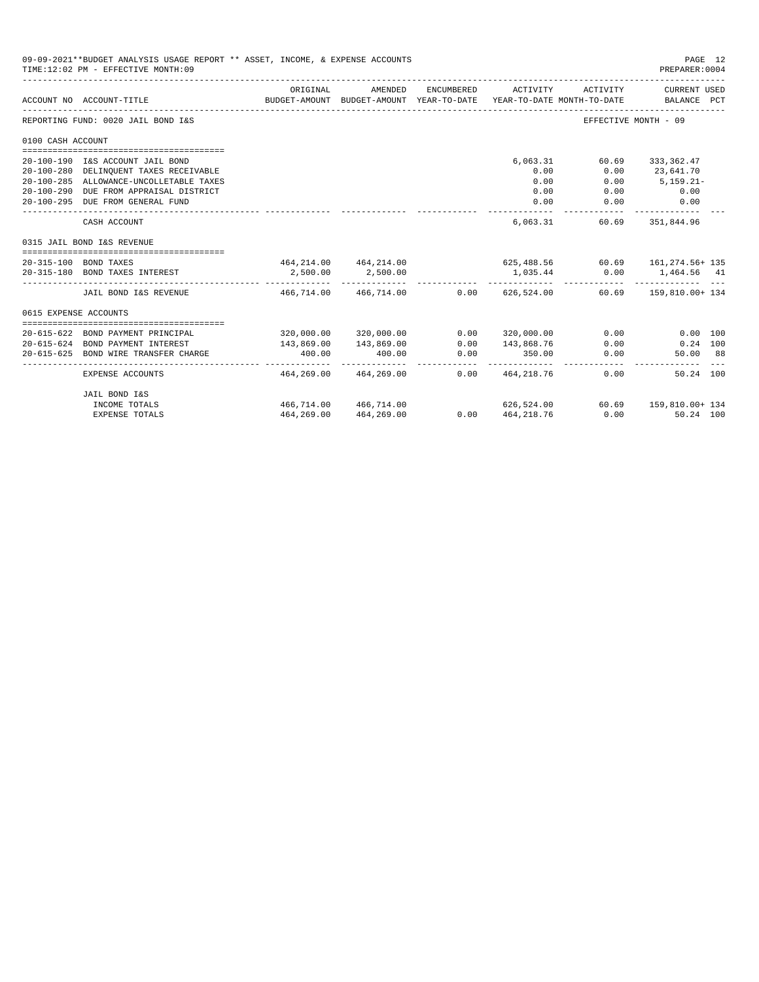|                       | 09-09-2021**BUDGET ANALYSIS USAGE REPORT ** ASSET, INCOME, & EXPENSE ACCOUNTS<br>TIME: 12:02 PM - EFFECTIVE MONTH: 09 |                                                       |                                                     |                     |                          |                                        | PAGE 12<br>PREPARER: 0004        |  |
|-----------------------|-----------------------------------------------------------------------------------------------------------------------|-------------------------------------------------------|-----------------------------------------------------|---------------------|--------------------------|----------------------------------------|----------------------------------|--|
|                       | ACCOUNT NO ACCOUNT-TITLE                                                                                              | ORIGINAL                                              | AMENDED<br>BUDGET-AMOUNT BUDGET-AMOUNT YEAR-TO-DATE | ENCUMBERED          | ACTIVITY                 | ACTIVITY<br>YEAR-TO-DATE MONTH-TO-DATE | CURRENT USED<br>BALANCE PCT      |  |
|                       | REPORTING FUND: 0020 JAIL BOND I&S                                                                                    |                                                       |                                                     |                     |                          |                                        | EFFECTIVE MONTH - 09             |  |
| 0100 CASH ACCOUNT     |                                                                                                                       |                                                       |                                                     |                     |                          |                                        |                                  |  |
|                       | 20-100-190 I&S ACCOUNT JAIL BOND<br>20-100-280 DELINQUENT TAXES RECEIVABLE                                            |                                                       |                                                     |                     | 6,063.31<br>0.00         | 60.69<br>0.00                          | 333,362.47<br>23,641.70          |  |
|                       | 20-100-285 ALLOWANCE-UNCOLLETABLE TAXES<br>20-100-290 DUE FROM APPRAISAL DISTRICT<br>20-100-295 DUE FROM GENERAL FUND |                                                       |                                                     |                     | 0.00<br>0.00<br>0.00     | 0.00<br>0.00<br>0.00                   | $5,159.21-$<br>0.00<br>0.00      |  |
|                       | CASH ACCOUNT                                                                                                          |                                                       |                                                     |                     | 6.063.31                 |                                        | ------------<br>60.69 351.844.96 |  |
|                       | 0315 JAIL BOND I&S REVENUE                                                                                            |                                                       |                                                     |                     |                          |                                        |                                  |  |
| 20-315-100 BOND TAXES | 20-315-180 BOND TAXES INTEREST                                                                                        | 464,214.00 464,214.00 625,488.56 60.69 161,274.56+135 | 2,500.00 2,500.00                                   |                     |                          | 1,035.44 0.00 1,464.56 41              | . <u>.</u>                       |  |
|                       | JAIL BOND I&S REVENUE $466.714.00$ $466.714.00$                                                                       |                                                       |                                                     |                     | $0.00$ $626.524.00$      |                                        | 60.69 159,810.00+ 134            |  |
| 0615 EXPENSE ACCOUNTS |                                                                                                                       |                                                       |                                                     |                     |                          |                                        |                                  |  |
|                       | 20-615-622 BOND PAYMENT PRINCIPAL                                                                                     |                                                       | 320,000.00 320,000.00                               | 0.00                | 320,000.00               | 0.00                                   | 0.00 100                         |  |
|                       | 20-615-624 BOND PAYMENT INTEREST                                                                                      | 143,869.00                                            | 143,869.00                                          | 0.00                | 143,868.76               | 0.00                                   | $0.24$ 100                       |  |
|                       | 20-615-625 BOND WIRE TRANSFER CHARGE                                                                                  | 400.00<br>-------------                               | 400.00<br>. <u>.</u> .                              | 0.00<br>.           | 350.00<br>-------------  | 0.00                                   | 50.00 88                         |  |
|                       | EXPENSE ACCOUNTS                                                                                                      | 464,269.00                                            | 464,269.00                                          |                     | $0.00 \qquad 464.218.76$ |                                        | 0.00<br>50.24 100                |  |
|                       | JAIL BOND I&S                                                                                                         |                                                       |                                                     |                     |                          |                                        |                                  |  |
|                       | INCOME TOTALS                                                                                                         | 466,714.00 466,714.00                                 |                                                     |                     |                          | 626,524.00 60.69 159,810.00+ 134       |                                  |  |
|                       | <b>EXPENSE TOTALS</b>                                                                                                 |                                                       | 464, 269.00 464, 269.00                             | $0.00$ $464,218.76$ |                          |                                        | 0.00<br>50.24 100                |  |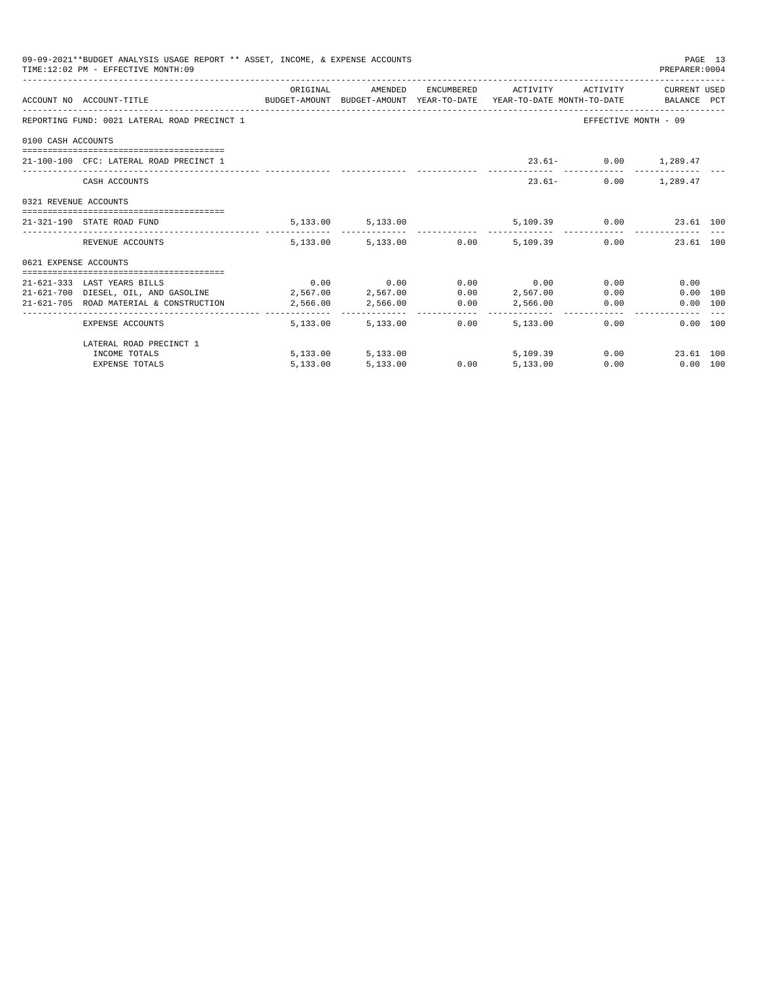|                       | 09-09-2021**BUDGET ANALYSIS USAGE REPORT ** ASSET, INCOME, & EXPENSE ACCOUNTS<br>TIME: 12:02 PM - EFFECTIVE MONTH: 09 |          |                        |                                                  |                               | PAGE 13<br>PREPARER: 0004 |               |
|-----------------------|-----------------------------------------------------------------------------------------------------------------------|----------|------------------------|--------------------------------------------------|-------------------------------|---------------------------|---------------|
|                       |                                                                                                                       | ORIGINAL |                        | AMENDED ENCUMBERED ACTIVITY ACTIVITY CURRENTUSED |                               |                           |               |
|                       | ACCOUNT NO ACCOUNT-TITLE CONTROL BUDGET-AMOUNT BUDGET-AMOUNT YEAR-TO-DATE YEAR-TO-DATE MONTH-TO-DATE BALANCE PCT      |          |                        |                                                  |                               |                           |               |
|                       | REPORTING FUND: 0021 LATERAL ROAD PRECINCT 1                                                                          |          |                        |                                                  | EFFECTIVE MONTH - 09          |                           |               |
| 0100 CASH ACCOUNTS    |                                                                                                                       |          |                        |                                                  |                               |                           |               |
|                       | 21-100-100 CFC: LATERAL ROAD PRECINCT 1                                                                               |          |                        |                                                  | 23.61- 0.00 1,289.47          |                           |               |
|                       |                                                                                                                       |          |                        |                                                  |                               |                           |               |
|                       | CASH ACCOUNTS                                                                                                         |          |                        |                                                  | 23.61- 0.00 1.289.47          |                           |               |
| 0321 REVENUE ACCOUNTS |                                                                                                                       |          |                        |                                                  |                               |                           |               |
|                       | 21-321-190 STATE ROAD FUND                                                                                            |          | 5, 133.00 5, 133.00    |                                                  | 5,109.39   0.00   23.61   100 |                           |               |
|                       | REVENUE ACCOUNTS                                                                                                      |          |                        | 5,133.00 5,133.00 0.00 5,109.39 0.00 23.61 100   |                               |                           | $\frac{1}{2}$ |
| 0621 EXPENSE ACCOUNTS |                                                                                                                       |          |                        |                                                  |                               |                           |               |
|                       | 21-621-333 LAST YEARS BILLS                                                                                           |          |                        | $0.00$ $0.00$ $0.00$ $0.00$ $0.00$               | $0.00$ and $0.00$             | 0.00                      |               |
|                       | $21-621-700$ DIESEL, OIL, AND GASOLINE $2,567.00$ $2,567.00$ $0.00$ $2,567.00$                                        |          |                        |                                                  | 0.00                          | 0.00 100                  |               |
|                       | 21-621-705 ROAD MATERIAL & CONSTRUCTION 2,566.00 2,566.00 0.00 2,566.00                                               |          |                        |                                                  | 0.00                          | 0.00 100                  |               |
|                       | EXPENSE ACCOUNTS                                                                                                      |          | 5,133.00 5,133.00 0.00 | 5,133,00                                         | 0.00                          | 0.00 100                  |               |
|                       | LATERAL ROAD PRECINCT 1                                                                                               |          |                        |                                                  |                               |                           |               |
|                       | INCOME TOTALS                                                                                                         |          |                        | 5,133.00 5,133.00 5,109.39                       | 0.00                          | 23.61 100                 |               |
|                       | <b>EXPENSE TOTALS</b>                                                                                                 | 5,133.00 | 5,133.00               | $0.00$ $5,133.00$                                | 0.00                          | $0.00$ 100                |               |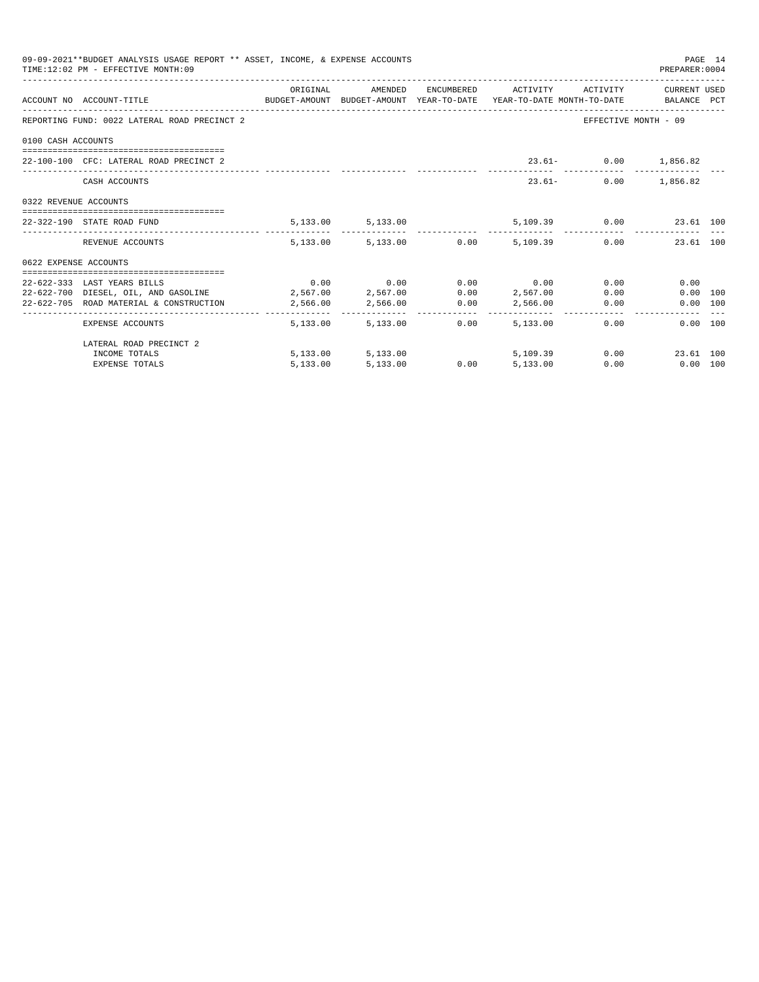| 09-09-2021**BUDGET ANALYSIS USAGE REPORT ** ASSET, INCOME, & EXPENSE ACCOUNTS<br>PAGE 14<br>TIME: 12:02 PM - EFFECTIVE MONTH: 09<br>PREPARER: 0004<br>ORIGINAL<br>AMENDED<br>ENCUMBERED ACTIVITY ACTIVITY CURRENT USED<br>ACCOUNT NO ACCOUNT-TITLE CONTROL PRODUCET-AMOUNT BUDGET-AMOUNT YEAR-TO-DATE YEAR-TO-DATE MONTH-TO-DATE BALANCE PCT<br>REPORTING FUND: 0022 LATERAL ROAD PRECINCT 2<br>EFFECTIVE MONTH - 09<br>0100 CASH ACCOUNTS<br>23.61- 0.00 1,856.82<br>22-100-100 CFC: LATERAL ROAD PRECINCT 2<br>1,856.82<br>$23.61-$<br>0.00<br>CASH ACCOUNTS<br>0322 REVENUE ACCOUNTS<br>5,109.39 0.00 23.61 100<br>5, 133.00 5, 133.00<br>22-322-190 STATE ROAD FUND<br>$5,133.00$ $5,133.00$ $0.00$ $5,109.39$ $0.00$<br>23.61 100<br>REVENUE ACCOUNTS<br>0622 EXPENSE ACCOUNTS<br>$0.00$ $0.00$ $0.00$ $0.00$ $0.00$<br>22-622-333 LAST YEARS BILLS<br>0.00<br>0.00<br>$22-622-700$ DIESEL, OIL, AND GASOLINE $2,567.00$ $2,567.00$ $0.00$ $2,567.00$<br>0.00<br>0.00 100<br>22-622-705 ROAD MATERIAL & CONSTRUCTION 2,566.00 2,566.00 0.00 2,566.00<br>0.00<br>0.00 100<br>5,133.00<br>0.00<br>5,133,00<br>5,133,00<br>0.00<br>0.00 100<br>EXPENSE ACCOUNTS<br>LATERAL ROAD PRECINCT 2 |                       |          |                     |      |          |      |                   |  |
|----------------------------------------------------------------------------------------------------------------------------------------------------------------------------------------------------------------------------------------------------------------------------------------------------------------------------------------------------------------------------------------------------------------------------------------------------------------------------------------------------------------------------------------------------------------------------------------------------------------------------------------------------------------------------------------------------------------------------------------------------------------------------------------------------------------------------------------------------------------------------------------------------------------------------------------------------------------------------------------------------------------------------------------------------------------------------------------------------------------------------------------------------------------------------------------------|-----------------------|----------|---------------------|------|----------|------|-------------------|--|
|                                                                                                                                                                                                                                                                                                                                                                                                                                                                                                                                                                                                                                                                                                                                                                                                                                                                                                                                                                                                                                                                                                                                                                                              |                       |          |                     |      |          |      |                   |  |
|                                                                                                                                                                                                                                                                                                                                                                                                                                                                                                                                                                                                                                                                                                                                                                                                                                                                                                                                                                                                                                                                                                                                                                                              |                       |          |                     |      |          |      |                   |  |
|                                                                                                                                                                                                                                                                                                                                                                                                                                                                                                                                                                                                                                                                                                                                                                                                                                                                                                                                                                                                                                                                                                                                                                                              |                       |          |                     |      |          |      |                   |  |
|                                                                                                                                                                                                                                                                                                                                                                                                                                                                                                                                                                                                                                                                                                                                                                                                                                                                                                                                                                                                                                                                                                                                                                                              |                       |          |                     |      |          |      |                   |  |
|                                                                                                                                                                                                                                                                                                                                                                                                                                                                                                                                                                                                                                                                                                                                                                                                                                                                                                                                                                                                                                                                                                                                                                                              |                       |          |                     |      |          |      |                   |  |
|                                                                                                                                                                                                                                                                                                                                                                                                                                                                                                                                                                                                                                                                                                                                                                                                                                                                                                                                                                                                                                                                                                                                                                                              |                       |          |                     |      |          |      |                   |  |
|                                                                                                                                                                                                                                                                                                                                                                                                                                                                                                                                                                                                                                                                                                                                                                                                                                                                                                                                                                                                                                                                                                                                                                                              |                       |          |                     |      |          |      |                   |  |
|                                                                                                                                                                                                                                                                                                                                                                                                                                                                                                                                                                                                                                                                                                                                                                                                                                                                                                                                                                                                                                                                                                                                                                                              |                       |          |                     |      |          |      |                   |  |
|                                                                                                                                                                                                                                                                                                                                                                                                                                                                                                                                                                                                                                                                                                                                                                                                                                                                                                                                                                                                                                                                                                                                                                                              |                       |          |                     |      |          |      |                   |  |
|                                                                                                                                                                                                                                                                                                                                                                                                                                                                                                                                                                                                                                                                                                                                                                                                                                                                                                                                                                                                                                                                                                                                                                                              |                       |          |                     |      |          |      |                   |  |
|                                                                                                                                                                                                                                                                                                                                                                                                                                                                                                                                                                                                                                                                                                                                                                                                                                                                                                                                                                                                                                                                                                                                                                                              |                       |          |                     |      |          |      |                   |  |
|                                                                                                                                                                                                                                                                                                                                                                                                                                                                                                                                                                                                                                                                                                                                                                                                                                                                                                                                                                                                                                                                                                                                                                                              |                       |          |                     |      |          |      |                   |  |
|                                                                                                                                                                                                                                                                                                                                                                                                                                                                                                                                                                                                                                                                                                                                                                                                                                                                                                                                                                                                                                                                                                                                                                                              |                       |          |                     |      |          |      |                   |  |
|                                                                                                                                                                                                                                                                                                                                                                                                                                                                                                                                                                                                                                                                                                                                                                                                                                                                                                                                                                                                                                                                                                                                                                                              |                       |          |                     |      |          |      |                   |  |
|                                                                                                                                                                                                                                                                                                                                                                                                                                                                                                                                                                                                                                                                                                                                                                                                                                                                                                                                                                                                                                                                                                                                                                                              |                       |          |                     |      |          |      |                   |  |
|                                                                                                                                                                                                                                                                                                                                                                                                                                                                                                                                                                                                                                                                                                                                                                                                                                                                                                                                                                                                                                                                                                                                                                                              |                       |          |                     |      |          |      |                   |  |
|                                                                                                                                                                                                                                                                                                                                                                                                                                                                                                                                                                                                                                                                                                                                                                                                                                                                                                                                                                                                                                                                                                                                                                                              | INCOME TOTALS         |          | 5, 133.00 5, 133.00 |      | 5,109.39 |      | 0.00<br>23.61 100 |  |
|                                                                                                                                                                                                                                                                                                                                                                                                                                                                                                                                                                                                                                                                                                                                                                                                                                                                                                                                                                                                                                                                                                                                                                                              | <b>EXPENSE TOTALS</b> | 5,133.00 | 5,133.00            | 0.00 | 5,133.00 | 0.00 | $0.00$ 100        |  |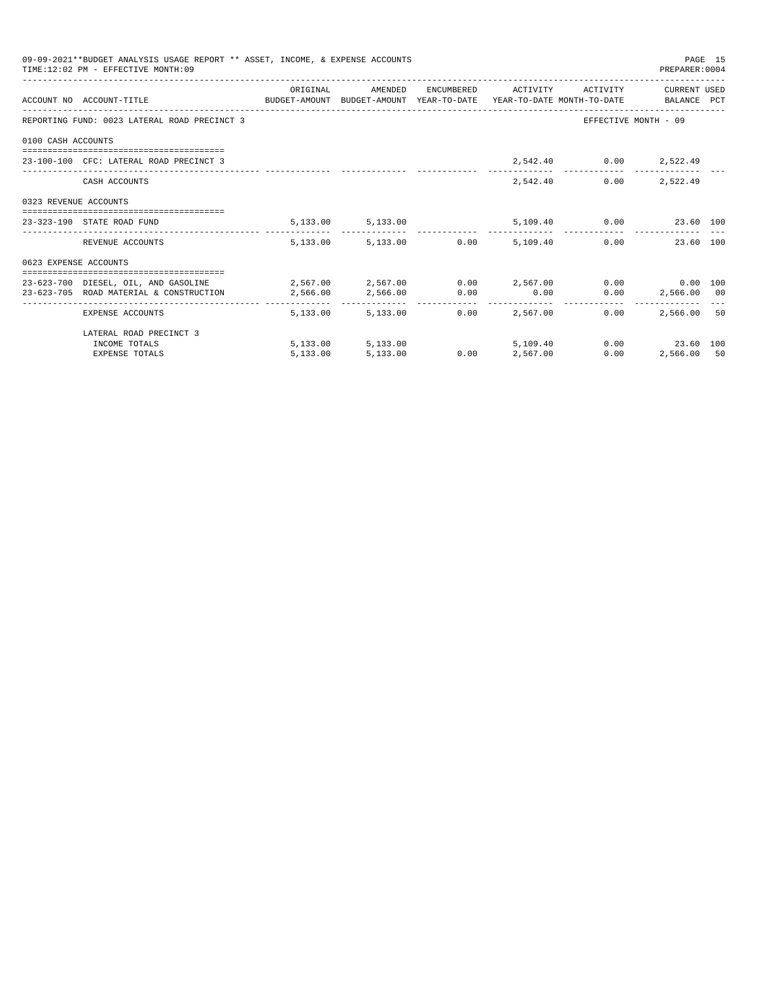|                       | 09-09-2021**BUDGET ANALYSIS USAGE REPORT ** ASSET, INCOME, & EXPENSE ACCOUNTS<br>TIME: 12:02 PM - EFFECTIVE MONTH: 09 |          |                                 |                                   |                 |                               | PREPARER: 0004       | PAGE 15 |
|-----------------------|-----------------------------------------------------------------------------------------------------------------------|----------|---------------------------------|-----------------------------------|-----------------|-------------------------------|----------------------|---------|
|                       |                                                                                                                       | ORIGINAL | AMENDED                         |                                   |                 | ENCUMBERED ACTIVITY ACTIVITY  | CURRENT USED         |         |
|                       | ACCOUNT NO ACCOUNT-TITLE CONTROL SUDGET-AMOUNT BUDGET-AMOUNT YEAR-TO-DATE YEAR-TO-DATE MONTH-TO-DATE BALANCE PCT      |          |                                 |                                   |                 |                               |                      |         |
|                       | REPORTING FUND: 0023 LATERAL ROAD PRECINCT 3                                                                          |          |                                 |                                   |                 |                               | EFFECTIVE MONTH - 09 |         |
| 0100 CASH ACCOUNTS    |                                                                                                                       |          |                                 |                                   |                 |                               |                      |         |
|                       | 23-100-100 CFC: LATERAL ROAD PRECINCT 3                                                                               |          |                                 |                                   |                 | 2,542.40 0.00 2,522.49        |                      |         |
|                       | CASH ACCOUNTS                                                                                                         |          |                                 |                                   | 2,542.40        |                               | $0.00$ 2,522.49      |         |
| 0323 REVENUE ACCOUNTS |                                                                                                                       |          |                                 |                                   |                 |                               |                      |         |
|                       | 23-323-190 STATE ROAD FUND                                                                                            |          | 5, 133.00 5, 133.00             |                                   |                 | 5,109.40   0.00   23.60   100 |                      |         |
|                       | REVENUE ACCOUNTS                                                                                                      |          | 5,133.00 5,133.00 0.00 5,109.40 |                                   |                 |                               | 0.00<br>23.60 100    |         |
| 0623 EXPENSE ACCOUNTS |                                                                                                                       |          |                                 |                                   |                 |                               |                      |         |
|                       | 23-623-700 DIESEL, OIL, AND GASOLINE $2,567.00$ $2,567.00$ $0.00$ $2,567.00$ $0.00$ $0.00$ $0.00$ $0.00$              |          |                                 |                                   |                 |                               |                      |         |
|                       | 23-623-705 ROAD MATERIAL & CONSTRUCTION                                                                               | 2,566.00 | 2,566.00 0.00                   |                                   | 0.00            |                               | $0.00$ 2,566.00 00   |         |
|                       | EXPENSE ACCOUNTS                                                                                                      |          | 5,133,00 5,133,00               | -------------      -------------- | $0.00$ 2.567.00 | 0.00                          | 2,566,00 50          |         |
|                       | LATERAL ROAD PRECINCT 3                                                                                               |          |                                 |                                   |                 |                               |                      |         |
|                       | INCOME TOTALS                                                                                                         |          | 5,133.00 5,133.00               |                                   | 5,109,40        |                               | $0.00$ 23.60 100     |         |
|                       | <b>EXPENSE TOTALS</b>                                                                                                 | 5.133.00 | 5,133.00                        | 0.00                              | 2,567.00        | 0.00                          | 2,566.00 50          |         |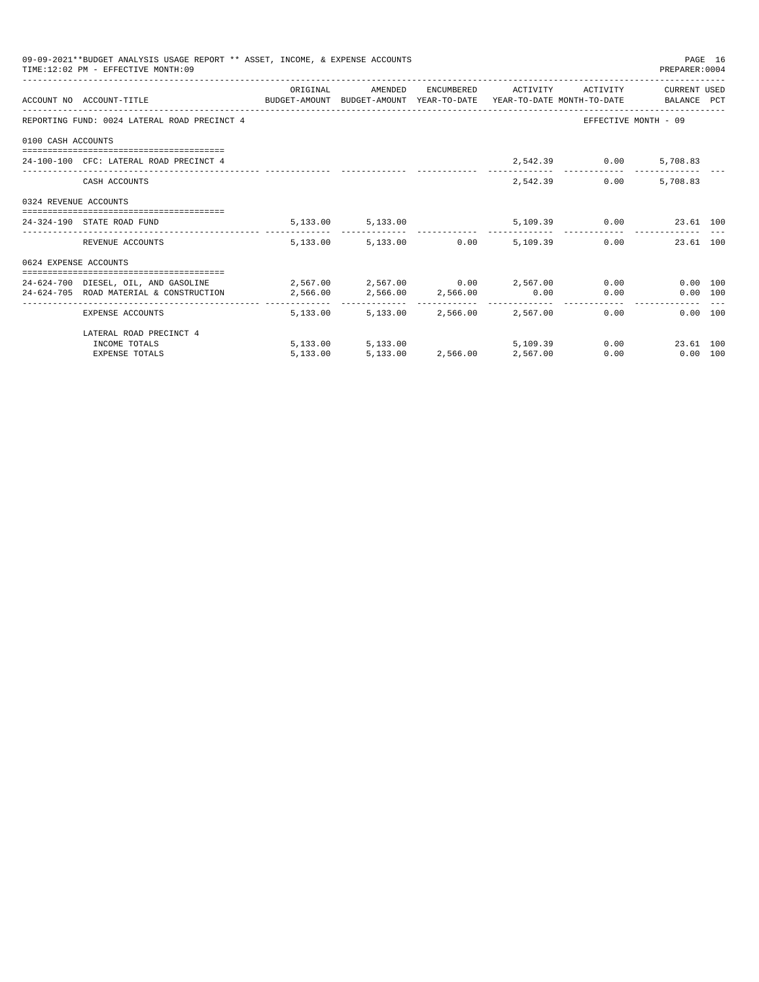|                       | 09-09-2021**BUDGET ANALYSIS USAGE REPORT ** ASSET, INCOME, & EXPENSE ACCOUNTS<br>TIME: 12:02 PM - EFFECTIVE MONTH: 09                                          |          |                                     |          |                              | PREPARER: 0004               | PAGE 16 |
|-----------------------|----------------------------------------------------------------------------------------------------------------------------------------------------------------|----------|-------------------------------------|----------|------------------------------|------------------------------|---------|
|                       | ACCOUNT NO ACCOUNT-TITLE COMPUTE SUDGET-AMOUNT BUDGET-AMOUNT YEAR-TO-DATE YEAR-TO-DATE MONTH-TO-DATE BALANCE PCT                                               | ORIGINAL | AMENDED                             |          | ENCUMBERED ACTIVITY ACTIVITY | CURRENT USED                 |         |
|                       | REPORTING FUND: 0024 LATERAL ROAD PRECINCT 4                                                                                                                   |          |                                     |          |                              | EFFECTIVE MONTH - 09         |         |
| 0100 CASH ACCOUNTS    |                                                                                                                                                                |          |                                     |          |                              |                              |         |
|                       | 24-100-100 CFC: LATERAL ROAD PRECINCT 4                                                                                                                        |          |                                     |          | 2,542.39 0.00 5,708.83       |                              |         |
|                       | CASH ACCOUNTS                                                                                                                                                  |          |                                     |          | 2,542.39<br>0.00             | 5,708.83                     |         |
| 0324 REVENUE ACCOUNTS |                                                                                                                                                                |          |                                     |          |                              |                              |         |
|                       | 24-324-190 STATE ROAD FUND                                                                                                                                     |          | 5, 133.00 5, 133.00                 |          | 5,109.39 0.00 23.61 100      |                              |         |
|                       | REVENUE ACCOUNTS                                                                                                                                               |          | 5,133.00 5,133.00 0.00              | 5,109.39 |                              | 0.00<br>23.61 100            |         |
| 0624 EXPENSE ACCOUNTS |                                                                                                                                                                |          |                                     |          |                              |                              |         |
|                       | 24-624-700 DIESEL, OIL, AND GASOLINE $2,567.00$ $2,567.00$ $0.00$ $2,567.00$ $0.00$<br>24-624-705 ROAD MATERIAL & CONSTRUCTION 2,566.00 2,566.00 2,566.00 0.00 |          |                                     |          |                              | 0.00 100<br>0.00<br>0.00 100 |         |
|                       | EXPENSE ACCOUNTS                                                                                                                                               |          | 5,133,00 5,133,00 2,566.00 2,567.00 |          |                              | 0.00<br>0.00 100             |         |
|                       | LATERAL ROAD PRECINCT 4                                                                                                                                        |          |                                     |          |                              |                              |         |
|                       | INCOME TOTALS                                                                                                                                                  |          | 5,133.00 5,133.00                   | 5,109.39 |                              | 0.00<br>23.61 100            |         |
|                       | <b>EXPENSE TOTALS</b>                                                                                                                                          | 5.133.00 | 5,133.00 2,566.00 2,567.00          |          | 0.00                         | $0.00$ 100                   |         |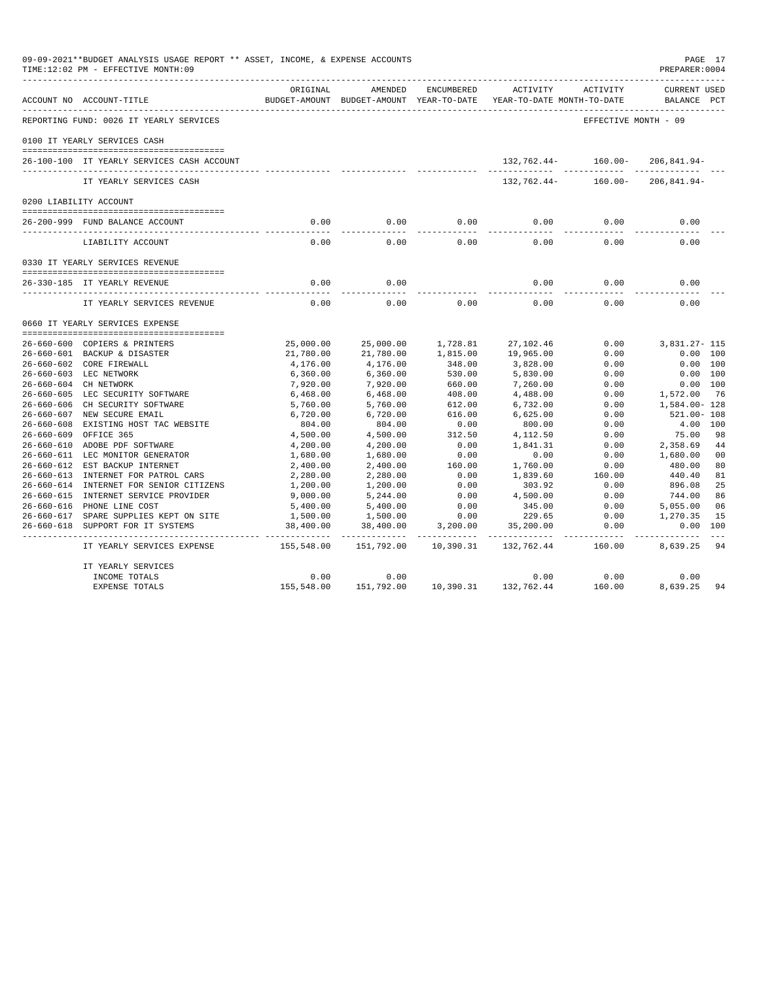| 09-09-2021**BUDGET ANALYSIS USAGE REPORT ** ASSET, INCOME, & EXPENSE ACCOUNTS<br>TIME:12:02 PM - EFFECTIVE MONTH:09<br>------------------------- |                    |                                                     |                |                                        |                      | PAGE 17<br>PREPARER: 0004          |
|--------------------------------------------------------------------------------------------------------------------------------------------------|--------------------|-----------------------------------------------------|----------------|----------------------------------------|----------------------|------------------------------------|
| ACCOUNT NO ACCOUNT-TITLE                                                                                                                         | ORIGINAL           | AMENDED<br>BUDGET-AMOUNT BUDGET-AMOUNT YEAR-TO-DATE | ENCUMBERED     | ACTIVITY<br>YEAR-TO-DATE MONTH-TO-DATE | ACTIVITY             | <b>CURRENT USED</b><br>BALANCE PCT |
| REPORTING FUND: 0026 IT YEARLY SERVICES                                                                                                          |                    |                                                     |                |                                        | EFFECTIVE MONTH - 09 |                                    |
| 0100 IT YEARLY SERVICES CASH                                                                                                                     |                    |                                                     |                |                                        |                      |                                    |
| 26-100-100 IT YEARLY SERVICES CASH ACCOUNT                                                                                                       |                    |                                                     |                | $132,762.44 - 160.00 - 206.841.94 -$   |                      |                                    |
| IT YEARLY SERVICES CASH                                                                                                                          |                    |                                                     |                | 132,762.44-                            | 160.00-              | 206,841.94-                        |
| 0200 LIABILITY ACCOUNT                                                                                                                           |                    |                                                     |                |                                        |                      |                                    |
|                                                                                                                                                  |                    |                                                     |                |                                        |                      |                                    |
| 26-200-999 FUND BALANCE ACCOUNT                                                                                                                  | 0.00<br>$- - - -$  | 0.00<br>$- - - - - -$                               | 0.00           | 0.00                                   | 0.00                 | 0.00                               |
| LIABILITY ACCOUNT                                                                                                                                | 0.00               | 0.00                                                | 0.00           | 0.00                                   | 0.00                 | 0.00                               |
| 0330 IT YEARLY SERVICES REVENUE                                                                                                                  |                    |                                                     |                |                                        |                      |                                    |
|                                                                                                                                                  |                    |                                                     |                |                                        |                      |                                    |
| 26-330-185 IT YEARLY REVENUE                                                                                                                     | 0.00               | 0.00                                                |                | 0.00                                   | 0.00                 | 0.00                               |
| IT YEARLY SERVICES REVENUE                                                                                                                       | 0.00               | 0.00                                                | 0.00           | 0.00                                   | 0.00                 | 0.00                               |
| 0660 IT YEARLY SERVICES EXPENSE                                                                                                                  |                    |                                                     |                |                                        |                      |                                    |
|                                                                                                                                                  |                    |                                                     |                |                                        |                      |                                    |
| 26-660-600 COPIERS & PRINTERS                                                                                                                    | 25,000.00          | 25,000.00                                           | 1,728.81       | 27,102.46                              | 0.00                 | 3,831.27- 115                      |
| 26-660-601 BACKUP & DISASTER<br>26-660-602 CORE FIREWALL                                                                                         | 21,780.00          | 21,780.00                                           | 1,815.00       | 19,965.00                              | 0.00<br>0.00         | 0.00 100<br>0.00 100               |
| 26-660-603 LEC NETWORK                                                                                                                           | 4,176.00           | 4,176.00                                            | 348.00         | 3,828.00                               |                      |                                    |
|                                                                                                                                                  | 6,360.00           | 6,360.00                                            | 530.00         | 5,830.00                               | 0.00                 | 0.00 100<br>0.00 100               |
| 26-660-604 CH NETWORK<br>26-660-605 LEC SECURITY SOFTWARE                                                                                        | 7,920.00           | 7,920.00                                            | 660.00         | 7,260.00                               | 0.00<br>0.00         | 76                                 |
|                                                                                                                                                  | 6,468.00           | 6,468.00                                            | 408.00         | 4,488.00                               | 0.00                 | 1,572.00                           |
| 26-660-606 CH SECURITY SOFTWARE<br>26-660-607 NEW SECURE EMAIL                                                                                   | 5,760.00           | 5,760.00                                            | 612.00         | 6,732.00<br>6,625.00                   | 0.00                 | 1,584.00- 128<br>521.00- 108       |
| 26-660-608 EXISTING HOST TAC WEBSITE                                                                                                             | 6,720.00<br>804.00 | 6,720.00<br>804.00                                  | 616.00<br>0.00 | 800.00                                 | 0.00                 | 4.00 100                           |
| 26-660-609 OFFICE 365                                                                                                                            | 4,500.00           | 4,500.00                                            | 312.50         | 4,112.50                               | 0.00                 | 75.00<br>98                        |
| 26-660-610 ADOBE PDF SOFTWARE                                                                                                                    | 4,200.00           | 4,200.00                                            | 0.00           | 1,841.31                               | 0.00                 | 2,358.69<br>44                     |
| 26-660-611 LEC MONITOR GENERATOR                                                                                                                 | 1,680.00           | 1,680.00                                            | 0.00           | 0.00                                   | 0.00                 | 1,680.00<br>0 <sup>0</sup>         |
| 26-660-612 EST BACKUP INTERNET                                                                                                                   | 2,400.00           | 2,400.00                                            | 160.00         | 1,760.00                               | 0.00                 | 480.00<br>80                       |
| 26-660-613 INTERNET FOR PATROL CARS                                                                                                              | 2,280.00           | 2,280.00                                            | 0.00           | 1,839.60                               | 160.00               | 440.40<br>81                       |
| 26-660-614 INTERNET FOR SENIOR CITIZENS                                                                                                          | 1,200.00           | 1,200.00                                            | 0.00           | 303.92                                 | 0.00                 | 25<br>896.08                       |
| 26-660-615 INTERNET SERVICE PROVIDER                                                                                                             | 9,000.00           | 5,244.00                                            | 0.00           | 4,500.00                               | 0.00                 | 744.00<br>86                       |
| 26-660-616 PHONE LINE COST                                                                                                                       | 5,400.00           | 5,400.00                                            | 0.00           | 345.00                                 | 0.00                 | 5,055.00<br>06                     |
| 26-660-617 SPARE SUPPLIES KEPT ON SITE                                                                                                           | 1,500.00           | 1,500.00                                            | 0.00           | 229.65                                 | 0.00                 | 1,270.35<br>15                     |
| 26-660-618 SUPPORT FOR IT SYSTEMS                                                                                                                | 38,400.00          | 38,400.00                                           | 3,200.00       | 35,200.00                              | 0.00                 | 0.00 100                           |
| IT YEARLY SERVICES EXPENSE                                                                                                                       | 155,548.00         | 151,792.00                                          | 10,390.31      | 132,762.44                             | 160.00               | 8,639.25<br>94                     |
| IT YEARLY SERVICES                                                                                                                               |                    |                                                     |                |                                        |                      |                                    |
| INCOME TOTALS                                                                                                                                    | 0.00               | 0.00                                                |                | 0.00                                   | 0.00                 | 0.00                               |
| EXPENSE TOTALS                                                                                                                                   | 155,548.00         | 151,792.00                                          |                | 10,390.31 132,762.44                   | 160.00               | 8,639.25<br>94                     |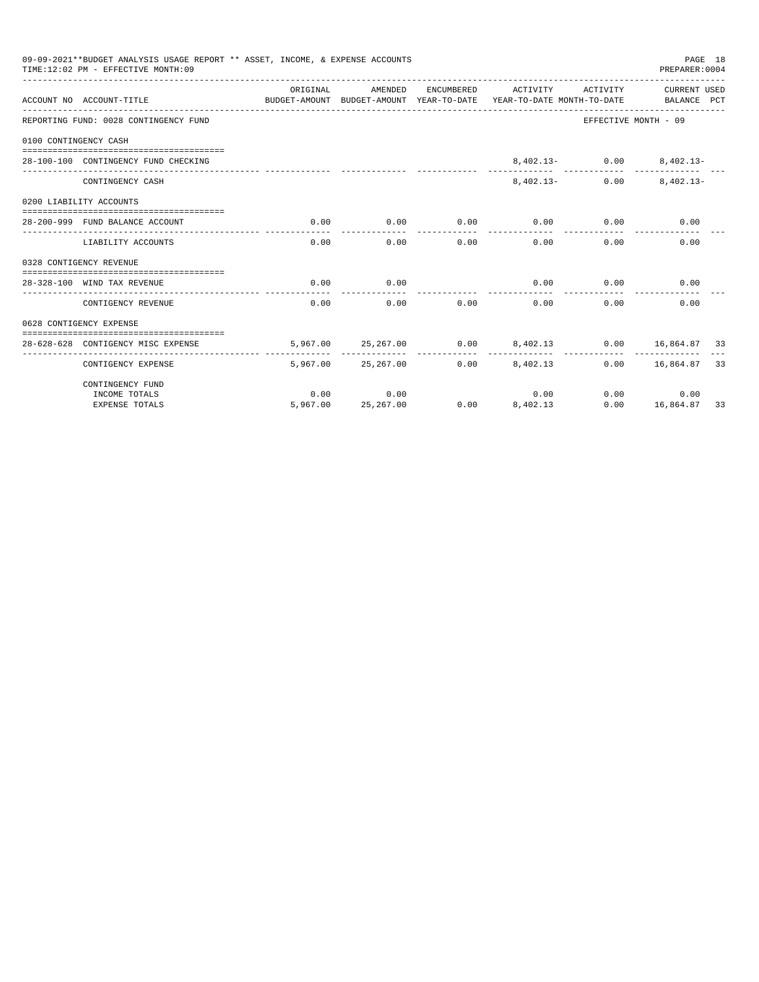|                       | 09-09-2021**BUDGET ANALYSIS USAGE REPORT ** ASSET, INCOME, & EXPENSE ACCOUNTS<br>TIME: 12:02 PM - EFFECTIVE MONTH: 09 |                               |                     |      |                                                                                                        |                          | PAGE 18<br>PREPARER: 0004 |  |
|-----------------------|-----------------------------------------------------------------------------------------------------------------------|-------------------------------|---------------------|------|--------------------------------------------------------------------------------------------------------|--------------------------|---------------------------|--|
|                       | ACCOUNT NO ACCOUNT-TITLE                                                                                              | ORIGINAL                      | AMENDED             |      | ENCUMBERED ACTIVITY<br>BUDGET-AMOUNT BUDGET-AMOUNT YEAR-TO-DATE YEAR-TO-DATE MONTH-TO-DATE BALANCE PCT |                          | ACTIVITY CURRENT USED     |  |
|                       | REPORTING FUND: 0028 CONTINGENCY FUND                                                                                 |                               |                     |      |                                                                                                        | EFFECTIVE MONTH - 09     |                           |  |
| 0100 CONTINGENCY CASH |                                                                                                                       |                               |                     |      |                                                                                                        |                          |                           |  |
|                       | 28-100-100 CONTINGENCY FUND CHECKING                                                                                  |                               |                     |      |                                                                                                        | 8,402.13- 0.00 8,402.13- |                           |  |
|                       | CONTINGENCY CASH                                                                                                      |                               |                     |      | $8.402.13-$                                                                                            | 0.00                     | $8.402.13 -$              |  |
|                       | 0200 LIABILITY ACCOUNTS                                                                                               |                               |                     |      |                                                                                                        |                          |                           |  |
|                       | 28-200-999 FUND BALANCE ACCOUNT                                                                                       | 0.00<br>. _ _ _ _ _ _ _ _ _ _ | 0.00                | 0.00 | 0.00<br>------------                                                                                   | 0.00                     | 0.00                      |  |
|                       | LIABILITY ACCOUNTS                                                                                                    | 0.00                          | -----------<br>0.00 |      | $0.00$ and $0.00$<br>0.00                                                                              | $0.00 -$                 | 0.00                      |  |
|                       | 0328 CONTIGENCY REVENUE                                                                                               |                               |                     |      |                                                                                                        |                          |                           |  |
|                       | 28-328-100 WIND TAX REVENUE                                                                                           | 0.00                          | 0.00                |      |                                                                                                        | $0.00$ $0.00$            | 0.00                      |  |
|                       | CONTIGENCY REVENUE                                                                                                    | 0.00                          | 0.00                | 0.00 | 0.00                                                                                                   | 0.00                     | 0.00                      |  |
|                       | 0628 CONTIGENCY EXPENSE                                                                                               |                               |                     |      |                                                                                                        |                          |                           |  |
|                       | 28-628-628 CONTIGENCY MISC EXPENSE                                                                                    |                               |                     |      | $5,967.00$ $25,267.00$ $0.00$ $8,402.13$ $0.00$ $16,864.87$ 33                                         |                          |                           |  |
|                       | CONTIGENCY EXPENSE                                                                                                    |                               | 5,967.00 25,267.00  |      | $0.00$ $8,402.13$                                                                                      |                          | $0.00$ 16,864.87 33       |  |
|                       | CONTINGENCY FUND                                                                                                      |                               |                     |      |                                                                                                        |                          |                           |  |
|                       | INCOME TOTALS                                                                                                         | 0.00                          | 0.00                |      | 0.00                                                                                                   | 0.00                     | 0.00                      |  |
|                       | <b>EXPENSE TOTALS</b>                                                                                                 |                               | 5,967.00 25,267.00  |      | $0.00$ $8,402.13$                                                                                      |                          | $0.00$ 16,864.87 33       |  |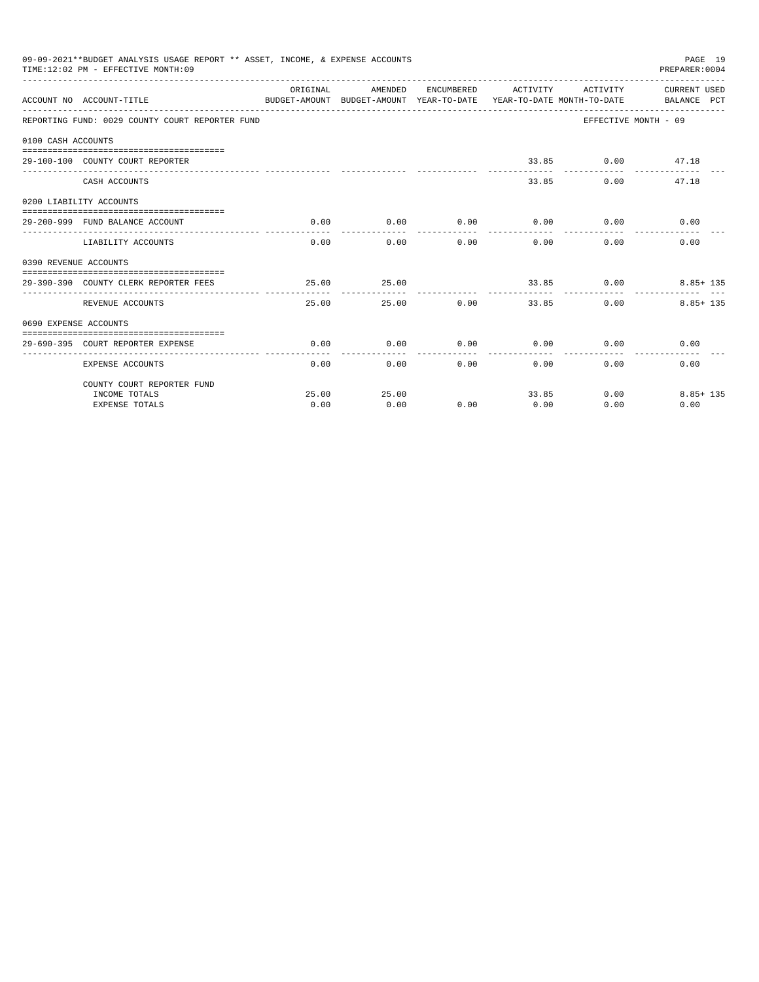|                       | 09-09-2021**BUDGET ANALYSIS USAGE REPORT ** ASSET, INCOME, & EXPENSE ACCOUNTS<br>TIME: 12:02 PM - EFFECTIVE MONTH: 09 |                |                              |              |                             |                              | PAGE 19<br>PREPARER:0004                                                                                                            |
|-----------------------|-----------------------------------------------------------------------------------------------------------------------|----------------|------------------------------|--------------|-----------------------------|------------------------------|-------------------------------------------------------------------------------------------------------------------------------------|
|                       | ACCOUNT NO ACCOUNT-TITLE                                                                                              | ORIGINAL       |                              |              |                             |                              | AMENDED ENCUMBERED ACTIVITY ACTIVITY CURRENTUSED<br>BUDGET-AMOUNT BUDGET-AMOUNT YEAR-TO-DATE YEAR-TO-DATE MONTH-TO-DATE BALANCE PCT |
|                       | REPORTING FUND: 0029 COUNTY COURT REPORTER FUND                                                                       |                |                              |              |                             |                              | EFFECTIVE MONTH - 09                                                                                                                |
| 0100 CASH ACCOUNTS    |                                                                                                                       |                |                              |              |                             |                              |                                                                                                                                     |
|                       |                                                                                                                       |                |                              |              |                             |                              |                                                                                                                                     |
|                       | 29-100-100 COUNTY COURT REPORTER                                                                                      |                |                              |              |                             | 33.85 0.00 47.18             |                                                                                                                                     |
|                       | CASH ACCOUNTS                                                                                                         |                |                              |              |                             | 33.85                        | $0.00$ and $0.00$<br>47.18                                                                                                          |
|                       | 0200 LIABILITY ACCOUNTS                                                                                               |                |                              |              |                             |                              |                                                                                                                                     |
|                       | 29-200-999 FUND BALANCE ACCOUNT                                                                                       | 0.00           | 0.00                         |              | $0.00$ $0.00$ $0.00$ $0.00$ |                              | 0.00                                                                                                                                |
|                       | LIABILITY ACCOUNTS                                                                                                    | ______________ | -------------<br>$0.00$ 0.00 | ------------ | 0.00                        | ------------<br>0.00<br>0.00 | 0.00                                                                                                                                |
| 0390 REVENUE ACCOUNTS |                                                                                                                       |                |                              |              |                             |                              |                                                                                                                                     |
|                       | 29-390-390 COUNTY CLERK REPORTER FEES                                                                                 | 25.00          | 25.00                        |              |                             |                              | $33.85$ 0.00 8.85+ 135                                                                                                              |
|                       | REVENUE ACCOUNTS                                                                                                      | 25.00          |                              | 25.00 0.00   | ------------                | 33.85                        | $8.85 + 135$<br>$0.00$ and $0.00$                                                                                                   |
| 0690 EXPENSE ACCOUNTS |                                                                                                                       |                |                              |              |                             |                              |                                                                                                                                     |
|                       |                                                                                                                       |                |                              |              |                             |                              |                                                                                                                                     |
|                       | 29-690-395 COURT REPORTER EXPENSE                                                                                     | 0.00           | 0.00                         |              | $0.00$ $0.00$ $0.00$ $0.00$ |                              | 0.00                                                                                                                                |
|                       | <b>EXPENSE ACCOUNTS</b>                                                                                               | 0.00           |                              | 0.00         | 0.00                        | $0.00$ and $0.00$            | 0.00<br>0.00                                                                                                                        |
|                       | COUNTY COURT REPORTER FUND                                                                                            |                |                              |              |                             |                              |                                                                                                                                     |
|                       | INCOME TOTALS                                                                                                         | 25.00          | 25.00                        |              | 33.85                       |                              | $0.00$ and $0.00$<br>$8.85 + 135$                                                                                                   |
|                       | <b>EXPENSE TOTALS</b>                                                                                                 | 0.00           | 0.00                         | 0.00         | 0.00                        | 0.00                         | 0.00                                                                                                                                |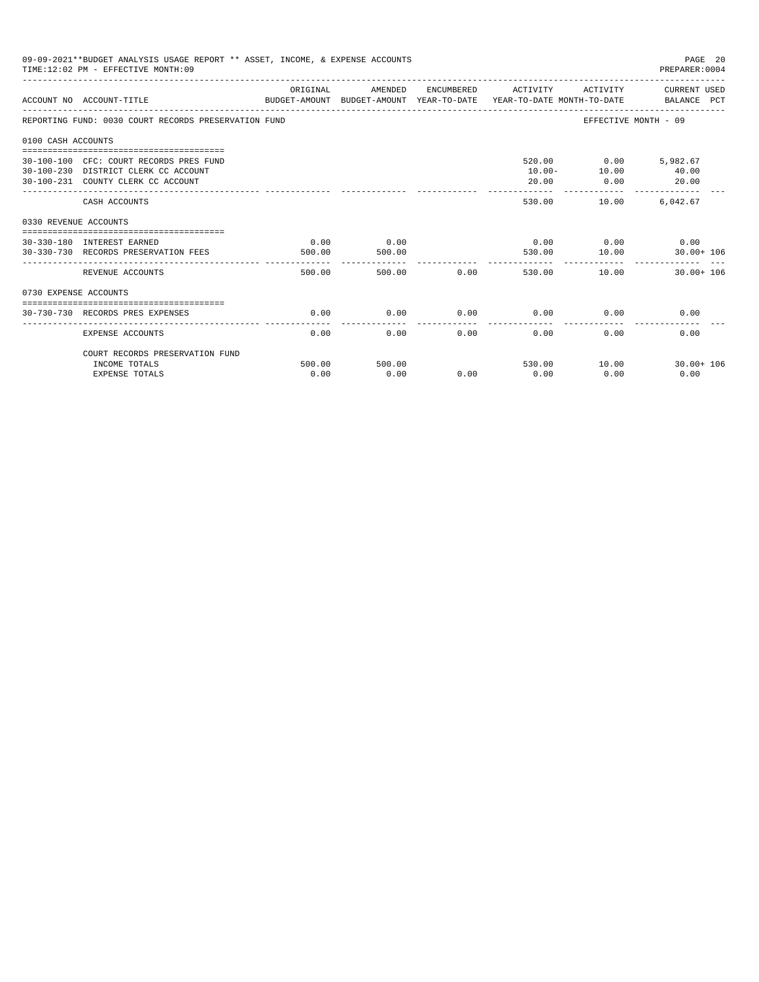|                       | 09-09-2021**BUDGET ANALYSIS USAGE REPORT ** ASSET, INCOME, & EXPENSE ACCOUNTS<br>TIME: 12:02 PM - EFFECTIVE MONTH: 09 |                |                |      |                   |                                         | PAGE 20<br>PREPARER: 0004                     |
|-----------------------|-----------------------------------------------------------------------------------------------------------------------|----------------|----------------|------|-------------------|-----------------------------------------|-----------------------------------------------|
|                       | ACCOUNT NO ACCOUNT-TITLE<br>BUDGET-AMOUNT BUDGET-AMOUNT YEAR-TO-DATE YEAR-TO-DATE MONTH-TO-DATE BALANCE PCT           | ORIGINAL       | AMENDED        |      |                   |                                         | ENCUMBERED ACTIVITY ACTIVITY CURRENT USED     |
|                       | REPORTING FUND: 0030 COURT RECORDS PRESERVATION FUND                                                                  |                |                |      |                   |                                         | EFFECTIVE MONTH - 09                          |
| 0100 CASH ACCOUNTS    |                                                                                                                       |                |                |      |                   |                                         |                                               |
|                       | 30-100-100 CFC: COURT RECORDS PRES FUND<br>30-100-230 DISTRICT CLERK CC ACCOUNT<br>30-100-231 COUNTY CLERK CC ACCOUNT |                |                |      | 20.00<br>-------- | 520.00 0.00 5,982.67<br>$10.00 - 10.00$ | 40.00<br>$0.00$ 20.00                         |
|                       | CASH ACCOUNTS                                                                                                         |                |                |      | 530.00            | 10.00                                   | _________________________________<br>6,042.67 |
| 0330 REVENUE ACCOUNTS |                                                                                                                       |                |                |      |                   |                                         |                                               |
|                       | --------------------------------<br>30-330-180 INTEREST EARNED<br>30-330-730 RECORDS PRESERVATION FEES                | 0.00<br>500.00 | 0.00<br>500.00 |      | 530.00            | $0.00$ $0.00$ $0.00$ $0.00$<br>10.00    | $30.00 + 106$                                 |
|                       | REVENUE ACCOUNTS                                                                                                      | 500.00         | 500.00         | 0.00 |                   | 530.00 10.00                            | $30.00 + 106$                                 |
| 0730 EXPENSE ACCOUNTS |                                                                                                                       |                |                |      |                   |                                         |                                               |
|                       | 30-730-730 RECORDS PRES EXPENSES                                                                                      | 0.00           | 0.00           | 0.00 | 0.00              | 0.00                                    | 0.00                                          |
|                       | <b>EXPENSE ACCOUNTS</b>                                                                                               | 0.00           | 0.00           | 0.00 | 0.00              | 0.00                                    | 0.00                                          |
|                       | COURT RECORDS PRESERVATION FUND                                                                                       |                |                |      |                   |                                         |                                               |
|                       | INCOME TOTALS<br><b>EXPENSE TOTALS</b>                                                                                | 500.00<br>0.00 | 500.00<br>0.00 | 0.00 | 530.00<br>0.00    | 10.00<br>0.00                           | $30.00 + 106$<br>0.00                         |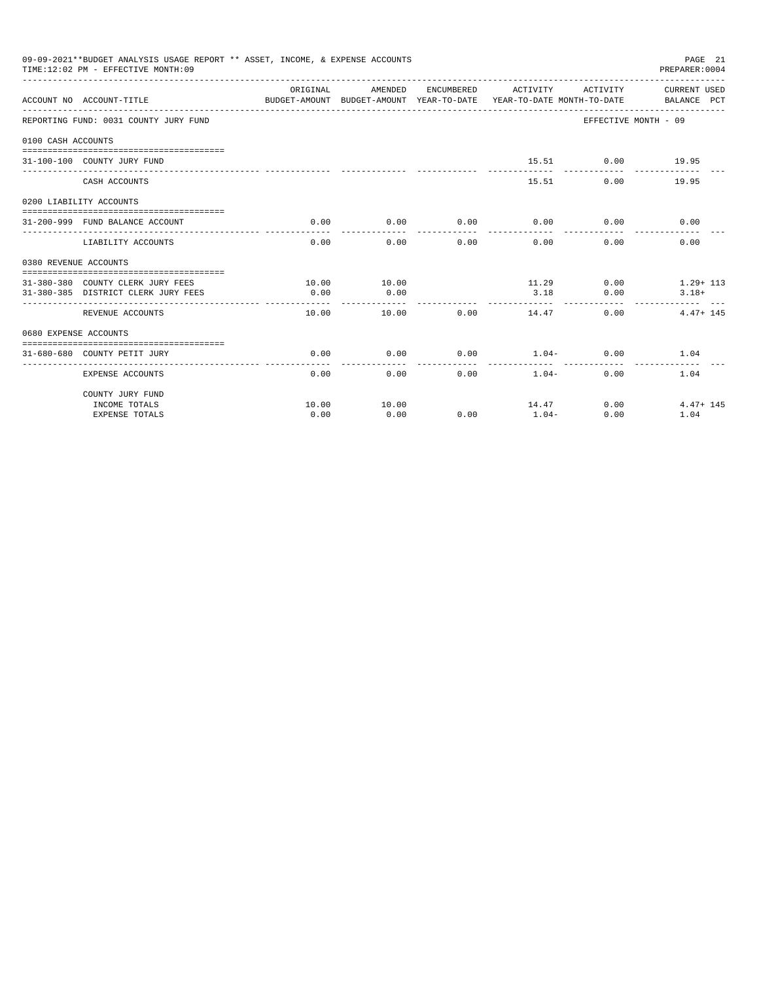|                       | 09-09-2021**BUDGET ANALYSIS USAGE REPORT ** ASSET, INCOME, & EXPENSE ACCOUNTS<br>TIME: 12:02 PM - EFFECTIVE MONTH: 09 |                                                                                                  |              |                 |                              |                                   | PAGE 21<br>PREPARER:0004  |
|-----------------------|-----------------------------------------------------------------------------------------------------------------------|--------------------------------------------------------------------------------------------------|--------------|-----------------|------------------------------|-----------------------------------|---------------------------|
|                       | ACCOUNT NO ACCOUNT-TITLE                                                                                              | ORIGINAL<br>BUDGET-AMOUNT BUDGET-AMOUNT YEAR-TO-DATE  YEAR-TO-DATE MONTH-TO-DATE     BALANCE PCT | AMENDED      |                 | ENCUMBERED ACTIVITY ACTIVITY |                                   | CURRENT USED              |
|                       | REPORTING FUND: 0031 COUNTY JURY FUND                                                                                 |                                                                                                  |              |                 |                              | EFFECTIVE MONTH - 09              |                           |
| 0100 CASH ACCOUNTS    |                                                                                                                       |                                                                                                  |              |                 |                              |                                   |                           |
|                       | 31-100-100 COUNTY JURY FUND                                                                                           |                                                                                                  |              |                 | ------------                 | 15.51 0.00 19.95<br>------------- |                           |
|                       | CASH ACCOUNTS                                                                                                         |                                                                                                  |              |                 | 15.51                        | $0.00$ and $0.00$                 | 19.95                     |
|                       | 0200 LIABILITY ACCOUNTS                                                                                               |                                                                                                  |              |                 |                              |                                   |                           |
|                       | 31-200-999 FUND BALANCE ACCOUNT                                                                                       | 0.00                                                                                             | 0.00         | 0.00            | 0.00                         | 0.00                              | 0.00                      |
|                       |                                                                                                                       |                                                                                                  | ------------ | -------         | -----------                  | ------                            |                           |
|                       | LIABILITY ACCOUNTS                                                                                                    | 0.00                                                                                             | 0.00         | 0.00            | 0.00                         | 0.00                              | 0.00                      |
| 0380 REVENUE ACCOUNTS |                                                                                                                       |                                                                                                  |              |                 |                              |                                   |                           |
|                       |                                                                                                                       |                                                                                                  |              |                 |                              |                                   |                           |
|                       | 31-380-380 COUNTY CLERK JURY FEES                                                                                     | 10.00                                                                                            | 10.00        |                 |                              |                                   | $11.29$ 0.00 $1.29 + 113$ |
|                       | 31-380-385 DISTRICT CLERK JURY FEES                                                                                   | 0.00                                                                                             | 0.00         |                 | 3.18                         | 0.00                              | $3.18+$                   |
|                       | REVENUE ACCOUNTS                                                                                                      | 10.00                                                                                            | 10.00        | 0.00            | 14.47                        | $0.00 -$                          | $4.47 + 145$              |
| 0680 EXPENSE ACCOUNTS |                                                                                                                       |                                                                                                  |              |                 |                              |                                   |                           |
|                       |                                                                                                                       |                                                                                                  |              |                 |                              |                                   |                           |
|                       | 31-680-680 COUNTY PETIT JURY                                                                                          | 0.00<br>.                                                                                        | 0.00<br>.    | 0.00<br>------- | $1.04-$<br>------------      | 0.00<br>-------------             | 1.04                      |
|                       | EXPENSE ACCOUNTS                                                                                                      |                                                                                                  | 0.00         | 0.00            | 0.00<br>$1.04-$              | 0.00                              | 1.04                      |
|                       | COUNTY JURY FUND                                                                                                      |                                                                                                  |              |                 |                              |                                   |                           |
|                       | INCOME TOTALS                                                                                                         | 10.00                                                                                            | 10.00        |                 | 14.47                        | $0.00$ and $0.00$                 | $4.47 + 145$              |
|                       | <b>EXPENSE TOTALS</b>                                                                                                 | 0.00                                                                                             | 0.00         | 0.00            | $1.04-$                      | 0.00                              | 1.04                      |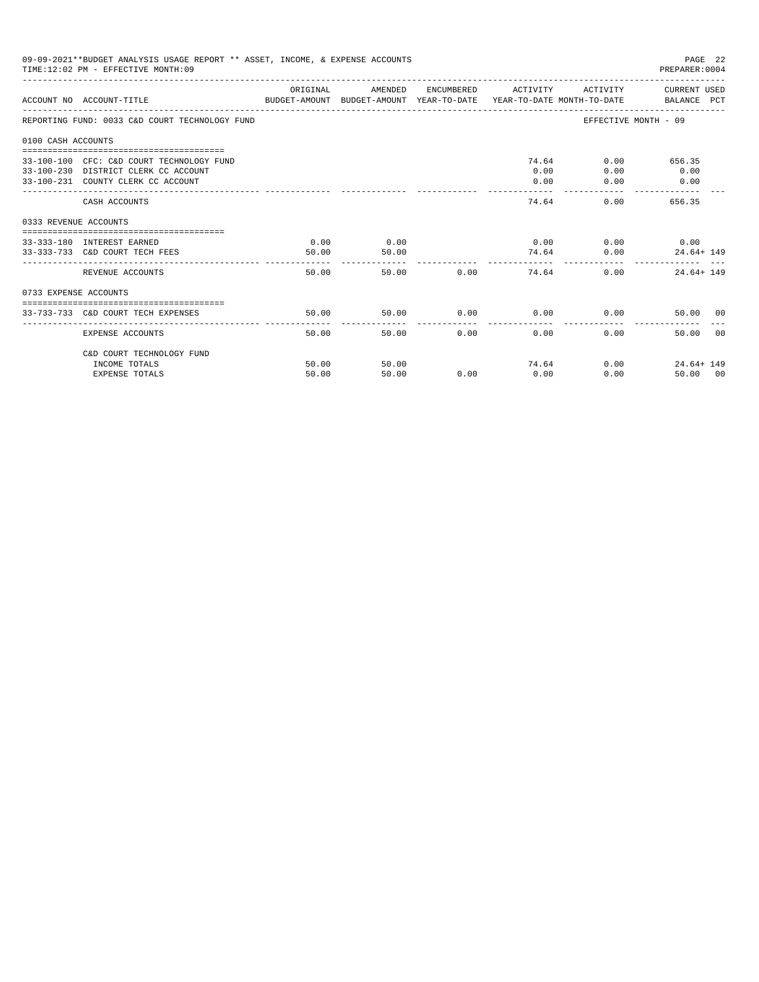|                       | 09-09-2021**BUDGET ANALYSIS USAGE REPORT ** ASSET, INCOME, & EXPENSE ACCOUNTS<br>TIME: 12:02 PM - EFFECTIVE MONTH: 09   |               |               |            |                                    |                                       | PAGE 22<br>PREPARER: 0004                                    |
|-----------------------|-------------------------------------------------------------------------------------------------------------------------|---------------|---------------|------------|------------------------------------|---------------------------------------|--------------------------------------------------------------|
|                       | ACCOUNT NO ACCOUNT-TITLE COMPARENT AND BUDGET-AMOUNT BUDGET-AMOUNT YEAR-TO-DATE YEAR-TO-DATE MONTH-TO-DATE BALANCE PCT  | ORIGINAL      | AMENDED       |            | ENCUMBERED ACTIVITY                |                                       | ACTIVITY CURRENT USED                                        |
|                       | REPORTING FUND: 0033 C&D COURT TECHNOLOGY FUND                                                                          |               |               |            |                                    |                                       | EFFECTIVE MONTH - 09                                         |
| 0100 CASH ACCOUNTS    |                                                                                                                         |               |               |            |                                    |                                       |                                                              |
|                       | 33-100-100 CFC: C&D COURT TECHNOLOGY FUND<br>33-100-230 DISTRICT CLERK CC ACCOUNT<br>33-100-231 COUNTY CLERK CC ACCOUNT |               |               |            | 0.00<br>0.00<br>المستوات والمستحدث | 74.64<br>0.00<br>0.00<br>------------ | $0.00$ and $0.00$<br>656.35<br>0.00<br>0.00<br>------------- |
|                       | CASH ACCOUNTS                                                                                                           |               |               |            |                                    | 74.64                                 | 0.00<br>656.35                                               |
| 0333 REVENUE ACCOUNTS |                                                                                                                         |               |               |            |                                    |                                       |                                                              |
|                       | 33-333-180 INTEREST EARNED<br>33-333-733 C&D COURT TECH FEES                                                            | 0.00<br>50.00 | 0.00<br>50.00 |            |                                    | $0.00$ $0.00$ $0.00$ $0.00$<br>74.64  | 0.00<br>$24.64 + 149$                                        |
|                       | REVENUE ACCOUNTS                                                                                                        | 50.00         | ------------- | 50.00 0.00 |                                    | 74.64                                 | 0.00<br>$24.64 + 149$                                        |
| 0733 EXPENSE ACCOUNTS |                                                                                                                         |               |               |            |                                    |                                       |                                                              |
|                       | 33-733-733 C&D COURT TECH EXPENSES                                                                                      | 50.00         | 50.00         |            |                                    | $0.00$ $0.00$ $0.00$ $0.00$           | 50.00 00                                                     |
|                       | <b>EXPENSE ACCOUNTS</b>                                                                                                 | 50.00         | 50.00         | 0.00       | 0.00                               | ------------ --<br>0.00               | 50.00<br>00                                                  |
|                       | C&D COURT TECHNOLOGY FUND                                                                                               |               |               |            |                                    |                                       |                                                              |
|                       | INCOME TOTALS                                                                                                           | 50.00         | 50.00         |            |                                    | 74.64                                 | 0.00<br>$24.64 + 149$                                        |
|                       | <b>EXPENSE TOTALS</b>                                                                                                   | 50.00         | 50.00         | 0.00       | 0.00                               | 0.00                                  | 50.00 00                                                     |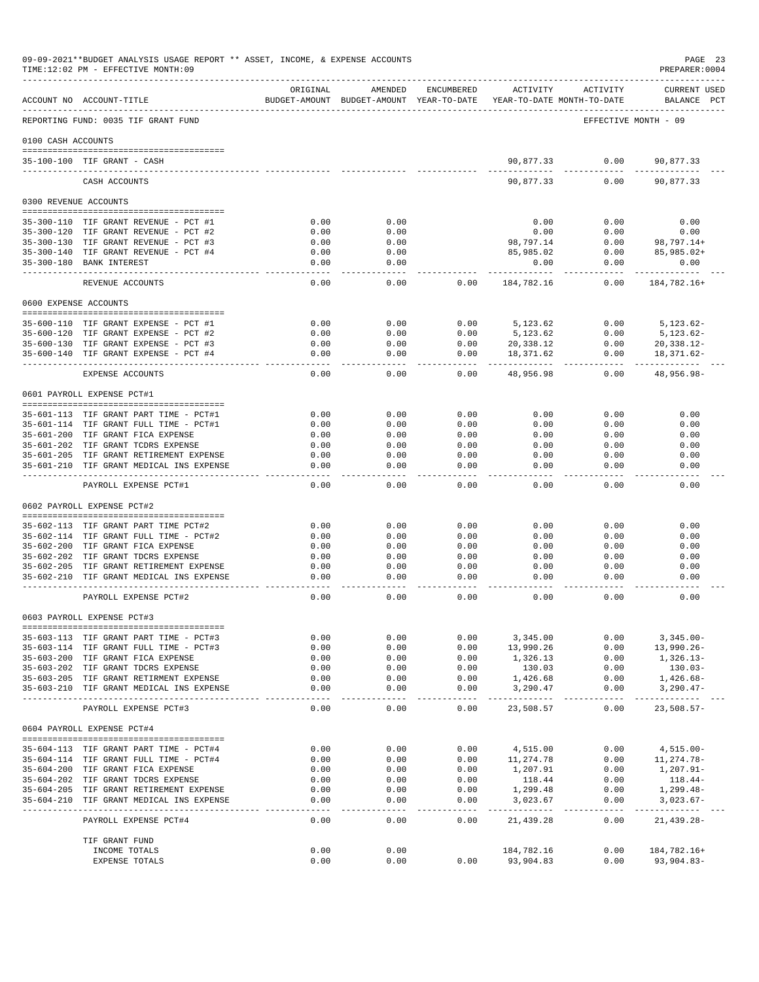|                    | ACCOUNT NO ACCOUNT-TITLE                                                            | ORIGINAL            | AMENDED             | ENCUMBERED          | ACTIVITY<br>BUDGET-AMOUNT BUDGET-AMOUNT YEAR-TO-DATE YEAR-TO-DATE MONTH-TO-DATE | ACTIVITY             | CURRENT USED<br>BALANCE PCT |
|--------------------|-------------------------------------------------------------------------------------|---------------------|---------------------|---------------------|---------------------------------------------------------------------------------|----------------------|-----------------------------|
|                    | REPORTING FUND: 0035 TIF GRANT FUND                                                 |                     |                     |                     |                                                                                 | EFFECTIVE MONTH - 09 |                             |
| 0100 CASH ACCOUNTS |                                                                                     |                     |                     |                     |                                                                                 |                      |                             |
|                    | 35-100-100 TIF GRANT - CASH                                                         |                     |                     |                     | 90,877.33                                                                       | 0.00                 | 90,877.33                   |
|                    | CASH ACCOUNTS                                                                       |                     |                     |                     | ----------<br>90,877.33                                                         | . <u>.</u> .<br>0.00 | -----------<br>90,877.33    |
|                    |                                                                                     |                     |                     |                     |                                                                                 |                      |                             |
|                    | 0300 REVENUE ACCOUNTS                                                               |                     |                     |                     |                                                                                 |                      |                             |
|                    | 35-300-110 TIF GRANT REVENUE - PCT #1                                               | 0.00                | 0.00                |                     | 0.00                                                                            | 0.00                 | 0.00                        |
|                    | 35-300-120 TIF GRANT REVENUE - PCT #2                                               | 0.00                | 0.00                |                     | 0.00                                                                            | 0.00                 | 0.00                        |
|                    | 35-300-130 TIF GRANT REVENUE - PCT #3<br>35-300-140 TIF GRANT REVENUE - PCT #4      | 0.00<br>0.00        | 0.00<br>0.00        |                     | 98,797.14<br>85,985.02                                                          | 0.00<br>0.00         | 98,797.14+<br>85,985.02+    |
|                    | 35-300-180 BANK INTEREST                                                            | 0.00                | 0.00                |                     | 0.00                                                                            | 0.00                 | 0.00                        |
|                    | REVENUE ACCOUNTS                                                                    | 0.00                | 0.00                | 0.00                | 184,782.16                                                                      | -------<br>0.00      | 184,782.16+                 |
|                    |                                                                                     |                     |                     |                     |                                                                                 |                      |                             |
|                    | 0600 EXPENSE ACCOUNTS                                                               |                     |                     |                     |                                                                                 |                      |                             |
|                    | 35-600-110 TIF GRANT EXPENSE - PCT #1                                               | 0.00                | 0.00                | 0.00                | 5,123.62                                                                        | 0.00                 | $5.123.62 -$                |
|                    | 35-600-120 TIF GRANT EXPENSE - PCT #2                                               | 0.00                | 0.00                | 0.00                | 5,123.62                                                                        | 0.00                 | $5,123.62-$                 |
|                    | 35-600-130 TIF GRANT EXPENSE - PCT #3                                               | 0.00                | 0.00                | 0.00                | 20,338.12                                                                       | 0.00                 | 20,338.12-                  |
|                    | 35-600-140 TIF GRANT EXPENSE - PCT #4                                               | 0.00<br>$- - - -$   | 0.00<br>-----       | 0.00<br>------      | 18,371.62<br>.                                                                  | 0.00<br>.            | 18,371.62-<br>-----------   |
|                    | EXPENSE ACCOUNTS                                                                    | 0.00                | 0.00                | 0.00                | 48,956.98                                                                       | 0.00                 | 48,956.98-                  |
|                    | 0601 PAYROLL EXPENSE PCT#1                                                          |                     |                     |                     |                                                                                 |                      |                             |
|                    | 35-601-113 TIF GRANT PART TIME - PCT#1                                              | 0.00                | 0.00                | 0.00                | 0.00                                                                            | 0.00                 | 0.00                        |
|                    | 35-601-114 TIF GRANT FULL TIME - PCT#1                                              | 0.00                | 0.00                | 0.00                | 0.00                                                                            | 0.00                 | 0.00                        |
|                    | 35-601-200 TIF GRANT FICA EXPENSE                                                   | 0.00                | 0.00                | 0.00                | 0.00                                                                            | 0.00                 | 0.00                        |
|                    | 35-601-202 TIF GRANT TCDRS EXPENSE                                                  | 0.00                | 0.00                | 0.00                | 0.00                                                                            | 0.00                 | 0.00                        |
|                    | 35-601-205 TIF GRANT RETIREMENT EXPENSE<br>35-601-210 TIF GRANT MEDICAL INS EXPENSE | 0.00<br>0.00        | 0.00<br>0.00        | 0.00<br>0.00        | 0.00<br>0.00                                                                    | 0.00<br>0.00         | 0.00<br>0.00                |
|                    |                                                                                     |                     | -----               | $- - - - -$         | -----                                                                           | $- - - - -$          | $- - - - -$                 |
|                    | PAYROLL EXPENSE PCT#1                                                               | 0.00                | 0.00                | 0.00                | 0.00                                                                            | 0.00                 | 0.00                        |
|                    | 0602 PAYROLL EXPENSE PCT#2                                                          |                     |                     |                     |                                                                                 |                      |                             |
|                    | 35-602-113 TIF GRANT PART TIME PCT#2                                                | 0.00                | 0.00                | 0.00                | 0.00                                                                            | 0.00                 | 0.00                        |
|                    | 35-602-114 TIF GRANT FULL TIME - PCT#2                                              | 0.00                | 0.00                | 0.00                | 0.00                                                                            | 0.00                 | 0.00                        |
|                    | 35-602-200 TIF GRANT FICA EXPENSE                                                   | 0.00                | 0.00                | 0.00                | 0.00                                                                            | 0.00                 | 0.00                        |
|                    | 35-602-202 TIF GRANT TDCRS EXPENSE                                                  | 0.00                | 0.00                | 0.00                | 0.00                                                                            | 0.00                 | 0.00                        |
|                    | 35-602-205 TIF GRANT RETIREMENT EXPENSE                                             | 0.00                | 0.00                | 0.00                | 0.00                                                                            | 0.00                 | 0.00                        |
|                    | 35-602-210 TIF GRANT MEDICAL INS EXPENSE                                            | 0.00<br>$- - - -$   | 0.00<br>-----       | 0.00<br>-----       | 0.00<br>-----                                                                   | 0.00<br>-----        | 0.00<br>$---$               |
|                    | PAYROLL EXPENSE PCT#2                                                               | 0.00                | 0.00                | 0.00                | 0.00                                                                            | 0.00                 | 0.00                        |
|                    | 0603 PAYROLL EXPENSE PCT#3                                                          |                     |                     |                     |                                                                                 |                      |                             |
|                    | 35-603-113 TIF GRANT PART TIME - PCT#3                                              | 0.00                | 0.00                | 0.00                | 3,345.00                                                                        | 0.00                 | 3,345.00-                   |
|                    | 35-603-114 TIF GRANT FULL TIME - PCT#3                                              | 0.00                | 0.00                | 0.00                | 13,990.26                                                                       | 0.00                 | $13,990.26 -$               |
|                    | 35-603-200 TIF GRANT FICA EXPENSE                                                   | 0.00                | 0.00                | 0.00                | 1,326.13                                                                        | 0.00                 | 1,326.13-                   |
|                    | 35-603-202 TIF GRANT TDCRS EXPENSE<br>35-603-205 TIF GRANT RETIRMENT EXPENSE        | 0.00<br>0.00        | 0.00<br>0.00        | 0.00<br>0.00        | 130.03<br>1,426.68                                                              | 0.00<br>0.00         | $130.03-$<br>$1,426.68-$    |
|                    | 35-603-210 TIF GRANT MEDICAL INS EXPENSE                                            | 0.00                | 0.00                | 0.00                | 3,290.47                                                                        | 0.00                 | $3,290.47-$                 |
|                    | PAYROLL EXPENSE PCT#3                                                               | $- - - - -$<br>0.00 | $----$<br>0.00      | $- - - - -$<br>0.00 | -----------<br>23,508.57                                                        | -----<br>0.00        | ----------<br>$23,508.57-$  |
|                    | 0604 PAYROLL EXPENSE PCT#4                                                          |                     |                     |                     |                                                                                 |                      |                             |
|                    |                                                                                     |                     |                     |                     |                                                                                 |                      |                             |
|                    | 35-604-113 TIF GRANT PART TIME - PCT#4<br>35-604-114 TIF GRANT FULL TIME - PCT#4    | 0.00<br>0.00        | 0.00<br>0.00        | 0.00<br>0.00        | 4,515.00<br>11,274.78                                                           | 0.00<br>0.00         | $4,515.00-$<br>11,274.78-   |
|                    | 35-604-200 TIF GRANT FICA EXPENSE                                                   | 0.00                | 0.00                | 0.00                | 1,207.91                                                                        | 0.00                 | 1,207.91-                   |
|                    | 35-604-202 TIF GRANT TDCRS EXPENSE                                                  | 0.00                | 0.00                | 0.00                | 118.44                                                                          | 0.00                 | $118.44-$                   |
|                    | 35-604-205 TIF GRANT RETIREMENT EXPENSE                                             | 0.00                | 0.00                | 0.00                | 1,299.48                                                                        | 0.00                 | $1,299.48-$                 |
|                    | 35-604-210 TIF GRANT MEDICAL INS EXPENSE                                            | 0.00<br>$- - - - -$ | 0.00<br>$- - - - -$ | 0.00<br>-----       | 3,023.67<br>----------                                                          | 0.00<br>-----        | $3,023.67-$<br>----------   |
|                    | PAYROLL EXPENSE PCT#4                                                               | 0.00                | 0.00                | 0.00                | 21,439.28                                                                       | 0.00                 | $21,439.28-$                |
|                    | TIF GRANT FUND                                                                      |                     |                     |                     |                                                                                 |                      |                             |
|                    | INCOME TOTALS                                                                       | 0.00                | 0.00                |                     | 184,782.16                                                                      | 0.00                 | 184,782.16+                 |
|                    | EXPENSE TOTALS                                                                      | 0.00                | 0.00                | 0.00                | 93,904.83                                                                       | 0.00                 | $93,904.83-$                |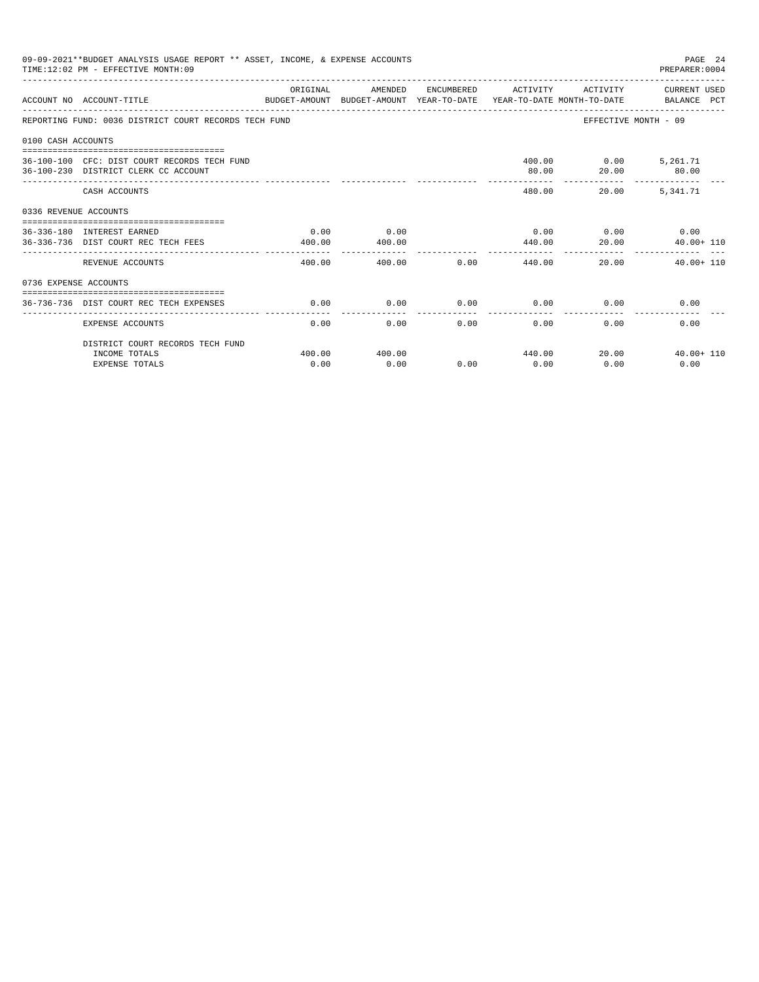| 09-09-2021**BUDGET ANALYSIS USAGE REPORT ** ASSET, INCOME, & EXPENSE ACCOUNTS<br>PAGE 24<br>TIME: 12:02 PM - EFFECTIVE MONTH: 09<br>PREPARER: 0004 |                                                                                                            |                |                |                     |                    |                                      |                                                                                                                              |  |  |
|----------------------------------------------------------------------------------------------------------------------------------------------------|------------------------------------------------------------------------------------------------------------|----------------|----------------|---------------------|--------------------|--------------------------------------|------------------------------------------------------------------------------------------------------------------------------|--|--|
|                                                                                                                                                    | ACCOUNT NO ACCOUNT-TITLE                                                                                   | ORIGINAL       | AMENDED        |                     |                    |                                      | ENCUMBERED ACTIVITY ACTIVITY CURRENT USED<br>BUDGET-AMOUNT BUDGET-AMOUNT YEAR-TO-DATE YEAR-TO-DATE MONTH-TO-DATE BALANCE PCT |  |  |
|                                                                                                                                                    | REPORTING FUND: 0036 DISTRICT COURT RECORDS TECH FUND                                                      |                |                |                     |                    |                                      | EFFECTIVE MONTH - 09                                                                                                         |  |  |
| 0100 CASH ACCOUNTS                                                                                                                                 |                                                                                                            |                |                |                     |                    |                                      |                                                                                                                              |  |  |
|                                                                                                                                                    | 36-100-100 CFC: DIST COURT RECORDS TECH FUND<br>36-100-230 DISTRICT CLERK CC ACCOUNT                       |                |                |                     | 80.00              | 400.00   0.00   5,261.71             | 20.00 80.00                                                                                                                  |  |  |
|                                                                                                                                                    | CASH ACCOUNTS                                                                                              |                |                |                     |                    | 480.00<br>20.00                      | 5,341.71                                                                                                                     |  |  |
| 0336 REVENUE ACCOUNTS                                                                                                                              |                                                                                                            |                |                |                     |                    |                                      |                                                                                                                              |  |  |
|                                                                                                                                                    | -------------------------------------<br>36-336-180 INTEREST EARNED<br>36-336-736 DIST COURT REC TECH FEES | 0.00<br>400.00 | 0.00<br>400.00 |                     | 440.00             | $0.00$ $0.00$ $0.00$ $0.00$<br>20.00 | $40.00 + 110$                                                                                                                |  |  |
|                                                                                                                                                    | REVENUE ACCOUNTS                                                                                           | 400.00         | 400.00         | 0.00                |                    | 440.00                               | 20.00 40.00+ 110                                                                                                             |  |  |
| 0736 EXPENSE ACCOUNTS                                                                                                                              |                                                                                                            |                |                |                     |                    |                                      |                                                                                                                              |  |  |
|                                                                                                                                                    | 36-736-736 DIST COURT REC TECH EXPENSES                                                                    | 0.00           | 0.00           | 0.00                | 0.00               |                                      | 0.00<br>0.00                                                                                                                 |  |  |
|                                                                                                                                                    | <b>EXPENSE ACCOUNTS</b>                                                                                    | 0.00           | 0.00           | -----------<br>0.00 | . <u>.</u><br>0.00 | 0.00                                 | 0.00                                                                                                                         |  |  |
|                                                                                                                                                    | DISTRICT COURT RECORDS TECH FUND                                                                           |                |                |                     |                    |                                      |                                                                                                                              |  |  |
|                                                                                                                                                    | INCOME TOTALS<br><b>EXPENSE TOTALS</b>                                                                     | 400.00<br>0.00 | 400.00<br>0.00 | 0.00                | 0.00               | 440.00<br>0.00                       | 20.00<br>$40.00 + 110$<br>0.00                                                                                               |  |  |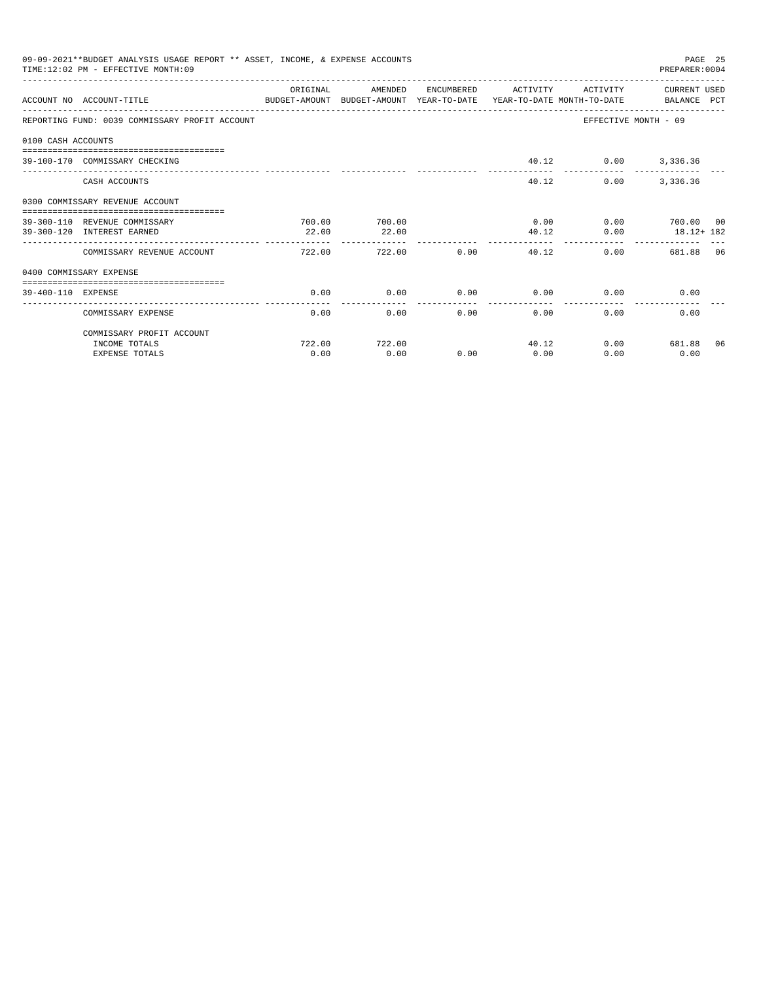|                    | 09-09-2021**BUDGET ANALYSIS USAGE REPORT ** ASSET, INCOME, & EXPENSE ACCOUNTS<br>TIME: 12:02 PM - EFFECTIVE MONTH: 09 |           |                        |                   |                      |                     | PREPARER: 0004            | PAGE 25 |
|--------------------|-----------------------------------------------------------------------------------------------------------------------|-----------|------------------------|-------------------|----------------------|---------------------|---------------------------|---------|
|                    | ACCOUNT NO ACCOUNT-TITLE<br>BUDGET-AMOUNT BUDGET-AMOUNT YEAR-TO-DATE YEAR-TO-DATE MONTH-TO-DATE     BALANCE PCT       | OR TGTNAL | AMENDED                | <b>ENCUMBERED</b> | ACTIVITY             | ACTIVITY            | CURRENT USED              |         |
|                    | REPORTING FUND: 0039 COMMISSARY PROFIT ACCOUNT                                                                        |           |                        |                   |                      |                     | EFFECTIVE MONTH - 09      |         |
| 0100 CASH ACCOUNTS |                                                                                                                       |           |                        |                   |                      |                     |                           |         |
|                    | 39-100-170 COMMISSARY CHECKING                                                                                        |           |                        |                   |                      | 40.12 0.00 3,336.36 |                           |         |
|                    | CASH ACCOUNTS                                                                                                         |           |                        |                   | 40.12                | 0.00                | 3,336.36                  |         |
|                    | 0300 COMMISSARY REVENUE ACCOUNT                                                                                       |           |                        |                   |                      |                     |                           |         |
|                    | 39-300-110 REVENUE COMMISSARY                                                                                         | 700.00    | 700.00                 |                   | 0.00                 |                     | $0.00$ 700.00 00          |         |
|                    | 39-300-120 INTEREST EARNED                                                                                            | 22.00     | 22.00<br>------------- |                   | 40.12<br>----------  | 0.00                | $18.12 + 182$             |         |
|                    | COMMISSARY REVENUE ACCOUNT                                                                                            | 722.00    | 722.00                 | 0.00              | 40.12                |                     | 0.00<br>681.88 06         |         |
|                    | 0400 COMMISSARY EXPENSE                                                                                               |           |                        |                   |                      |                     |                           |         |
| 39-400-110 EXPENSE |                                                                                                                       | 0.00      | 0.00                   | 0.00              | 0.00                 |                     | $0.00$ and $0.00$<br>0.00 |         |
|                    | COMMISSARY EXPENSE                                                                                                    | 0.00      | 0.00                   | 0.00              | ------------<br>0.00 | 0.00                | 0.00                      |         |
|                    | COMMISSARY PROFIT ACCOUNT                                                                                             |           |                        |                   |                      |                     |                           |         |
|                    | INCOME TOTALS                                                                                                         | 722.00    | 722.00                 |                   | 40.12                |                     | 0.00 681.88 06            |         |
|                    | <b>EXPENSE TOTALS</b>                                                                                                 | 0.00      | 0.00                   | 0.00              | 0.00                 | 0.00                | 0.00                      |         |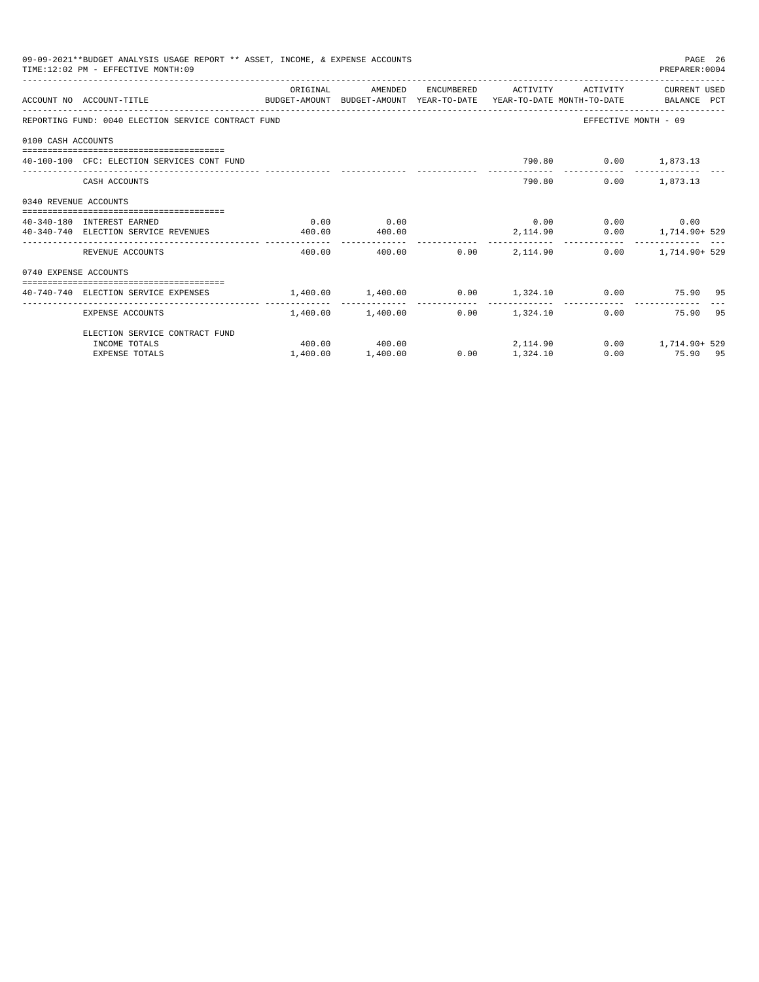|                       | 09-09-2021**BUDGET ANALYSIS USAGE REPORT ** ASSET, INCOME, & EXPENSE ACCOUNTS<br>TIME: 12:02 PM - EFFECTIVE MONTH: 09                                                                                                                                                                                                                                                              |          |                   |                          |                 |                              | PAGE 26<br>PREPARER:0004                           |
|-----------------------|------------------------------------------------------------------------------------------------------------------------------------------------------------------------------------------------------------------------------------------------------------------------------------------------------------------------------------------------------------------------------------|----------|-------------------|--------------------------|-----------------|------------------------------|----------------------------------------------------|
|                       | ACCOUNT NO ACCOUNT-TITLE COMPUTE SUDGET-AMOUNT BUDGET-AMOUNT YEAR-TO-DATE YEAR-TO-DATE MONTH-TO-DATE BALANCE PCT                                                                                                                                                                                                                                                                   | ORIGINAL | AMENDED           |                          |                 | ENCUMBERED ACTIVITY ACTIVITY | CURRENT USED                                       |
|                       | REPORTING FUND: 0040 ELECTION SERVICE CONTRACT FUND                                                                                                                                                                                                                                                                                                                                |          |                   |                          |                 |                              | EFFECTIVE MONTH - 09                               |
| 0100 CASH ACCOUNTS    |                                                                                                                                                                                                                                                                                                                                                                                    |          |                   |                          |                 |                              |                                                    |
|                       | 40-100-100 CFC: ELECTION SERVICES CONT FUND                                                                                                                                                                                                                                                                                                                                        |          |                   |                          |                 | 790.80 0.00 1,873.13         |                                                    |
|                       | CASH ACCOUNTS                                                                                                                                                                                                                                                                                                                                                                      |          |                   |                          |                 | 790.80                       | $0.00$ 1,873.13                                    |
| 0340 REVENUE ACCOUNTS |                                                                                                                                                                                                                                                                                                                                                                                    |          |                   |                          |                 |                              |                                                    |
|                       | 40-340-180 INTEREST EARNED                                                                                                                                                                                                                                                                                                                                                         | 0.00     | 0.00              |                          |                 |                              | $0.00$ $0.00$ $0.00$ $0.00$                        |
|                       | 40-340-740 ELECTION SERVICE REVENUES                                                                                                                                                                                                                                                                                                                                               | 400.00   | 400.00            |                          |                 |                              | $2,114.90$ $0.00$ $1,714.90+529$                   |
|                       | REVENUE ACCOUNTS                                                                                                                                                                                                                                                                                                                                                                   | 400.00   |                   | --------------<br>400.00 | $0.00$ 2.114.90 |                              | $0.00$ 1, 714, 90+ 529                             |
| 0740 EXPENSE ACCOUNTS |                                                                                                                                                                                                                                                                                                                                                                                    |          |                   |                          |                 |                              |                                                    |
|                       |                                                                                                                                                                                                                                                                                                                                                                                    |          |                   |                          |                 |                              |                                                    |
|                       | $40-740-740 \text{ ELECTION SERIES} \qquad \qquad 1,400.00 \qquad \qquad 1,400.00 \qquad \qquad 0.00 \qquad \qquad 1,324.10 \qquad \qquad 0.00 \qquad \qquad 75.90 \qquad 95.00 \qquad \qquad 0.000 \qquad \qquad 0.000 \qquad \qquad 0.000 \qquad \qquad 0.000 \qquad \qquad 0.000 \qquad \qquad 0.000 \qquad \qquad 0.000 \qquad \qquad 0.000 \qquad \qquad 0.000 \qquad \qquad$ |          |                   |                          |                 |                              | $- - - - - - - - -$                                |
|                       | EXPENSE ACCOUNTS                                                                                                                                                                                                                                                                                                                                                                   |          | 1,400.00 1,400.00 |                          | $0.00$ 1.324.10 |                              | 0.00 75.90 95                                      |
|                       | ELECTION SERVICE CONTRACT FUND                                                                                                                                                                                                                                                                                                                                                     |          |                   |                          |                 |                              |                                                    |
|                       | INCOME TOTALS                                                                                                                                                                                                                                                                                                                                                                      |          |                   |                          |                 |                              | $400.00$ $400.00$ $2.114.90$ $0.00$ $1.714.90+529$ |
|                       | <b>EXPENSE TOTALS</b>                                                                                                                                                                                                                                                                                                                                                              | 1,400.00 | 1,400.00          | 0.00                     | 1,324.10        |                              | 0.00 75.90 95                                      |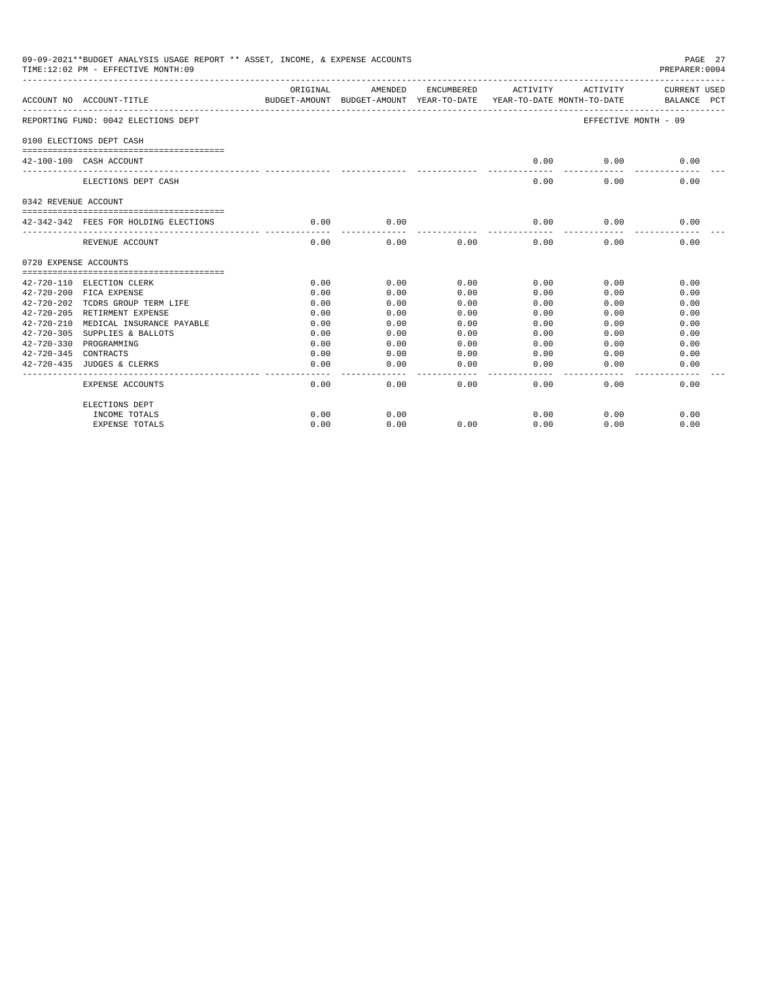|                       | 09-09-2021**BUDGET ANALYSIS USAGE REPORT ** ASSET, INCOME, & EXPENSE ACCOUNTS<br>TIME: 12:02 PM - EFFECTIVE MONTH: 09 |                                                                                 |                     |                       |                     |                   | PAGE 27<br>PREPARER: 0004   |
|-----------------------|-----------------------------------------------------------------------------------------------------------------------|---------------------------------------------------------------------------------|---------------------|-----------------------|---------------------|-------------------|-----------------------------|
|                       | ACCOUNT NO ACCOUNT-TITLE                                                                                              | ORIGINAL<br>BUDGET-AMOUNT BUDGET-AMOUNT YEAR-TO-DATE YEAR-TO-DATE MONTH-TO-DATE |                     | AMENDED ENCUMBERED    |                     | ACTIVITY ACTIVITY | CURRENT USED<br>BALANCE PCT |
|                       | REPORTING FUND: 0042 ELECTIONS DEPT                                                                                   |                                                                                 |                     |                       |                     |                   | EFFECTIVE MONTH - 09        |
|                       | 0100 ELECTIONS DEPT CASH                                                                                              |                                                                                 |                     |                       |                     |                   |                             |
|                       | 42-100-100 CASH ACCOUNT                                                                                               |                                                                                 |                     |                       | 0.00                | 0.00              | 0.00                        |
|                       | ELECTIONS DEPT CASH                                                                                                   |                                                                                 |                     |                       | 0.00                | 0.00              | 0.00                        |
| 0342 REVENUE ACCOUNT  |                                                                                                                       |                                                                                 |                     |                       |                     |                   |                             |
|                       | 42-342-342 FEES FOR HOLDING ELECTIONS                                                                                 | 0.00<br>_____________                                                           | 0.00                |                       | 0.00<br>-------     | 0.00              | 0.00                        |
|                       | REVENUE ACCOUNT                                                                                                       | 0.00                                                                            | ---------<br>0.00   | 0.00                  | 0.00                | 0.00              | 0.00                        |
| 0720 EXPENSE ACCOUNTS |                                                                                                                       |                                                                                 |                     |                       |                     |                   |                             |
|                       | 42-720-110 ELECTION CLERK                                                                                             | 0.00                                                                            | 0.00                | 0.00                  | 0.00                | 0.00              | 0.00                        |
|                       | 42-720-200 FICA EXPENSE                                                                                               | 0.00                                                                            | 0.00                | 0.00                  | 0.00                | 0.00              | 0.00                        |
|                       | 42-720-202 TCDRS GROUP TERM LIFE                                                                                      | 0.00                                                                            | 0.00                | 0.00                  | 0.00                | 0.00              | 0.00                        |
|                       | 42-720-205 RETIRMENT EXPENSE                                                                                          | 0.00                                                                            | 0.00                | 0.00                  | 0.00                | 0.00              | 0.00                        |
|                       | 42-720-210 MEDICAL INSURANCE PAYABLE                                                                                  | 0.00                                                                            | 0.00                | 0.00                  | 0.00                | 0.00              | 0.00                        |
| $42 - 720 - 305$      | SUPPLIES & BALLOTS                                                                                                    | 0.00                                                                            | 0.00                | 0.00                  | 0.00                | 0.00              | 0.00                        |
|                       | 42-720-330 PROGRAMMING                                                                                                | 0.00                                                                            | 0.00                | 0.00                  | 0.00                | 0.00              | 0.00                        |
| 42-720-345 CONTRACTS  |                                                                                                                       | 0.00                                                                            | 0.00                | 0.00                  | 0.00                | 0.00              | 0.00                        |
|                       | 42-720-435 JUDGES & CLERKS                                                                                            | 0.00                                                                            | 0.00<br>----------- | 0.00<br>$- - - - - -$ | 0.00<br>$- - - - -$ | 0.00              | 0.00                        |
|                       | <b>EXPENSE ACCOUNTS</b>                                                                                               | 0.00                                                                            | 0.00                | 0.00                  | 0.00                | 0.00              | 0.00                        |
|                       | ELECTIONS DEPT                                                                                                        |                                                                                 |                     |                       |                     |                   |                             |
|                       | INCOME TOTALS                                                                                                         | 0.00                                                                            | 0.00                |                       | 0.00                | 0.00              | 0.00                        |
|                       | <b>EXPENSE TOTALS</b>                                                                                                 | 0.00                                                                            | 0.00                | 0.00                  | 0.00                | 0.00              | 0.00                        |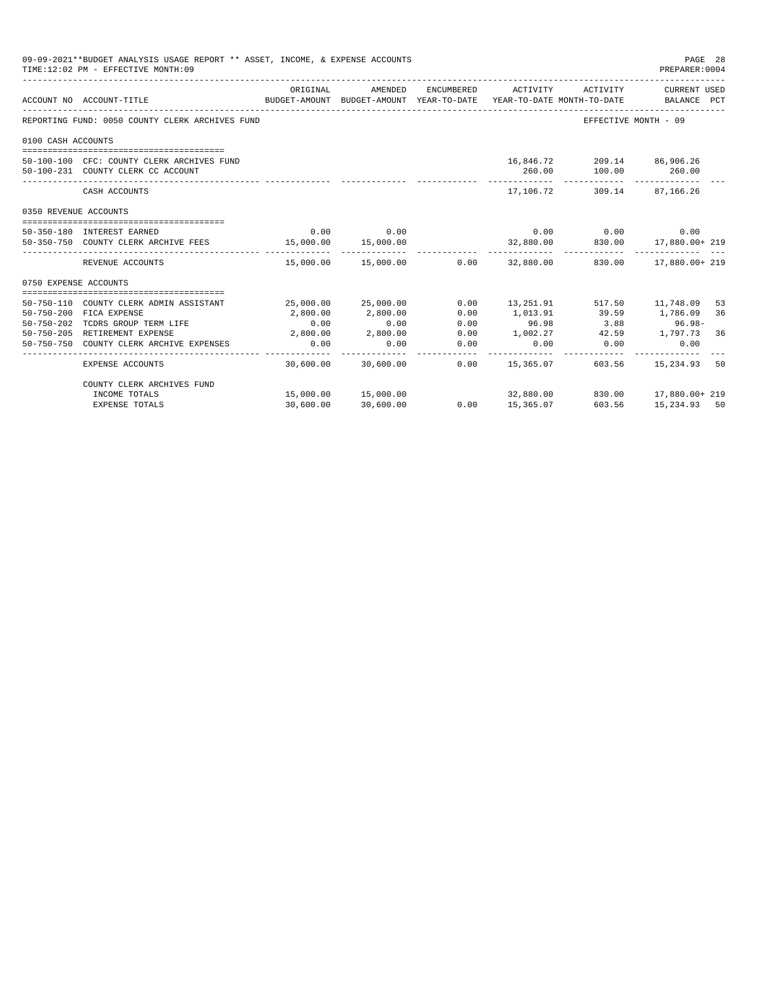|                       | 09-09-2021**BUDGET ANALYSIS USAGE REPORT ** ASSET, INCOME, & EXPENSE ACCOUNTS<br>TIME: 12:02 PM - EFFECTIVE MONTH: 09 |           |                                 |                      |                                                                                 |                                                             | PAGE 28<br>PREPARER: 0004   |          |
|-----------------------|-----------------------------------------------------------------------------------------------------------------------|-----------|---------------------------------|----------------------|---------------------------------------------------------------------------------|-------------------------------------------------------------|-----------------------------|----------|
|                       | ACCOUNT NO ACCOUNT-TITLE                                                                                              | ORIGINAL  | AMENDED                         | ENCUMBERED           | ACTIVITY<br>BUDGET-AMOUNT BUDGET-AMOUNT YEAR-TO-DATE YEAR-TO-DATE MONTH-TO-DATE | ACTIVITY                                                    | CURRENT USED<br>BALANCE PCT |          |
|                       | REPORTING FUND: 0050 COUNTY CLERK ARCHIVES FUND                                                                       |           |                                 |                      |                                                                                 | EFFECTIVE MONTH - 09                                        |                             |          |
| 0100 CASH ACCOUNTS    |                                                                                                                       |           |                                 |                      |                                                                                 |                                                             |                             |          |
|                       | 50-100-100 CFC: COUNTY CLERK ARCHIVES FUND<br>50-100-231 COUNTY CLERK CC ACCOUNT                                      |           |                                 |                      | 260.00<br>------------                                                          | 16,846.72 209.14 86,906.26<br>100.00 260.00<br>____________ | ______________              |          |
|                       | CASH ACCOUNTS                                                                                                         |           |                                 |                      | 17,106.72                                                                       |                                                             | 309.14 87,166.26            |          |
| 0350 REVENUE ACCOUNTS |                                                                                                                       |           |                                 |                      |                                                                                 |                                                             |                             |          |
|                       | 50-350-180 INTEREST EARNED                                                                                            | 0.00      | 0.00                            |                      |                                                                                 | $0.00$ 0.00                                                 | 0.00                        |          |
|                       | 50-350-750 COUNTY CLERK ARCHIVE FEES                                                                                  | 15.000.00 | 15,000.00                       |                      |                                                                                 | $32,880.00$ $830.00$ $17,880.00 + 219$                      |                             |          |
|                       | REVENUE ACCOUNTS                                                                                                      |           | 15,000.00  15,000.00   0.00     |                      |                                                                                 | 32,880.00 830.00 17,880.00+ 219                             |                             |          |
| 0750 EXPENSE ACCOUNTS |                                                                                                                       |           |                                 |                      |                                                                                 |                                                             |                             |          |
|                       |                                                                                                                       |           |                                 |                      |                                                                                 |                                                             |                             |          |
| $50 - 750 - 200$      | 50-750-110 COUNTY CLERK ADMIN ASSISTANT<br>FICA EXPENSE                                                               | 2,800.00  | 25,000.00 25,000.00<br>2,800.00 | 0.00<br>0.00         | 1,013.91                                                                        | 13, 251.91 517.50 11, 748.09<br>39.59                       | 1,786.09                    | 53<br>36 |
|                       | 50-750-202 TCDRS GROUP TERM LIFE                                                                                      | 0.00      | 0.00                            | 0.00                 | 96.98                                                                           | 3.88                                                        | $96.98 -$                   |          |
|                       | 50-750-205 RETIREMENT EXPENSE                                                                                         | 2,800.00  | 2,800.00                        | 0.00                 | 1,002.27                                                                        | 42.59 1,797.73 36                                           |                             |          |
|                       | 50-750-750 COUNTY CLERK ARCHIVE EXPENSES                                                                              | 0.00      | 0.00                            | 0.00                 | 0.00                                                                            | 0.00                                                        | 0.00                        |          |
|                       | <b>EXPENSE ACCOUNTS</b>                                                                                               | 30,600.00 | 30,600.00                       | ------------<br>0.00 | 15,365.07                                                                       | --------------<br>603.56                                    | 15,234.93                   | 50       |
|                       | COUNTY CLERK ARCHIVES FUND                                                                                            |           |                                 |                      |                                                                                 |                                                             |                             |          |
|                       | INCOME TOTALS                                                                                                         |           | 15,000.00  15,000.00            |                      |                                                                                 | 32,880.00 830.00 17,880.00+ 219                             |                             |          |
|                       | <b>EXPENSE TOTALS</b>                                                                                                 | 30,600.00 | 30,600.00                       | 0.00                 | 15,365.07                                                                       | 603.56                                                      | 15,234.93 50                |          |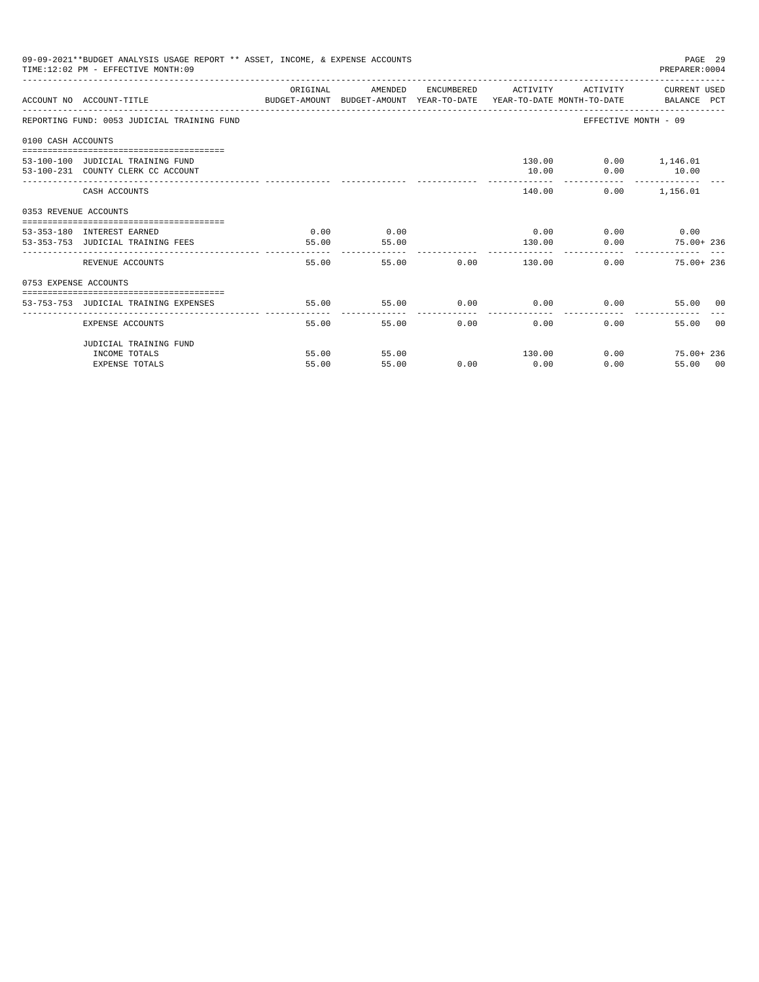|                       | 09-09-2021**BUDGET ANALYSIS USAGE REPORT ** ASSET, INCOME, & EXPENSE ACCOUNTS<br>TIME: 12:02 PM - EFFECTIVE MONTH: 09 |          |         |       |                     |                             | PAGE 29<br>PREPARER: 0004         |                |
|-----------------------|-----------------------------------------------------------------------------------------------------------------------|----------|---------|-------|---------------------|-----------------------------|-----------------------------------|----------------|
|                       | BUDGET-AMOUNT BUDGET-AMOUNT YEAR-TO-DATE YEAR-TO-DATE MONTH-TO-DATE BALANCE PCT<br>ACCOUNT NO ACCOUNT-TITLE           | ORIGINAL | AMENDED |       | ENCUMBERED ACTIVITY |                             | ACTIVITY CURRENT USED             |                |
|                       | REPORTING FUND: 0053 JUDICIAL TRAINING FUND                                                                           |          |         |       |                     |                             | EFFECTIVE MONTH - 09              |                |
| 0100 CASH ACCOUNTS    |                                                                                                                       |          |         |       |                     |                             |                                   |                |
|                       |                                                                                                                       |          |         |       |                     | 130.00                      | $0.00$ 1,146.01                   |                |
|                       | 53-100-100 JUDICIAL TRAINING FUND<br>53-100-231 COUNTY CLERK CC ACCOUNT                                               |          |         |       | 10.00               |                             | $0.00$ 10.00                      |                |
|                       | CASH ACCOUNTS                                                                                                         |          |         |       |                     | -------------<br>140.00     | --------------<br>$0.00$ 1.156.01 |                |
| 0353 REVENUE ACCOUNTS |                                                                                                                       |          |         |       |                     |                             |                                   |                |
|                       | 53-353-180 INTEREST EARNED                                                                                            | 0.00     | 0.00    |       |                     | $0.00$ $0.00$ $0.00$ $0.00$ |                                   |                |
|                       | 53-353-753 JUDICIAL TRAINING FEES                                                                                     | 55.00    | 55.00   |       | 130.00              |                             | 0.00<br>75.00+ 236                |                |
|                       | REVENUE ACCOUNTS                                                                                                      | 55.00    |         | 55.00 | $0.00$ 130.00       |                             | 0.00<br>$75.00 + 236$             |                |
| 0753 EXPENSE ACCOUNTS |                                                                                                                       |          |         |       |                     |                             |                                   |                |
|                       | 53-753-753 JUDICIAL TRAINING EXPENSES                                                                                 | 55.00    | 55.00   | 0.00  |                     | $0.00$ 0.00                 | 55.00 00                          |                |
|                       |                                                                                                                       |          |         |       |                     |                             |                                   |                |
|                       | EXPENSE ACCOUNTS                                                                                                      | 55.00    | 55.00   | 0.00  | 0.00                | $0.00 -$                    | 55.00                             | 0 <sub>0</sub> |
|                       | JUDICIAL TRAINING FUND                                                                                                |          |         |       |                     |                             |                                   |                |
|                       | INCOME TOTALS                                                                                                         | 55.00    | 55.00   |       | 130.00              |                             | 0.00<br>$75.00 + 236$             |                |
|                       | <b>EXPENSE TOTALS</b>                                                                                                 | 55.00    | 55.00   | 0.00  | 0.00                | 0.00                        | 55.00 00                          |                |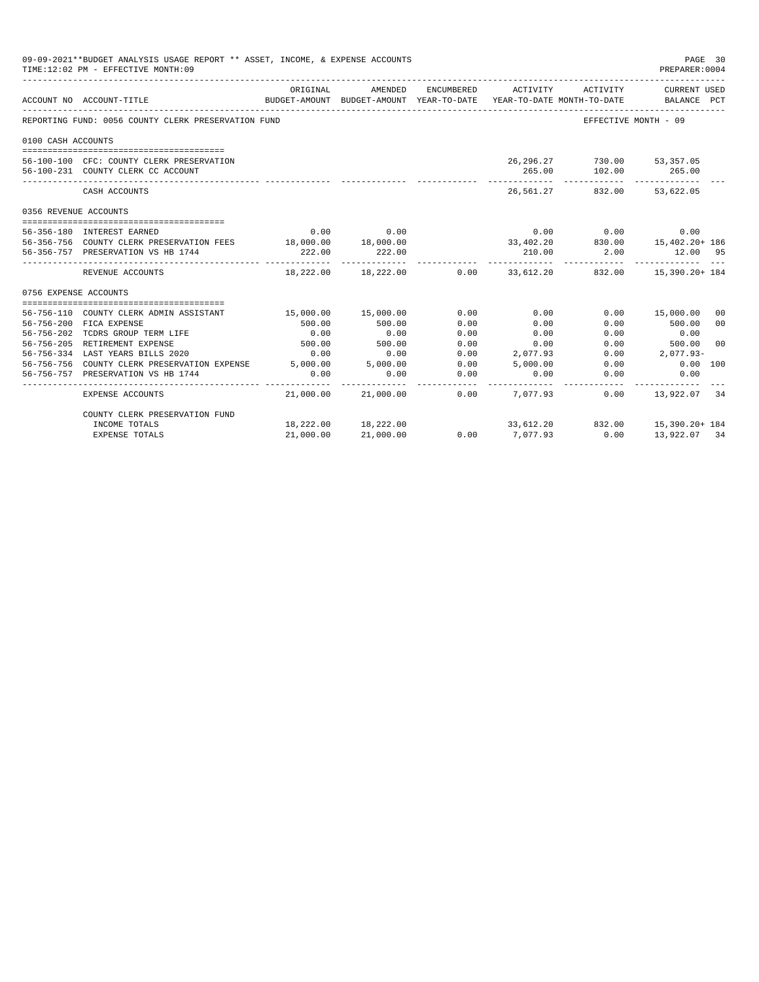| 09-09-2021**BUDGET ANALYSIS USAGE REPORT ** ASSET, INCOME, & EXPENSE ACCOUNTS<br>TIME:12:02 PM - EFFECTIVE MONTH:09 |                                                                                 |                     |                                                                                |            |          |                                  |                                                                          |                |
|---------------------------------------------------------------------------------------------------------------------|---------------------------------------------------------------------------------|---------------------|--------------------------------------------------------------------------------|------------|----------|----------------------------------|--------------------------------------------------------------------------|----------------|
|                                                                                                                     | ACCOUNT NO ACCOUNT-TITLE                                                        | ORIGINAL            | AMENDED<br>BUDGET-AMOUNT BUDGET-AMOUNT YEAR-TO-DATE YEAR-TO-DATE MONTH-TO-DATE | ENCUMBERED | ACTIVITY | ACTIVITY                         | CURRENT USED<br>BALANCE PCT                                              |                |
|                                                                                                                     | REPORTING FUND: 0056 COUNTY CLERK PRESERVATION FUND                             |                     |                                                                                |            |          |                                  | EFFECTIVE MONTH - 09                                                     |                |
| 0100 CASH ACCOUNTS                                                                                                  |                                                                                 |                     |                                                                                |            |          |                                  |                                                                          |                |
|                                                                                                                     | 56-100-100 CFC: COUNTY CLERK PRESERVATION<br>56-100-231 COUNTY CLERK CC ACCOUNT |                     |                                                                                |            | 265.00   | 26,296.27 730.00 53,357.05       | 102.00 265.00                                                            |                |
|                                                                                                                     | CASH ACCOUNTS                                                                   |                     |                                                                                |            |          | ____________<br>26,561.27 832.00 | 53,622.05                                                                |                |
| 0356 REVENUE ACCOUNTS                                                                                               |                                                                                 |                     |                                                                                |            |          |                                  |                                                                          |                |
|                                                                                                                     |                                                                                 |                     |                                                                                |            |          |                                  |                                                                          |                |
|                                                                                                                     | 56-356-180 INTEREST EARNED                                                      | 0.00                | 0.00                                                                           |            |          | $0.00$ 0.00                      | 0.00                                                                     |                |
|                                                                                                                     | 56-356-756 COUNTY CLERK PRESERVATION FEES 18,000.00 18,000.00                   |                     |                                                                                |            |          |                                  | $33,402.20$<br>33,402.20 $330.00$ 15,402.20+ 186<br>210.00 2.00 12.00 95 |                |
|                                                                                                                     | 56-356-757 PRESERVATION VS HB 1744                                              | 222.00              | 222.00                                                                         |            |          |                                  |                                                                          |                |
|                                                                                                                     | REVENUE ACCOUNTS                                                                |                     | 18,222.00 18,222.00                                                            |            |          |                                  | $0.00$ 33,612.20 832.00 15,390.20+184                                    |                |
| 0756 EXPENSE ACCOUNTS                                                                                               |                                                                                 |                     |                                                                                |            |          |                                  |                                                                          |                |
|                                                                                                                     |                                                                                 |                     |                                                                                |            |          |                                  |                                                                          |                |
|                                                                                                                     | 56-756-110 COUNTY CLERK ADMIN ASSISTANT                                         | 15,000.00 15,000.00 |                                                                                | 0.00       | 0.00     |                                  | 0.00 15,000.00                                                           | 00             |
|                                                                                                                     | 56-756-200 FICA EXPENSE                                                         | 500.00              | 500.00                                                                         | 0.00       | 0.00     | 0.00                             | 500.00                                                                   | 0 <sup>0</sup> |
| 56-756-202                                                                                                          | TCDRS GROUP TERM LIFE                                                           | 0.00                | 0.00                                                                           | 0.00       | 0.00     | 0.00                             | 0.00                                                                     |                |
|                                                                                                                     | 56-756-205 RETIREMENT EXPENSE                                                   | 500.00              | 500.00                                                                         | 0.00       | 0.00     |                                  | $0.00$ and $0.00$<br>500.00                                              | 0 <sup>0</sup> |
|                                                                                                                     | 56-756-334 LAST YEARS BILLS 2020                                                | 0.00                | 0.00                                                                           | 0.00       | 2,077.93 |                                  | $0.00$ 2.077.93-                                                         |                |
|                                                                                                                     | 56-756-756 COUNTY CLERK PRESERVATION EXPENSE 5,000.00 5,000.00                  |                     |                                                                                | 0.00       | 5,000.00 | 0.00                             | $0.00$ 100                                                               |                |
|                                                                                                                     | 56-756-757 PRESERVATION VS HB 1744                                              | 0.00                | 0.00                                                                           | 0.00       | 0.00     | 0.00                             | 0.00                                                                     |                |
|                                                                                                                     | EXPENSE ACCOUNTS                                                                |                     | 21,000.00 21,000.00                                                            | 0.00       | 7,077.93 | 0.00                             | 13,922.07                                                                | -34            |
|                                                                                                                     | COUNTY CLERK PRESERVATION FUND                                                  |                     |                                                                                |            |          |                                  |                                                                          |                |
|                                                                                                                     | INCOME TOTALS                                                                   |                     | 18,222.00 18,222.00                                                            |            |          |                                  | 33,612.20 832.00 15,390.20+ 184                                          |                |
|                                                                                                                     | <b>EXPENSE TOTALS</b>                                                           | 21,000.00           | 21,000.00                                                                      | 0.00       | 7,077.93 | 0.00                             | 13,922.07 34                                                             |                |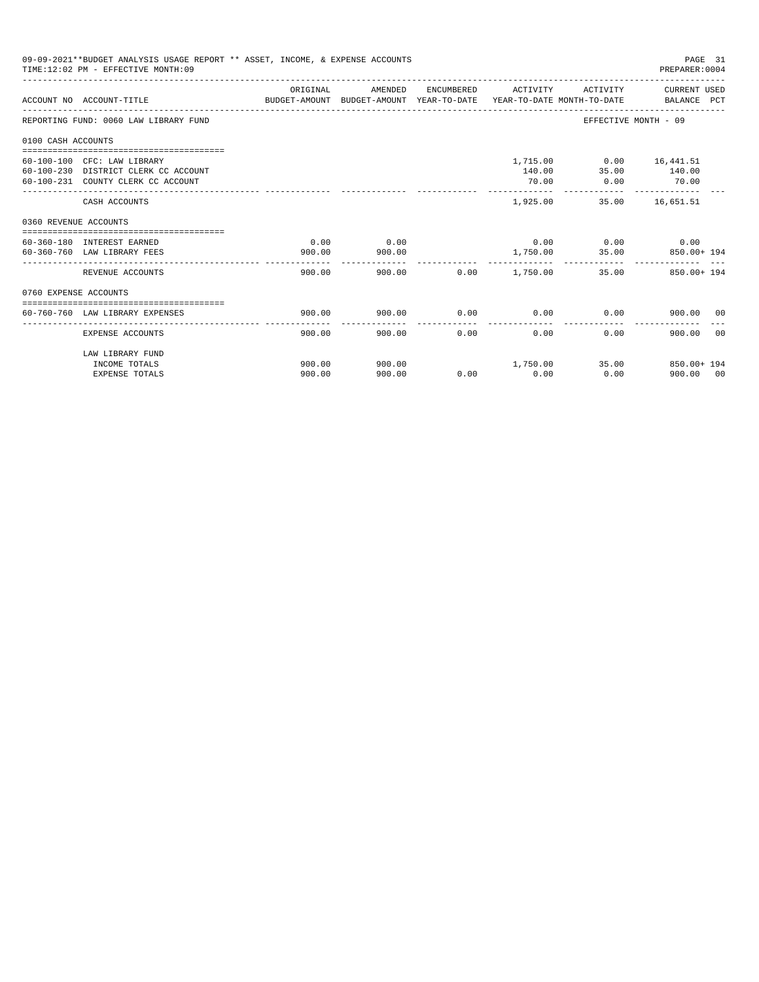|                       | 09-09-2021**BUDGET ANALYSIS USAGE REPORT ** ASSET, INCOME, & EXPENSE ACCOUNTS<br>TIME:12:02 PM - EFFECTIVE MONTH:09 |                                                                                                  |         |      |                     |                             | PAGE 31<br>PREPARER: 0004  |
|-----------------------|---------------------------------------------------------------------------------------------------------------------|--------------------------------------------------------------------------------------------------|---------|------|---------------------|-----------------------------|----------------------------|
|                       | ACCOUNT NO ACCOUNT-TITLE                                                                                            | ORIGINAL<br>BUDGET-AMOUNT BUDGET-AMOUNT YEAR-TO-DATE  YEAR-TO-DATE MONTH-TO-DATE     BALANCE PCT | AMENDED |      | ENCUMBERED ACTIVITY |                             | ACTIVITY CURRENT USED      |
|                       | REPORTING FUND: 0060 LAW LIBRARY FUND                                                                               |                                                                                                  |         |      |                     | EFFECTIVE MONTH - 09        |                            |
| 0100 CASH ACCOUNTS    |                                                                                                                     |                                                                                                  |         |      |                     |                             |                            |
|                       | 60-100-100 CFC: LAW LIBRARY                                                                                         |                                                                                                  |         |      |                     | 1,715.00   0.00   16,441.51 |                            |
|                       | 60-100-230 DISTRICT CLERK CC ACCOUNT                                                                                |                                                                                                  |         |      | 140.00              | 35.00 140.00                |                            |
|                       | 60-100-231 COUNTY CLERK CC ACCOUNT                                                                                  |                                                                                                  |         |      | 70.00               | $0.00$ 70.00                |                            |
|                       | CASH ACCOUNTS                                                                                                       |                                                                                                  |         |      | 1,925.00            |                             | 35.00 16,651.51            |
| 0360 REVENUE ACCOUNTS |                                                                                                                     |                                                                                                  |         |      |                     |                             |                            |
|                       | 60-360-180 INTEREST EARNED                                                                                          | 0.00                                                                                             | 0.00    |      |                     | $0.00$ 0.00 0.00            |                            |
|                       | 60-360-760 LAW LIBRARY FEES                                                                                         | 900.00                                                                                           | 900.00  |      |                     |                             | 1,750.00 35.00 850.00+ 194 |
|                       | REVENUE ACCOUNTS                                                                                                    | 900.00                                                                                           |         |      |                     |                             | 35.00 850.00+194           |
| 0760 EXPENSE ACCOUNTS |                                                                                                                     |                                                                                                  |         |      |                     |                             |                            |
|                       |                                                                                                                     |                                                                                                  |         |      |                     |                             |                            |
|                       | 60-760-760 LAW LIBRARY EXPENSES                                                                                     | 900.00                                                                                           | 900.00  |      | $0.00$ 0.00         | 0.00                        | 900.00 00                  |
|                       | EXPENSE ACCOUNTS                                                                                                    | 900.00                                                                                           | 900.00  | 0.00 | 0.00                | 0.00                        | 900.00<br>0 <sub>0</sub>   |
|                       | LAW LIBRARY FUND                                                                                                    |                                                                                                  |         |      |                     |                             |                            |
|                       | INCOME TOTALS                                                                                                       | 900.00                                                                                           | 900.00  |      | 1,750.00            |                             | 35.00 850.00+ 194          |
|                       | <b>EXPENSE TOTALS</b>                                                                                               | 900.00                                                                                           | 900.00  |      | $0.00$ 0.00         | 0.00                        | 900.00 00                  |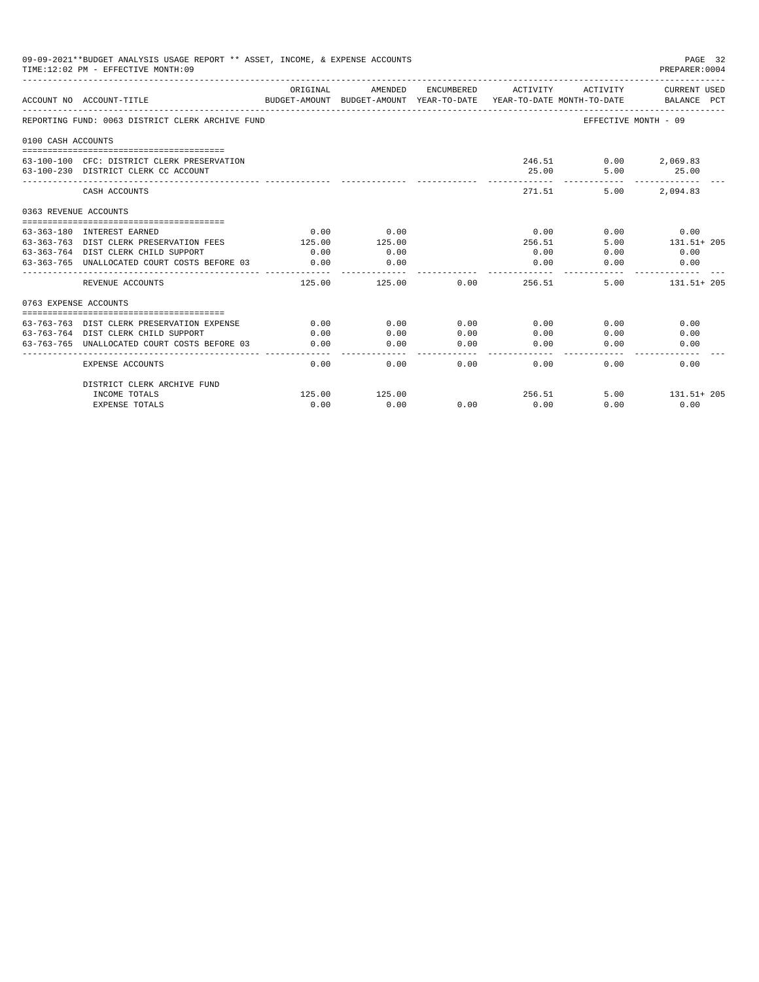|                       | 09-09-2021**BUDGET ANALYSIS USAGE REPORT ** ASSET, INCOME, & EXPENSE ACCOUNTS<br>TIME:12:02 PM - EFFECTIVE MONTH:09 |          |                                                                                |                  |                 |                                              | PAGE 32<br>PREPARER: 0004   |
|-----------------------|---------------------------------------------------------------------------------------------------------------------|----------|--------------------------------------------------------------------------------|------------------|-----------------|----------------------------------------------|-----------------------------|
|                       | ACCOUNT NO ACCOUNT-TITLE                                                                                            | ORIGINAL | AMENDED<br>BUDGET-AMOUNT BUDGET-AMOUNT YEAR-TO-DATE YEAR-TO-DATE MONTH-TO-DATE | ENCUMBERED       | ACTIVITY        | ACTIVITY                                     | CURRENT USED<br>BALANCE PCT |
|                       | REPORTING FUND: 0063 DISTRICT CLERK ARCHIVE FUND                                                                    |          |                                                                                |                  |                 |                                              | EFFECTIVE MONTH - 09        |
| 0100 CASH ACCOUNTS    |                                                                                                                     |          |                                                                                |                  |                 |                                              |                             |
|                       | 63-100-100 CFC: DISTRICT CLERK PRESERVATION<br>63-100-230 DISTRICT CLERK CC ACCOUNT                                 |          |                                                                                |                  | 25.00           | 246.51 0.00<br>5.00<br>. _ _ _ _ _ _ _ _ _ _ | 2,069.83<br>25.00           |
|                       | CASH ACCOUNTS                                                                                                       |          |                                                                                |                  | 271.51          | 5.00                                         | -------------<br>2,094.83   |
| 0363 REVENUE ACCOUNTS |                                                                                                                     |          |                                                                                |                  |                 |                                              |                             |
|                       |                                                                                                                     |          |                                                                                |                  |                 |                                              |                             |
|                       | 63-363-180 INTEREST EARNED                                                                                          | 0.00     | 0.00<br>125.00                                                                 |                  | 0.00            |                                              | $0.00$ 0.00                 |
|                       | 63-363-763 DIST CLERK PRESERVATION FEES<br>63-363-764 DIST CLERK CHILD SUPPORT                                      | 125.00   |                                                                                |                  | 256.51<br>0.00  | 5.00                                         | 131.51+ 205<br>0.00         |
|                       |                                                                                                                     | 0.00     | 0.00                                                                           |                  |                 | 0.00                                         |                             |
|                       | 63-363-765 UNALLOCATED COURT COSTS BEFORE 03                                                                        | 0.00     | 0.00<br>-----------                                                            |                  | 0.00            | 0.00                                         | 0.00                        |
|                       | REVENUE ACCOUNTS                                                                                                    | 125.00   | 125.00                                                                         | 0.00             | 256.51          |                                              | 5.00 131.51+205             |
| 0763 EXPENSE ACCOUNTS |                                                                                                                     |          |                                                                                |                  |                 |                                              |                             |
|                       |                                                                                                                     |          |                                                                                |                  |                 |                                              |                             |
|                       | 63-763-763 DIST CLERK PRESERVATION EXPENSE                                                                          | 0.00     | 0.00                                                                           | 0.00             | 0.00            | 0.00                                         | 0.00                        |
|                       | 63-763-764 DIST CLERK CHILD SUPPORT                                                                                 | 0.00     | 0.00                                                                           | 0.00             | 0.00            | 0.00                                         | 0.00                        |
|                       | 63-763-765 UNALLOCATED COURT COSTS BEFORE 03                                                                        | 0.00     | 0.00<br>-----------                                                            | 0.00<br>المحاجات | 0.00<br>------- | 0.00                                         | 0.00                        |
|                       | <b>EXPENSE ACCOUNTS</b>                                                                                             | 0.00     | 0.00                                                                           | 0.00             | 0.00            | 0.00                                         | 0.00                        |
|                       | DISTRICT CLERK ARCHIVE FUND                                                                                         |          |                                                                                |                  |                 |                                              |                             |
|                       | INCOME TOTALS                                                                                                       | 125.00   | 125.00                                                                         |                  |                 | 256.51                                       | 5.00 131.51+205             |
|                       | <b>EXPENSE TOTALS</b>                                                                                               | 0.00     | 0.00                                                                           | 0.00             | 0.00            | 0.00                                         | 0.00                        |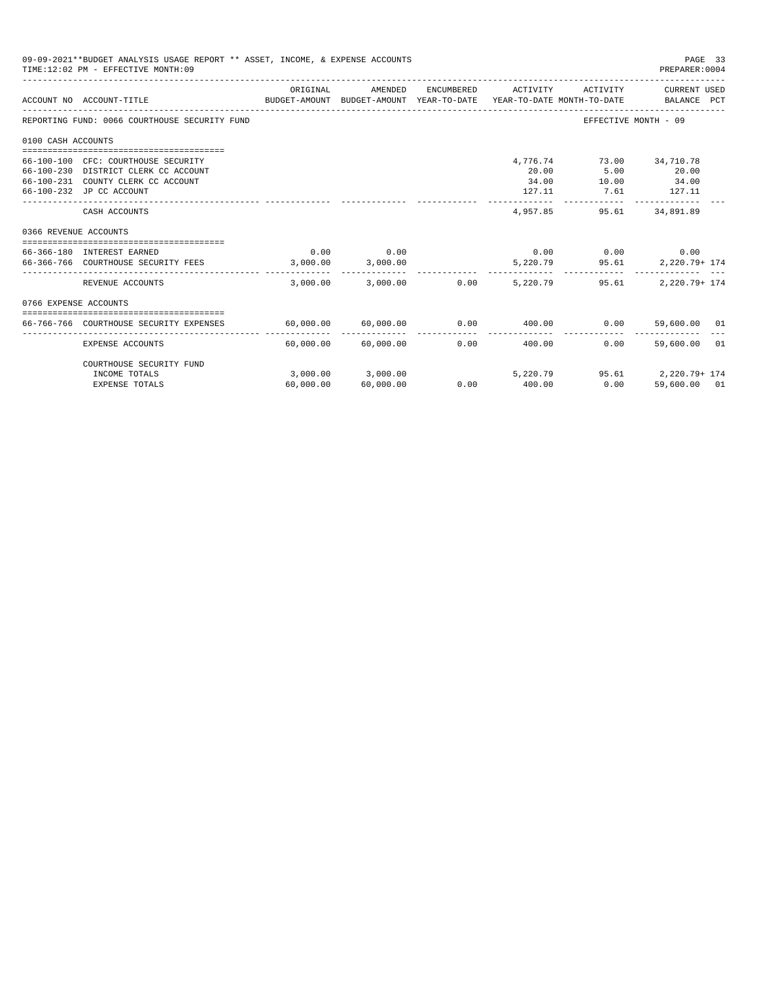|                    | 09-09-2021**BUDGET ANALYSIS USAGE REPORT ** ASSET, INCOME, & EXPENSE ACCOUNTS<br>TIME:12:02 PM - EFFECTIVE MONTH:09 |                                                |                       |               |                |                | PAGE 33<br>PREPARER: 0004                                                                           |
|--------------------|---------------------------------------------------------------------------------------------------------------------|------------------------------------------------|-----------------------|---------------|----------------|----------------|-----------------------------------------------------------------------------------------------------|
|                    | ACCOUNT NO ACCOUNT-TITLE                                                                                            | ORIGINAL                                       | AMENDED               | ENCUMBERED    | ACTIVITY       | ACTIVITY       | CURRENT USED<br>BUDGET-AMOUNT BUDGET-AMOUNT YEAR-TO-DATE YEAR-TO-DATE MONTH-TO-DATE     BALANCE PCT |
|                    | REPORTING FUND: 0066 COURTHOUSE SECURITY FUND                                                                       |                                                |                       |               |                |                | EFFECTIVE MONTH - 09                                                                                |
| 0100 CASH ACCOUNTS |                                                                                                                     |                                                |                       |               |                |                |                                                                                                     |
|                    |                                                                                                                     |                                                |                       |               |                |                |                                                                                                     |
|                    | 66-100-100 CFC: COURTHOUSE SECURITY                                                                                 |                                                |                       |               | 4,776.74       |                | 73.00 34,710.78                                                                                     |
|                    | 66-100-230 DISTRICT CLERK CC ACCOUNT<br>66-100-231 COUNTY CLERK CC ACCOUNT                                          |                                                |                       |               | 20.00<br>34.00 | 5.00<br>10.00  | 20.00<br>34.00                                                                                      |
|                    | 66-100-232 JP CC ACCOUNT                                                                                            |                                                |                       |               | 127.11         | 7.61           | 127.11                                                                                              |
|                    |                                                                                                                     |                                                |                       |               |                |                |                                                                                                     |
|                    | CASH ACCOUNTS                                                                                                       |                                                |                       |               | 4,957.85       | 95.61          | 34,891.89                                                                                           |
|                    | 0366 REVENUE ACCOUNTS                                                                                               |                                                |                       |               |                |                |                                                                                                     |
|                    |                                                                                                                     |                                                |                       |               |                |                |                                                                                                     |
|                    | 66-366-180 INTEREST EARNED                                                                                          | 0.00                                           | 0.00                  |               | 0.00           | $0.00$ 0.00    |                                                                                                     |
|                    | 66-366-766 COURTHOUSE SECURITY FEES                                                                                 |                                                | 3,000.00 3,000.00     |               |                | 5,220.79 95.61 | 2,220.79+ 174                                                                                       |
|                    | REVENUE ACCOUNTS                                                                                                    | 3,000.00                                       |                       | 3,000.00 0.00 | 5,220.79       | 95.61          | 2,220.79+ 174                                                                                       |
|                    | 0766 EXPENSE ACCOUNTS                                                                                               |                                                |                       |               |                |                |                                                                                                     |
|                    |                                                                                                                     |                                                |                       |               |                |                |                                                                                                     |
|                    | 66-766-766 COURTHOUSE SECURITY EXPENSES                                                                             | $60,000.00$ $60,000.00$ $0.00$ $0.00$ $400.00$ |                       |               |                | 0.00           | 59,600.00 01                                                                                        |
|                    | <b>EXPENSE ACCOUNTS</b>                                                                                             | 60,000.00                                      | 60,000.00             | 0.00          | 400.00         | 0.00           | 59,600.00 01                                                                                        |
|                    | COURTHOUSE SECURITY FUND                                                                                            |                                                |                       |               |                |                |                                                                                                     |
|                    | INCOME TOTALS                                                                                                       |                                                | $3,000.00$ $3,000.00$ |               | 5,220.79       |                | 95.61 2.220.79+ 174                                                                                 |
|                    | <b>EXPENSE TOTALS</b>                                                                                               | 60,000.00                                      | 60,000.00             | 0.00          | 400.00         | 0.00           | 59,600.00 01                                                                                        |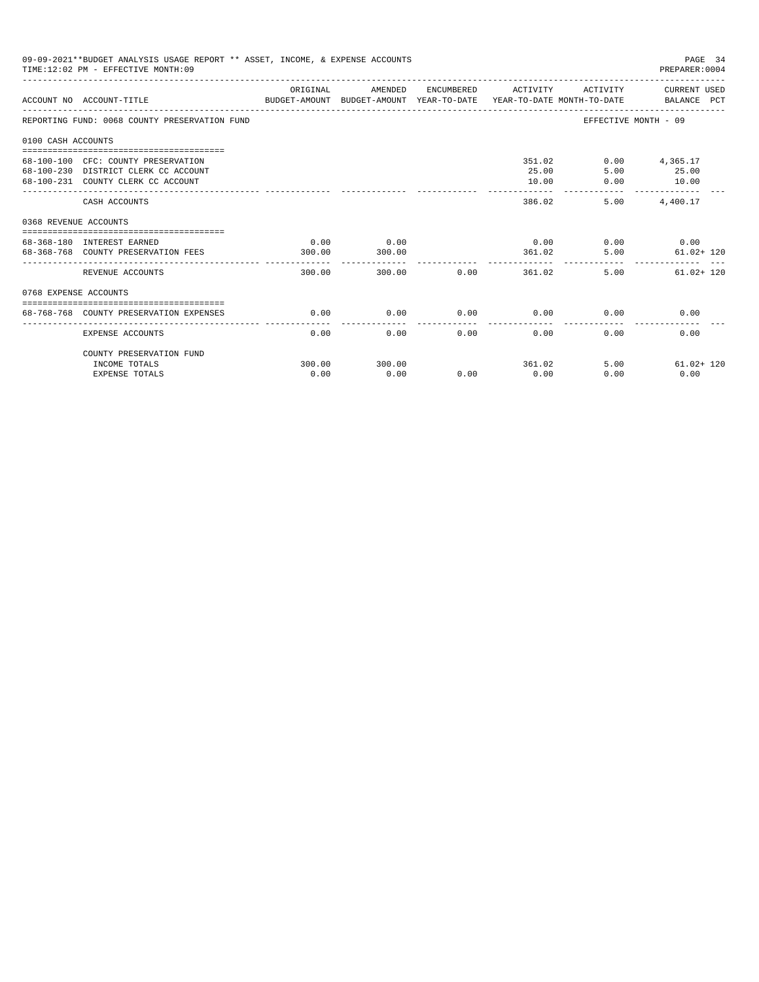|                       | 09-09-2021**BUDGET ANALYSIS USAGE REPORT ** ASSET, INCOME, & EXPENSE ACCOUNTS<br>TIME: 12:02 PM - EFFECTIVE MONTH: 09  |                |                                 |             |                                  |                        | PAGE 34<br>PREPARER: 0004                            |
|-----------------------|------------------------------------------------------------------------------------------------------------------------|----------------|---------------------------------|-------------|----------------------------------|------------------------|------------------------------------------------------|
|                       | ACCOUNT NO ACCOUNT-TITLE COMPARENT AND BUDGET-AMOUNT BUDGET-AMOUNT YEAR-TO-DATE YEAR-TO-DATE MONTH-TO-DATE BALANCE PCT | ORIGINAL       | AMENDED                         |             | ENCUMBERED ACTIVITY              |                        | ACTIVITY CURRENT USED                                |
|                       | REPORTING FUND: 0068 COUNTY PRESERVATION FUND                                                                          |                |                                 |             |                                  |                        | EFFECTIVE MONTH - 09                                 |
| 0100 CASH ACCOUNTS    |                                                                                                                        |                |                                 |             |                                  |                        |                                                      |
|                       | 68-100-100 CFC: COUNTY PRESERVATION<br>68-100-230 DISTRICT CLERK CC ACCOUNT<br>68-100-231 COUNTY CLERK CC ACCOUNT      |                |                                 |             | 25.00<br>10.00<br>______________ | 351.02<br>5.00<br>0.00 | $0.00$ 4,365.17<br>25.00<br>10.00<br>--------------  |
|                       | CASH ACCOUNTS                                                                                                          |                |                                 |             | 386.02                           |                        | 5.00 4.400.17                                        |
| 0368 REVENUE ACCOUNTS |                                                                                                                        |                |                                 |             |                                  |                        |                                                      |
|                       | 68-368-180 INTEREST EARNED<br>68-368-768 COUNTY PRESERVATION FEES                                                      | 0.00<br>300.00 | 0.00<br>300.00<br>------------- |             |                                  | 361.02                 | $0.00$ $0.00$ $0.00$ $0.00$<br>5.00<br>$61.02 + 120$ |
|                       | REVENUE ACCOUNTS                                                                                                       | 300.00         |                                 | 300.00 0.00 |                                  | 361.02                 | $61.02 + 120$<br>5.00                                |
| 0768 EXPENSE ACCOUNTS |                                                                                                                        |                |                                 |             |                                  |                        |                                                      |
|                       | 68-768-768 COUNTY PRESERVATION EXPENSES                                                                                | 0.00           | 0.00                            |             | $0.00$ 0.00                      |                        | 0.00<br>0.00                                         |
|                       | <b>EXPENSE ACCOUNTS</b>                                                                                                | 0.00           | 0.00                            | 0.00        | 0.00                             | 0.00                   | 0.00                                                 |
|                       | COUNTY PRESERVATION FUND                                                                                               |                |                                 |             |                                  |                        |                                                      |
|                       | INCOME TOTALS                                                                                                          | 300.00         | 300.00                          |             | 361.02                           |                        | 5.00<br>$61.02 + 120$                                |
|                       | <b>EXPENSE TOTALS</b>                                                                                                  | 0.00           | 0.00                            | 0.00        | 0.00                             | 0.00                   | 0.00                                                 |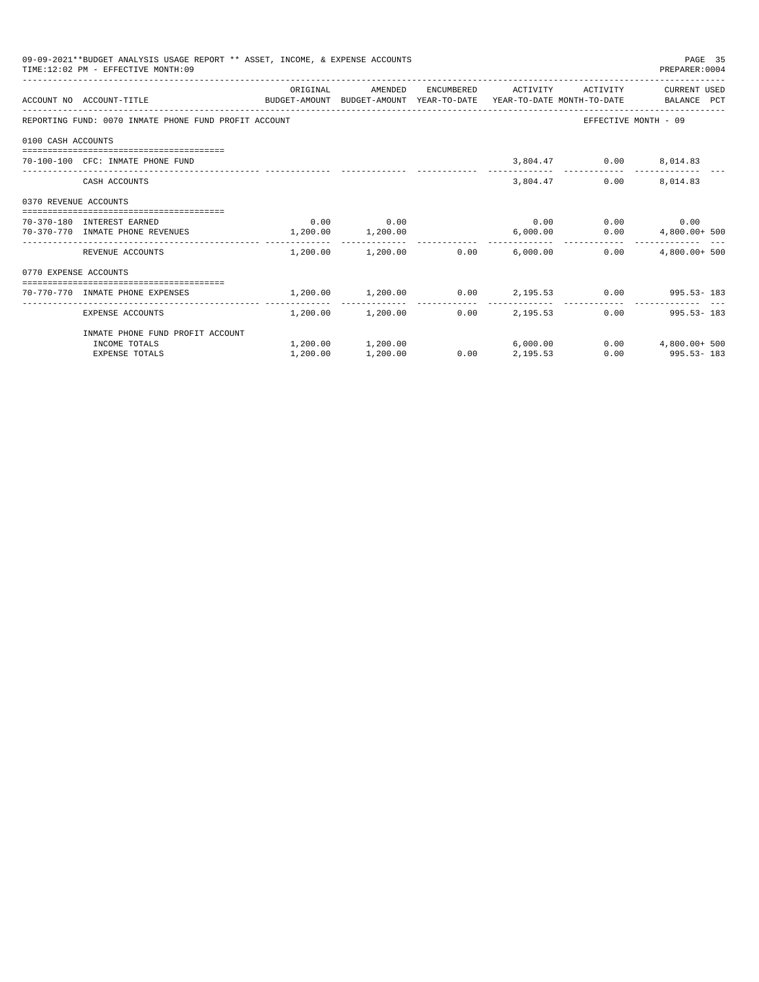| 09-09-2021**BUDGET ANALYSIS USAGE REPORT ** ASSET, INCOME, & EXPENSE ACCOUNTS<br>PAGE 35<br>TIME: 12:02 PM - EFFECTIVE MONTH: 09<br>PREPARER: 0004<br>ORIGINAL<br>ENCUMBERED ACTIVITY ACTIVITY<br>CURRENT USED<br>AMENDED<br>ACCOUNT NO ACCOUNT-TITLE COMPUTE BUDGET-AMOUNT BUDGET-AMOUNT YEAR-TO-DATE YEAR-TO-DATE MONTH-TO-DATE BALANCE PCT<br>REPORTING FUND: 0070 INMATE PHONE FUND PROFIT ACCOUNT<br>EFFECTIVE MONTH - 09<br>0100 CASH ACCOUNTS<br>3,804.47 0.00 8,014.83<br>70-100-100 CFC: INMATE PHONE FUND<br>3,804.47<br>$0.00$ 8,014.83<br>CASH ACCOUNTS<br>0370 REVENUE ACCOUNTS<br>$0.00$ 0.00<br>$0.00$ $0.00$ $0.00$ $0.00$<br>70-370-180 INTEREST EARNED<br>70-370-770 INMATE PHONE REVENUES 1,200.00 1,200.00<br>6,000.00<br>$0.00$ $4,800.00+500$<br>$1.200.00$ $1.200.00$ $0.00$ $6.000.00$<br>0.00<br>$4.800.00+500$<br>REVENUE ACCOUNTS<br>0770 EXPENSE ACCOUNTS<br>-----------------------------------<br>$1,200.00$ $1,200.00$ $0.00$ $2,195.53$ $0.00$ $995.53 - 183$<br>70-770-770 INMATE PHONE EXPENSES<br>------------<br>$1,200.00$ $1,200.00$ 0.00 $2,195.53$<br>$0.00$ 995.53-183<br>EXPENSE ACCOUNTS<br>INMATE PHONE FUND PROFIT ACCOUNT |          |                   |      |          |                       |
|-------------------------------------------------------------------------------------------------------------------------------------------------------------------------------------------------------------------------------------------------------------------------------------------------------------------------------------------------------------------------------------------------------------------------------------------------------------------------------------------------------------------------------------------------------------------------------------------------------------------------------------------------------------------------------------------------------------------------------------------------------------------------------------------------------------------------------------------------------------------------------------------------------------------------------------------------------------------------------------------------------------------------------------------------------------------------------------------------------------------------------------------------------------------------|----------|-------------------|------|----------|-----------------------|
|                                                                                                                                                                                                                                                                                                                                                                                                                                                                                                                                                                                                                                                                                                                                                                                                                                                                                                                                                                                                                                                                                                                                                                         |          |                   |      |          |                       |
|                                                                                                                                                                                                                                                                                                                                                                                                                                                                                                                                                                                                                                                                                                                                                                                                                                                                                                                                                                                                                                                                                                                                                                         |          |                   |      |          |                       |
|                                                                                                                                                                                                                                                                                                                                                                                                                                                                                                                                                                                                                                                                                                                                                                                                                                                                                                                                                                                                                                                                                                                                                                         |          |                   |      |          |                       |
|                                                                                                                                                                                                                                                                                                                                                                                                                                                                                                                                                                                                                                                                                                                                                                                                                                                                                                                                                                                                                                                                                                                                                                         |          |                   |      |          |                       |
|                                                                                                                                                                                                                                                                                                                                                                                                                                                                                                                                                                                                                                                                                                                                                                                                                                                                                                                                                                                                                                                                                                                                                                         |          |                   |      |          |                       |
|                                                                                                                                                                                                                                                                                                                                                                                                                                                                                                                                                                                                                                                                                                                                                                                                                                                                                                                                                                                                                                                                                                                                                                         |          |                   |      |          |                       |
|                                                                                                                                                                                                                                                                                                                                                                                                                                                                                                                                                                                                                                                                                                                                                                                                                                                                                                                                                                                                                                                                                                                                                                         |          |                   |      |          |                       |
|                                                                                                                                                                                                                                                                                                                                                                                                                                                                                                                                                                                                                                                                                                                                                                                                                                                                                                                                                                                                                                                                                                                                                                         |          |                   |      |          |                       |
|                                                                                                                                                                                                                                                                                                                                                                                                                                                                                                                                                                                                                                                                                                                                                                                                                                                                                                                                                                                                                                                                                                                                                                         |          |                   |      |          |                       |
|                                                                                                                                                                                                                                                                                                                                                                                                                                                                                                                                                                                                                                                                                                                                                                                                                                                                                                                                                                                                                                                                                                                                                                         |          |                   |      |          |                       |
|                                                                                                                                                                                                                                                                                                                                                                                                                                                                                                                                                                                                                                                                                                                                                                                                                                                                                                                                                                                                                                                                                                                                                                         |          |                   |      |          |                       |
|                                                                                                                                                                                                                                                                                                                                                                                                                                                                                                                                                                                                                                                                                                                                                                                                                                                                                                                                                                                                                                                                                                                                                                         |          |                   |      |          |                       |
|                                                                                                                                                                                                                                                                                                                                                                                                                                                                                                                                                                                                                                                                                                                                                                                                                                                                                                                                                                                                                                                                                                                                                                         |          |                   |      |          |                       |
| INCOME TOTALS                                                                                                                                                                                                                                                                                                                                                                                                                                                                                                                                                                                                                                                                                                                                                                                                                                                                                                                                                                                                                                                                                                                                                           |          | 1,200.00 1,200.00 |      | 6,000.00 | $0.00$ $4.800.00+500$ |
| <b>EXPENSE TOTALS</b>                                                                                                                                                                                                                                                                                                                                                                                                                                                                                                                                                                                                                                                                                                                                                                                                                                                                                                                                                                                                                                                                                                                                                   | 1,200.00 | 1,200.00          | 0.00 | 2,195.53 | $0.00$ 995.53 - 183   |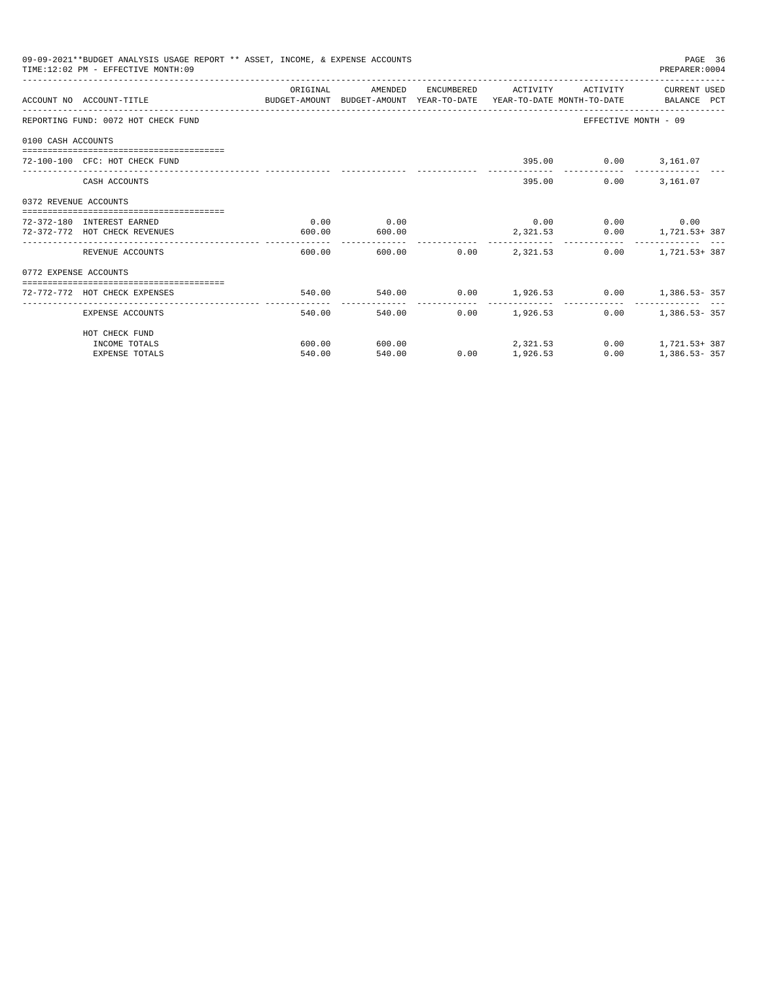|                       | 09-09-2021**BUDGET ANALYSIS USAGE REPORT ** ASSET, INCOME, & EXPENSE ACCOUNTS<br>TIME:12:02 PM - EFFECTIVE MONTH:09 |          |               |        |                             |                      | PAGE 36<br>PREPARER:0004   |  |
|-----------------------|---------------------------------------------------------------------------------------------------------------------|----------|---------------|--------|-----------------------------|----------------------|----------------------------|--|
|                       |                                                                                                                     | ORIGINAL |               |        | AMENDED ENCUMBERED ACTIVITY |                      | ACTIVITY CURRENT USED      |  |
|                       | ACCOUNT NO ACCOUNT-TITLE CONTROL BUDGET-AMOUNT BUDGET-AMOUNT YEAR-TO-DATE YEAR-TO-DATE MONTH-TO-DATE BALANCE PCT    |          |               |        |                             |                      |                            |  |
|                       | REPORTING FUND: 0072 HOT CHECK FUND                                                                                 |          |               |        |                             | EFFECTIVE MONTH - 09 |                            |  |
| 0100 CASH ACCOUNTS    |                                                                                                                     |          |               |        |                             |                      |                            |  |
|                       | 72-100-100 CFC: HOT CHECK FUND                                                                                      |          |               |        |                             | 395.00 0.00 3,161.07 |                            |  |
|                       | CASH ACCOUNTS                                                                                                       |          |               |        | 395.00                      |                      | $0.00$ 3.161.07            |  |
| 0372 REVENUE ACCOUNTS |                                                                                                                     |          |               |        |                             |                      |                            |  |
|                       | 72-372-180 INTEREST EARNED                                                                                          | 0.00     | 0.00          |        |                             | $0.00$ 0.00 0.00     |                            |  |
|                       | 72-372-772 HOT CHECK REVENUES                                                                                       | 600.00   | 600.00        |        |                             |                      | 2,321.53 0.00 1,721.53+387 |  |
|                       | REVENUE ACCOUNTS                                                                                                    | 600.00   |               |        | 600.00 0.00 2.321.53        |                      | $0.00$ 1.721.53+387        |  |
| 0772 EXPENSE ACCOUNTS |                                                                                                                     |          |               |        |                             |                      |                            |  |
|                       | 72-772-772 HOT CHECK EXPENSES                                                                                       | 540.00   |               |        |                             |                      |                            |  |
|                       | EXPENSE ACCOUNTS                                                                                                    | 540.00   | ------------- | 540.00 | $0.00$ 1,926.53             |                      | $0.00$ 1,386.53 - 357      |  |
|                       | HOT CHECK FUND                                                                                                      |          |               |        |                             |                      |                            |  |
|                       | INCOME TOTALS                                                                                                       | 600.00   | 600.00        |        | 2, 321, 53                  |                      | $0.00$ 1, 721.53+387       |  |
|                       | <b>EXPENSE TOTALS</b>                                                                                               | 540.00   | 540.00        | 0.00   | 1,926.53                    | 0.00                 | $1,386.53 - 357$           |  |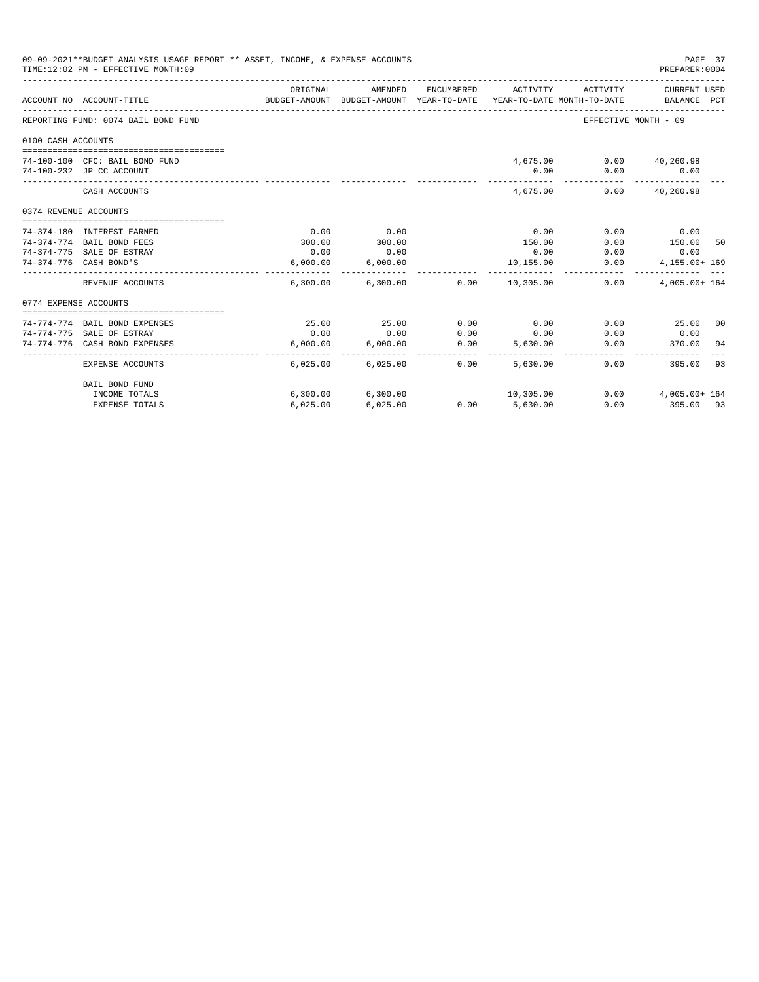|                                                                                                                                                                                                                                                                                                                                                                                                                                                                                                                                                                                                                                                                                                                                                                                                                                                                                                                                                                                                                                                    | 09-09-2021**BUDGET ANALYSIS USAGE REPORT ** ASSET, INCOME, & EXPENSE ACCOUNTS |          |         |  |           |                         | PAGE 37<br>PREPARER: 0004   |  |
|----------------------------------------------------------------------------------------------------------------------------------------------------------------------------------------------------------------------------------------------------------------------------------------------------------------------------------------------------------------------------------------------------------------------------------------------------------------------------------------------------------------------------------------------------------------------------------------------------------------------------------------------------------------------------------------------------------------------------------------------------------------------------------------------------------------------------------------------------------------------------------------------------------------------------------------------------------------------------------------------------------------------------------------------------|-------------------------------------------------------------------------------|----------|---------|--|-----------|-------------------------|-----------------------------|--|
|                                                                                                                                                                                                                                                                                                                                                                                                                                                                                                                                                                                                                                                                                                                                                                                                                                                                                                                                                                                                                                                    |                                                                               | ORIGINAL | AMENDED |  | ACTIVITY  | ACTIVITY                | CURRENT USED<br>BALANCE PCT |  |
|                                                                                                                                                                                                                                                                                                                                                                                                                                                                                                                                                                                                                                                                                                                                                                                                                                                                                                                                                                                                                                                    |                                                                               |          |         |  |           | EFFECTIVE MONTH - 09    |                             |  |
|                                                                                                                                                                                                                                                                                                                                                                                                                                                                                                                                                                                                                                                                                                                                                                                                                                                                                                                                                                                                                                                    |                                                                               |          |         |  |           |                         |                             |  |
|                                                                                                                                                                                                                                                                                                                                                                                                                                                                                                                                                                                                                                                                                                                                                                                                                                                                                                                                                                                                                                                    |                                                                               |          |         |  |           |                         |                             |  |
|                                                                                                                                                                                                                                                                                                                                                                                                                                                                                                                                                                                                                                                                                                                                                                                                                                                                                                                                                                                                                                                    |                                                                               |          |         |  |           | 4,675.00 0.00 40,260.98 |                             |  |
|                                                                                                                                                                                                                                                                                                                                                                                                                                                                                                                                                                                                                                                                                                                                                                                                                                                                                                                                                                                                                                                    |                                                                               |          |         |  | 0.00      | 0.00                    | $\sim$ 0.00                 |  |
|                                                                                                                                                                                                                                                                                                                                                                                                                                                                                                                                                                                                                                                                                                                                                                                                                                                                                                                                                                                                                                                    | CASH ACCOUNTS                                                                 |          |         |  | 4,675,00  |                         | $0.00$ $40.260.98$          |  |
|                                                                                                                                                                                                                                                                                                                                                                                                                                                                                                                                                                                                                                                                                                                                                                                                                                                                                                                                                                                                                                                    |                                                                               |          |         |  |           |                         |                             |  |
|                                                                                                                                                                                                                                                                                                                                                                                                                                                                                                                                                                                                                                                                                                                                                                                                                                                                                                                                                                                                                                                    |                                                                               |          |         |  |           |                         |                             |  |
|                                                                                                                                                                                                                                                                                                                                                                                                                                                                                                                                                                                                                                                                                                                                                                                                                                                                                                                                                                                                                                                    |                                                                               |          |         |  | 0.00      | 0.00                    | 0.00                        |  |
|                                                                                                                                                                                                                                                                                                                                                                                                                                                                                                                                                                                                                                                                                                                                                                                                                                                                                                                                                                                                                                                    |                                                                               | 300.00   |         |  | 150.00    | 0.00                    | 150.00 50                   |  |
| TIME:12:02 PM - EFFECTIVE MONTH:09<br>ENCUMBERED<br>BUDGET-AMOUNT BUDGET-AMOUNT YEAR-TO-DATE YEAR-TO-DATE MONTH-TO-DATE<br>ACCOUNT NO ACCOUNT-TITLE<br>REPORTING FUND: 0074 BAIL BOND FUND<br>0100 CASH ACCOUNTS<br>74-100-100 CFC: BAIL BOND FUND<br>74-100-232 JP CC ACCOUNT<br>0374 REVENUE ACCOUNTS<br>0.00<br>0.00<br>74-374-180 INTEREST EARNED<br>300.00<br>74-374-774 BAIL BOND FEES<br>0.00<br>74-374-775 SALE OF ESTRAY<br>0.00<br>74-374-776 CASH BOND'S<br>6,000.00<br>6,000.00<br>. <u>.</u><br>$6,300.00$ $6,300.00$ $0.00$ $10,305.00$<br>REVENUE ACCOUNTS<br>0774 EXPENSE ACCOUNTS<br>25.00<br>0.00<br>25.00<br>0.00<br>74-774-774 BAIL BOND EXPENSES<br>74-774-775 SALE OF ESTRAY<br>0.00<br>0.00<br>0.00<br>74-774-776 CASH BOND EXPENSES<br>6.000.00<br>6,000.00<br>0.00<br>_______________________<br>---------<br>--------------<br>0.00<br>EXPENSE ACCOUNTS<br>6.025.00<br>6,025.00<br>BAIL BOND FUND<br>6,300.00 6,300.00<br>10,305.00<br>INCOME TOTALS<br>$0.00$ 5,630.00<br>6,025.00<br><b>EXPENSE TOTALS</b><br>6,025.00 | 0.00                                                                          | 0.00     | 0.00    |  |           |                         |                             |  |
|                                                                                                                                                                                                                                                                                                                                                                                                                                                                                                                                                                                                                                                                                                                                                                                                                                                                                                                                                                                                                                                    |                                                                               |          |         |  | 10,155.00 | 0.00                    | 4,155.00+ 169<br>.          |  |
|                                                                                                                                                                                                                                                                                                                                                                                                                                                                                                                                                                                                                                                                                                                                                                                                                                                                                                                                                                                                                                                    |                                                                               |          |         |  |           | 0.00                    | $4.005.00 + 164$            |  |
|                                                                                                                                                                                                                                                                                                                                                                                                                                                                                                                                                                                                                                                                                                                                                                                                                                                                                                                                                                                                                                                    |                                                                               |          |         |  |           |                         |                             |  |
|                                                                                                                                                                                                                                                                                                                                                                                                                                                                                                                                                                                                                                                                                                                                                                                                                                                                                                                                                                                                                                                    |                                                                               |          |         |  |           |                         |                             |  |
|                                                                                                                                                                                                                                                                                                                                                                                                                                                                                                                                                                                                                                                                                                                                                                                                                                                                                                                                                                                                                                                    |                                                                               |          |         |  |           |                         | $0.00$ 25.00 00             |  |
|                                                                                                                                                                                                                                                                                                                                                                                                                                                                                                                                                                                                                                                                                                                                                                                                                                                                                                                                                                                                                                                    |                                                                               |          |         |  | 0.00      | 0.00                    | 0.00                        |  |
|                                                                                                                                                                                                                                                                                                                                                                                                                                                                                                                                                                                                                                                                                                                                                                                                                                                                                                                                                                                                                                                    |                                                                               |          |         |  | 5.630.00  | 0.00                    | 370.00 94                   |  |
|                                                                                                                                                                                                                                                                                                                                                                                                                                                                                                                                                                                                                                                                                                                                                                                                                                                                                                                                                                                                                                                    |                                                                               |          |         |  | 5,630,00  | 0.00                    | 395.00 93                   |  |
|                                                                                                                                                                                                                                                                                                                                                                                                                                                                                                                                                                                                                                                                                                                                                                                                                                                                                                                                                                                                                                                    |                                                                               |          |         |  |           |                         |                             |  |
|                                                                                                                                                                                                                                                                                                                                                                                                                                                                                                                                                                                                                                                                                                                                                                                                                                                                                                                                                                                                                                                    |                                                                               |          |         |  |           |                         | $0.00$ 4,005.00+ 164        |  |
|                                                                                                                                                                                                                                                                                                                                                                                                                                                                                                                                                                                                                                                                                                                                                                                                                                                                                                                                                                                                                                                    |                                                                               |          |         |  |           |                         | $0.00$ 395.00 93            |  |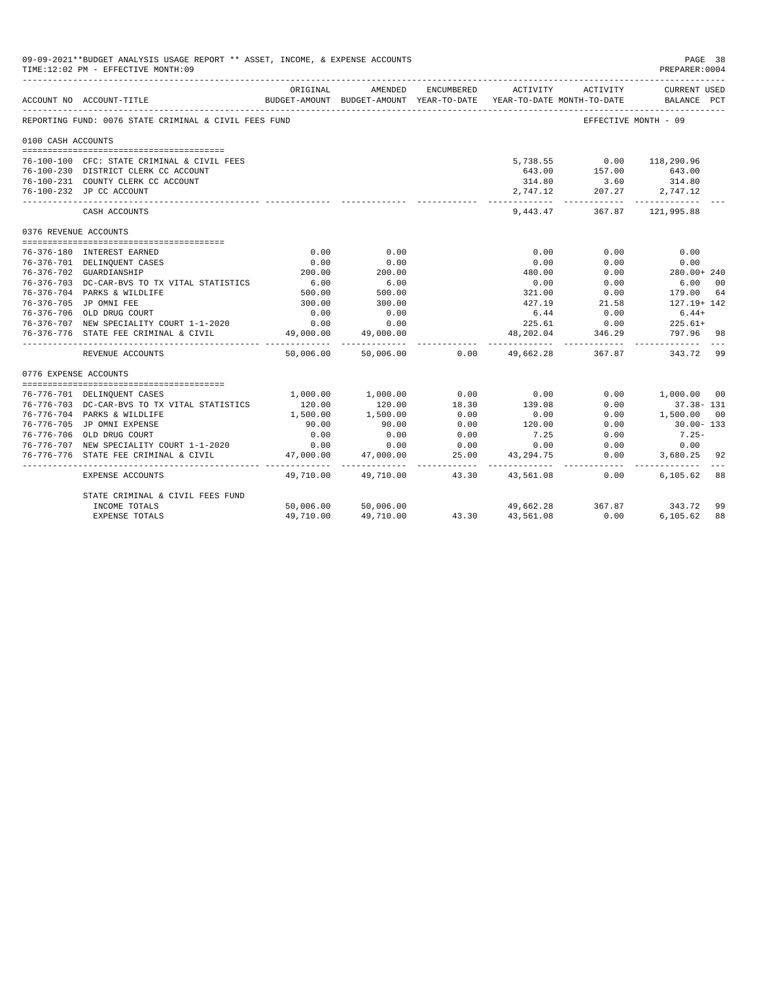|                       | 09-09-2021**BUDGET ANALYSIS USAGE REPORT ** ASSET, INCOME, & EXPENSE ACCOUNTS<br>TIME:12:02 PM - EFFECTIVE MONTH:09 |                         |                                                                                |                    |                             |                          | PAGE 38<br>PREPARER: 0004          |                |
|-----------------------|---------------------------------------------------------------------------------------------------------------------|-------------------------|--------------------------------------------------------------------------------|--------------------|-----------------------------|--------------------------|------------------------------------|----------------|
|                       | ACCOUNT NO ACCOUNT-TITLE                                                                                            | ORIGINAL                | AMENDED<br>BUDGET-AMOUNT BUDGET-AMOUNT YEAR-TO-DATE YEAR-TO-DATE MONTH-TO-DATE | ENCUMBERED         | ACTIVITY                    | ACTIVITY                 | <b>CURRENT USED</b><br>BALANCE PCT |                |
|                       | REPORTING FUND: 0076 STATE CRIMINAL & CIVIL FEES FUND                                                               |                         |                                                                                |                    |                             |                          | EFFECTIVE MONTH - 09               |                |
| 0100 CASH ACCOUNTS    |                                                                                                                     |                         |                                                                                |                    |                             |                          |                                    |                |
|                       | 76-100-100 CFC: STATE CRIMINAL & CIVIL FEES                                                                         |                         |                                                                                |                    |                             | 5,738.55 0.00 118,290.96 |                                    |                |
|                       | 76-100-230 DISTRICT CLERK CC ACCOUNT                                                                                |                         |                                                                                |                    | 643.00                      | 157.00                   | 643.00                             |                |
|                       | 76-100-231 COUNTY CLERK CC ACCOUNT                                                                                  |                         |                                                                                |                    | 314.80                      | 3.60                     | 314.80                             |                |
|                       | 76-100-232 JP CC ACCOUNT                                                                                            |                         |                                                                                |                    | 2,747.12                    | 207.27 2,747.12          |                                    |                |
|                       | CASH ACCOUNTS                                                                                                       |                         |                                                                                |                    | 9,443.47                    |                          | 367.87 121,995.88                  |                |
| 0376 REVENUE ACCOUNTS |                                                                                                                     |                         |                                                                                |                    |                             |                          |                                    |                |
|                       |                                                                                                                     | 0.00                    |                                                                                |                    |                             |                          | 0.00                               |                |
|                       | 76-376-180 INTEREST EARNED                                                                                          |                         | 0.00                                                                           |                    | 0.00                        | 0.00                     |                                    |                |
|                       | 76-376-701 DELINQUENT CASES<br>76-376-702 GUARDIANSHIP                                                              | 0.00<br>200.00          | 0.00<br>200.00                                                                 |                    | 0.00<br>480.00              | 0.00<br>0.00             | 0.00<br>280.00+ 240                |                |
|                       | 76-376-703 DC-CAR-BVS TO TX VITAL STATISTICS                                                                        |                         | 6.00                                                                           |                    | 0.00                        | 0.00                     | 6.00                               | 0 <sup>0</sup> |
|                       | 76-376-704 PARKS & WILDLIFE                                                                                         | $6.00$<br>500.00        | 500.00                                                                         |                    | 321.00                      | 0.00                     | 179.00                             | 64             |
|                       | 76-376-705 JP OMNI FEE                                                                                              | 300.00                  | 300.00                                                                         |                    | 427.19                      | 21.58                    | 127.19+ 142                        |                |
|                       | 76-376-706 OLD DRUG COURT                                                                                           | 0.00                    | 0.00                                                                           |                    | 6.44                        | 0.00                     | $6.44+$                            |                |
|                       | 76-376-707 NEW SPECIALITY COURT 1-1-2020                                                                            | 0.00                    | 0.00                                                                           |                    | 225.61                      | 0.00                     | $225.61+$                          |                |
|                       | 76-376-776 STATE FEE CRIMINAL & CIVIL                                                                               | 49,000.00               | 49,000.00                                                                      |                    | 48,202.04                   | 346.29                   | 797.96                             | 98             |
|                       | REVENUE ACCOUNTS                                                                                                    | 50,006.00               | 50,006.00                                                                      | 0.00               | 49,662.28                   | 367.87                   | 343.72                             | 99             |
| 0776 EXPENSE ACCOUNTS |                                                                                                                     |                         |                                                                                |                    |                             |                          |                                    |                |
|                       |                                                                                                                     |                         |                                                                                |                    | 0.00                        |                          |                                    |                |
|                       | 76-776-701 DELINQUENT CASES                                                                                         | 1,000.00                | 1,000.00                                                                       | 0.00               |                             | 0.00                     | 1,000.00 00                        |                |
|                       | 76-776-703 DC-CAR-BVS TO TX VITAL STATISTICS<br>76-776-704 PARKS & WILDLIFE                                         | 120.00<br>1,500.00      | 120.00                                                                         | 18.30<br>0.00      | 139.08                      | 0.00                     | $37.38 - 131$                      | 00             |
|                       | 76-776-705 JP OMNI EXPENSE                                                                                          | 90.00                   | 1,500.00<br>90.00                                                              | 0.00               | 0.00<br>120.00              | 0.00<br>0.00             | 1,500.00<br>30.00-133              |                |
|                       | 76-776-706 OLD DRUG COURT                                                                                           | 0.00                    | 0.00                                                                           | 0.00               | 7.25                        | 0.00                     | $7.25 -$                           |                |
|                       | 76-776-707 NEW SPECIALITY COURT 1-1-2020                                                                            | 0.00                    | 0.00                                                                           | 0.00               | 0.00                        | 0.00                     | 0.00                               |                |
| 76-776-776            | STATE FEE CRIMINAL & CIVIL                                                                                          | 47,000.00               | 47,000.00                                                                      | 25.00              | 43,294.75                   | 0.00                     | 3,680.25                           | 92             |
|                       | EXPENSE ACCOUNTS                                                                                                    | ----------<br>49,710.00 | ___________<br>49,710.00                                                       | ---------<br>43.30 | ------------ -<br>43,561.08 | . <u>.</u><br>0.00       | 6,105.62                           | 88             |
|                       | STATE CRIMINAL & CIVIL FEES FUND                                                                                    |                         |                                                                                |                    |                             |                          |                                    |                |
|                       | INCOME TOTALS                                                                                                       | 50,006.00               | 50,006.00                                                                      |                    |                             | 49,662.28 367.87 343.72  |                                    | 99             |
|                       | <b>EXPENSE TOTALS</b>                                                                                               | 49,710.00               | 49,710.00                                                                      | 43.30              | 43,561.08                   | 0.00                     | 6.105.62                           | 88             |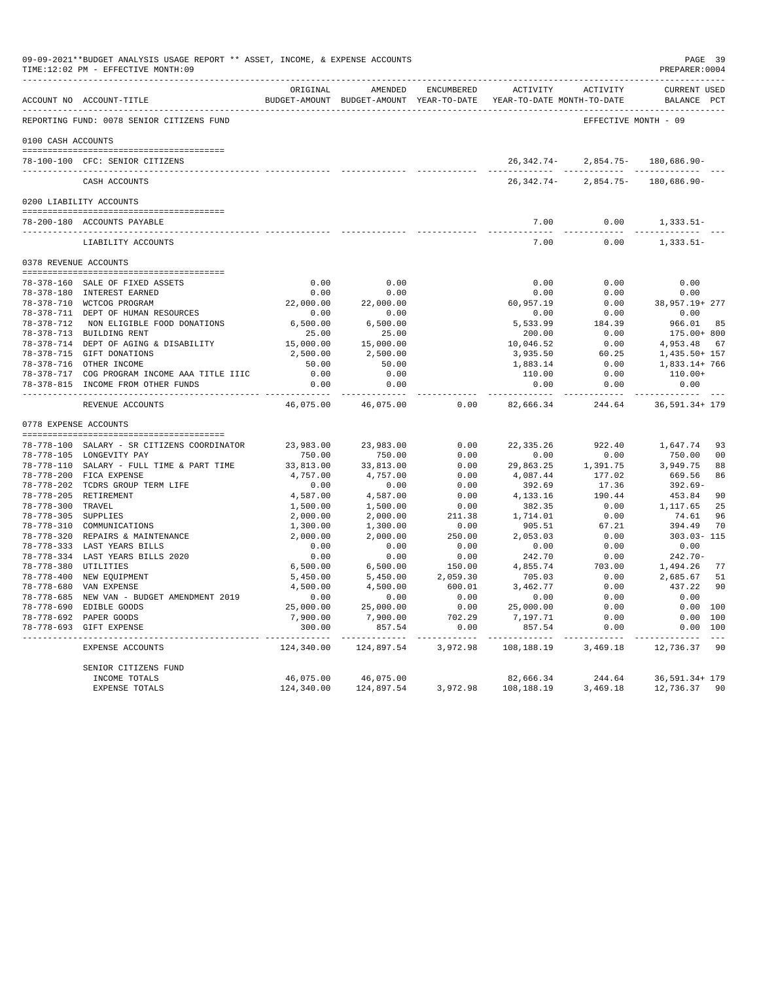|                     | 09-09-2021**BUDGET ANALYSIS USAGE REPORT ** ASSET, INCOME, & EXPENSE ACCOUNTS<br>TIME:12:02 PM - EFFECTIVE MONTH:09 |                      |                         |                           |                                                                                          |                      | PAGE 39<br>PREPARER: 0004         |          |
|---------------------|---------------------------------------------------------------------------------------------------------------------|----------------------|-------------------------|---------------------------|------------------------------------------------------------------------------------------|----------------------|-----------------------------------|----------|
|                     | ACCOUNT NO ACCOUNT-TITLE                                                                                            | ORTGINAL             | AMENDED                 | ENCUMBERED                | ACTIVITY ACTIVITY<br>BUDGET-AMOUNT BUDGET-AMOUNT YEAR-TO-DATE YEAR-TO-DATE MONTH-TO-DATE |                      | CURRENT USED<br>BALANCE PCT       |          |
|                     | REPORTING FUND: 0078 SENIOR CITIZENS FUND                                                                           |                      |                         |                           |                                                                                          | EFFECTIVE MONTH - 09 |                                   |          |
| 0100 CASH ACCOUNTS  |                                                                                                                     |                      |                         |                           |                                                                                          |                      |                                   |          |
|                     |                                                                                                                     |                      |                         |                           |                                                                                          |                      |                                   |          |
|                     | 78-100-100 CFC: SENIOR CITIZENS                                                                                     |                      |                         |                           | 26,342.74-                                                                               |                      | $2,854.75 - 180,686.90 -$         |          |
|                     | CASH ACCOUNTS                                                                                                       |                      |                         |                           | 26,342.74-                                                                               |                      | 2,854.75- 180,686.90-             |          |
|                     | 0200 LIABILITY ACCOUNTS                                                                                             |                      |                         |                           |                                                                                          |                      |                                   |          |
|                     |                                                                                                                     |                      |                         |                           |                                                                                          |                      |                                   |          |
|                     | 78-200-180 ACCOUNTS PAYABLE                                                                                         |                      |                         |                           | 7.00                                                                                     | 0.00                 | $1,333.51-$                       |          |
|                     | LIABILITY ACCOUNTS                                                                                                  |                      |                         |                           | 7.00                                                                                     | 0.00                 | $1,333.51-$                       |          |
|                     | 0378 REVENUE ACCOUNTS                                                                                               |                      |                         |                           |                                                                                          |                      |                                   |          |
|                     | 78-378-160 SALE OF FIXED ASSETS                                                                                     | 0.00                 | 0.00                    |                           | 0.00                                                                                     | 0.00                 | 0.00                              |          |
|                     | 78-378-180 INTEREST EARNED                                                                                          | 0.00                 | 0.00                    |                           | 0.00                                                                                     | 0.00                 | 0.00                              |          |
|                     | 78-378-710 WCTCOG PROGRAM                                                                                           |                      | 22,000.00 22,000.00     |                           | 60,957.19                                                                                |                      | $0.00$ 38,957.19+ 277             |          |
|                     | 78-378-711 DEPT OF HUMAN RESOURCES                                                                                  | 0.00                 | 0.00                    |                           | 0.00                                                                                     | 0.00                 | 0.00                              |          |
|                     | 78-378-712 NON ELIGIBLE FOOD DONATIONS                                                                              | 6,500.00             |                         |                           | 5,533.99                                                                                 | 184.39               | 966.01                            | 85       |
|                     | 78-378-713 BUILDING RENT                                                                                            | 25.00                | 6,500.00<br>25.00       |                           | 200.00                                                                                   | 0.00                 | 175.00+ 800                       |          |
|                     | 78-378-714 DEPT OF AGING & DISABILITY                                                                               | 15,000.00            | 15,000.00               |                           | 10,046.52                                                                                | 0.00                 | 4,953.48 67                       |          |
|                     | 78-378-715 GIFT DONATIONS                                                                                           | 2,500.00             | 2,500.00                |                           | 3,935.50                                                                                 |                      | $60.25$ 1, 435.50+ 157            |          |
|                     | 78-378-716 OTHER INCOME                                                                                             | 50.00                | 50.00                   |                           | 3,935.50<br>1,883.14                                                                     | 0.00                 | 1,833.14+ 766                     |          |
|                     | 78-378-717 COG PROGRAM INCOME AAA TITLE IIIC                                                                        | 0.00                 | 0.00                    |                           | 110.00                                                                                   | 0.00                 | $110.00+$                         |          |
|                     | 78-378-815 INCOME FROM OTHER FUNDS                                                                                  | 0.00<br>----------   | 0.00                    |                           | 0.00<br>.                                                                                | 0.00<br>---------    | 0.00                              |          |
|                     | REVENUE ACCOUNTS                                                                                                    | 46,075.00            | 46,075.00               | 0.00                      | 82,666.34                                                                                | 244.64               | 36,591.34+ 179                    |          |
|                     | 0778 EXPENSE ACCOUNTS                                                                                               |                      |                         |                           |                                                                                          |                      |                                   |          |
|                     |                                                                                                                     |                      |                         |                           |                                                                                          |                      |                                   |          |
|                     | 78-778-100 SALARY - SR CITIZENS COORDINATOR                                                                         | 23,983.00            | 23,983.00               | 0.00                      |                                                                                          | 22,335.26 922.40     | 1,647.74                          | 93       |
|                     | 78-778-105 LONGEVITY PAY                                                                                            | 750.00               | 750.00                  | 0.00                      | 0.00                                                                                     | 0.00                 | 750.00                            | 00       |
|                     | 78-778-110 SALARY - FULL TIME & PART TIME                                                                           | 33,813.00            | 33,813.00               | 0.00                      | 29,863.25 1,391.75                                                                       |                      | 3,949.75                          | 88       |
|                     | 78-778-200 FICA EXPENSE                                                                                             | 4,757.00             | 4,757.00                | 0.00                      | 4,087.44                                                                                 | 177.02               | 669.56                            | 86       |
|                     | 78-778-202 TCDRS GROUP TERM LIFE                                                                                    | 0.00                 | 0.00                    | 0.00                      | 392.69                                                                                   | 17.36                | 392.69-                           |          |
|                     | 78-778-205 RETIREMENT                                                                                               | 4,587.00             | 4,587.00                | 0.00                      | 4,133.16                                                                                 | 190.44               | 453.84                            | 90       |
| 78-778-300 TRAVEL   |                                                                                                                     | 1,500.00             | 1,500.00                | 0.00                      | 382.35                                                                                   | 0.00<br>0.00         | 1,117.65                          | 25<br>96 |
| 78-778-305 SUPPLIES | 78-778-310 COMMUNICATIONS                                                                                           | 2,000.00<br>1,300.00 | 2,000.00<br>1,300.00    | 211.38<br>0.00            | 1,714.01<br>905.51                                                                       | 67.21                | 74.61<br>394.49                   | 70       |
|                     | 78-778-320 REPAIRS & MAINTENANCE                                                                                    | 2,000.00             | 2,000.00                | 250.00                    | 2,053.03                                                                                 | 0.00                 | 303.03-115                        |          |
|                     | 78-778-333 LAST YEARS BILLS                                                                                         | 0.00                 |                         | 0.00                      | 0.00                                                                                     | 0.00                 | 0.00                              |          |
|                     | 78-778-334 LAST YEARS BILLS 2020                                                                                    | 0.00                 | 0.00<br>0.00            | 0.00                      | 242.70                                                                                   | 0.00                 | $242.70-$                         |          |
|                     | 78-778-380 UTILITIES                                                                                                | 6,500.00             | 6,500.00                | 150.00                    |                                                                                          |                      | $4,855.74$ $703.00$ $1,494.26$ 77 |          |
|                     | 78-778-400 NEW EQUIPMENT                                                                                            | 5,450.00             | 5,450.00                | 2,059.30                  | 705.03                                                                                   | 0.00                 | 2,685.67                          | 51       |
|                     | 78-778-680 VAN EXPENSE                                                                                              | 4,500.00             | 4,500.00                | 600.01                    | 3,462.77                                                                                 | 0.00                 | 437.22                            | 90       |
|                     | 78-778-685 NEW VAN - BUDGET AMENDMENT 2019                                                                          | 0.00                 | 0.00                    | 0.00                      | 0.00                                                                                     | 0.00                 | 0.00                              |          |
|                     | 78-778-690 EDIBLE GOODS                                                                                             | 25,000.00            | 25,000.00               | 0.00                      | 25,000.00                                                                                | 0.00                 | 0.00 100                          |          |
|                     | 78-778-692 PAPER GOODS                                                                                              | 7,900.00             | 7,900.00                | 702.29                    | 7,197.71                                                                                 | 0.00                 | 0.00 100                          |          |
|                     | 78-778-693 GIFT EXPENSE                                                                                             | 300.00<br>---------  | -----------             | 857.54 0.00<br>. <u>.</u> | 857.54<br>-----------                                                                    | 0.00<br>-----------  | 0.00 100<br>---------- ---        |          |
|                     | EXPENSE ACCOUNTS                                                                                                    | 124,340.00           | 124,897.54              | 3,972.98                  | 108,188.19                                                                               | 3,469.18             | 12,736.37                         | -90      |
|                     | SENIOR CITIZENS FUND                                                                                                |                      |                         |                           |                                                                                          |                      |                                   |          |
|                     | INCOME TOTALS                                                                                                       | 46,075.00            | 46,075.00<br>124,897.54 |                           | 82,666.34                                                                                | 244.64               | 36,591.34+ 179                    |          |
|                     | <b>EXPENSE TOTALS</b>                                                                                               | 124,340.00           |                         | 3,972.98                  | 108,188.19                                                                               | 3,469.18             | 12,736.37 90                      |          |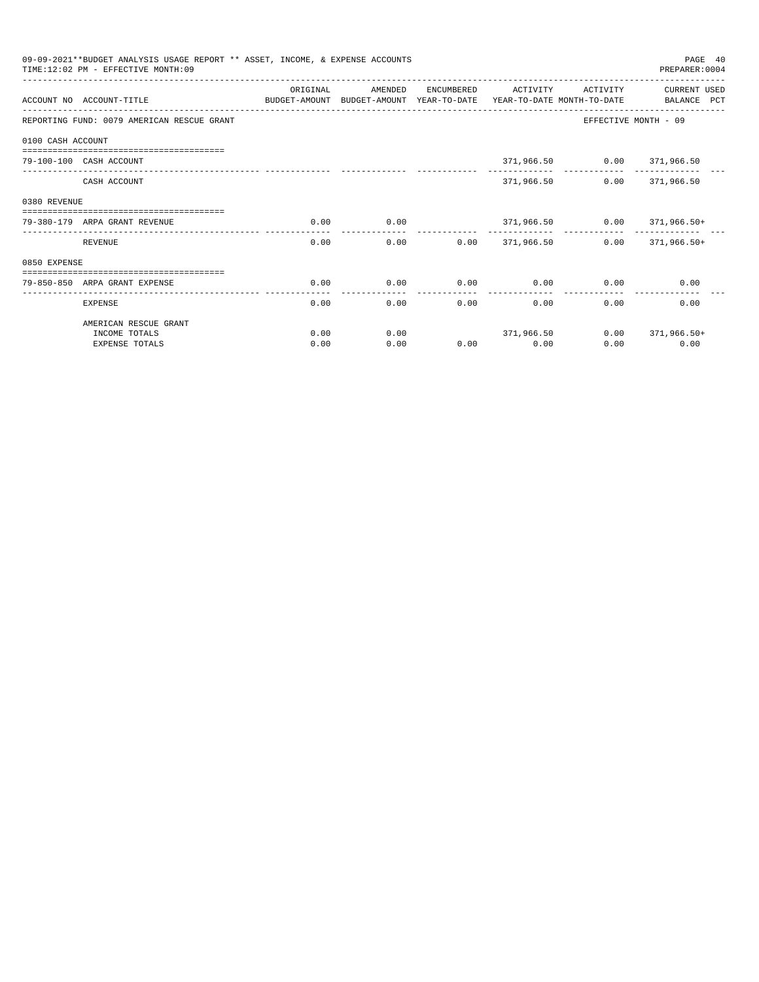|              | 09-09-2021**BUDGET ANALYSIS USAGE REPORT ** ASSET, INCOME, & EXPENSE ACCOUNTS<br>PAGE 40<br>TIME: 12:02 PM - EFFECTIVE MONTH: 09<br>PREPARER: 0004<br>ORIGINAL<br>AMENDED<br>ENCUMBERED<br>ACTIVITY<br>ACTIVITY<br><b>CURRENT USED</b><br>ACCOUNT NO ACCOUNT-TITLE<br>BUDGET-AMOUNT BUDGET-AMOUNT YEAR-TO-DATE<br>YEAR-TO-DATE MONTH-TO-DATE<br>BALANCE PCT<br>REPORTING FUND: 0079 AMERICAN RESCUE GRANT<br>EFFECTIVE MONTH - 09<br>0100 CASH ACCOUNT<br>===========================<br>371,966.50 0.00 371,966.50<br>79-100-100 CASH ACCOUNT<br>371,966.50<br>$0.00$ 371,966.50<br>CASH ACCOUNT<br>0.00<br>0.00<br>$371,966.50$ $0.00$ $371,966.50+$<br>79-380-179 ARPA GRANT REVENUE<br>الموسوس<br>0.00<br>$0.00$ 371,966.50<br>$0.00$ 371,966.50+<br>REVENUE<br>0.00<br>-----------------------------<br>0.00<br>0.00<br>0.00<br>0.00<br>0.00<br>79-850-850 ARPA GRANT EXPENSE<br>0.00<br>0.00<br>0.00<br>0.00<br>0.00<br>0.00<br>0.00<br><b>EXPENSE</b><br>AMERICAN RESCUE GRANT |      |      |  |                           |      |                      |
|--------------|---------------------------------------------------------------------------------------------------------------------------------------------------------------------------------------------------------------------------------------------------------------------------------------------------------------------------------------------------------------------------------------------------------------------------------------------------------------------------------------------------------------------------------------------------------------------------------------------------------------------------------------------------------------------------------------------------------------------------------------------------------------------------------------------------------------------------------------------------------------------------------------------------------------------------------------------------------------------------------------|------|------|--|---------------------------|------|----------------------|
|              |                                                                                                                                                                                                                                                                                                                                                                                                                                                                                                                                                                                                                                                                                                                                                                                                                                                                                                                                                                                       |      |      |  |                           |      |                      |
|              |                                                                                                                                                                                                                                                                                                                                                                                                                                                                                                                                                                                                                                                                                                                                                                                                                                                                                                                                                                                       |      |      |  |                           |      |                      |
|              |                                                                                                                                                                                                                                                                                                                                                                                                                                                                                                                                                                                                                                                                                                                                                                                                                                                                                                                                                                                       |      |      |  |                           |      |                      |
|              |                                                                                                                                                                                                                                                                                                                                                                                                                                                                                                                                                                                                                                                                                                                                                                                                                                                                                                                                                                                       |      |      |  |                           |      |                      |
|              |                                                                                                                                                                                                                                                                                                                                                                                                                                                                                                                                                                                                                                                                                                                                                                                                                                                                                                                                                                                       |      |      |  |                           |      |                      |
| 0380 REVENUE |                                                                                                                                                                                                                                                                                                                                                                                                                                                                                                                                                                                                                                                                                                                                                                                                                                                                                                                                                                                       |      |      |  |                           |      |                      |
|              |                                                                                                                                                                                                                                                                                                                                                                                                                                                                                                                                                                                                                                                                                                                                                                                                                                                                                                                                                                                       |      |      |  |                           |      |                      |
|              |                                                                                                                                                                                                                                                                                                                                                                                                                                                                                                                                                                                                                                                                                                                                                                                                                                                                                                                                                                                       |      |      |  |                           |      |                      |
| 0850 EXPENSE |                                                                                                                                                                                                                                                                                                                                                                                                                                                                                                                                                                                                                                                                                                                                                                                                                                                                                                                                                                                       |      |      |  |                           |      |                      |
|              |                                                                                                                                                                                                                                                                                                                                                                                                                                                                                                                                                                                                                                                                                                                                                                                                                                                                                                                                                                                       |      |      |  |                           |      |                      |
|              |                                                                                                                                                                                                                                                                                                                                                                                                                                                                                                                                                                                                                                                                                                                                                                                                                                                                                                                                                                                       |      |      |  |                           |      |                      |
|              |                                                                                                                                                                                                                                                                                                                                                                                                                                                                                                                                                                                                                                                                                                                                                                                                                                                                                                                                                                                       |      |      |  |                           |      |                      |
|              | INCOME TOTALS                                                                                                                                                                                                                                                                                                                                                                                                                                                                                                                                                                                                                                                                                                                                                                                                                                                                                                                                                                         | 0.00 | 0.00 |  | 371,966.50                |      | $0.00$ $371,966.50+$ |
|              | <b>EXPENSE TOTALS</b>                                                                                                                                                                                                                                                                                                                                                                                                                                                                                                                                                                                                                                                                                                                                                                                                                                                                                                                                                                 | 0.00 | 0.00 |  | $0.00$ and $0.00$<br>0.00 | 0.00 | 0.00                 |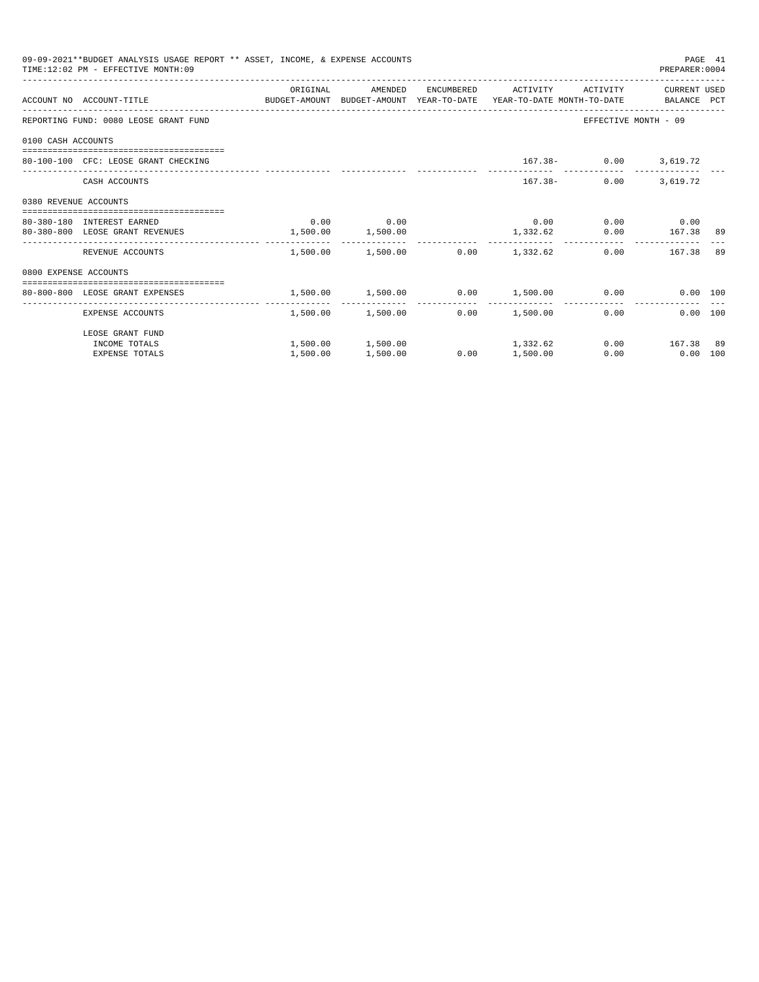|                       | 09-09-2021**BUDGET ANALYSIS USAGE REPORT ** ASSET, INCOME, & EXPENSE ACCOUNTS<br>TIME: 12:02 PM - EFFECTIVE MONTH: 09 |                       |                                                     |                 |                 |                              | PREPARER: 0004            | PAGE 41 |
|-----------------------|-----------------------------------------------------------------------------------------------------------------------|-----------------------|-----------------------------------------------------|-----------------|-----------------|------------------------------|---------------------------|---------|
|                       | ACCOUNT NO ACCOUNT-TITLE COMPUTE SUDGET-AMOUNT BUDGET-AMOUNT YEAR-TO-DATE YEAR-TO-DATE MONTH-TO-DATE BALANCE PCT      | ORIGINAL              | AMENDED                                             |                 |                 | ENCUMBERED ACTIVITY ACTIVITY | CURRENT USED              |         |
|                       | REPORTING FUND: 0080 LEOSE GRANT FUND                                                                                 |                       |                                                     |                 |                 |                              | EFFECTIVE MONTH - 09      |         |
| 0100 CASH ACCOUNTS    |                                                                                                                       |                       |                                                     |                 |                 |                              |                           |         |
|                       | 80-100-100 CFC: LEOSE GRANT CHECKING                                                                                  |                       |                                                     |                 |                 |                              | $167.38 - 0.00$ 3,619.72  |         |
|                       | CASH ACCOUNTS                                                                                                         |                       |                                                     |                 |                 | $167.38 -$                   | $0.00$ 3.619.72           |         |
|                       |                                                                                                                       |                       |                                                     |                 |                 |                              |                           |         |
|                       | 80-380-180 INTEREST EARNED                                                                                            |                       | $0.00$ 0.00                                         |                 |                 |                              | $0.00$ 0.00 0.00          |         |
| 0380 REVENUE ACCOUNTS | 80-380-800 LEOSE GRANT REVENUES                                                                                       | $1,500.00$ $1,500.00$ |                                                     |                 |                 |                              | $1,332.62$ 0.00 167.38 89 |         |
|                       | REVENUE ACCOUNTS                                                                                                      |                       | $1,500.00$ $1,500.00$ $0.00$ $1,332.62$             |                 |                 |                              | 0.00 167.38 89            |         |
| 0800 EXPENSE ACCOUNTS |                                                                                                                       |                       |                                                     |                 |                 |                              |                           |         |
|                       | -------------------------------------<br>80-800-800 LEOSE GRANT EXPENSES                                              |                       | $1,500.00$ $1,500.00$ $0.00$ $1,500.00$ $0.00$      |                 |                 |                              | 0.00 100                  |         |
|                       | EXPENSE ACCOUNTS                                                                                                      |                       | 1,500.00 1,500.00                                   |                 | $0.00$ 1,500.00 | -------------                | 0.00<br>0.00 100          |         |
|                       | LEOSE GRANT FUND                                                                                                      |                       |                                                     |                 |                 |                              |                           |         |
|                       | INCOME TOTALS                                                                                                         |                       | $1,500.00$ $1,500.00$ $1,332.62$ $0.00$ $167.38$ 89 |                 |                 |                              |                           |         |
|                       | <b>EXPENSE TOTALS</b>                                                                                                 | 1,500.00              | 1,500.00                                            | $0.00$ 1,500.00 |                 | 0.00                         | $0.00$ 100                |         |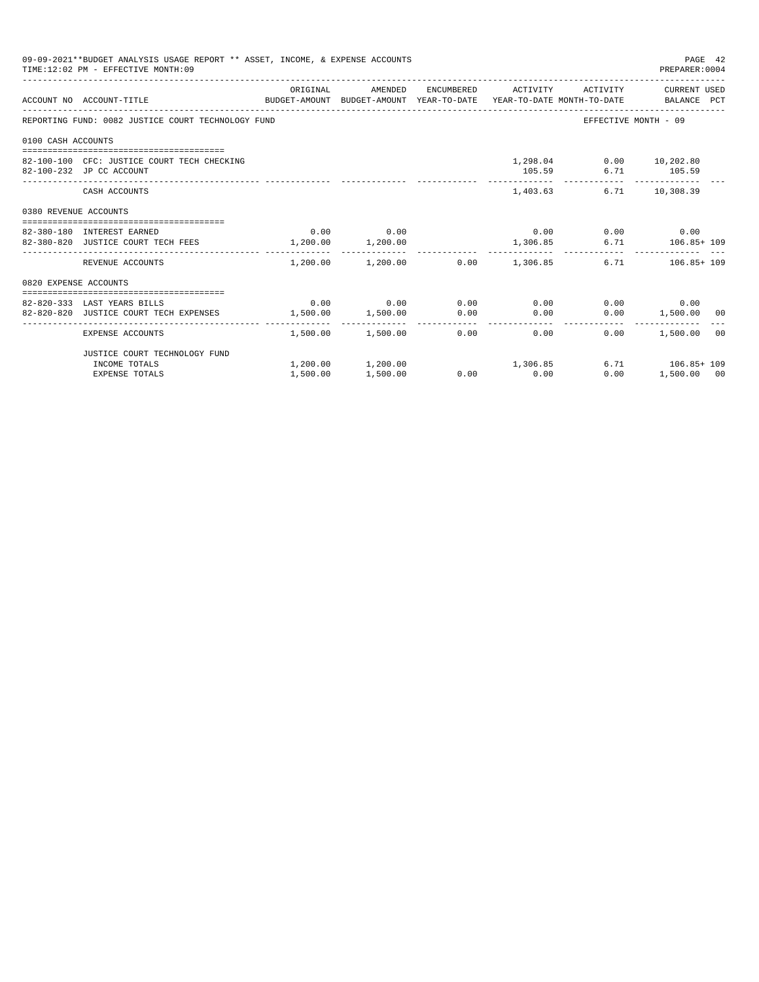| 09-09-2021**BUDGET ANALYSIS USAGE REPORT ** ASSET, INCOME, & EXPENSE ACCOUNTS<br>PAGE 42<br>TIME: 12:02 PM - EFFECTIVE MONTH: 09<br>PREPARER:0004<br>ORIGINAL<br>AMENDED<br>ENCUMBERED ACTIVITY ACTIVITY CURRENT USED<br>ACCOUNT NO ACCOUNT-TITLE CONTROL SUDGET-AMOUNT BUDGET-AMOUNT YEAR-TO-DATE YEAR-TO-DATE MONTH-TO-DATE BALANCE PCT<br>REPORTING FUND: 0082 JUSTICE COURT TECHNOLOGY FUND<br>EFFECTIVE MONTH - 09<br>0100 CASH ACCOUNTS<br>1,298.04 0.00 10,202.80<br>82-100-100 CFC: JUSTICE COURT TECH CHECKING<br>6.71 105.59<br>82-100-232 JP CC ACCOUNT<br>105.59<br>1,403.63<br>6.71 10,308.39<br>CASH ACCOUNTS<br>0380 REVENUE ACCOUNTS<br>$0.00$ 0.00<br>$0.00$ $0.00$ $0.00$ $0.00$<br>82-380-180 INTEREST EARNED<br>82-380-820 JUSTICE COURT TECH FEES 1,200.00 1,200.00<br>1,306.85<br>6.71 106.85+109<br>$1,200.00$ $1,200.00$ $0.00$ $1,306.85$<br>6.71 106.85+109<br>REVENUE ACCOUNTS<br>0820 EXPENSE ACCOUNTS<br>$0.00$ $0.00$ $0.00$ $0.00$ $0.00$<br>$0.00$ 0.00<br>82-820-333 LAST YEARS BILLS<br>$1,500.00$ $1,500.00$ $0.00$ $0.00$<br>$0.00$ 1,500.00 00<br>82-820-820 JUSTICE COURT TECH EXPENSES<br>$1,500.00$ $1,500.00$ $0.00$ $0.00$ $0.00$<br>0.00<br>1,500.00<br>00<br>EXPENSE ACCOUNTS<br>JUSTICE COURT TECHNOLOGY FUND<br>$1,200.00$ $1,200.00$ $1,306.85$<br>6.71 106.85+109 |          |          |             |      |             |  |
|-------------------------------------------------------------------------------------------------------------------------------------------------------------------------------------------------------------------------------------------------------------------------------------------------------------------------------------------------------------------------------------------------------------------------------------------------------------------------------------------------------------------------------------------------------------------------------------------------------------------------------------------------------------------------------------------------------------------------------------------------------------------------------------------------------------------------------------------------------------------------------------------------------------------------------------------------------------------------------------------------------------------------------------------------------------------------------------------------------------------------------------------------------------------------------------------------------------------------------------------------------------------------------------------------------------------|----------|----------|-------------|------|-------------|--|
|                                                                                                                                                                                                                                                                                                                                                                                                                                                                                                                                                                                                                                                                                                                                                                                                                                                                                                                                                                                                                                                                                                                                                                                                                                                                                                                   |          |          |             |      |             |  |
|                                                                                                                                                                                                                                                                                                                                                                                                                                                                                                                                                                                                                                                                                                                                                                                                                                                                                                                                                                                                                                                                                                                                                                                                                                                                                                                   |          |          |             |      |             |  |
|                                                                                                                                                                                                                                                                                                                                                                                                                                                                                                                                                                                                                                                                                                                                                                                                                                                                                                                                                                                                                                                                                                                                                                                                                                                                                                                   |          |          |             |      |             |  |
|                                                                                                                                                                                                                                                                                                                                                                                                                                                                                                                                                                                                                                                                                                                                                                                                                                                                                                                                                                                                                                                                                                                                                                                                                                                                                                                   |          |          |             |      |             |  |
|                                                                                                                                                                                                                                                                                                                                                                                                                                                                                                                                                                                                                                                                                                                                                                                                                                                                                                                                                                                                                                                                                                                                                                                                                                                                                                                   |          |          |             |      |             |  |
|                                                                                                                                                                                                                                                                                                                                                                                                                                                                                                                                                                                                                                                                                                                                                                                                                                                                                                                                                                                                                                                                                                                                                                                                                                                                                                                   |          |          |             |      |             |  |
|                                                                                                                                                                                                                                                                                                                                                                                                                                                                                                                                                                                                                                                                                                                                                                                                                                                                                                                                                                                                                                                                                                                                                                                                                                                                                                                   |          |          |             |      |             |  |
|                                                                                                                                                                                                                                                                                                                                                                                                                                                                                                                                                                                                                                                                                                                                                                                                                                                                                                                                                                                                                                                                                                                                                                                                                                                                                                                   |          |          |             |      |             |  |
|                                                                                                                                                                                                                                                                                                                                                                                                                                                                                                                                                                                                                                                                                                                                                                                                                                                                                                                                                                                                                                                                                                                                                                                                                                                                                                                   |          |          |             |      |             |  |
|                                                                                                                                                                                                                                                                                                                                                                                                                                                                                                                                                                                                                                                                                                                                                                                                                                                                                                                                                                                                                                                                                                                                                                                                                                                                                                                   |          |          |             |      |             |  |
|                                                                                                                                                                                                                                                                                                                                                                                                                                                                                                                                                                                                                                                                                                                                                                                                                                                                                                                                                                                                                                                                                                                                                                                                                                                                                                                   |          |          |             |      |             |  |
|                                                                                                                                                                                                                                                                                                                                                                                                                                                                                                                                                                                                                                                                                                                                                                                                                                                                                                                                                                                                                                                                                                                                                                                                                                                                                                                   |          |          |             |      |             |  |
|                                                                                                                                                                                                                                                                                                                                                                                                                                                                                                                                                                                                                                                                                                                                                                                                                                                                                                                                                                                                                                                                                                                                                                                                                                                                                                                   |          |          |             |      |             |  |
|                                                                                                                                                                                                                                                                                                                                                                                                                                                                                                                                                                                                                                                                                                                                                                                                                                                                                                                                                                                                                                                                                                                                                                                                                                                                                                                   |          |          |             |      |             |  |
|                                                                                                                                                                                                                                                                                                                                                                                                                                                                                                                                                                                                                                                                                                                                                                                                                                                                                                                                                                                                                                                                                                                                                                                                                                                                                                                   |          |          |             |      |             |  |
| INCOME TOTALS                                                                                                                                                                                                                                                                                                                                                                                                                                                                                                                                                                                                                                                                                                                                                                                                                                                                                                                                                                                                                                                                                                                                                                                                                                                                                                     |          |          |             |      |             |  |
| <b>EXPENSE TOTALS</b>                                                                                                                                                                                                                                                                                                                                                                                                                                                                                                                                                                                                                                                                                                                                                                                                                                                                                                                                                                                                                                                                                                                                                                                                                                                                                             | 1,500.00 | 1,500.00 | $0.00$ 0.00 | 0.00 | 1,500.00 00 |  |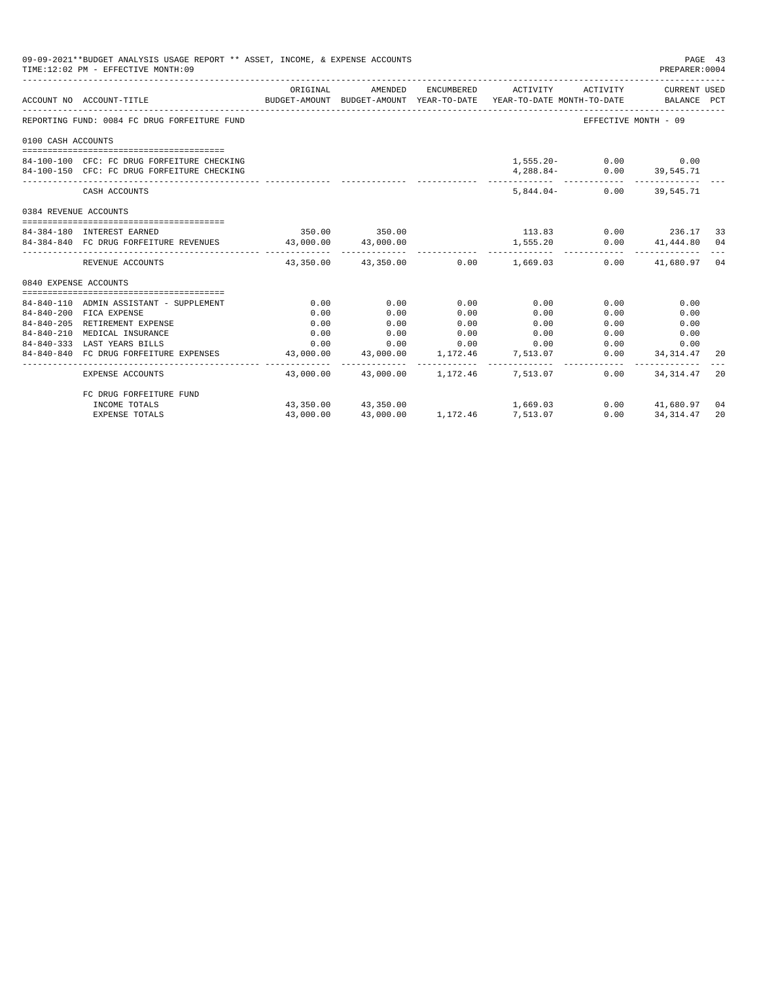|                       | 09-09-2021**BUDGET ANALYSIS USAGE REPORT ** ASSET, INCOME, & EXPENSE ACCOUNTS<br>TIME:12:02 PM - EFFECTIVE MONTH:09 |                                                                                 |                                                            |          |                      |                             | PREPARER:0004                        | PAGE 43 |
|-----------------------|---------------------------------------------------------------------------------------------------------------------|---------------------------------------------------------------------------------|------------------------------------------------------------|----------|----------------------|-----------------------------|--------------------------------------|---------|
|                       | ACCOUNT NO ACCOUNT-TITLE                                                                                            | BUDGET-AMOUNT BUDGET-AMOUNT YEAR-TO-DATE YEAR-TO-DATE MONTH-TO-DATE BALANCE PCT | ORIGINAL AMENDED ENCUMBERED ACTIVITY ACTIVITY CURRENT USED |          |                      |                             |                                      |         |
|                       | REPORTING FUND: 0084 FC DRUG FORFEITURE FUND                                                                        |                                                                                 |                                                            |          |                      |                             | EFFECTIVE MONTH - 09                 |         |
| 0100 CASH ACCOUNTS    |                                                                                                                     |                                                                                 |                                                            |          |                      |                             |                                      |         |
|                       |                                                                                                                     |                                                                                 |                                                            |          |                      |                             |                                      |         |
|                       | 84-100-100 CFC: FC DRUG FORFEITURE CHECKING                                                                         |                                                                                 |                                                            |          |                      | $1,555.20 - 0.00$ 0.00      |                                      |         |
|                       | 84-100-150 CFC: FC DRUG FORFEITURE CHECKING                                                                         |                                                                                 |                                                            |          |                      | 4, 288.84 - 0.00 39, 545.71 |                                      |         |
|                       | CASH ACCOUNTS                                                                                                       |                                                                                 |                                                            |          |                      | 5,844.04- 0.00 39,545.71    |                                      |         |
| 0384 REVENUE ACCOUNTS |                                                                                                                     |                                                                                 |                                                            |          |                      |                             |                                      |         |
|                       |                                                                                                                     |                                                                                 |                                                            |          |                      |                             |                                      |         |
|                       | 84-384-180 INTEREST EARNED                                                                                          |                                                                                 | 350.00 350.00                                              |          | $113.83$ 0.00 236.17 |                             |                                      | -33     |
|                       | 84-384-840 FC DRUG FORFEITURE REVENUES 43,000.00 43,000.00                                                          |                                                                                 |                                                            |          | 1,555.20             |                             | $0.00$ $41,444.80$ 04                |         |
|                       | REVENUE ACCOUNTS                                                                                                    |                                                                                 | $43.350.00$ $43.350.00$ $0.00$ $1.669.03$                  |          |                      |                             | $0.00$ $41.680.97$ 04                |         |
| 0840 EXPENSE ACCOUNTS |                                                                                                                     |                                                                                 |                                                            |          |                      |                             |                                      |         |
|                       |                                                                                                                     |                                                                                 |                                                            |          |                      |                             |                                      |         |
|                       | 84-840-110 ADMIN ASSISTANT - SUPPLEMENT                                                                             | 0.00                                                                            | 0.00                                                       | 0.00     | 0.00                 | 0.00                        | 0.00                                 |         |
|                       | 84-840-200 FICA EXPENSE                                                                                             | 0.00                                                                            | 0.00                                                       | 0.00     | 0.00                 | 0.00                        | 0.00                                 |         |
|                       | 84-840-205 RETIREMENT EXPENSE                                                                                       | 0.00                                                                            | 0.00                                                       | 0.00     | 0.00                 | 0.00                        | 0.00                                 |         |
| $84 - 840 - 210$      | MEDICAL INSURANCE                                                                                                   | 0.00                                                                            | 0.00                                                       | 0.00     | 0.00                 |                             | 0.00<br>0.00                         |         |
|                       | 84-840-333 LAST YEARS BILLS                                                                                         |                                                                                 | $0.00$ $0.00$ $0.00$ $0.00$ $0.00$                         |          |                      |                             | 0.00<br>0.00                         |         |
|                       | 84-840-840 FC DRUG FORFEITURE EXPENSES                                                                              |                                                                                 | 43,000.00 43,000.00 1,172.46 7,513.07                      |          |                      | ------------ -              | $0.00$ $34,314.47$<br>-------------- | 20      |
|                       | EXPENSE ACCOUNTS                                                                                                    |                                                                                 | $43.000.00$ $43.000.00$ $1.172.46$ $7.513.07$              |          |                      | 0.00                        | 34, 314, 47                          | 20      |
|                       | FC DRUG FORFEITURE FUND                                                                                             |                                                                                 |                                                            |          |                      |                             |                                      |         |
|                       | INCOME TOTALS                                                                                                       |                                                                                 | 43,350.00 43,350.00                                        |          | 1,669.03             |                             | $0.00$ $41,680.97$                   | 04      |
|                       | <b>EXPENSE TOTALS</b>                                                                                               | 43,000.00                                                                       | 43,000.00                                                  | 1,172.46 | 7,513.07             | 0.00                        | 34, 314, 47                          | 20      |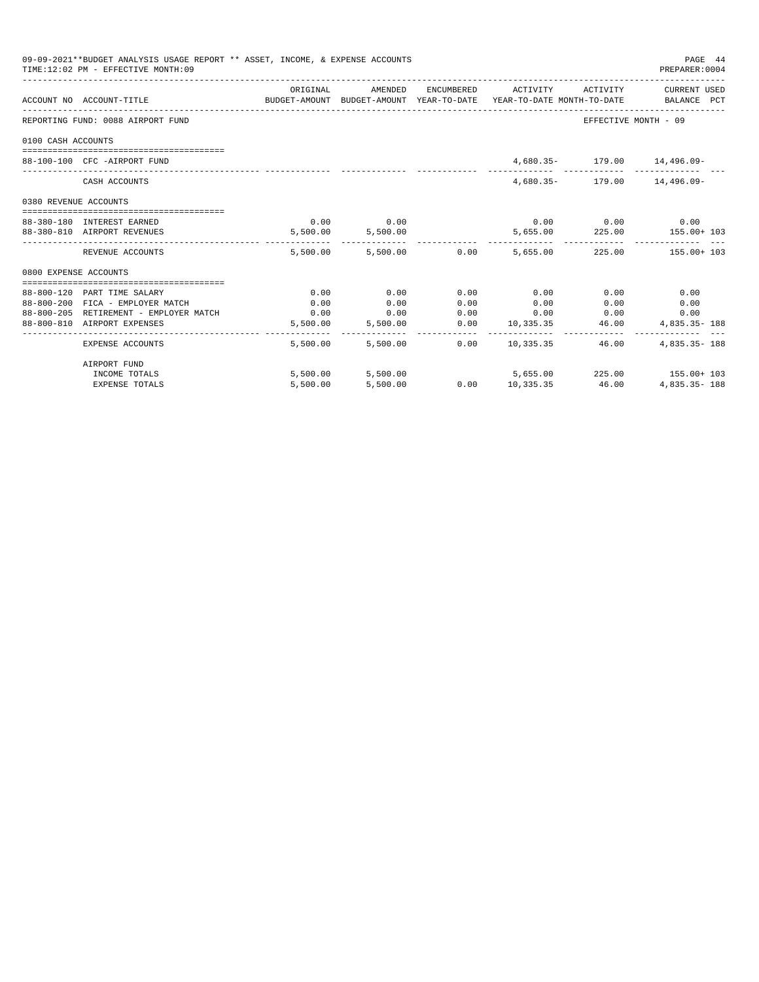| 09-09-2021**BUDGET ANALYSIS USAGE REPORT ** ASSET, INCOME, & EXPENSE ACCOUNTS<br>PAGE 44<br>TIME: 12:02 PM - EFFECTIVE MONTH: 09<br>PREPARER: 0004<br>ORIGINAL<br>AMENDED<br>ENCUMBERED ACTIVITY ACTIVITY CURRENT USED<br>ACCOUNT NO ACCOUNT-TITLE<br>BUDGET-AMOUNT BUDGET-AMOUNT YEAR-TO-DATE YEAR-TO-DATE MONTH-TO-DATE BALANCE PCT<br>EFFECTIVE MONTH - 09<br>REPORTING FUND: 0088 AIRPORT FUND<br>0100 CASH ACCOUNTS<br>4,680.35- 179.00 14,496.09-<br>88-100-100 CFC -AIRPORT FUND<br>4,680.35- 179.00 14,496.09-<br>CASH ACCOUNTS<br>0380 REVENUE ACCOUNTS<br>$0.00$ 0.00<br>$0.00$ $0.00$ $0.00$ $0.00$<br>88-380-180 INTEREST EARNED<br>$5,500.00$ $5,500.00$<br>$5,655.00$ 225.00 $155.00+103$<br>88-380-810 AIRPORT REVENUES<br>5.500.00 5.500.00 0.00 5.655.00 225.00 155.00 155.00 1<br>REVENUE ACCOUNTS<br>0800 EXPENSE ACCOUNTS<br>0.00<br>0.00<br>0.00<br>88-800-120 PART TIME SALARY<br>0.00<br>0.00<br>0.00<br>0.00<br>0.00<br>88-800-200 FICA - EMPLOYER MATCH<br>0.00<br>0.00<br>0.00<br>0.00<br>$0.00$ $0.00$ $0.00$ $0.00$<br>88-800-205 RETIREMENT - EMPLOYER MATCH<br>$0.00$ 0.00<br>0.00<br>$0.00$ 10,335.35 46.00<br>5,500.00 5,500.00<br>88-800-810 AIRPORT EXPENSES<br>4,835.35- 188<br>$0.00$ 10.335.35<br>$4.835.35 - 188$<br>5,500.00 5,500.00<br>46.00<br>EXPENSE ACCOUNTS<br>AIRPORT FUND |          |          |  |                        |                                                        |
|---------------------------------------------------------------------------------------------------------------------------------------------------------------------------------------------------------------------------------------------------------------------------------------------------------------------------------------------------------------------------------------------------------------------------------------------------------------------------------------------------------------------------------------------------------------------------------------------------------------------------------------------------------------------------------------------------------------------------------------------------------------------------------------------------------------------------------------------------------------------------------------------------------------------------------------------------------------------------------------------------------------------------------------------------------------------------------------------------------------------------------------------------------------------------------------------------------------------------------------------------------------------------------------------------------------------------|----------|----------|--|------------------------|--------------------------------------------------------|
|                                                                                                                                                                                                                                                                                                                                                                                                                                                                                                                                                                                                                                                                                                                                                                                                                                                                                                                                                                                                                                                                                                                                                                                                                                                                                                                           |          |          |  |                        |                                                        |
|                                                                                                                                                                                                                                                                                                                                                                                                                                                                                                                                                                                                                                                                                                                                                                                                                                                                                                                                                                                                                                                                                                                                                                                                                                                                                                                           |          |          |  |                        |                                                        |
|                                                                                                                                                                                                                                                                                                                                                                                                                                                                                                                                                                                                                                                                                                                                                                                                                                                                                                                                                                                                                                                                                                                                                                                                                                                                                                                           |          |          |  |                        |                                                        |
|                                                                                                                                                                                                                                                                                                                                                                                                                                                                                                                                                                                                                                                                                                                                                                                                                                                                                                                                                                                                                                                                                                                                                                                                                                                                                                                           |          |          |  |                        |                                                        |
|                                                                                                                                                                                                                                                                                                                                                                                                                                                                                                                                                                                                                                                                                                                                                                                                                                                                                                                                                                                                                                                                                                                                                                                                                                                                                                                           |          |          |  |                        |                                                        |
|                                                                                                                                                                                                                                                                                                                                                                                                                                                                                                                                                                                                                                                                                                                                                                                                                                                                                                                                                                                                                                                                                                                                                                                                                                                                                                                           |          |          |  |                        |                                                        |
|                                                                                                                                                                                                                                                                                                                                                                                                                                                                                                                                                                                                                                                                                                                                                                                                                                                                                                                                                                                                                                                                                                                                                                                                                                                                                                                           |          |          |  |                        |                                                        |
|                                                                                                                                                                                                                                                                                                                                                                                                                                                                                                                                                                                                                                                                                                                                                                                                                                                                                                                                                                                                                                                                                                                                                                                                                                                                                                                           |          |          |  |                        |                                                        |
|                                                                                                                                                                                                                                                                                                                                                                                                                                                                                                                                                                                                                                                                                                                                                                                                                                                                                                                                                                                                                                                                                                                                                                                                                                                                                                                           |          |          |  |                        |                                                        |
|                                                                                                                                                                                                                                                                                                                                                                                                                                                                                                                                                                                                                                                                                                                                                                                                                                                                                                                                                                                                                                                                                                                                                                                                                                                                                                                           |          |          |  |                        |                                                        |
|                                                                                                                                                                                                                                                                                                                                                                                                                                                                                                                                                                                                                                                                                                                                                                                                                                                                                                                                                                                                                                                                                                                                                                                                                                                                                                                           |          |          |  |                        |                                                        |
|                                                                                                                                                                                                                                                                                                                                                                                                                                                                                                                                                                                                                                                                                                                                                                                                                                                                                                                                                                                                                                                                                                                                                                                                                                                                                                                           |          |          |  |                        |                                                        |
|                                                                                                                                                                                                                                                                                                                                                                                                                                                                                                                                                                                                                                                                                                                                                                                                                                                                                                                                                                                                                                                                                                                                                                                                                                                                                                                           |          |          |  |                        |                                                        |
|                                                                                                                                                                                                                                                                                                                                                                                                                                                                                                                                                                                                                                                                                                                                                                                                                                                                                                                                                                                                                                                                                                                                                                                                                                                                                                                           |          |          |  |                        |                                                        |
|                                                                                                                                                                                                                                                                                                                                                                                                                                                                                                                                                                                                                                                                                                                                                                                                                                                                                                                                                                                                                                                                                                                                                                                                                                                                                                                           |          |          |  |                        |                                                        |
|                                                                                                                                                                                                                                                                                                                                                                                                                                                                                                                                                                                                                                                                                                                                                                                                                                                                                                                                                                                                                                                                                                                                                                                                                                                                                                                           |          |          |  |                        |                                                        |
| INCOME TOTALS                                                                                                                                                                                                                                                                                                                                                                                                                                                                                                                                                                                                                                                                                                                                                                                                                                                                                                                                                                                                                                                                                                                                                                                                                                                                                                             |          |          |  |                        | $5,500.00$ $5,500.00$ $5,655.00$ $225.00$ $155.00+103$ |
| <b>EXPENSE TOTALS</b>                                                                                                                                                                                                                                                                                                                                                                                                                                                                                                                                                                                                                                                                                                                                                                                                                                                                                                                                                                                                                                                                                                                                                                                                                                                                                                     | 5,500.00 | 5,500.00 |  | $0.00$ 10,335.35 46.00 | 4,835.35- 188                                          |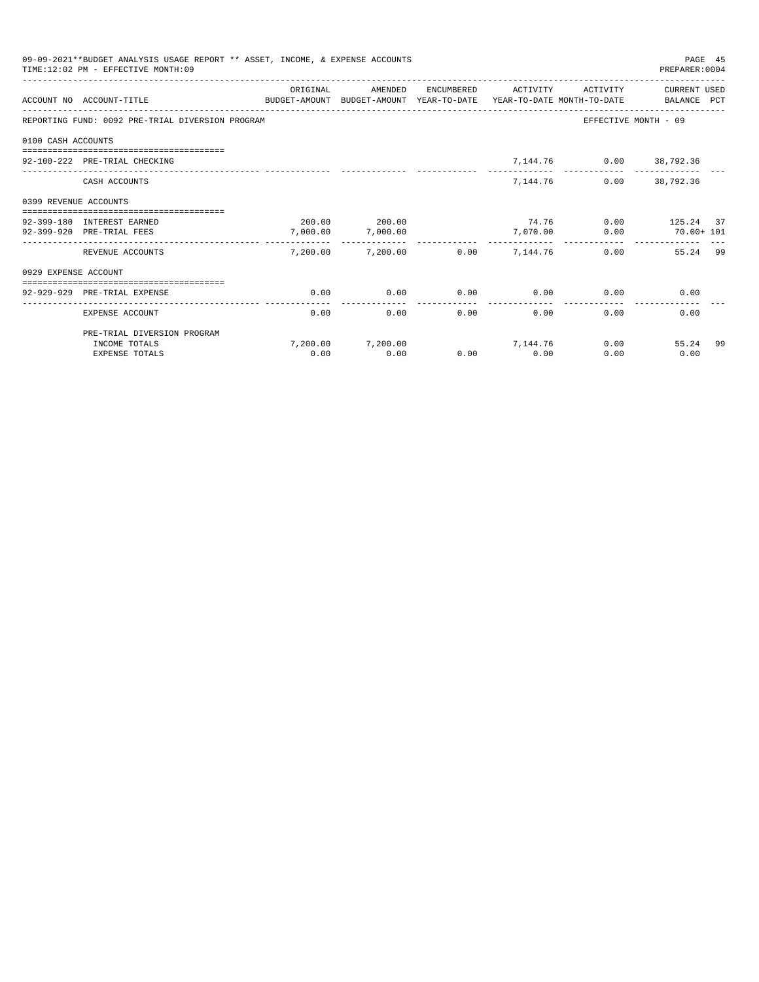|                       | 09-09-2021**BUDGET ANALYSIS USAGE REPORT ** ASSET, INCOME, & EXPENSE ACCOUNTS<br>TIME: 12:02 PM - EFFECTIVE MONTH: 09 |          |                                       |              |                       |                                | PAGE 45<br>PREPARER: 0004 |     |
|-----------------------|-----------------------------------------------------------------------------------------------------------------------|----------|---------------------------------------|--------------|-----------------------|--------------------------------|---------------------------|-----|
|                       | ACCOUNT NO ACCOUNT-TITLE<br>BUDGET-AMOUNT BUDGET-AMOUNT YEAR-TO-DATE YEAR-TO-DATE MONTH-TO-DATE   BALANCE PCT         | ORIGINAL | AMENDED                               | ENCUMBERED   | ACTIVITY              | ACTIVITY                       | CURRENT USED              |     |
|                       | REPORTING FUND: 0092 PRE-TRIAL DIVERSION PROGRAM                                                                      |          |                                       |              |                       |                                | EFFECTIVE MONTH - 09      |     |
| 0100 CASH ACCOUNTS    |                                                                                                                       |          |                                       |              |                       |                                |                           |     |
|                       | 92-100-222 PRE-TRIAL CHECKING                                                                                         |          |                                       |              |                       | 7,144.76 0.00 38,792.36        |                           |     |
|                       | CASH ACCOUNTS                                                                                                         |          |                                       |              | 7,144.76              |                                | $0.00$ 38,792.36          |     |
| 0399 REVENUE ACCOUNTS |                                                                                                                       |          |                                       |              |                       |                                |                           |     |
|                       | 92-399-180 INTEREST EARNED                                                                                            |          | 200.00 200.00                         |              |                       | 74.76 0.00 125.24 37           |                           |     |
|                       | 92-399-920 PRE-TRIAL FEES                                                                                             | 7,000.00 | 7,000.00                              |              | 7,070.00              |                                | $0.00$ $70.00 + 101$      |     |
|                       | REVENUE ACCOUNTS                                                                                                      |          | $7.200.00$ $7.200.00$ 0.00 $7.144.76$ |              |                       | ______________________________ | 0.00<br>55.24 99          |     |
| 0929 EXPENSE ACCOUNT  |                                                                                                                       |          |                                       |              |                       |                                |                           |     |
|                       | ------------------------------<br>92-929-929 PRE-TRIAL EXPENSE                                                        | 0.00     | 0.00                                  |              |                       | $0.00$ $0.00$ $0.00$ $0.00$    | 0.00                      |     |
|                       | EXPENSE ACCOUNT                                                                                                       | 0.00     | 0.00                                  | ------------ | -------------<br>0.00 | 0.00                           | 0.00<br>0.00              |     |
|                       | PRE-TRIAL DIVERSION PROGRAM                                                                                           |          |                                       |              |                       |                                |                           |     |
|                       | INCOME TOTALS                                                                                                         |          | $7.200.00$ $7.200.00$ $7.144.76$      |              |                       |                                | 0.00<br>55.24             | -99 |
|                       | <b>EXPENSE TOTALS</b>                                                                                                 | 0.00     | 0.00                                  | 0.00         | 0.00                  | 0.00                           | 0.00                      |     |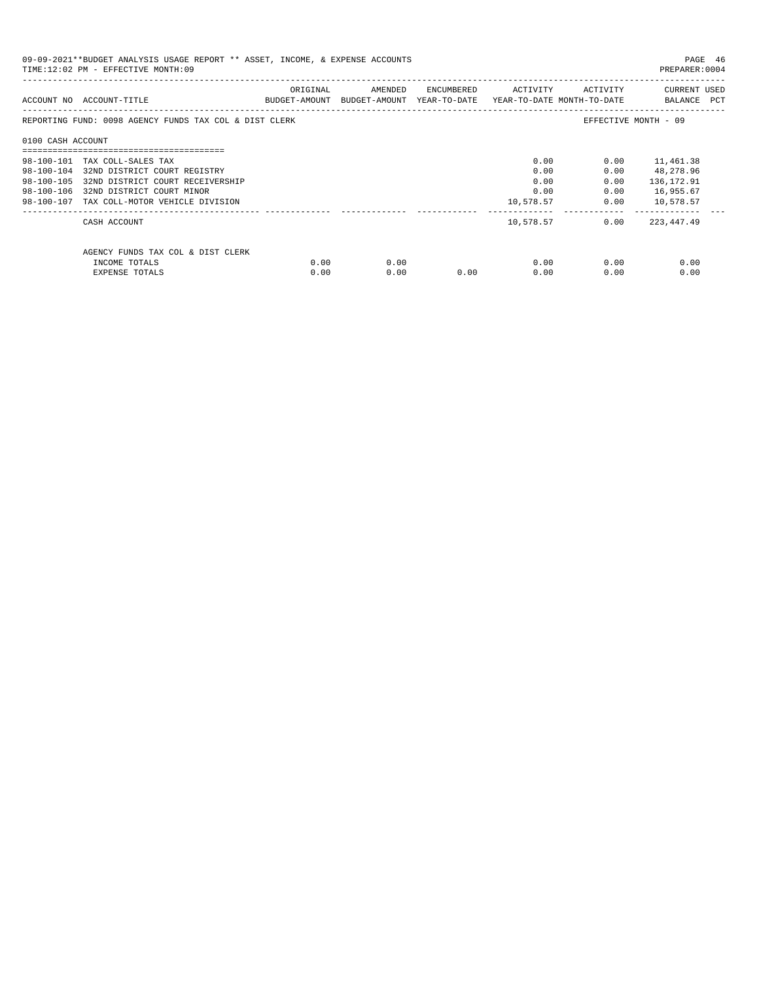| 09-09-2021**BUDGET ANALYSIS USAGE REPORT ** ASSET, INCOME, & EXPENSE ACCOUNTS<br>TIME:12:02 PM - EFFECTIVE MONTH:09 |                                                        |          |                                                                     |                             |           |              |                             |  |  |
|---------------------------------------------------------------------------------------------------------------------|--------------------------------------------------------|----------|---------------------------------------------------------------------|-----------------------------|-----------|--------------|-----------------------------|--|--|
|                                                                                                                     | ACCOUNT NO ACCOUNT-TITLE                               | ORIGINAL | BUDGET-AMOUNT BUDGET-AMOUNT YEAR-TO-DATE YEAR-TO-DATE MONTH-TO-DATE | AMENDED ENCUMBERED ACTIVITY |           | ACTIVITY     | CURRENT USED<br>BALANCE PCT |  |  |
|                                                                                                                     | REPORTING FUND: 0098 AGENCY FUNDS TAX COL & DIST CLERK |          |                                                                     |                             |           |              | EFFECTIVE MONTH - 09        |  |  |
| 0100 CASH ACCOUNT                                                                                                   |                                                        |          |                                                                     |                             |           |              |                             |  |  |
|                                                                                                                     | 98-100-101 TAX COLL-SALES TAX                          |          |                                                                     |                             | 0.00      | 0.00         | 11,461.38                   |  |  |
|                                                                                                                     | 98-100-104 32ND DISTRICT COURT REGISTRY                |          |                                                                     |                             | 0.00      | 0.00         | 48,278.96                   |  |  |
|                                                                                                                     | 98-100-105 32ND DISTRICT COURT RECEIVERSHIP            |          |                                                                     |                             | 0.00      | 0.00         | 136, 172.91                 |  |  |
|                                                                                                                     | 98-100-106 32ND DISTRICT COURT MINOR                   |          |                                                                     |                             | 0.00      | 0.00         | 16,955.67                   |  |  |
|                                                                                                                     | 98-100-107 TAX COLL-MOTOR VEHICLE DIVISION             |          |                                                                     |                             | 10,578.57 |              | $0.00$ 10,578.57            |  |  |
|                                                                                                                     | CASH ACCOUNT                                           |          |                                                                     |                             | 10,578.57 | 0.00         | 223,447.49                  |  |  |
|                                                                                                                     | AGENCY FUNDS TAX COL & DIST CLERK                      |          |                                                                     |                             |           |              |                             |  |  |
|                                                                                                                     | INCOME TOTALS                                          | 0.00     | 0.00                                                                |                             |           | 0.00<br>0.00 | 0.00                        |  |  |
|                                                                                                                     | EXPENSE TOTALS                                         | 0.00     | 0.00                                                                | 0.00                        | 0.00      | 0.00         | 0.00                        |  |  |